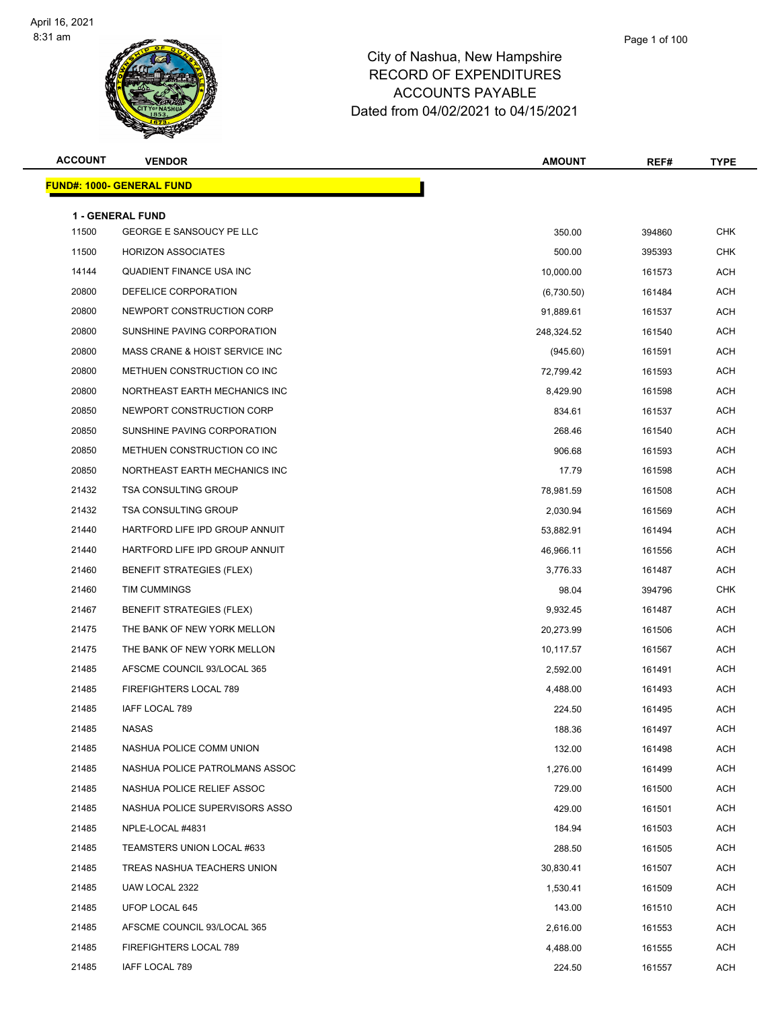

| <b>ACCOUNT</b> | <b>VENDOR</b>                                              | <b>AMOUNT</b> | REF#   | <b>TYPE</b> |
|----------------|------------------------------------------------------------|---------------|--------|-------------|
|                | <u> FUND#: 1000- GENERAL FUND</u>                          |               |        |             |
|                |                                                            |               |        |             |
| 11500          | <b>1 - GENERAL FUND</b><br><b>GEORGE E SANSOUCY PE LLC</b> | 350.00        | 394860 | <b>CHK</b>  |
| 11500          | <b>HORIZON ASSOCIATES</b>                                  | 500.00        | 395393 | <b>CHK</b>  |
| 14144          | QUADIENT FINANCE USA INC                                   | 10,000.00     | 161573 | <b>ACH</b>  |
| 20800          | DEFELICE CORPORATION                                       | (6,730.50)    | 161484 | <b>ACH</b>  |
| 20800          | NEWPORT CONSTRUCTION CORP                                  | 91,889.61     | 161537 | <b>ACH</b>  |
| 20800          | SUNSHINE PAVING CORPORATION                                | 248,324.52    | 161540 | <b>ACH</b>  |
| 20800          | MASS CRANE & HOIST SERVICE INC                             | (945.60)      | 161591 | <b>ACH</b>  |
| 20800          | METHUEN CONSTRUCTION CO INC                                | 72,799.42     | 161593 | <b>ACH</b>  |
| 20800          | NORTHEAST EARTH MECHANICS INC                              | 8,429.90      | 161598 | <b>ACH</b>  |
| 20850          | NEWPORT CONSTRUCTION CORP                                  | 834.61        | 161537 | <b>ACH</b>  |
| 20850          | SUNSHINE PAVING CORPORATION                                | 268.46        | 161540 | <b>ACH</b>  |
| 20850          | METHUEN CONSTRUCTION CO INC                                | 906.68        | 161593 | <b>ACH</b>  |
| 20850          | NORTHEAST EARTH MECHANICS INC                              | 17.79         | 161598 | <b>ACH</b>  |
| 21432          | <b>TSA CONSULTING GROUP</b>                                | 78,981.59     | 161508 | <b>ACH</b>  |
| 21432          | <b>TSA CONSULTING GROUP</b>                                | 2,030.94      | 161569 | <b>ACH</b>  |
| 21440          | HARTFORD LIFE IPD GROUP ANNUIT                             | 53,882.91     | 161494 | <b>ACH</b>  |
| 21440          | HARTFORD LIFE IPD GROUP ANNUIT                             | 46,966.11     | 161556 | <b>ACH</b>  |
| 21460          | <b>BENEFIT STRATEGIES (FLEX)</b>                           | 3,776.33      | 161487 | <b>ACH</b>  |
| 21460          | TIM CUMMINGS                                               | 98.04         | 394796 | <b>CHK</b>  |
| 21467          | <b>BENEFIT STRATEGIES (FLEX)</b>                           | 9,932.45      | 161487 | <b>ACH</b>  |
| 21475          | THE BANK OF NEW YORK MELLON                                | 20,273.99     | 161506 | <b>ACH</b>  |
| 21475          | THE BANK OF NEW YORK MELLON                                | 10,117.57     | 161567 | <b>ACH</b>  |
| 21485          | AFSCME COUNCIL 93/LOCAL 365                                | 2,592.00      | 161491 | <b>ACH</b>  |
| 21485          | FIREFIGHTERS LOCAL 789                                     | 4,488.00      | 161493 | ACH         |
| 21485          | IAFF LOCAL 789                                             | 224.50        | 161495 | <b>ACH</b>  |
| 21485          | <b>NASAS</b>                                               | 188.36        | 161497 | ACH         |
| 21485          | NASHUA POLICE COMM UNION                                   | 132.00        | 161498 | ACH         |
| 21485          | NASHUA POLICE PATROLMANS ASSOC                             | 1,276.00      | 161499 | <b>ACH</b>  |
| 21485          | NASHUA POLICE RELIEF ASSOC                                 | 729.00        | 161500 | ACH         |
| 21485          | NASHUA POLICE SUPERVISORS ASSO                             | 429.00        | 161501 | <b>ACH</b>  |
| 21485          | NPLE-LOCAL #4831                                           | 184.94        | 161503 | <b>ACH</b>  |
| 21485          | TEAMSTERS UNION LOCAL #633                                 | 288.50        | 161505 | ACH         |
| 21485          | TREAS NASHUA TEACHERS UNION                                | 30,830.41     | 161507 | <b>ACH</b>  |
| 21485          | UAW LOCAL 2322                                             | 1,530.41      | 161509 | <b>ACH</b>  |
| 21485          | UFOP LOCAL 645                                             | 143.00        | 161510 | ACH         |
| 21485          | AFSCME COUNCIL 93/LOCAL 365                                | 2,616.00      | 161553 | <b>ACH</b>  |
| 21485          | FIREFIGHTERS LOCAL 789                                     | 4,488.00      | 161555 | ACH         |
| 21485          | IAFF LOCAL 789                                             | 224.50        | 161557 | <b>ACH</b>  |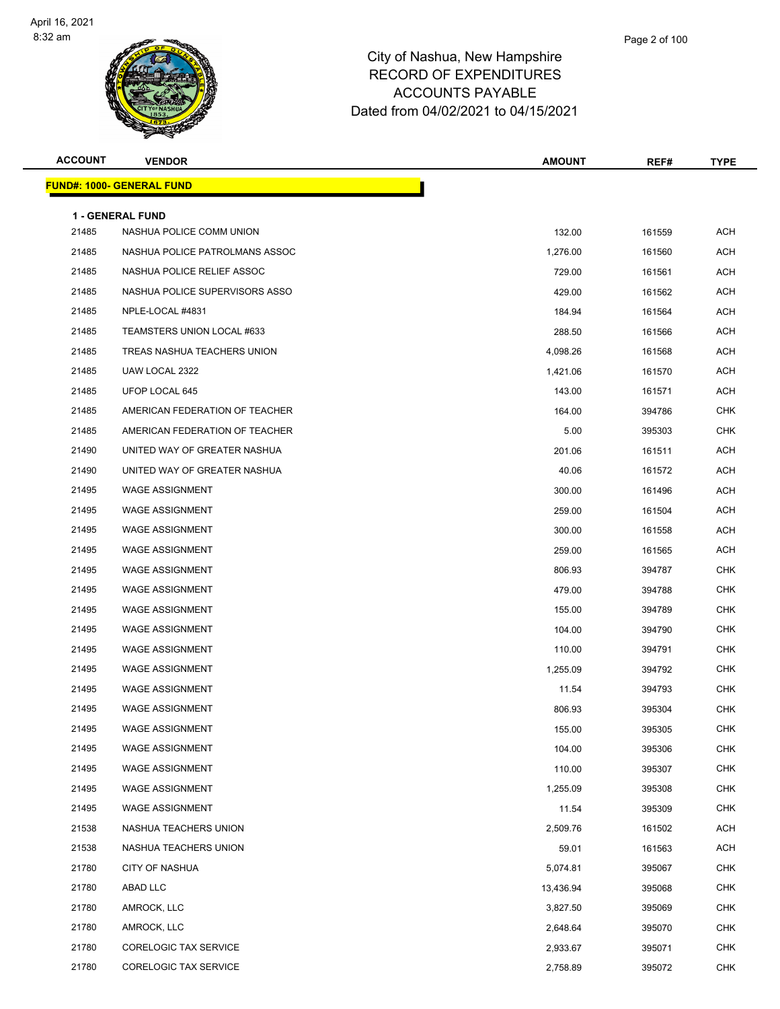

**FUND#: 1000- GENERAL FUND**

|                |                                  | $101110 + 1021202100$ |        |             |
|----------------|----------------------------------|-----------------------|--------|-------------|
| <b>ACCOUNT</b> | <b>VENDOR</b>                    | <b>AMOUNT</b>         | REF#   | <b>TYPE</b> |
|                | <u> IND#: 1000- GENERAL FUND</u> |                       |        |             |
|                | 1 - GENERAL FUND                 |                       |        |             |
| 21485          | NASHUA POLICE COMM UNION         | 132.00                | 161559 | <b>ACH</b>  |
| 21485          | NASHUA POLICE PATROLMANS ASSOC   | 1,276.00              | 161560 | <b>ACH</b>  |
| 21485          | NASHUA POLICE RELIEF ASSOC       | 729.00                | 161561 | <b>ACH</b>  |
| 21485          | NASHUA POLICE SUPERVISORS ASSO   | 429.00                | 161562 | <b>ACH</b>  |
| 21485          | NPLE-LOCAL #4831                 | 184.94                | 161564 | <b>ACH</b>  |
| 21485          | TEAMSTERS UNION LOCAL #633       | 288.50                | 161566 | <b>ACH</b>  |
| 21485          | TREAS NASHUA TEACHERS UNION      | 4,098.26              | 161568 | <b>ACH</b>  |
| 21485          | UAW LOCAL 2322                   | 1,421.06              | 161570 | <b>ACH</b>  |
| 21485          | UFOP LOCAL 645                   | 143.00                | 161571 | <b>ACH</b>  |
| 21485          | AMERICAN FEDERATION OF TEACHER   | 164.00                | 394786 | <b>CHK</b>  |
| 21485          | AMERICAN FEDERATION OF TEACHER   | 5.00                  | 395303 | <b>CHK</b>  |
| 21490          | UNITED WAY OF GREATER NASHUA     | 201.06                | 161511 | <b>ACH</b>  |
| 21490          | UNITED WAY OF GREATER NASHUA     | 40.06                 | 161572 | <b>ACH</b>  |
| 21495          | <b>WAGE ASSIGNMENT</b>           | 300.00                | 161496 | <b>ACH</b>  |
| 21495          | <b>WAGE ASSIGNMENT</b>           | 259.00                | 161504 | <b>ACH</b>  |
| 21495          | <b>WAGE ASSIGNMENT</b>           | 300.00                | 161558 | <b>ACH</b>  |
| 21495          | <b>WAGE ASSIGNMENT</b>           | 259.00                | 161565 | <b>ACH</b>  |
| 21495          | <b>WAGE ASSIGNMENT</b>           | 806.93                | 394787 | <b>CHK</b>  |
| 21495          | <b>WAGE ASSIGNMENT</b>           | 479.00                | 394788 | <b>CHK</b>  |
| 21495          | <b>WAGE ASSIGNMENT</b>           | 155.00                | 394789 | <b>CHK</b>  |
| 21495          | <b>WAGE ASSIGNMENT</b>           | 104.00                | 394790 | <b>CHK</b>  |
| 21495          | <b>WAGE ASSIGNMENT</b>           | 110.00                | 394791 | <b>CHK</b>  |
| 21495          | <b>WAGE ASSIGNMENT</b>           | 1,255.09              | 394792 | <b>CHK</b>  |
| 21495          | <b>WAGE ASSIGNMENT</b>           | 11.54                 | 394793 | <b>CHK</b>  |
| 21495          | <b>WAGE ASSIGNMENT</b>           | 806.93                | 395304 | <b>CHK</b>  |

| 21495 | <b>WAGE ASSIGNMENT</b>       | 806.93    | 394787 | <b>CHK</b> |
|-------|------------------------------|-----------|--------|------------|
| 21495 | <b>WAGE ASSIGNMENT</b>       | 479.00    | 394788 | CHK        |
| 21495 | <b>WAGE ASSIGNMENT</b>       | 155.00    | 394789 | CHK        |
| 21495 | <b>WAGE ASSIGNMENT</b>       | 104.00    | 394790 | CHK        |
| 21495 | <b>WAGE ASSIGNMENT</b>       | 110.00    | 394791 | CHK        |
| 21495 | WAGE ASSIGNMENT              | 1,255.09  | 394792 | <b>CHK</b> |
| 21495 | <b>WAGE ASSIGNMENT</b>       | 11.54     | 394793 | CHK        |
| 21495 | <b>WAGE ASSIGNMENT</b>       | 806.93    | 395304 | CHK        |
| 21495 | <b>WAGE ASSIGNMENT</b>       | 155.00    | 395305 | CHK        |
| 21495 | <b>WAGE ASSIGNMENT</b>       | 104.00    | 395306 | CHK        |
| 21495 | <b>WAGE ASSIGNMENT</b>       | 110.00    | 395307 | CHK        |
| 21495 | <b>WAGE ASSIGNMENT</b>       | 1,255.09  | 395308 | <b>CHK</b> |
| 21495 | <b>WAGE ASSIGNMENT</b>       | 11.54     | 395309 | CHK        |
| 21538 | NASHUA TEACHERS UNION        | 2,509.76  | 161502 | <b>ACH</b> |
| 21538 | NASHUA TEACHERS UNION        | 59.01     | 161563 | <b>ACH</b> |
| 21780 | <b>CITY OF NASHUA</b>        | 5,074.81  | 395067 | CHK        |
| 21780 | ABAD LLC                     | 13,436.94 | 395068 | CHK        |
| 21780 | AMROCK, LLC                  | 3,827.50  | 395069 | CHK        |
| 21780 | AMROCK, LLC                  | 2,648.64  | 395070 | CHK        |
| 21780 | <b>CORELOGIC TAX SERVICE</b> | 2,933.67  | 395071 | CHK        |
| 21780 | <b>CORELOGIC TAX SERVICE</b> | 2,758.89  | 395072 | CHK        |
|       |                              |           |        |            |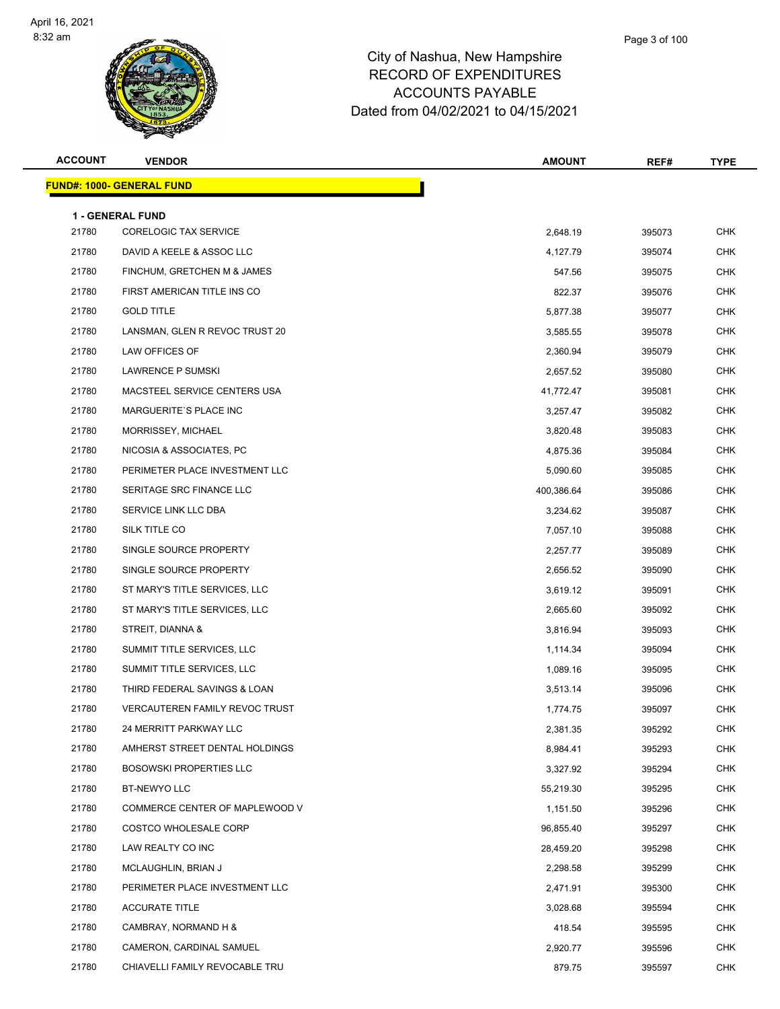

| <b>ACCOUNT</b> | <b>VENDOR</b>                         | <b>AMOUNT</b> | REF#   | <b>TYPE</b> |
|----------------|---------------------------------------|---------------|--------|-------------|
|                | <b>FUND#: 1000- GENERAL FUND</b>      |               |        |             |
|                | 1 - GENERAL FUND                      |               |        |             |
| 21780          | <b>CORELOGIC TAX SERVICE</b>          | 2,648.19      | 395073 | <b>CHK</b>  |
| 21780          | DAVID A KEELE & ASSOC LLC             | 4,127.79      | 395074 | <b>CHK</b>  |
| 21780          | FINCHUM, GRETCHEN M & JAMES           | 547.56        | 395075 | <b>CHK</b>  |
| 21780          | FIRST AMERICAN TITLE INS CO           | 822.37        | 395076 | <b>CHK</b>  |
| 21780          | <b>GOLD TITLE</b>                     | 5,877.38      | 395077 | <b>CHK</b>  |
| 21780          | LANSMAN, GLEN R REVOC TRUST 20        | 3,585.55      | 395078 | <b>CHK</b>  |
| 21780          | LAW OFFICES OF                        | 2,360.94      | 395079 | <b>CHK</b>  |
| 21780          | LAWRENCE P SUMSKI                     | 2,657.52      | 395080 | <b>CHK</b>  |
| 21780          | MACSTEEL SERVICE CENTERS USA          | 41,772.47     | 395081 | <b>CHK</b>  |
| 21780          | <b>MARGUERITE'S PLACE INC</b>         | 3,257.47      | 395082 | <b>CHK</b>  |
| 21780          | MORRISSEY, MICHAEL                    | 3,820.48      | 395083 | <b>CHK</b>  |
| 21780          | NICOSIA & ASSOCIATES, PC              | 4,875.36      | 395084 | <b>CHK</b>  |
| 21780          | PERIMETER PLACE INVESTMENT LLC        | 5,090.60      | 395085 | <b>CHK</b>  |
| 21780          | SERITAGE SRC FINANCE LLC              | 400,386.64    | 395086 | <b>CHK</b>  |
| 21780          | SERVICE LINK LLC DBA                  | 3,234.62      | 395087 | <b>CHK</b>  |
| 21780          | SILK TITLE CO                         | 7,057.10      | 395088 | <b>CHK</b>  |
| 21780          | SINGLE SOURCE PROPERTY                | 2,257.77      | 395089 | <b>CHK</b>  |
| 21780          | SINGLE SOURCE PROPERTY                | 2,656.52      | 395090 | <b>CHK</b>  |
| 21780          | ST MARY'S TITLE SERVICES, LLC         | 3,619.12      | 395091 | <b>CHK</b>  |
| 21780          | ST MARY'S TITLE SERVICES, LLC         | 2,665.60      | 395092 | <b>CHK</b>  |
| 21780          | STREIT, DIANNA &                      | 3,816.94      | 395093 | <b>CHK</b>  |
| 21780          | SUMMIT TITLE SERVICES, LLC            | 1,114.34      | 395094 | <b>CHK</b>  |
| 21780          | SUMMIT TITLE SERVICES, LLC            | 1,089.16      | 395095 | <b>CHK</b>  |
| 21780          | THIRD FEDERAL SAVINGS & LOAN          | 3,513.14      | 395096 | <b>CHK</b>  |
| 21780          | <b>VERCAUTEREN FAMILY REVOC TRUST</b> | 1,774.75      | 395097 | <b>CHK</b>  |
| 21780          | 24 MERRITT PARKWAY LLC                | 2,381.35      | 395292 | <b>CHK</b>  |
| 21780          | AMHERST STREET DENTAL HOLDINGS        | 8,984.41      | 395293 | <b>CHK</b>  |
| 21780          | <b>BOSOWSKI PROPERTIES LLC</b>        | 3,327.92      | 395294 | <b>CHK</b>  |
| 21780          | BT-NEWYO LLC                          | 55,219.30     | 395295 | <b>CHK</b>  |
| 21780          | COMMERCE CENTER OF MAPLEWOOD V        | 1,151.50      | 395296 | <b>CHK</b>  |
| 21780          | COSTCO WHOLESALE CORP                 | 96,855.40     | 395297 | <b>CHK</b>  |
| 21780          | LAW REALTY CO INC                     | 28,459.20     | 395298 | CHK         |
| 21780          | MCLAUGHLIN, BRIAN J                   | 2,298.58      | 395299 | <b>CHK</b>  |
| 21780          | PERIMETER PLACE INVESTMENT LLC        | 2,471.91      | 395300 | <b>CHK</b>  |
| 21780          | <b>ACCURATE TITLE</b>                 | 3,028.68      | 395594 | <b>CHK</b>  |
| 21780          | CAMBRAY, NORMAND H &                  | 418.54        | 395595 | <b>CHK</b>  |
| 21780          | CAMERON, CARDINAL SAMUEL              | 2,920.77      | 395596 | <b>CHK</b>  |
| 21780          | CHIAVELLI FAMILY REVOCABLE TRU        | 879.75        | 395597 | <b>CHK</b>  |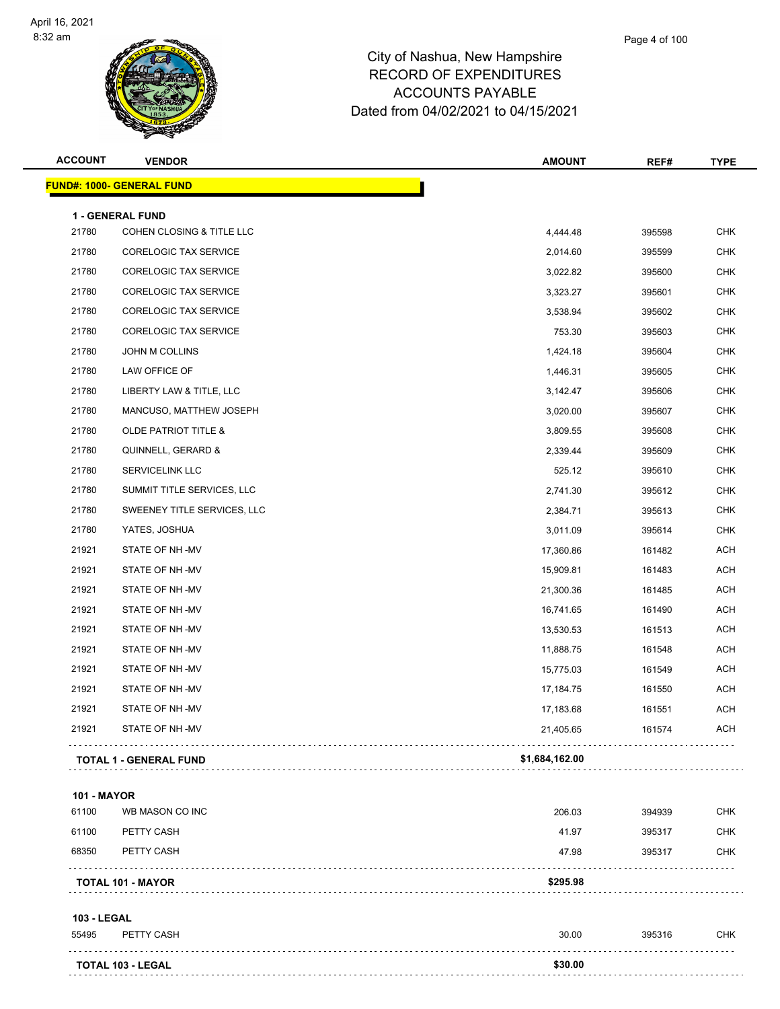

| <b>ACCOUNT</b>     | <b>VENDOR</b>                   | <b>AMOUNT</b>  | REF#   | <b>TYPE</b> |
|--------------------|---------------------------------|----------------|--------|-------------|
|                    | FUND#: 1000- GENERAL FUND       |                |        |             |
|                    | 1 - GENERAL FUND                |                |        |             |
| 21780              | COHEN CLOSING & TITLE LLC       | 4,444.48       | 395598 | <b>CHK</b>  |
| 21780              | <b>CORELOGIC TAX SERVICE</b>    | 2,014.60       | 395599 | <b>CHK</b>  |
| 21780              | <b>CORELOGIC TAX SERVICE</b>    | 3,022.82       | 395600 | <b>CHK</b>  |
| 21780              | <b>CORELOGIC TAX SERVICE</b>    | 3,323.27       | 395601 | <b>CHK</b>  |
| 21780              | <b>CORELOGIC TAX SERVICE</b>    | 3,538.94       | 395602 | <b>CHK</b>  |
| 21780              | CORELOGIC TAX SERVICE           | 753.30         | 395603 | <b>CHK</b>  |
| 21780              | JOHN M COLLINS                  | 1,424.18       | 395604 | <b>CHK</b>  |
| 21780              | LAW OFFICE OF                   | 1,446.31       | 395605 | <b>CHK</b>  |
| 21780              | LIBERTY LAW & TITLE, LLC        | 3,142.47       | 395606 | <b>CHK</b>  |
| 21780              | MANCUSO, MATTHEW JOSEPH         | 3,020.00       | 395607 | <b>CHK</b>  |
| 21780              | <b>OLDE PATRIOT TITLE &amp;</b> | 3,809.55       | 395608 | <b>CHK</b>  |
| 21780              | QUINNELL, GERARD &              | 2,339.44       | 395609 | <b>CHK</b>  |
| 21780              | <b>SERVICELINK LLC</b>          | 525.12         | 395610 | <b>CHK</b>  |
| 21780              | SUMMIT TITLE SERVICES, LLC      | 2,741.30       | 395612 | <b>CHK</b>  |
| 21780              | SWEENEY TITLE SERVICES, LLC     | 2,384.71       | 395613 | <b>CHK</b>  |
| 21780              | YATES, JOSHUA                   | 3,011.09       | 395614 | <b>CHK</b>  |
| 21921              | STATE OF NH-MV                  | 17,360.86      | 161482 | <b>ACH</b>  |
| 21921              | STATE OF NH-MV                  | 15,909.81      | 161483 | <b>ACH</b>  |
| 21921              | STATE OF NH-MV                  | 21,300.36      | 161485 | <b>ACH</b>  |
| 21921              | STATE OF NH-MV                  | 16,741.65      | 161490 | <b>ACH</b>  |
| 21921              | STATE OF NH-MV                  | 13,530.53      | 161513 | <b>ACH</b>  |
| 21921              | STATE OF NH-MV                  | 11,888.75      | 161548 | <b>ACH</b>  |
| 21921              | STATE OF NH-MV                  | 15,775.03      | 161549 | <b>ACH</b>  |
| 21921              | STATE OF NH-MV                  | 17,184.75      | 161550 | <b>ACH</b>  |
| 21921              | STATE OF NH -MV                 | 17,183.68      | 161551 | <b>ACH</b>  |
| 21921              | STATE OF NH-MV                  | 21,405.65      | 161574 | ACH         |
|                    | <b>TOTAL 1 - GENERAL FUND</b>   | \$1,684,162.00 |        |             |
| <b>101 - MAYOR</b> |                                 |                |        |             |
| 61100              | WB MASON CO INC                 | 206.03         | 394939 | <b>CHK</b>  |

|       | <b>TOTAL 101 - MAYOR</b> | \$295.98 |        |            |
|-------|--------------------------|----------|--------|------------|
| 68350 | PETTY CASH               | 47.98    | 395317 | <b>CHK</b> |
| 61100 | PETTY CASH               | 41.97    | 395317 | CHK        |
| 61100 | WB MASON CO INC          | 206.03   | 394939 | снк        |

### **103 - LEGAL**

| 55495 | PETTY CASH        | 30.00   | 395316 | <b>CHK</b> |
|-------|-------------------|---------|--------|------------|
|       | TOTAL 103 - LEGAL | \$30.00 |        |            |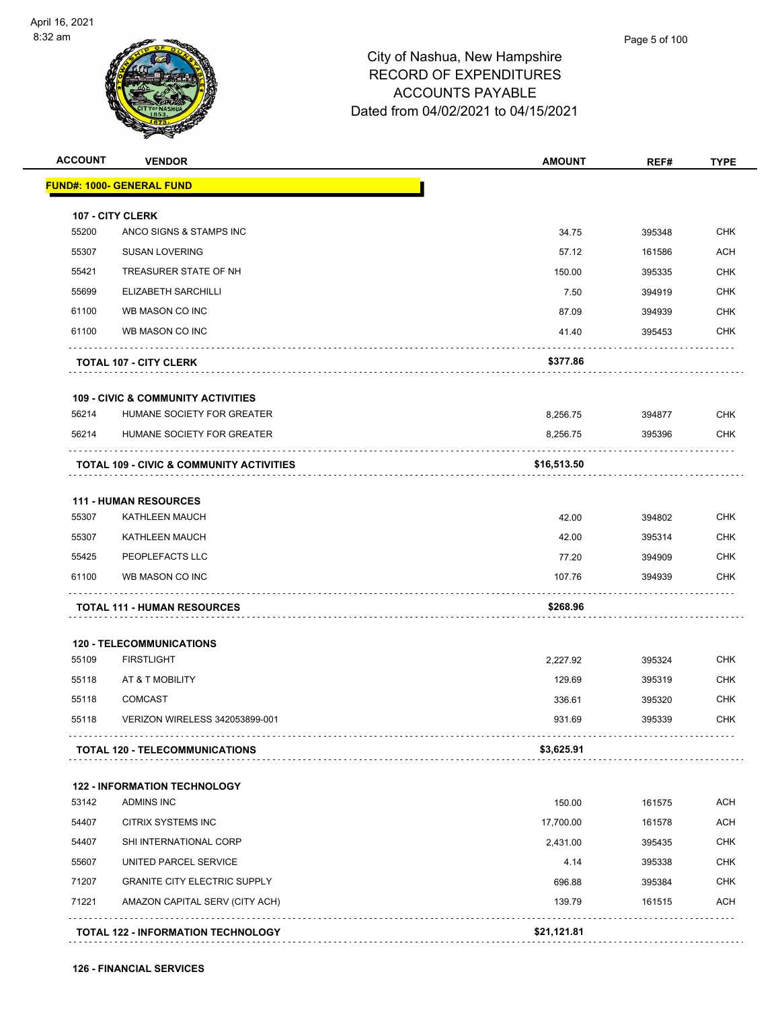

| <b>ACCOUNT</b> | <b>VENDOR</b>                                       | <b>AMOUNT</b> | REF#   | <b>TYPE</b> |
|----------------|-----------------------------------------------------|---------------|--------|-------------|
|                | <u> FUND#: 1000- GENERAL FUND</u>                   |               |        |             |
|                | 107 - CITY CLERK                                    |               |        |             |
| 55200          | ANCO SIGNS & STAMPS INC                             | 34.75         | 395348 | <b>CHK</b>  |
| 55307          | <b>SUSAN LOVERING</b>                               | 57.12         | 161586 | <b>ACH</b>  |
| 55421          | TREASURER STATE OF NH                               | 150.00        | 395335 | <b>CHK</b>  |
| 55699          | ELIZABETH SARCHILLI                                 | 7.50          | 394919 | <b>CHK</b>  |
| 61100          | WB MASON CO INC                                     | 87.09         | 394939 | <b>CHK</b>  |
| 61100          | WB MASON CO INC                                     | 41.40         | 395453 | <b>CHK</b>  |
|                | <b>TOTAL 107 - CITY CLERK</b>                       | \$377.86      |        |             |
|                |                                                     |               |        |             |
|                | <b>109 - CIVIC &amp; COMMUNITY ACTIVITIES</b>       |               |        |             |
| 56214          | HUMANE SOCIETY FOR GREATER                          | 8,256.75      | 394877 | <b>CHK</b>  |
| 56214          | HUMANE SOCIETY FOR GREATER                          | 8,256.75      | 395396 | <b>CHK</b>  |
|                | <b>TOTAL 109 - CIVIC &amp; COMMUNITY ACTIVITIES</b> | \$16,513.50   |        |             |
|                | <b>111 - HUMAN RESOURCES</b>                        |               |        |             |
| 55307          | KATHLEEN MAUCH                                      | 42.00         | 394802 | <b>CHK</b>  |
| 55307          | KATHLEEN MAUCH                                      | 42.00         | 395314 | <b>CHK</b>  |
| 55425          | PEOPLEFACTS LLC                                     | 77.20         | 394909 | <b>CHK</b>  |
| 61100          | WB MASON CO INC                                     | 107.76        | 394939 | <b>CHK</b>  |
|                | <b>TOTAL 111 - HUMAN RESOURCES</b>                  | \$268.96      | .      |             |
|                | <b>120 - TELECOMMUNICATIONS</b>                     |               |        |             |
| 55109          | <b>FIRSTLIGHT</b>                                   | 2,227.92      | 395324 | <b>CHK</b>  |
| 55118          | AT & T MOBILITY                                     | 129.69        | 395319 | <b>CHK</b>  |
| 55118          | <b>COMCAST</b>                                      | 336.61        | 395320 | <b>CHK</b>  |
| 55118          | VERIZON WIRELESS 342053899-001                      | 931.69        | 395339 | <b>CHK</b>  |
|                | <b>TOTAL 120 - TELECOMMUNICATIONS</b>               | \$3,625.91    |        |             |
|                | <b>122 - INFORMATION TECHNOLOGY</b>                 |               |        |             |
| 53142          | <b>ADMINS INC</b>                                   | 150.00        | 161575 | <b>ACH</b>  |
| 54407          | <b>CITRIX SYSTEMS INC</b>                           | 17,700.00     | 161578 | <b>ACH</b>  |
| 54407          | SHI INTERNATIONAL CORP                              | 2,431.00      | 395435 | <b>CHK</b>  |
| 55607          | UNITED PARCEL SERVICE                               | 4.14          | 395338 | <b>CHK</b>  |
| 71207          | <b>GRANITE CITY ELECTRIC SUPPLY</b>                 | 696.88        | 395384 | <b>CHK</b>  |
| 71221          | AMAZON CAPITAL SERV (CITY ACH)                      | 139.79        | 161515 | <b>ACH</b>  |
|                | <b>TOTAL 122 - INFORMATION TECHNOLOGY</b>           | \$21,121.81   |        |             |
|                |                                                     |               |        |             |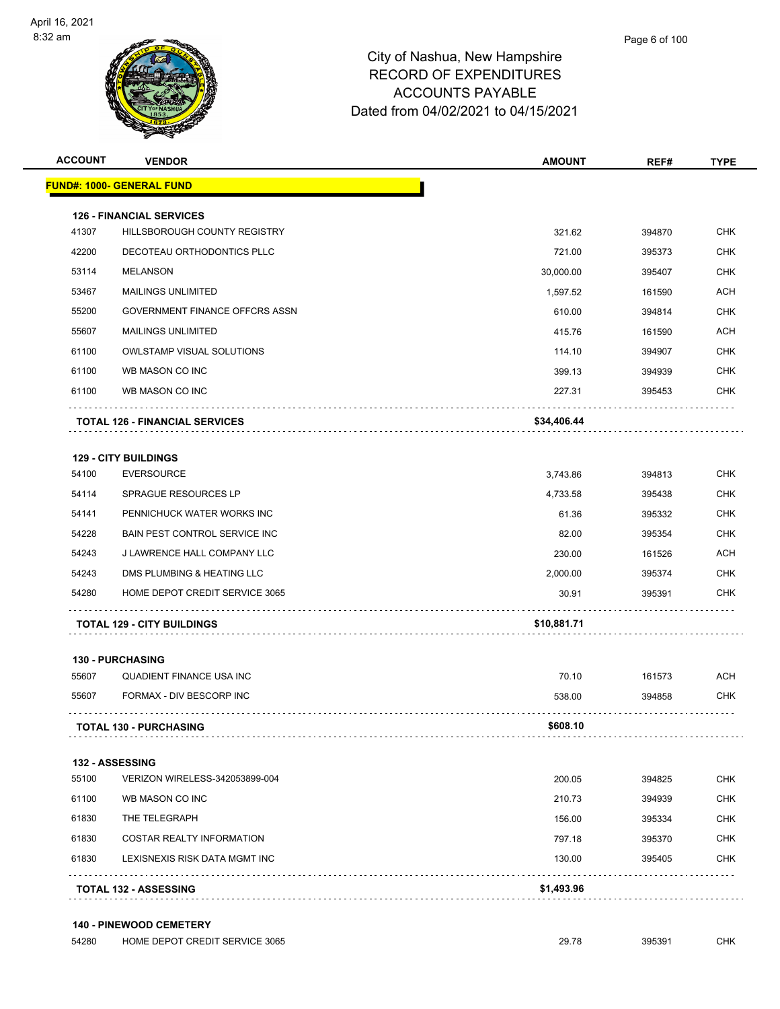

| <b>ACCOUNT</b> | <b>VENDOR</b>                                                   | <b>AMOUNT</b> | REF#     | <b>TYPE</b>        |
|----------------|-----------------------------------------------------------------|---------------|----------|--------------------|
|                | <b>FUND#: 1000- GENERAL FUND</b>                                |               |          |                    |
|                |                                                                 |               |          |                    |
| 41307          | <b>126 - FINANCIAL SERVICES</b><br>HILLSBOROUGH COUNTY REGISTRY | 321.62        | 394870   | <b>CHK</b>         |
| 42200          | DECOTEAU ORTHODONTICS PLLC                                      | 721.00        | 395373   | <b>CHK</b>         |
| 53114          | <b>MELANSON</b>                                                 | 30,000.00     | 395407   | <b>CHK</b>         |
| 53467          | <b>MAILINGS UNLIMITED</b>                                       | 1,597.52      | 161590   | <b>ACH</b>         |
| 55200          | GOVERNMENT FINANCE OFFCRS ASSN                                  | 610.00        | 394814   | <b>CHK</b>         |
| 55607          | <b>MAILINGS UNLIMITED</b>                                       | 415.76        | 161590   | <b>ACH</b>         |
| 61100          | <b>OWLSTAMP VISUAL SOLUTIONS</b>                                | 114.10        | 394907   | <b>CHK</b>         |
| 61100          | WB MASON CO INC                                                 | 399.13        | 394939   | <b>CHK</b>         |
| 61100          | WB MASON CO INC                                                 | 227.31        | 395453   | <b>CHK</b>         |
|                |                                                                 |               |          |                    |
|                | <b>TOTAL 126 - FINANCIAL SERVICES</b>                           | \$34,406.44   |          |                    |
|                | <b>129 - CITY BUILDINGS</b>                                     |               |          |                    |
| 54100          | <b>EVERSOURCE</b>                                               | 3,743.86      | 394813   | <b>CHK</b>         |
| 54114          | SPRAGUE RESOURCES LP                                            | 4,733.58      | 395438   | <b>CHK</b>         |
| 54141          | PENNICHUCK WATER WORKS INC                                      | 61.36         | 395332   | <b>CHK</b>         |
| 54228          | BAIN PEST CONTROL SERVICE INC                                   | 82.00         | 395354   | <b>CHK</b>         |
| 54243          | J LAWRENCE HALL COMPANY LLC                                     | 230.00        | 161526   | <b>ACH</b>         |
| 54243          | DMS PLUMBING & HEATING LLC                                      | 2,000.00      | 395374   | <b>CHK</b>         |
| 54280          | HOME DEPOT CREDIT SERVICE 3065                                  | 30.91         | 395391   | <b>CHK</b>         |
|                |                                                                 |               |          |                    |
|                | <b>TOTAL 129 - CITY BUILDINGS</b>                               | \$10,881.71   |          |                    |
|                | <b>130 - PURCHASING</b>                                         |               |          |                    |
| 55607          | <b>QUADIENT FINANCE USA INC</b>                                 | 70.10         | 161573   | <b>ACH</b>         |
| EECOZ          | <b>CODMAY DIVECCOOD INC.</b>                                    | F20000        | $001050$ | C <sub>1</sub> 11Z |

|       | <b>TOTAL 130 - PURCHASING</b> | \$608.10 |        |     |
|-------|-------------------------------|----------|--------|-----|
| 55607 | FORMAX - DIV BESCORP INC      | 538.00   | 394858 | снк |

### **132 - ASSESSING**

|       | <b>TOTAL 132 - ASSESSING</b>   | \$1,493.96 |        |            |
|-------|--------------------------------|------------|--------|------------|
| 61830 | LEXISNEXIS RISK DATA MGMT INC  | 130.00     | 395405 | <b>CHK</b> |
| 61830 | COSTAR REALTY INFORMATION      | 797.18     | 395370 | <b>CHK</b> |
| 61830 | THE TELEGRAPH                  | 156.00     | 395334 | <b>CHK</b> |
| 61100 | WB MASON CO INC                | 210.73     | 394939 | <b>CHK</b> |
| 55100 | VERIZON WIRELESS-342053899-004 | 200.05     | 394825 | <b>CHK</b> |
|       |                                |            |        |            |

### **140 - PINEWOOD CEMETERY**

| 54280 | HOME DEPOT CREDIT SERVICE 3065 | 29.78 | 395391 | снк |
|-------|--------------------------------|-------|--------|-----|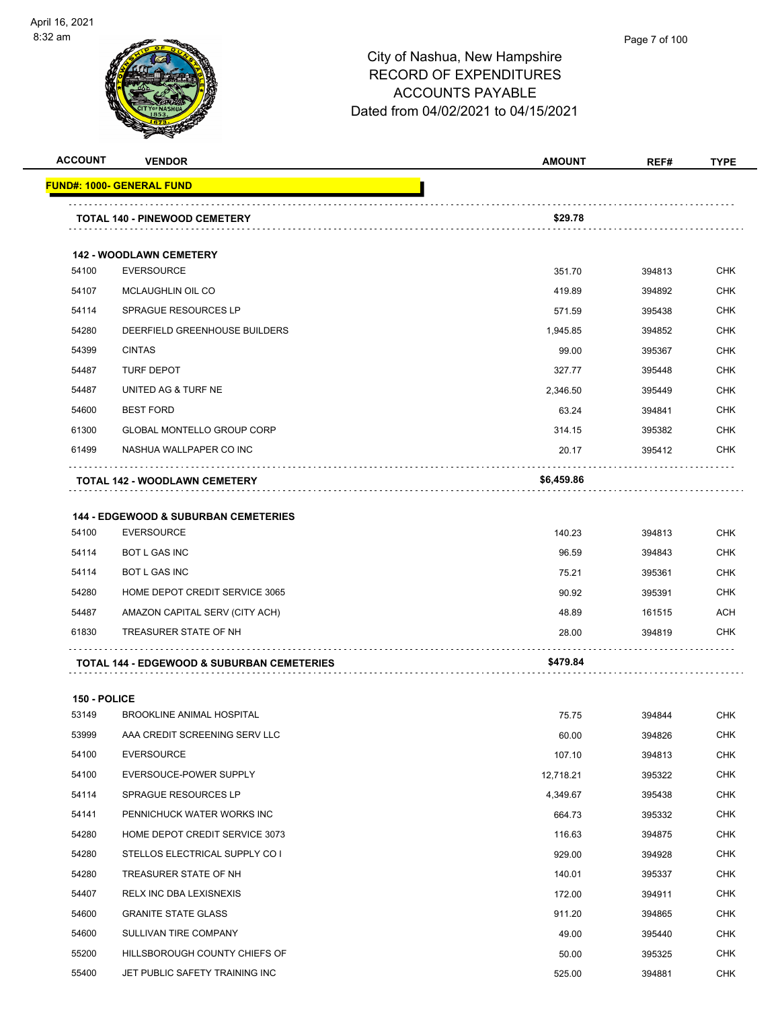

| <b>ACCOUNT</b>      | <b>VENDOR</b>                                         | <b>AMOUNT</b> | REF#   | TYPE       |
|---------------------|-------------------------------------------------------|---------------|--------|------------|
|                     | <u> FUND#: 1000- GENERAL FUND</u>                     |               |        |            |
|                     | TOTAL 140 - PINEWOOD CEMETERY                         | \$29.78       |        |            |
|                     |                                                       |               |        |            |
|                     | <b>142 - WOODLAWN CEMETERY</b>                        |               |        |            |
| 54100               | <b>EVERSOURCE</b>                                     | 351.70        | 394813 | <b>CHK</b> |
| 54107               | <b>MCLAUGHLIN OIL CO</b>                              | 419.89        | 394892 | <b>CHK</b> |
| 54114               | <b>SPRAGUE RESOURCES LP</b>                           | 571.59        | 395438 | <b>CHK</b> |
| 54280               | DEERFIELD GREENHOUSE BUILDERS                         | 1,945.85      | 394852 | <b>CHK</b> |
| 54399               | <b>CINTAS</b>                                         | 99.00         | 395367 | <b>CHK</b> |
| 54487               | <b>TURF DEPOT</b>                                     | 327.77        | 395448 | <b>CHK</b> |
| 54487               | UNITED AG & TURF NE                                   | 2,346.50      | 395449 | <b>CHK</b> |
| 54600               | <b>BEST FORD</b>                                      | 63.24         | 394841 | <b>CHK</b> |
| 61300               | <b>GLOBAL MONTELLO GROUP CORP</b>                     | 314.15        | 395382 | <b>CHK</b> |
| 61499               | NASHUA WALLPAPER CO INC                               | 20.17         | 395412 | <b>CHK</b> |
|                     | <b>TOTAL 142 - WOODLAWN CEMETERY</b>                  | \$6,459.86    |        |            |
|                     | <b>144 - EDGEWOOD &amp; SUBURBAN CEMETERIES</b>       |               |        |            |
| 54100               | <b>EVERSOURCE</b>                                     | 140.23        | 394813 | <b>CHK</b> |
| 54114               | <b>BOT L GAS INC</b>                                  | 96.59         | 394843 | <b>CHK</b> |
| 54114               | <b>BOT L GAS INC</b>                                  | 75.21         | 395361 | <b>CHK</b> |
| 54280               | HOME DEPOT CREDIT SERVICE 3065                        | 90.92         | 395391 | <b>CHK</b> |
| 54487               | AMAZON CAPITAL SERV (CITY ACH)                        | 48.89         | 161515 | ACH        |
| 61830               | TREASURER STATE OF NH                                 | 28.00         | 394819 | <b>CHK</b> |
|                     | <b>TOTAL 144 - EDGEWOOD &amp; SUBURBAN CEMETERIES</b> | \$479.84      |        |            |
| <b>150 - POLICE</b> |                                                       |               |        |            |
| 53149               | <b>BROOKLINE ANIMAL HOSPITAL</b>                      | 75.75         | 394844 | <b>CHK</b> |
| 53999               | AAA CREDIT SCREENING SERV LLC                         | 60.00         | 394826 | CHK        |
| 54100               | <b>EVERSOURCE</b>                                     | 107.10        | 394813 | <b>CHK</b> |
| 54100               | EVERSOUCE-POWER SUPPLY                                | 12,718.21     | 395322 | <b>CHK</b> |
| 54114               | SPRAGUE RESOURCES LP                                  | 4,349.67      | 395438 | CHK        |
| 54141               | PENNICHUCK WATER WORKS INC                            | 664.73        | 395332 | <b>CHK</b> |
| 54280               | HOME DEPOT CREDIT SERVICE 3073                        | 116.63        | 394875 | <b>CHK</b> |
| 54280               | STELLOS ELECTRICAL SUPPLY CO I                        | 929.00        | 394928 | <b>CHK</b> |
| 54280               | TREASURER STATE OF NH                                 | 140.01        | 395337 | <b>CHK</b> |
| 54407               | RELX INC DBA LEXISNEXIS                               | 172.00        | 394911 | CHK        |
| 54600               | <b>GRANITE STATE GLASS</b>                            | 911.20        | 394865 | <b>CHK</b> |
| 54600               | SULLIVAN TIRE COMPANY                                 | 49.00         | 395440 | <b>CHK</b> |
| 55200               | HILLSBOROUGH COUNTY CHIEFS OF                         | 50.00         | 395325 | <b>CHK</b> |
| 55400               | JET PUBLIC SAFETY TRAINING INC                        | 525.00        | 394881 | <b>CHK</b> |
|                     |                                                       |               |        |            |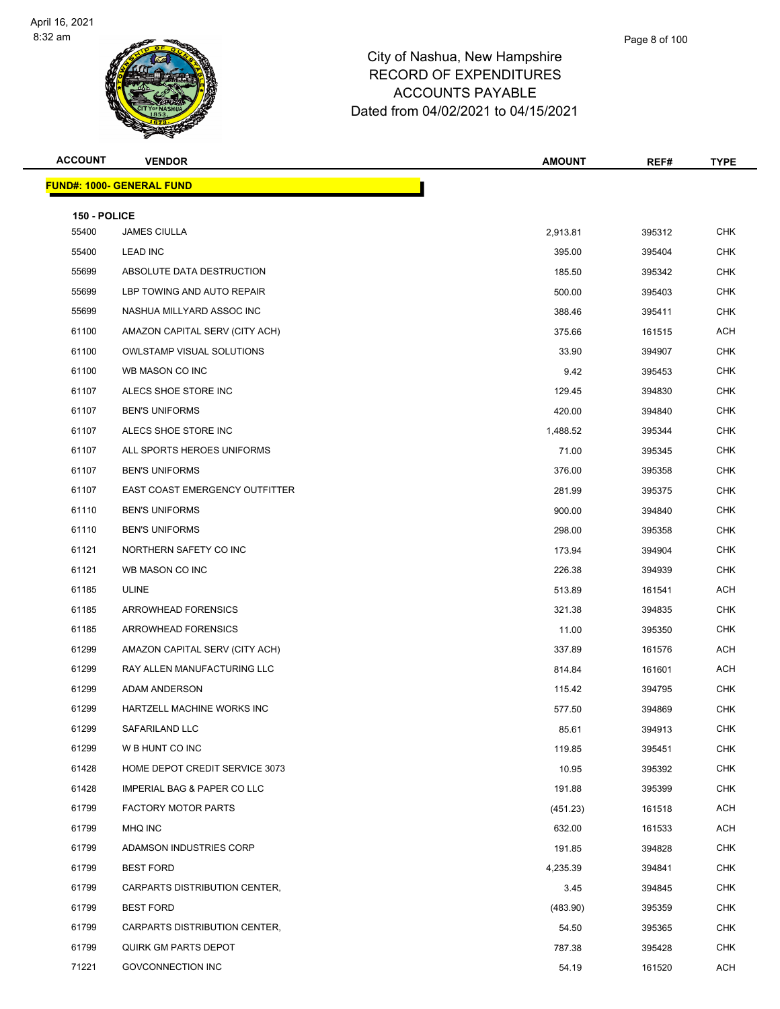

| <b>ACCOUNT</b> | <b>VENDOR</b>                    | <b>AMOUNT</b> | REF#   | <b>TYPE</b> |
|----------------|----------------------------------|---------------|--------|-------------|
|                | <b>FUND#: 1000- GENERAL FUND</b> |               |        |             |
| 150 - POLICE   |                                  |               |        |             |
| 55400          | <b>JAMES CIULLA</b>              | 2,913.81      | 395312 | <b>CHK</b>  |
| 55400          | LEAD INC                         | 395.00        | 395404 | CHK         |
| 55699          | ABSOLUTE DATA DESTRUCTION        | 185.50        | 395342 | <b>CHK</b>  |
| 55699          | LBP TOWING AND AUTO REPAIR       | 500.00        | 395403 | CHK         |
| 55699          | NASHUA MILLYARD ASSOC INC        | 388.46        | 395411 | <b>CHK</b>  |
| 61100          | AMAZON CAPITAL SERV (CITY ACH)   | 375.66        | 161515 | ACH         |
| 61100          | <b>OWLSTAMP VISUAL SOLUTIONS</b> | 33.90         | 394907 | CHK         |
| 61100          | WB MASON CO INC                  | 9.42          | 395453 | <b>CHK</b>  |
| 61107          | ALECS SHOE STORE INC             | 129.45        | 394830 | CHK         |
| 61107          | <b>BEN'S UNIFORMS</b>            | 420.00        | 394840 | <b>CHK</b>  |
| 61107          | ALECS SHOE STORE INC             | 1,488.52      | 395344 | <b>CHK</b>  |
| 61107          | ALL SPORTS HEROES UNIFORMS       | 71.00         | 395345 | CHK         |
| 61107          | <b>BEN'S UNIFORMS</b>            | 376.00        | 395358 | <b>CHK</b>  |
| 61107          | EAST COAST EMERGENCY OUTFITTER   | 281.99        | 395375 | CHK         |
| 61110          | <b>BEN'S UNIFORMS</b>            | 900.00        | 394840 | <b>CHK</b>  |
| 61110          | <b>BEN'S UNIFORMS</b>            | 298.00        | 395358 | <b>CHK</b>  |
| 61121          | NORTHERN SAFETY CO INC           | 173.94        | 394904 | CHK         |
| 61121          | WB MASON CO INC                  | 226.38        | 394939 | <b>CHK</b>  |
| 61185          | <b>ULINE</b>                     | 513.89        | 161541 | <b>ACH</b>  |
| 61185          | ARROWHEAD FORENSICS              | 321.38        | 394835 | <b>CHK</b>  |
| 61185          | ARROWHEAD FORENSICS              | 11.00         | 395350 | <b>CHK</b>  |
| 61299          | AMAZON CAPITAL SERV (CITY ACH)   | 337.89        | 161576 | ACH         |
| 61299          | RAY ALLEN MANUFACTURING LLC      | 814.84        | 161601 | ACH         |
| 61299          | ADAM ANDERSON                    | 115.42        | 394795 | CHK         |
| 61299          | HARTZELL MACHINE WORKS INC       | 577.50        | 394869 | <b>CHK</b>  |
| 61299          | SAFARILAND LLC                   | 85.61         | 394913 | <b>CHK</b>  |
| 61299          | W B HUNT CO INC                  | 119.85        | 395451 | CHK         |
| 61428          | HOME DEPOT CREDIT SERVICE 3073   | 10.95         | 395392 | <b>CHK</b>  |
| 61428          | IMPERIAL BAG & PAPER CO LLC      | 191.88        | 395399 | CHK         |
| 61799          | <b>FACTORY MOTOR PARTS</b>       | (451.23)      | 161518 | ACH         |
| 61799          | MHQ INC                          | 632.00        | 161533 | ACH         |
| 61799          | ADAMSON INDUSTRIES CORP          | 191.85        | 394828 | CHK         |
| 61799          | <b>BEST FORD</b>                 | 4,235.39      | 394841 | <b>CHK</b>  |
| 61799          | CARPARTS DISTRIBUTION CENTER,    | 3.45          | 394845 | CHK         |
| 61799          | <b>BEST FORD</b>                 | (483.90)      | 395359 | <b>CHK</b>  |
| 61799          | CARPARTS DISTRIBUTION CENTER,    | 54.50         | 395365 | <b>CHK</b>  |
| 61799          | QUIRK GM PARTS DEPOT             | 787.38        | 395428 | CHK         |
| 71221          | GOVCONNECTION INC                | 54.19         | 161520 | ACH         |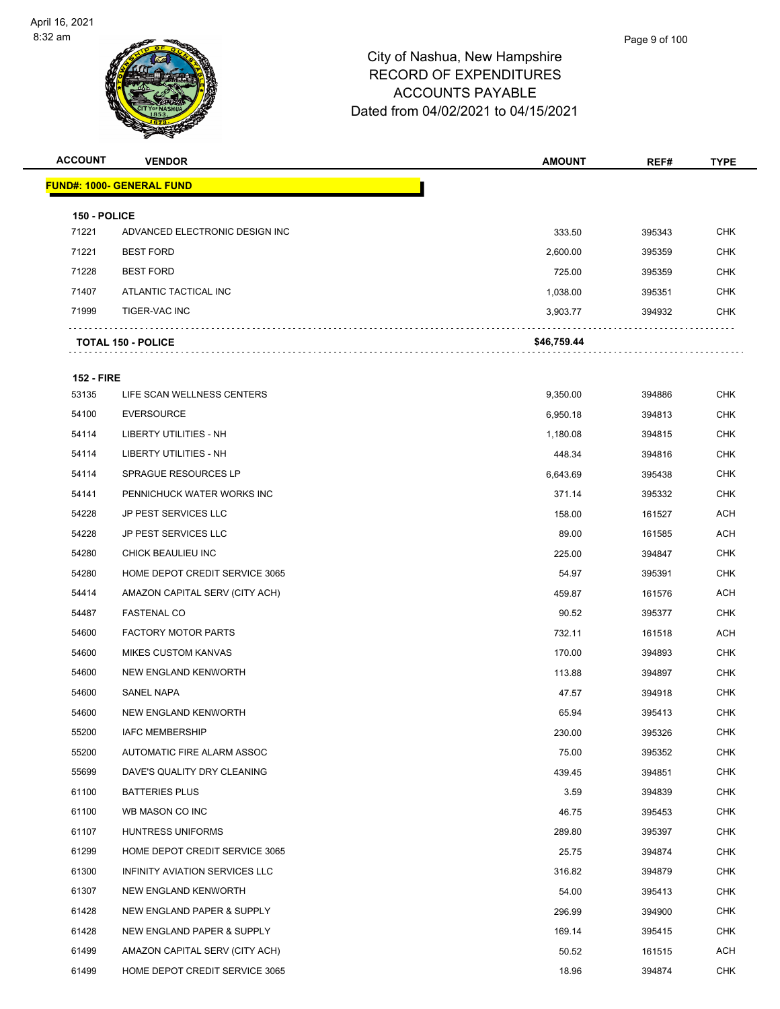

|    | Page 9 of 100 |
|----|---------------|
| r۵ |               |

| <b>ACCOUNT</b>        | <b>VENDOR</b>                    | <b>AMOUNT</b> | REF#   | <b>TYPE</b> |
|-----------------------|----------------------------------|---------------|--------|-------------|
|                       | <b>FUND#: 1000- GENERAL FUND</b> |               |        |             |
|                       |                                  |               |        |             |
| 150 - POLICE<br>71221 | ADVANCED ELECTRONIC DESIGN INC   | 333.50        | 395343 | <b>CHK</b>  |
| 71221                 | <b>BEST FORD</b>                 | 2,600.00      | 395359 | <b>CHK</b>  |
| 71228                 | <b>BEST FORD</b>                 | 725.00        | 395359 | <b>CHK</b>  |
| 71407                 | ATLANTIC TACTICAL INC            | 1,038.00      | 395351 | <b>CHK</b>  |
| 71999                 | TIGER-VAC INC                    | 3,903.77      | 394932 | <b>CHK</b>  |
|                       | <b>TOTAL 150 - POLICE</b>        | \$46,759.44   |        |             |
| <b>152 - FIRE</b>     |                                  |               |        |             |
| 53135                 | LIFE SCAN WELLNESS CENTERS       | 9,350.00      | 394886 | <b>CHK</b>  |
| 54100                 | <b>EVERSOURCE</b>                | 6,950.18      | 394813 | <b>CHK</b>  |
| 54114                 | LIBERTY UTILITIES - NH           | 1,180.08      | 394815 | <b>CHK</b>  |
| 54114                 | <b>LIBERTY UTILITIES - NH</b>    | 448.34        | 394816 | <b>CHK</b>  |
| 54114                 | SPRAGUE RESOURCES LP             | 6,643.69      | 395438 | <b>CHK</b>  |
| 54141                 | PENNICHUCK WATER WORKS INC       | 371.14        | 395332 | <b>CHK</b>  |
| 54228                 | JP PEST SERVICES LLC             | 158.00        | 161527 | <b>ACH</b>  |
| 54228                 | <b>JP PEST SERVICES LLC</b>      | 89.00         | 161585 | <b>ACH</b>  |
| 54280                 | CHICK BEAULIEU INC               | 225.00        | 394847 | CHK         |
| 54280                 | HOME DEPOT CREDIT SERVICE 3065   | 54.97         | 395391 | <b>CHK</b>  |
| 54414                 | AMAZON CAPITAL SERV (CITY ACH)   | 459.87        | 161576 | ACH         |
| 54487                 | <b>FASTENAL CO</b>               | 90.52         | 395377 | CHK         |
| 54600                 | <b>FACTORY MOTOR PARTS</b>       | 732.11        | 161518 | <b>ACH</b>  |
| 54600                 | <b>MIKES CUSTOM KANVAS</b>       | 170.00        | 394893 | <b>CHK</b>  |
| 54600                 | NEW ENGLAND KENWORTH             | 113.88        | 394897 | <b>CHK</b>  |
| 54600                 | SANEL NAPA                       | 47.57         | 394918 | <b>CHK</b>  |
| 54600                 | NEW ENGLAND KENWORTH             | 65.94         | 395413 | <b>CHK</b>  |
| 55200                 | <b>IAFC MEMBERSHIP</b>           | 230.00        | 395326 | <b>CHK</b>  |
| 55200                 | AUTOMATIC FIRE ALARM ASSOC       | 75.00         | 395352 | <b>CHK</b>  |
| 55699                 | DAVE'S QUALITY DRY CLEANING      | 439.45        | 394851 | <b>CHK</b>  |
| 61100                 | <b>BATTERIES PLUS</b>            | 3.59          | 394839 | <b>CHK</b>  |
| 61100                 | WB MASON CO INC                  | 46.75         | 395453 | <b>CHK</b>  |
| 61107                 | HUNTRESS UNIFORMS                | 289.80        | 395397 | <b>CHK</b>  |
| 61299                 | HOME DEPOT CREDIT SERVICE 3065   | 25.75         | 394874 | <b>CHK</b>  |
| 61300                 | INFINITY AVIATION SERVICES LLC   | 316.82        | 394879 | <b>CHK</b>  |
| 61307                 | NEW ENGLAND KENWORTH             | 54.00         | 395413 | <b>CHK</b>  |
| 61428                 | NEW ENGLAND PAPER & SUPPLY       | 296.99        | 394900 | <b>CHK</b>  |
| 61428                 | NEW ENGLAND PAPER & SUPPLY       | 169.14        | 395415 | <b>CHK</b>  |
| 61499                 | AMAZON CAPITAL SERV (CITY ACH)   | 50.52         | 161515 | ACH         |
| 61499                 | HOME DEPOT CREDIT SERVICE 3065   | 18.96         | 394874 | <b>CHK</b>  |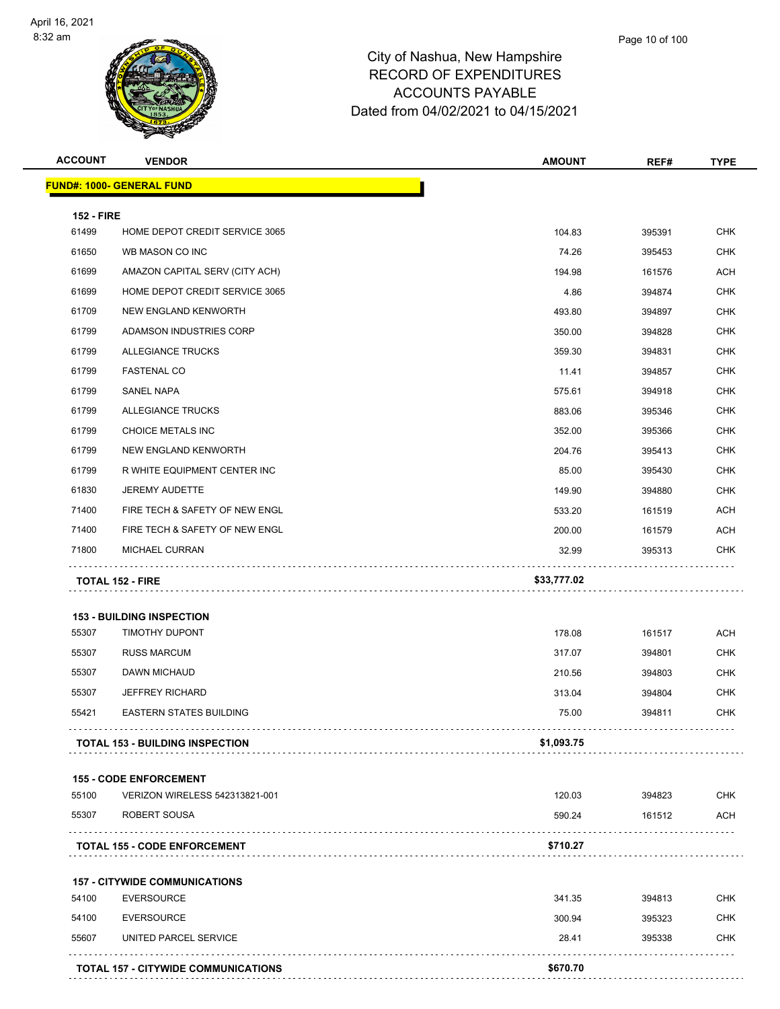

| <b>ACCOUNT</b>    | <b>VENDOR</b>                          | <b>AMOUNT</b> | REF#   | <b>TYPE</b> |
|-------------------|----------------------------------------|---------------|--------|-------------|
|                   | <u> FUND#: 1000- GENERAL FUND</u>      |               |        |             |
| <b>152 - FIRE</b> |                                        |               |        |             |
| 61499             | HOME DEPOT CREDIT SERVICE 3065         | 104.83        | 395391 | <b>CHK</b>  |
| 61650             | WB MASON CO INC                        | 74.26         | 395453 | <b>CHK</b>  |
| 61699             | AMAZON CAPITAL SERV (CITY ACH)         | 194.98        | 161576 | ACH         |
| 61699             | HOME DEPOT CREDIT SERVICE 3065         | 4.86          | 394874 | <b>CHK</b>  |
| 61709             | NEW ENGLAND KENWORTH                   | 493.80        | 394897 | <b>CHK</b>  |
| 61799             | ADAMSON INDUSTRIES CORP                | 350.00        | 394828 | <b>CHK</b>  |
| 61799             | ALLEGIANCE TRUCKS                      | 359.30        | 394831 | <b>CHK</b>  |
| 61799             | <b>FASTENAL CO</b>                     | 11.41         | 394857 | <b>CHK</b>  |
| 61799             | SANEL NAPA                             | 575.61        | 394918 | <b>CHK</b>  |
| 61799             | ALLEGIANCE TRUCKS                      | 883.06        | 395346 | <b>CHK</b>  |
| 61799             | CHOICE METALS INC                      | 352.00        | 395366 | <b>CHK</b>  |
| 61799             | NEW ENGLAND KENWORTH                   | 204.76        | 395413 | <b>CHK</b>  |
| 61799             | R WHITE EQUIPMENT CENTER INC           | 85.00         | 395430 | <b>CHK</b>  |
| 61830             | <b>JEREMY AUDETTE</b>                  | 149.90        | 394880 | <b>CHK</b>  |
| 71400             | FIRE TECH & SAFETY OF NEW ENGL         | 533.20        | 161519 | <b>ACH</b>  |
| 71400             | FIRE TECH & SAFETY OF NEW ENGL         | 200.00        | 161579 | ACH         |
| 71800             | MICHAEL CURRAN                         | 32.99         | 395313 | CHK         |
|                   | <b>TOTAL 152 - FIRE</b>                | \$33,777.02   |        |             |
|                   | <b>153 - BUILDING INSPECTION</b>       |               |        |             |
| 55307             | <b>TIMOTHY DUPONT</b>                  | 178.08        | 161517 | <b>ACH</b>  |
| 55307             | <b>RUSS MARCUM</b>                     | 317.07        | 394801 | <b>CHK</b>  |
| 55307             | DAWN MICHAUD                           | 210.56        | 394803 | <b>CHK</b>  |
| 55307             | <b>JEFFREY RICHARD</b>                 | 313.04        | 394804 | <b>CHK</b>  |
| 55421             | <b>EASTERN STATES BUILDING</b>         | 75.00         | 394811 | <b>CHK</b>  |
|                   | <b>TOTAL 153 - BUILDING INSPECTION</b> | \$1,093.75    |        |             |
|                   |                                        |               |        |             |
|                   | <b>155 - CODE ENFORCEMENT</b>          |               |        |             |
| 55100             | VERIZON WIRELESS 542313821-001         | 120.03        | 394823 | <b>CHK</b>  |
| 55307             | ROBERT SOUSA                           | 590.24        | 161512 | ACH         |
|                   | <b>TOTAL 155 - CODE ENFORCEMENT</b>    | \$710.27      |        |             |
|                   | <b>157 - CITYWIDE COMMUNICATIONS</b>   |               |        |             |
| 54100             | <b>EVERSOURCE</b>                      | 341.35        | 394813 | <b>CHK</b>  |
| 54100             | <b>EVERSOURCE</b>                      | 300.94        | 395323 | <b>CHK</b>  |
| 55607             | UNITED PARCEL SERVICE                  | 28.41         | 395338 | <b>CHK</b>  |
|                   | TOTAL 157 - CITYWIDE COMMUNICATIONS    | \$670.70      |        |             |
|                   |                                        |               |        |             |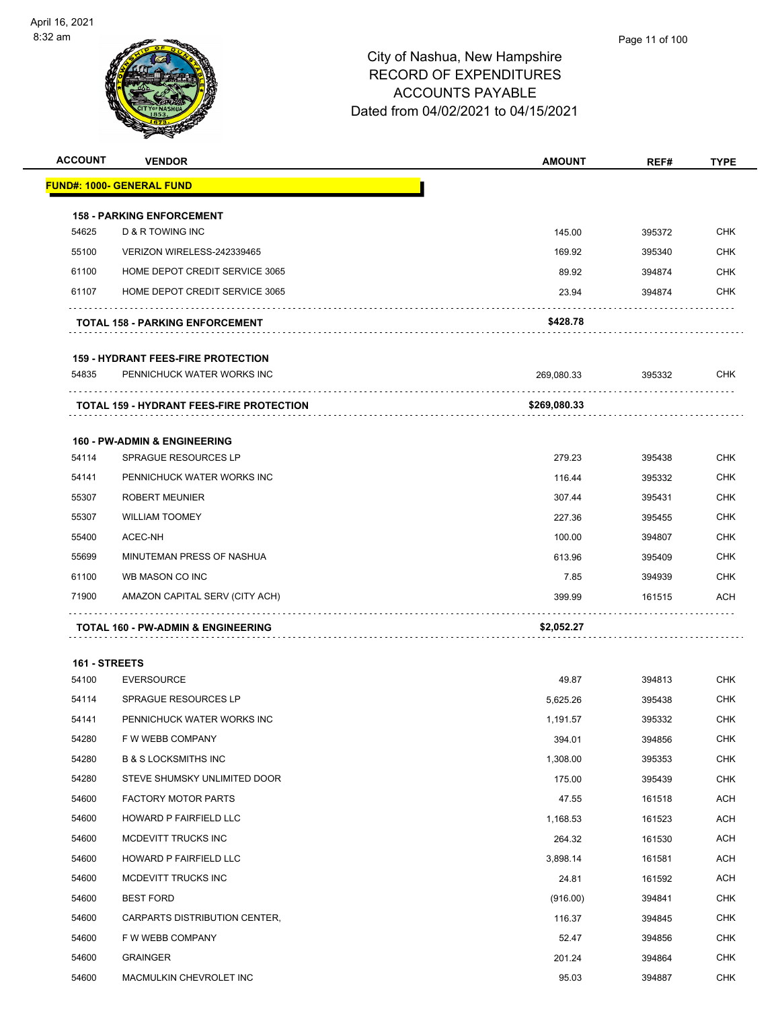

**ACCOUNT VENDOR AMOUNT REF# TYPE**

|       | <u> FUND#: 1000- GENERAL FUND</u>               |              |        |            |
|-------|-------------------------------------------------|--------------|--------|------------|
|       | <b>158 - PARKING ENFORCEMENT</b>                |              |        |            |
| 54625 | D & R TOWING INC                                | 145.00       | 395372 | <b>CHK</b> |
| 55100 | VERIZON WIRELESS-242339465                      | 169.92       | 395340 | <b>CHK</b> |
| 61100 | HOME DEPOT CREDIT SERVICE 3065                  | 89.92        | 394874 | <b>CHK</b> |
| 61107 | HOME DEPOT CREDIT SERVICE 3065                  | 23.94        | 394874 | <b>CHK</b> |
|       | <b>TOTAL 158 - PARKING ENFORCEMENT</b>          | \$428.78     |        |            |
|       | <b>159 - HYDRANT FEES-FIRE PROTECTION</b>       |              |        |            |
| 54835 | PENNICHUCK WATER WORKS INC                      | 269,080.33   | 395332 | <b>CHK</b> |
|       | <b>TOTAL 159 - HYDRANT FEES-FIRE PROTECTION</b> | \$269,080.33 |        |            |
|       | <b>160 - PW-ADMIN &amp; ENGINEERING</b>         |              |        |            |
| 54114 | SPRAGUE RESOURCES LP                            | 279.23       | 395438 | <b>CHK</b> |
| 54141 | PENNICHUCK WATER WORKS INC                      | 116.44       | 395332 | <b>CHK</b> |
| 55307 | <b>ROBERT MEUNIER</b>                           | 307.44       | 395431 | <b>CHK</b> |
| 55307 | <b>WILLIAM TOOMEY</b>                           | 227.36       | 395455 | CHK        |
| 55400 | ACEC-NH                                         | 100.00       | 394807 | <b>CHK</b> |
| 55699 | MINUTEMAN PRESS OF NASHUA                       | 613.96       | 395409 | CHK        |
| 61100 | WB MASON CO INC                                 | 7.85         | 394939 | CHK        |
| 71900 | AMAZON CAPITAL SERV (CITY ACH)                  | 399.99       | 161515 | <b>ACH</b> |
|       | TOTAL 160 - PW-ADMIN & ENGINEERING              | \$2,052.27   |        |            |
|       | 161 - STREETS                                   |              |        |            |
| 54100 | <b>EVERSOURCE</b>                               | 49.87        | 394813 | <b>CHK</b> |
| 54114 | <b>SPRAGUE RESOURCES LP</b>                     | 5,625.26     | 395438 | CHK        |
| 54141 | PENNICHUCK WATER WORKS INC                      | 1,191.57     | 395332 | CHK        |
| 54280 | F W WEBB COMPANY                                | 394.01       | 394856 | CHK        |
| 54280 | <b>B &amp; S LOCKSMITHS INC</b>                 | 1,308.00     | 395353 | <b>CHK</b> |
| 54280 | STEVE SHUMSKY UNLIMITED DOOR                    | 175.00       | 395439 | <b>CHK</b> |
| 54600 | <b>FACTORY MOTOR PARTS</b>                      | 47.55        | 161518 | ACH        |
| 54600 | HOWARD P FAIRFIELD LLC                          | 1,168.53     | 161523 | <b>ACH</b> |
| 54600 | MCDEVITT TRUCKS INC                             | 264.32       | 161530 | ACH        |
| 54600 | HOWARD P FAIRFIELD LLC                          | 3,898.14     | 161581 | <b>ACH</b> |
| 54600 | MCDEVITT TRUCKS INC                             | 24.81        | 161592 | <b>ACH</b> |
| 54600 | <b>BEST FORD</b>                                | (916.00)     | 394841 | <b>CHK</b> |
| 54600 | CARPARTS DISTRIBUTION CENTER,                   | 116.37       | 394845 | <b>CHK</b> |
| 54600 | F W WEBB COMPANY                                | 52.47        | 394856 | CHK        |
| 54600 | GRAINGER                                        | 201.24       | 394864 | <b>CHK</b> |

MACMULKIN CHEVROLET INC 95.03 394887 CHK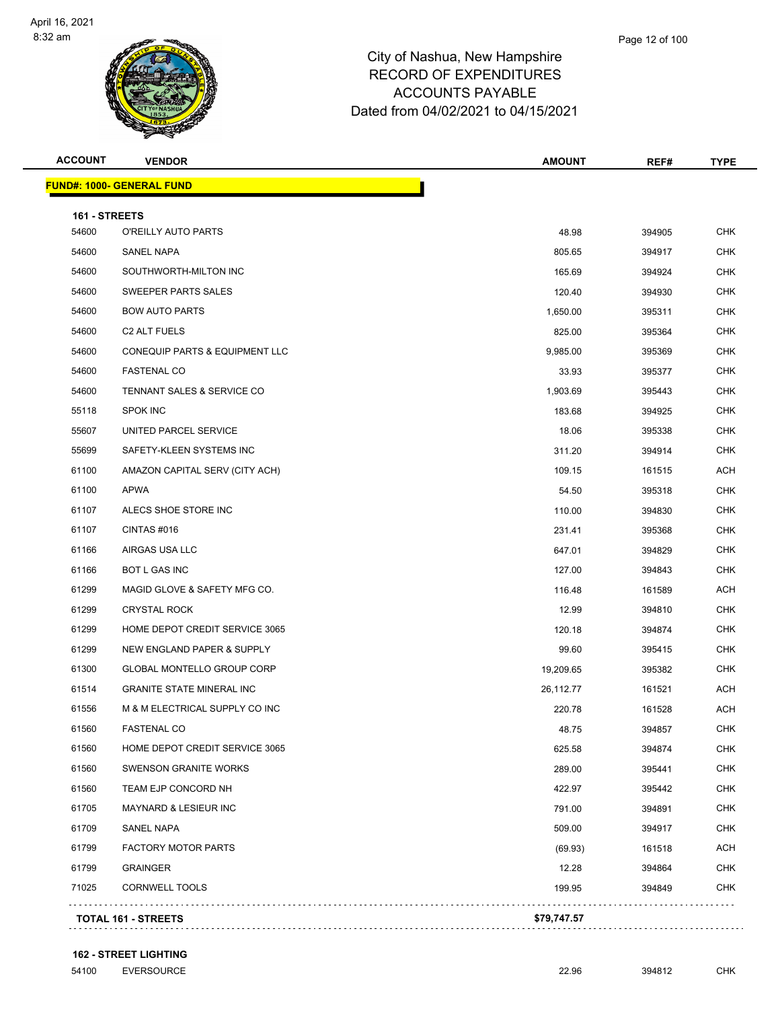**FUND#: 1000- GENERAL FUND**



## City of Nashua, New Hampshire RECORD OF EXPENDITURES ACCOUNTS PAYABLE Dated from 04/02/2021 to 04/15/2021

| <b>ACCOUNT</b> | <b>VENDOR</b>                             | <b>AMOUNT</b> | REF#   | <b>TYPE</b> |  |
|----------------|-------------------------------------------|---------------|--------|-------------|--|
|                | <mark>JND#: 1000- GENERAL FUND</mark>     |               |        |             |  |
| 161 - STREETS  |                                           |               |        |             |  |
| 54600          | O'REILLY AUTO PARTS                       | 48.98         | 394905 | <b>CHK</b>  |  |
| 54600          | SANEL NAPA                                | 805.65        | 394917 | <b>CHK</b>  |  |
| 54600          | SOUTHWORTH-MILTON INC                     | 165.69        | 394924 | <b>CHK</b>  |  |
| 54600          | SWEEPER PARTS SALES                       | 120.40        | 394930 | <b>CHK</b>  |  |
| 54600          | <b>BOW AUTO PARTS</b>                     | 1,650.00      | 395311 | <b>CHK</b>  |  |
| 54600          | C <sub>2</sub> ALT FUELS                  | 825.00        | 395364 | <b>CHK</b>  |  |
| 54600          | <b>CONEQUIP PARTS &amp; EQUIPMENT LLC</b> | 9,985.00      | 395369 | CHK         |  |
| 54600          | <b>FASTENAL CO</b>                        | 33.93         | 395377 | <b>CHK</b>  |  |
| 54600          | TENNANT SALES & SERVICE CO                | 1,903.69      | 395443 | <b>CHK</b>  |  |
| 55118          | <b>SPOK INC</b>                           | 183.68        | 394925 | <b>CHK</b>  |  |
| 55607          | UNITED PARCEL SERVICE                     | 18.06         | 395338 | <b>CHK</b>  |  |
| 55699          | SAFETY-KLEEN SYSTEMS INC                  | 311.20        | 394914 | <b>CHK</b>  |  |
| 61100          | AMAZON CAPITAL SERV (CITY ACH)            | 109.15        | 161515 | <b>ACH</b>  |  |
| 61100          | <b>APWA</b>                               | 54.50         | 395318 | <b>CHK</b>  |  |
| 61107          | ALECS SHOE STORE INC                      | 110.00        | 394830 | <b>CHK</b>  |  |
| 61107          | CINTAS #016                               | 231.41        | 395368 | <b>CHK</b>  |  |
| 61166          | AIRGAS USA LLC                            | 647.01        | 394829 | <b>CHK</b>  |  |
| 61166          | <b>BOT L GAS INC</b>                      | 127.00        | 394843 | <b>CHK</b>  |  |
| 61299          | MAGID GLOVE & SAFETY MFG CO.              | 116.48        | 161589 | ACH         |  |
| 61299          | <b>CRYSTAL ROCK</b>                       | 12.99         | 394810 | <b>CHK</b>  |  |
| 61299          | HOME DEPOT CREDIT SERVICE 3065            | 120.18        | 394874 | <b>CHK</b>  |  |
| 61299          | NEW ENGLAND PAPER & SUPPLY                | 99.60         | 395415 | <b>CHK</b>  |  |
| 61300          | <b>GLOBAL MONTELLO GROUP CORP</b>         | 19,209.65     | 395382 | <b>CHK</b>  |  |
| 61514          | <b>GRANITE STATE MINERAL INC</b>          | 26,112.77     | 161521 | ACH         |  |
| 61556          | M & M ELECTRICAL SUPPLY CO INC            | 220.78        | 161528 | <b>ACH</b>  |  |
| 61560          | FASTENAL CO                               | 48.75         | 394857 | <b>CHK</b>  |  |
| 61560          | HOME DEPOT CREDIT SERVICE 3065            | 625.58        | 394874 | CHK         |  |
| 61560          | <b>SWENSON GRANITE WORKS</b>              | 289.00        | 395441 | <b>CHK</b>  |  |
| 61560          | TEAM EJP CONCORD NH                       | 422.97        | 395442 | <b>CHK</b>  |  |
| 61705          | MAYNARD & LESIEUR INC                     | 791.00        | 394891 | <b>CHK</b>  |  |
| 61709          | SANEL NAPA                                | 509.00        | 394917 | <b>CHK</b>  |  |
| 61799          | <b>FACTORY MOTOR PARTS</b>                | (69.93)       | 161518 | ACH         |  |
| 61799          | <b>GRAINGER</b>                           | 12.28         | 394864 | <b>CHK</b>  |  |
| 71025          | <b>CORNWELL TOOLS</b>                     | 199.95        | 394849 | CHK         |  |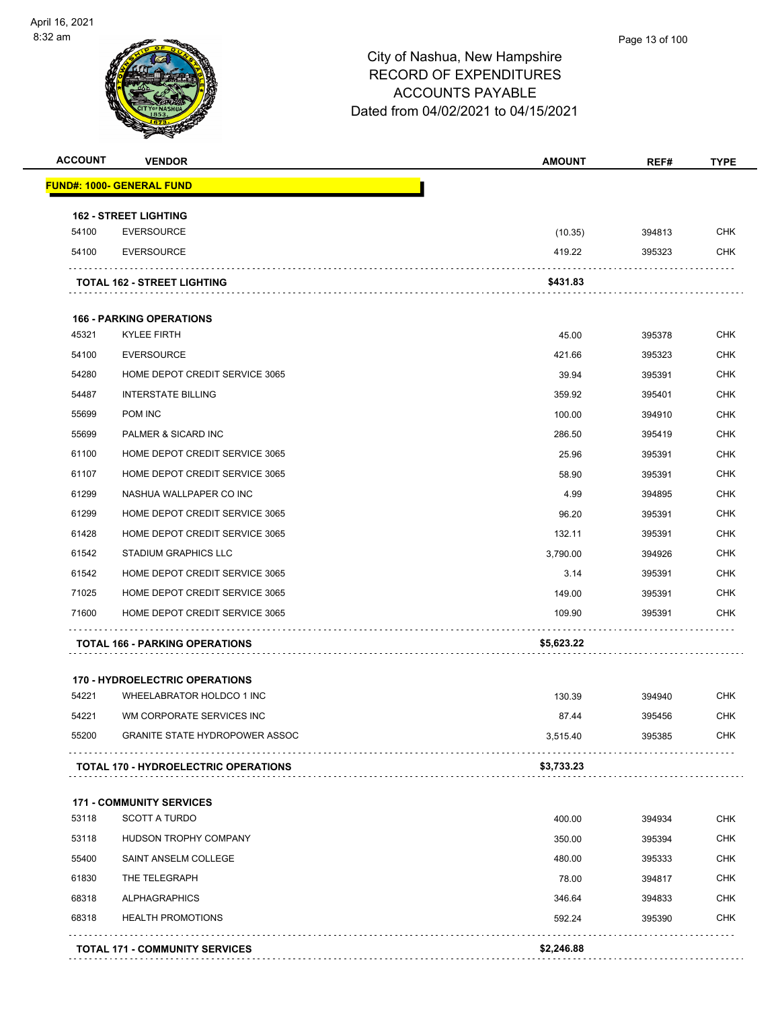

| <b>ACCOUNT</b> | <b>VENDOR</b>                               | <b>AMOUNT</b> | REF#   | <b>TYPE</b> |
|----------------|---------------------------------------------|---------------|--------|-------------|
|                | <u> FUND#: 1000- GENERAL FUND</u>           |               |        |             |
|                | <b>162 - STREET LIGHTING</b>                |               |        |             |
| 54100          | <b>EVERSOURCE</b>                           | (10.35)       | 394813 | <b>CHK</b>  |
| 54100          | <b>EVERSOURCE</b>                           | 419.22        | 395323 | CHK         |
|                | <b>TOTAL 162 - STREET LIGHTING</b>          | \$431.83      |        |             |
|                | <b>166 - PARKING OPERATIONS</b>             |               |        |             |
| 45321          | <b>KYLEE FIRTH</b>                          | 45.00         | 395378 | <b>CHK</b>  |
| 54100          | <b>EVERSOURCE</b>                           | 421.66        | 395323 | <b>CHK</b>  |
| 54280          | HOME DEPOT CREDIT SERVICE 3065              | 39.94         | 395391 | <b>CHK</b>  |
| 54487          | <b>INTERSTATE BILLING</b>                   | 359.92        | 395401 | <b>CHK</b>  |
| 55699          | POM INC                                     | 100.00        | 394910 | <b>CHK</b>  |
| 55699          | PALMER & SICARD INC                         | 286.50        | 395419 | <b>CHK</b>  |
| 61100          | HOME DEPOT CREDIT SERVICE 3065              | 25.96         | 395391 | <b>CHK</b>  |
| 61107          | HOME DEPOT CREDIT SERVICE 3065              | 58.90         | 395391 | <b>CHK</b>  |
| 61299          | NASHUA WALLPAPER CO INC                     | 4.99          | 394895 | <b>CHK</b>  |
| 61299          | HOME DEPOT CREDIT SERVICE 3065              | 96.20         | 395391 | <b>CHK</b>  |
| 61428          | HOME DEPOT CREDIT SERVICE 3065              | 132.11        | 395391 | <b>CHK</b>  |
| 61542          | <b>STADIUM GRAPHICS LLC</b>                 | 3,790.00      | 394926 | <b>CHK</b>  |
| 61542          | HOME DEPOT CREDIT SERVICE 3065              | 3.14          | 395391 | <b>CHK</b>  |
| 71025          | HOME DEPOT CREDIT SERVICE 3065              | 149.00        | 395391 | <b>CHK</b>  |
| 71600          | HOME DEPOT CREDIT SERVICE 3065              | 109.90        | 395391 | <b>CHK</b>  |
|                | <b>TOTAL 166 - PARKING OPERATIONS</b>       | \$5,623.22    |        |             |
|                | <b>170 - HYDROELECTRIC OPERATIONS</b>       |               |        |             |
| 54221          | WHEELABRATOR HOLDCO 1 INC                   | 130.39        | 394940 | <b>CHK</b>  |
| 54221          | WM CORPORATE SERVICES INC                   | 87.44         | 395456 | <b>CHK</b>  |
| 55200          | <b>GRANITE STATE HYDROPOWER ASSOC</b>       | 3,515.40      | 395385 | <b>CHK</b>  |
|                | <b>TOTAL 170 - HYDROELECTRIC OPERATIONS</b> | \$3,733.23    |        |             |
|                | <b>171 - COMMUNITY SERVICES</b>             |               |        |             |
| 53118          | <b>SCOTT A TURDO</b>                        | 400.00        | 394934 | <b>CHK</b>  |
| 53118          | HUDSON TROPHY COMPANY                       | 350.00        | 395394 | <b>CHK</b>  |
| 55400          | SAINT ANSELM COLLEGE                        | 480.00        | 395333 | <b>CHK</b>  |
| 61830          | THE TELEGRAPH                               | 78.00         | 394817 | <b>CHK</b>  |
| 68318          | <b>ALPHAGRAPHICS</b>                        | 346.64        | 394833 | <b>CHK</b>  |
| 68318          | <b>HEALTH PROMOTIONS</b>                    | 592.24        | 395390 | CHK         |
|                | <b>TOTAL 171 - COMMUNITY SERVICES</b>       | \$2,246.88    |        |             |
|                |                                             |               |        |             |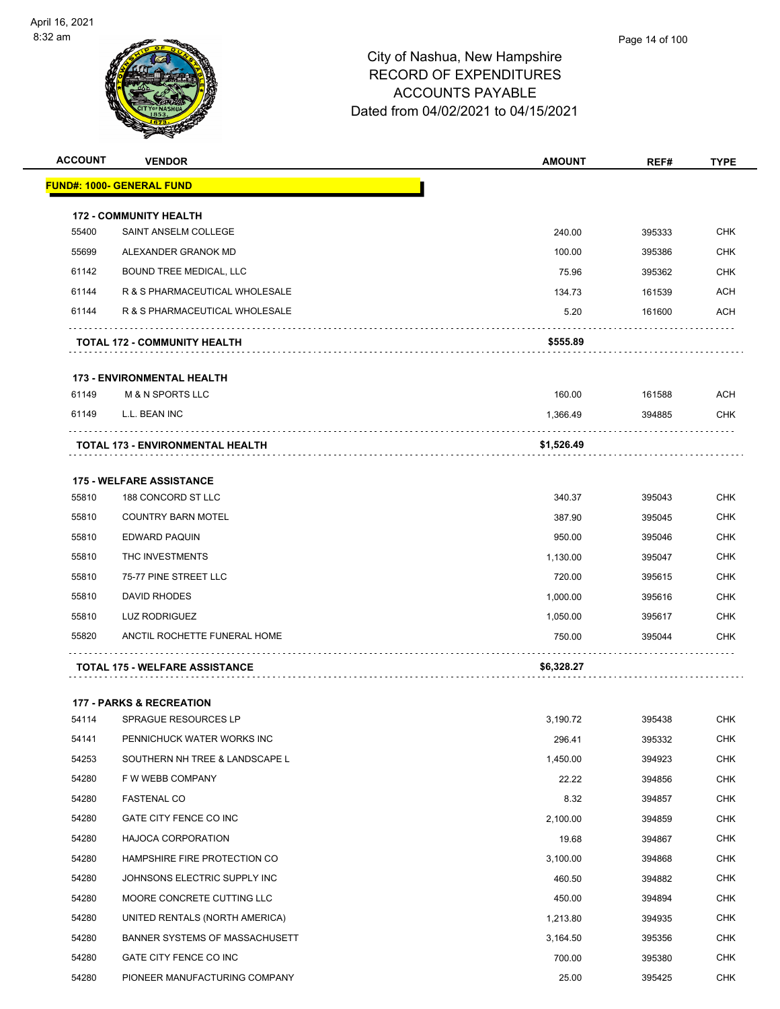

| <b>ACCOUNT</b> | <b>VENDOR</b>                         | <b>AMOUNT</b> | REF#   | <b>TYPE</b> |
|----------------|---------------------------------------|---------------|--------|-------------|
|                | <b>FUND#: 1000- GENERAL FUND</b>      |               |        |             |
|                | <b>172 - COMMUNITY HEALTH</b>         |               |        |             |
| 55400          | SAINT ANSELM COLLEGE                  | 240.00        | 395333 | <b>CHK</b>  |
| 55699          | ALEXANDER GRANOK MD                   | 100.00        | 395386 | <b>CHK</b>  |
| 61142          | BOUND TREE MEDICAL, LLC               | 75.96         | 395362 | <b>CHK</b>  |
| 61144          | R & S PHARMACEUTICAL WHOLESALE        | 134.73        | 161539 | ACH         |
| 61144          | R & S PHARMACEUTICAL WHOLESALE        | 5.20          | 161600 | ACH         |
|                | <b>TOTAL 172 - COMMUNITY HEALTH</b>   | \$555.89      |        |             |
|                | <b>173 - ENVIRONMENTAL HEALTH</b>     |               |        |             |
| 61149          | <b>M &amp; N SPORTS LLC</b>           | 160.00        | 161588 | ACH         |
| 61149          | L.L. BEAN INC                         | 1,366.49      | 394885 | CHK         |
|                | TOTAL 173 - ENVIRONMENTAL HEALTH      | \$1,526.49    |        |             |
|                | <b>175 - WELFARE ASSISTANCE</b>       |               |        |             |
| 55810          | 188 CONCORD ST LLC                    | 340.37        | 395043 | <b>CHK</b>  |
| 55810          | <b>COUNTRY BARN MOTEL</b>             | 387.90        | 395045 | CHK         |
| 55810          | EDWARD PAQUIN                         | 950.00        | 395046 | <b>CHK</b>  |
| 55810          | THC INVESTMENTS                       | 1,130.00      | 395047 | <b>CHK</b>  |
| 55810          | 75-77 PINE STREET LLC                 | 720.00        | 395615 | CHK         |
| 55810          | DAVID RHODES                          | 1,000.00      | 395616 | <b>CHK</b>  |
| 55810          | LUZ RODRIGUEZ                         | 1,050.00      | 395617 | CHK         |
| 55820          | ANCTIL ROCHETTE FUNERAL HOME          | 750.00        | 395044 | CHK         |
|                | <b>TOTAL 175 - WELFARE ASSISTANCE</b> | \$6,328.27    |        |             |
|                | <b>177 - PARKS &amp; RECREATION</b>   |               |        |             |
| 54114          | <b>SPRAGUE RESOURCES LP</b>           | 3,190.72      | 395438 | <b>CHK</b>  |
| 54141          | PENNICHUCK WATER WORKS INC            | 296.41        | 395332 | <b>CHK</b>  |
| 54253          | SOUTHERN NH TREE & LANDSCAPE L        | 1,450.00      | 394923 | <b>CHK</b>  |
| 54280          | F W WEBB COMPANY                      | 22.22         | 394856 | <b>CHK</b>  |
| 54280          | <b>FASTENAL CO</b>                    | 8.32          | 394857 | <b>CHK</b>  |
| 54280          | GATE CITY FENCE CO INC                | 2,100.00      | 394859 | <b>CHK</b>  |
| 54280          | <b>HAJOCA CORPORATION</b>             | 19.68         | 394867 | <b>CHK</b>  |
| 54280          | HAMPSHIRE FIRE PROTECTION CO          | 3,100.00      | 394868 | <b>CHK</b>  |
| 54280          | JOHNSONS ELECTRIC SUPPLY INC          | 460.50        | 394882 | <b>CHK</b>  |
| 54280          | MOORE CONCRETE CUTTING LLC            | 450.00        | 394894 | <b>CHK</b>  |
| 54280          | UNITED RENTALS (NORTH AMERICA)        | 1,213.80      | 394935 | <b>CHK</b>  |
| 54280          | BANNER SYSTEMS OF MASSACHUSETT        | 3,164.50      | 395356 | <b>CHK</b>  |
| 54280          | GATE CITY FENCE CO INC                | 700.00        | 395380 | <b>CHK</b>  |
| 54280          | PIONEER MANUFACTURING COMPANY         | 25.00         | 395425 | <b>CHK</b>  |
|                |                                       |               |        |             |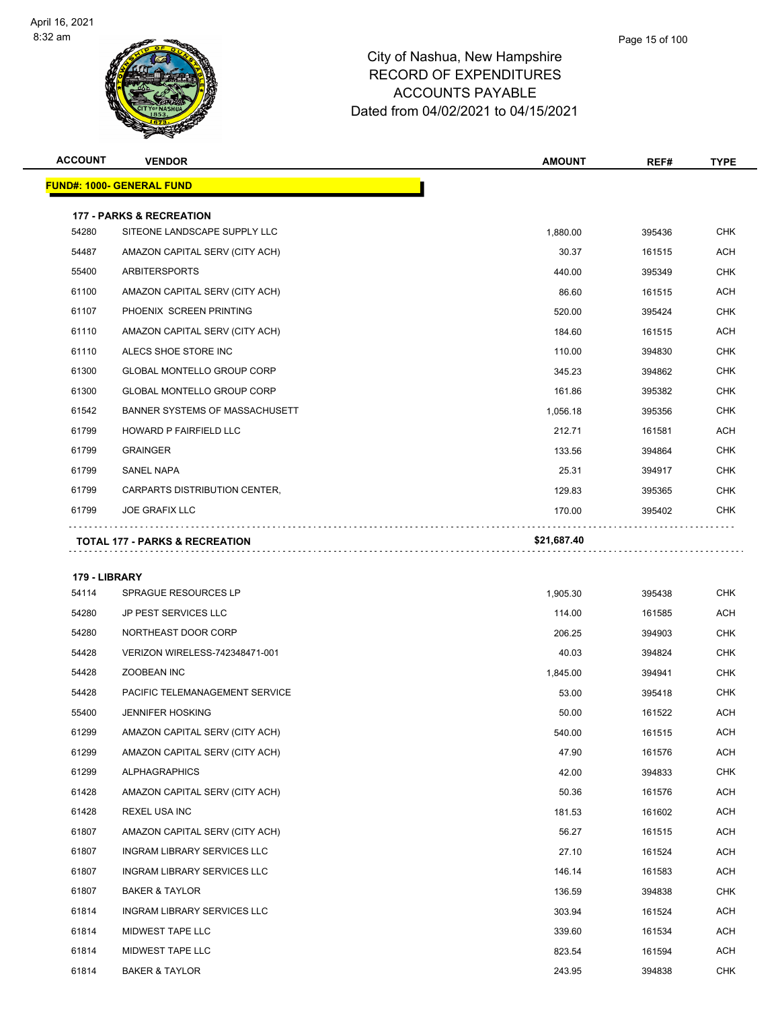

| <b>ACCOUNT</b> | <b>VENDOR</b>                             | <b>AMOUNT</b> | REF#   | <b>TYPE</b> |
|----------------|-------------------------------------------|---------------|--------|-------------|
|                | <b>FUND#: 1000- GENERAL FUND</b>          |               |        |             |
|                | <b>177 - PARKS &amp; RECREATION</b>       |               |        |             |
| 54280          | SITEONE LANDSCAPE SUPPLY LLC              | 1.880.00      | 395436 | <b>CHK</b>  |
| 54487          | AMAZON CAPITAL SERV (CITY ACH)            | 30.37         | 161515 | <b>ACH</b>  |
| 55400          | <b>ARBITERSPORTS</b>                      | 440.00        | 395349 | <b>CHK</b>  |
| 61100          | AMAZON CAPITAL SERV (CITY ACH)            | 86.60         | 161515 | <b>ACH</b>  |
| 61107          | PHOENIX SCREEN PRINTING                   | 520.00        | 395424 | <b>CHK</b>  |
| 61110          | AMAZON CAPITAL SERV (CITY ACH)            | 184.60        | 161515 | <b>ACH</b>  |
| 61110          | ALECS SHOE STORE INC                      | 110.00        | 394830 | <b>CHK</b>  |
| 61300          | <b>GLOBAL MONTELLO GROUP CORP</b>         | 345.23        | 394862 | <b>CHK</b>  |
| 61300          | GLOBAL MONTELLO GROUP CORP                | 161.86        | 395382 | <b>CHK</b>  |
| 61542          | BANNER SYSTEMS OF MASSACHUSETT            | 1,056.18      | 395356 | <b>CHK</b>  |
| 61799          | HOWARD P FAIRFIELD LLC                    | 212.71        | 161581 | <b>ACH</b>  |
| 61799          | <b>GRAINGER</b>                           | 133.56        | 394864 | <b>CHK</b>  |
| 61799          | <b>SANEL NAPA</b>                         | 25.31         | 394917 | <b>CHK</b>  |
| 61799          | CARPARTS DISTRIBUTION CENTER,             | 129.83        | 395365 | <b>CHK</b>  |
| 61799          | <b>JOE GRAFIX LLC</b>                     | 170.00        | 395402 | <b>CHK</b>  |
|                | <b>TOTAL 177 - PARKS &amp; RECREATION</b> | \$21,687.40   |        |             |
| 179 - LIBRARY  |                                           |               |        |             |
| 54114          | SPRAGUE RESOURCES LP                      | 1,905.30      | 395438 | <b>CHK</b>  |
| 54280          | JP PEST SERVICES LLC                      | 114.00        | 161585 | <b>ACH</b>  |
| 54280          | NORTHEAST DOOR CORP                       | 206.25        | 394903 | <b>CHK</b>  |

| 0420U | JE FEJT JENVIUEJ LLU               | 114.UU   | 101303 | ี∩∪⊓       |
|-------|------------------------------------|----------|--------|------------|
| 54280 | NORTHEAST DOOR CORP                | 206.25   | 394903 | <b>CHK</b> |
| 54428 | VERIZON WIRELESS-742348471-001     | 40.03    | 394824 | <b>CHK</b> |
| 54428 | ZOOBEAN INC                        | 1,845.00 | 394941 | <b>CHK</b> |
| 54428 | PACIFIC TELEMANAGEMENT SERVICE     | 53.00    | 395418 | <b>CHK</b> |
| 55400 | <b>JENNIFER HOSKING</b>            | 50.00    | 161522 | ACH        |
| 61299 | AMAZON CAPITAL SERV (CITY ACH)     | 540.00   | 161515 | ACH        |
| 61299 | AMAZON CAPITAL SERV (CITY ACH)     | 47.90    | 161576 | ACH        |
| 61299 | <b>ALPHAGRAPHICS</b>               | 42.00    | 394833 | <b>CHK</b> |
| 61428 | AMAZON CAPITAL SERV (CITY ACH)     | 50.36    | 161576 | ACH        |
| 61428 | <b>REXEL USA INC</b>               | 181.53   | 161602 | ACH        |
| 61807 | AMAZON CAPITAL SERV (CITY ACH)     | 56.27    | 161515 | ACH        |
| 61807 | <b>INGRAM LIBRARY SERVICES LLC</b> | 27.10    | 161524 | ACH        |
| 61807 | <b>INGRAM LIBRARY SERVICES LLC</b> | 146.14   | 161583 | ACH        |
| 61807 | <b>BAKER &amp; TAYLOR</b>          | 136.59   | 394838 | <b>CHK</b> |
| 61814 | <b>INGRAM LIBRARY SERVICES LLC</b> | 303.94   | 161524 | ACH        |
| 61814 | <b>MIDWEST TAPE LLC</b>            | 339.60   | 161534 | ACH        |
| 61814 | <b>MIDWEST TAPE LLC</b>            | 823.54   | 161594 | ACH        |
| 61814 | <b>BAKER &amp; TAYLOR</b>          | 243.95   | 394838 | <b>CHK</b> |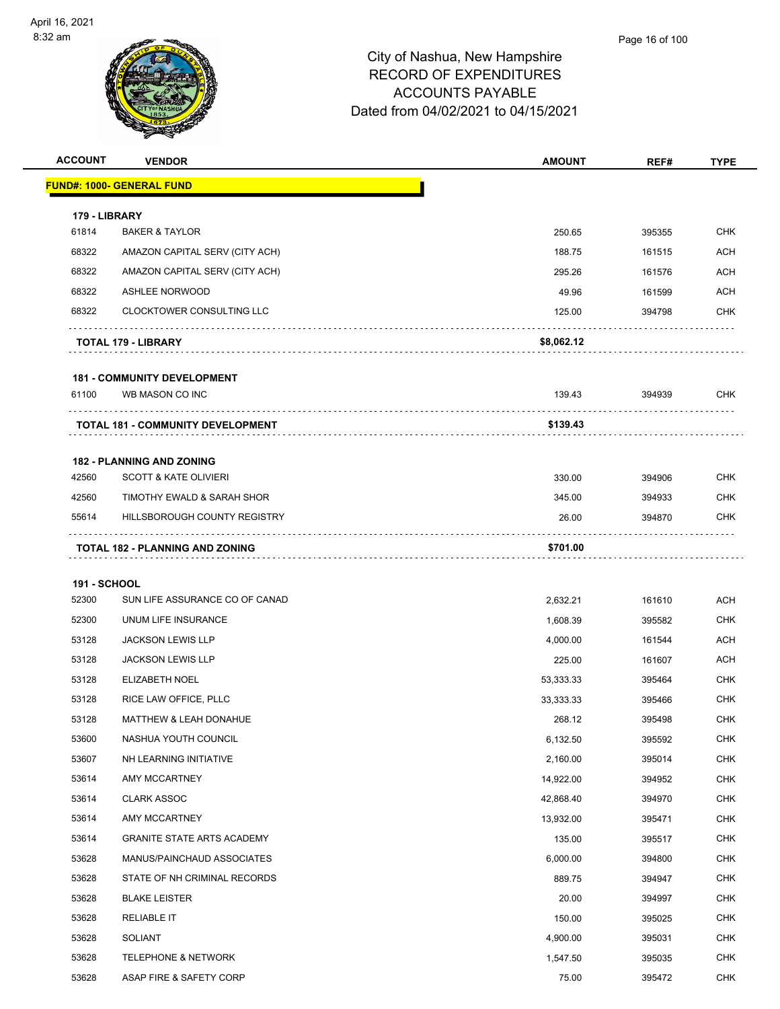

| <b>ACCOUNT</b>         | <b>VENDOR</b>                                         | <b>AMOUNT</b> | REF#   | <b>TYPE</b> |
|------------------------|-------------------------------------------------------|---------------|--------|-------------|
|                        | <b>FUND#: 1000- GENERAL FUND</b>                      |               |        |             |
|                        |                                                       |               |        |             |
| 179 - LIBRARY<br>61814 | <b>BAKER &amp; TAYLOR</b>                             | 250.65        | 395355 | <b>CHK</b>  |
| 68322                  | AMAZON CAPITAL SERV (CITY ACH)                        | 188.75        | 161515 | <b>ACH</b>  |
| 68322                  | AMAZON CAPITAL SERV (CITY ACH)                        | 295.26        | 161576 | ACH         |
| 68322                  | <b>ASHLEE NORWOOD</b>                                 | 49.96         | 161599 | <b>ACH</b>  |
| 68322                  | <b>CLOCKTOWER CONSULTING LLC</b>                      | 125.00        | 394798 | <b>CHK</b>  |
|                        |                                                       |               |        |             |
|                        | <b>TOTAL 179 - LIBRARY</b>                            | \$8,062.12    |        |             |
|                        |                                                       |               |        |             |
| 61100                  | <b>181 - COMMUNITY DEVELOPMENT</b><br>WB MASON CO INC | 139.43        | 394939 | <b>CHK</b>  |
|                        |                                                       |               |        |             |
|                        | <b>TOTAL 181 - COMMUNITY DEVELOPMENT</b>              | \$139.43      |        |             |
|                        |                                                       |               |        |             |
|                        | <b>182 - PLANNING AND ZONING</b>                      |               |        |             |
| 42560                  | <b>SCOTT &amp; KATE OLIVIERI</b>                      | 330.00        | 394906 | <b>CHK</b>  |
| 42560                  | TIMOTHY EWALD & SARAH SHOR                            | 345.00        | 394933 | <b>CHK</b>  |
| 55614                  | HILLSBOROUGH COUNTY REGISTRY                          | 26.00         | 394870 | <b>CHK</b>  |
|                        | <b>TOTAL 182 - PLANNING AND ZONING</b>                | \$701.00      |        |             |
|                        |                                                       |               |        |             |
| <b>191 - SCHOOL</b>    |                                                       |               |        |             |
| 52300                  | SUN LIFE ASSURANCE CO OF CANAD                        | 2,632.21      | 161610 | <b>ACH</b>  |
| 52300                  | UNUM LIFE INSURANCE                                   | 1,608.39      | 395582 | <b>CHK</b>  |
| 53128                  | <b>JACKSON LEWIS LLP</b>                              | 4,000.00      | 161544 | ACH         |
| 53128                  | <b>JACKSON LEWIS LLP</b>                              | 225.00        | 161607 | <b>ACH</b>  |
| 53128                  | <b>ELIZABETH NOEL</b>                                 | 53,333.33     | 395464 | <b>CHK</b>  |
| 53128                  | RICE LAW OFFICE, PLLC                                 | 33,333.33     | 395466 | <b>CHK</b>  |
| 53128                  | MATTHEW & LEAH DONAHUE                                | 268.12        | 395498 | <b>CHK</b>  |
| 53600                  | NASHUA YOUTH COUNCIL                                  | 6,132.50      | 395592 | <b>CHK</b>  |
| 53607                  | NH LEARNING INITIATIVE                                | 2,160.00      | 395014 | <b>CHK</b>  |
| 53614                  | AMY MCCARTNEY                                         | 14,922.00     | 394952 | CHK         |
| 53614                  | <b>CLARK ASSOC</b>                                    | 42,868.40     | 394970 | <b>CHK</b>  |
| 53614                  | AMY MCCARTNEY                                         | 13,932.00     | 395471 | <b>CHK</b>  |
| 53614                  | <b>GRANITE STATE ARTS ACADEMY</b>                     | 135.00        | 395517 | <b>CHK</b>  |
| 53628                  | MANUS/PAINCHAUD ASSOCIATES                            | 6,000.00      | 394800 | <b>CHK</b>  |
| 53628                  | STATE OF NH CRIMINAL RECORDS                          | 889.75        | 394947 | <b>CHK</b>  |
| 53628                  | <b>BLAKE LEISTER</b>                                  | 20.00         | 394997 | <b>CHK</b>  |
| 53628                  | <b>RELIABLE IT</b>                                    | 150.00        | 395025 | <b>CHK</b>  |
| 53628                  | <b>SOLIANT</b>                                        | 4,900.00      | 395031 | <b>CHK</b>  |
| 53628                  | <b>TELEPHONE &amp; NETWORK</b>                        | 1,547.50      | 395035 | <b>CHK</b>  |
| 53628                  | ASAP FIRE & SAFETY CORP                               | 75.00         | 395472 | CHK         |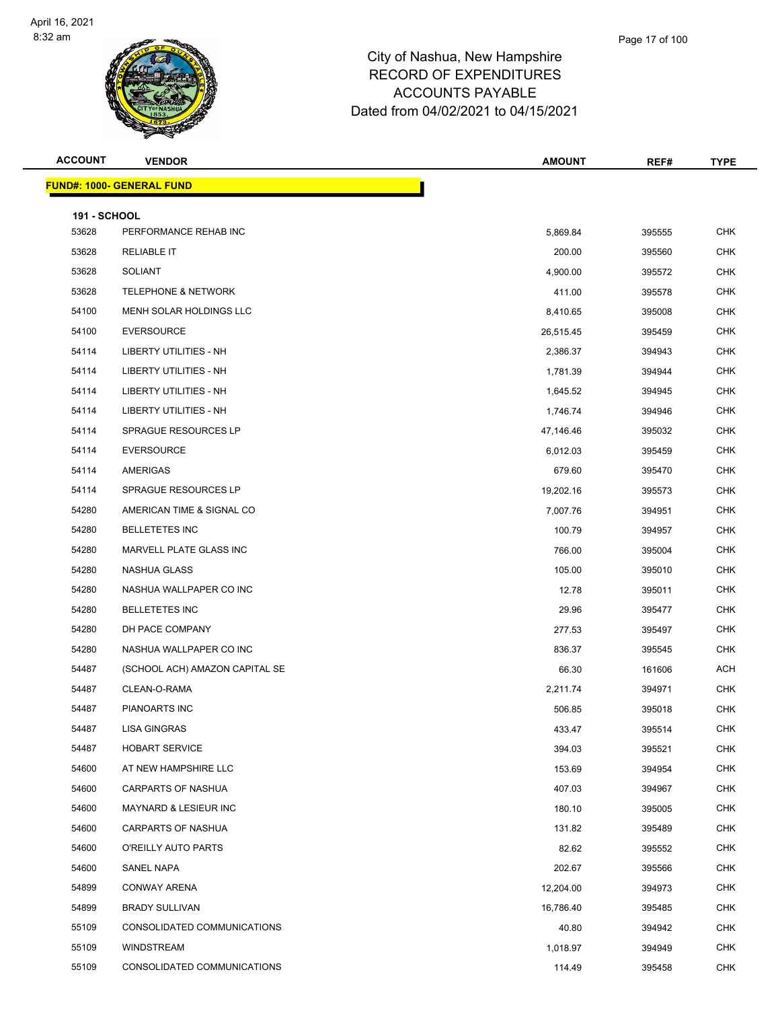

| <b>ACCOUNT</b>               | <b>VENDOR</b>                    | <b>AMOUNT</b> | REF#   | TYPE       |
|------------------------------|----------------------------------|---------------|--------|------------|
|                              | <b>FUND#: 1000- GENERAL FUND</b> |               |        |            |
|                              |                                  |               |        |            |
| <b>191 - SCHOOL</b><br>53628 | PERFORMANCE REHAB INC            | 5,869.84      | 395555 | <b>CHK</b> |
| 53628                        | <b>RELIABLE IT</b>               | 200.00        | 395560 | <b>CHK</b> |
| 53628                        | <b>SOLIANT</b>                   | 4,900.00      | 395572 | <b>CHK</b> |
| 53628                        | <b>TELEPHONE &amp; NETWORK</b>   | 411.00        | 395578 | <b>CHK</b> |
| 54100                        | MENH SOLAR HOLDINGS LLC          | 8,410.65      | 395008 | <b>CHK</b> |
| 54100                        | <b>EVERSOURCE</b>                | 26,515.45     | 395459 | <b>CHK</b> |
| 54114                        | LIBERTY UTILITIES - NH           | 2,386.37      | 394943 | CHK        |
| 54114                        | LIBERTY UTILITIES - NH           | 1,781.39      | 394944 | <b>CHK</b> |
| 54114                        | LIBERTY UTILITIES - NH           | 1,645.52      | 394945 | <b>CHK</b> |
| 54114                        | LIBERTY UTILITIES - NH           | 1,746.74      | 394946 | <b>CHK</b> |
| 54114                        | SPRAGUE RESOURCES LP             | 47,146.46     | 395032 | <b>CHK</b> |
| 54114                        | <b>EVERSOURCE</b>                | 6,012.03      | 395459 | <b>CHK</b> |
| 54114                        | AMERIGAS                         | 679.60        | 395470 | <b>CHK</b> |
| 54114                        | SPRAGUE RESOURCES LP             | 19,202.16     | 395573 | <b>CHK</b> |
| 54280                        | AMERICAN TIME & SIGNAL CO        | 7,007.76      | 394951 | <b>CHK</b> |
| 54280                        | <b>BELLETETES INC</b>            | 100.79        | 394957 | <b>CHK</b> |
| 54280                        | MARVELL PLATE GLASS INC          | 766.00        | 395004 | <b>CHK</b> |
| 54280                        | NASHUA GLASS                     | 105.00        | 395010 | <b>CHK</b> |
| 54280                        | NASHUA WALLPAPER CO INC          | 12.78         | 395011 | <b>CHK</b> |
| 54280                        | <b>BELLETETES INC</b>            | 29.96         | 395477 | <b>CHK</b> |
| 54280                        | DH PACE COMPANY                  | 277.53        | 395497 | <b>CHK</b> |
| 54280                        | NASHUA WALLPAPER CO INC          | 836.37        | 395545 | <b>CHK</b> |
| 54487                        | (SCHOOL ACH) AMAZON CAPITAL SE   | 66.30         | 161606 | <b>ACH</b> |
| 54487                        | CLEAN-O-RAMA                     | 2,211.74      | 394971 | CHK        |
| 54487                        | PIANOARTS INC                    | 506.85        | 395018 | <b>CHK</b> |
| 54487                        | <b>LISA GINGRAS</b>              | 433.47        | 395514 | <b>CHK</b> |
| 54487                        | <b>HOBART SERVICE</b>            | 394.03        | 395521 | <b>CHK</b> |
| 54600                        | AT NEW HAMPSHIRE LLC             | 153.69        | 394954 | <b>CHK</b> |
| 54600                        | CARPARTS OF NASHUA               | 407.03        | 394967 | <b>CHK</b> |
| 54600                        | MAYNARD & LESIEUR INC            | 180.10        | 395005 | <b>CHK</b> |
| 54600                        | <b>CARPARTS OF NASHUA</b>        | 131.82        | 395489 | <b>CHK</b> |
| 54600                        | O'REILLY AUTO PARTS              | 82.62         | 395552 | CHK        |
| 54600                        | SANEL NAPA                       | 202.67        | 395566 | <b>CHK</b> |
| 54899                        | <b>CONWAY ARENA</b>              | 12,204.00     | 394973 | <b>CHK</b> |
| 54899                        | <b>BRADY SULLIVAN</b>            | 16,786.40     | 395485 | <b>CHK</b> |
| 55109                        | CONSOLIDATED COMMUNICATIONS      | 40.80         | 394942 | <b>CHK</b> |
| 55109                        | WINDSTREAM                       | 1,018.97      | 394949 | <b>CHK</b> |
| 55109                        | CONSOLIDATED COMMUNICATIONS      | 114.49        | 395458 | <b>CHK</b> |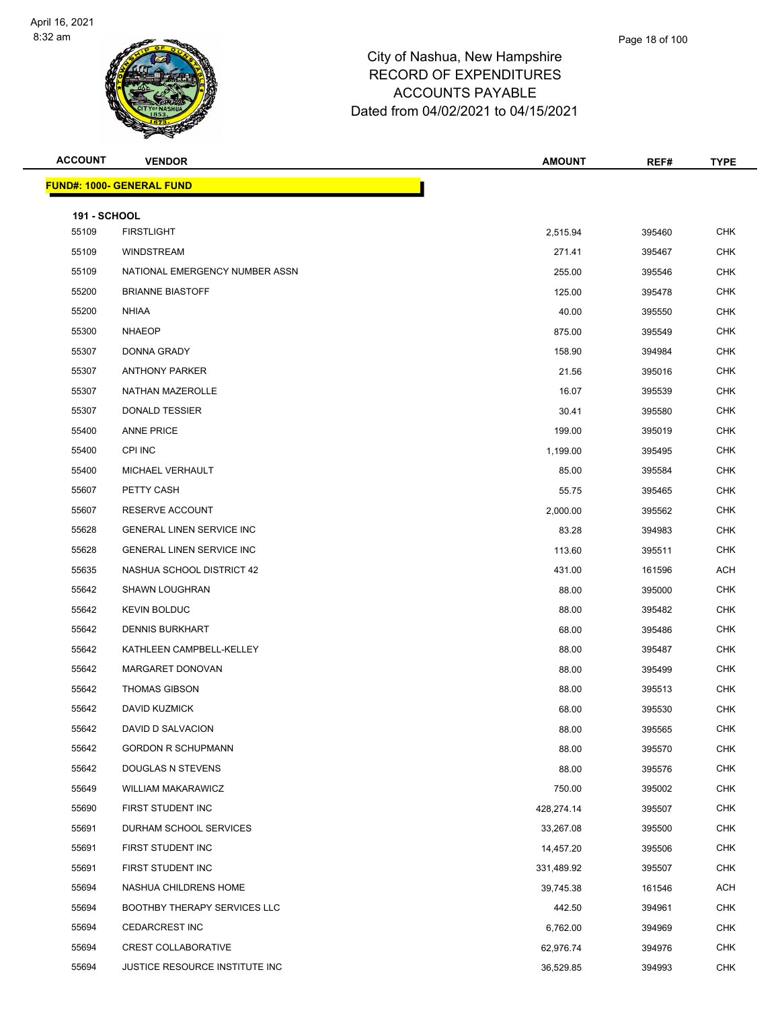

| <b>ACCOUNT</b>               | <b>VENDOR</b>                    | <b>AMOUNT</b> | REF#   | <b>TYPE</b> |
|------------------------------|----------------------------------|---------------|--------|-------------|
|                              | <b>FUND#: 1000- GENERAL FUND</b> |               |        |             |
|                              |                                  |               |        |             |
| <b>191 - SCHOOL</b><br>55109 | <b>FIRSTLIGHT</b>                | 2,515.94      | 395460 | <b>CHK</b>  |
| 55109                        | <b>WINDSTREAM</b>                | 271.41        | 395467 | <b>CHK</b>  |
| 55109                        | NATIONAL EMERGENCY NUMBER ASSN   | 255.00        | 395546 | CHK         |
| 55200                        | <b>BRIANNE BIASTOFF</b>          | 125.00        | 395478 | <b>CHK</b>  |
| 55200                        | <b>NHIAA</b>                     | 40.00         | 395550 | <b>CHK</b>  |
| 55300                        | <b>NHAEOP</b>                    | 875.00        | 395549 | <b>CHK</b>  |
| 55307                        | <b>DONNA GRADY</b>               | 158.90        | 394984 | <b>CHK</b>  |
| 55307                        | <b>ANTHONY PARKER</b>            | 21.56         | 395016 | CHK         |
| 55307                        | NATHAN MAZEROLLE                 | 16.07         | 395539 | <b>CHK</b>  |
| 55307                        | <b>DONALD TESSIER</b>            | 30.41         | 395580 | <b>CHK</b>  |
| 55400                        | <b>ANNE PRICE</b>                | 199.00        | 395019 | CHK         |
| 55400                        | CPI INC                          | 1,199.00      | 395495 | <b>CHK</b>  |
| 55400                        | MICHAEL VERHAULT                 | 85.00         | 395584 | CHK         |
| 55607                        | PETTY CASH                       | 55.75         | 395465 | <b>CHK</b>  |
| 55607                        | RESERVE ACCOUNT                  | 2,000.00      | 395562 | <b>CHK</b>  |
| 55628                        | <b>GENERAL LINEN SERVICE INC</b> | 83.28         | 394983 | CHK         |
| 55628                        | <b>GENERAL LINEN SERVICE INC</b> | 113.60        | 395511 | <b>CHK</b>  |
| 55635                        | NASHUA SCHOOL DISTRICT 42        | 431.00        | 161596 | <b>ACH</b>  |
| 55642                        | <b>SHAWN LOUGHRAN</b>            | 88.00         | 395000 | <b>CHK</b>  |
| 55642                        | <b>KEVIN BOLDUC</b>              | 88.00         | 395482 | <b>CHK</b>  |
| 55642                        | <b>DENNIS BURKHART</b>           | 68.00         | 395486 | CHK         |
| 55642                        | KATHLEEN CAMPBELL-KELLEY         | 88.00         | 395487 | <b>CHK</b>  |
| 55642                        | MARGARET DONOVAN                 | 88.00         | 395499 | CHK         |
| 55642                        | <b>THOMAS GIBSON</b>             | 88.00         | 395513 | <b>CHK</b>  |
| 55642                        | DAVID KUZMICK                    | 68.00         | 395530 | <b>CHK</b>  |
| 55642                        | DAVID D SALVACION                | 88.00         | 395565 | <b>CHK</b>  |
| 55642                        | <b>GORDON R SCHUPMANN</b>        | 88.00         | 395570 | <b>CHK</b>  |
| 55642                        | DOUGLAS N STEVENS                | 88.00         | 395576 | <b>CHK</b>  |
| 55649                        | <b>WILLIAM MAKARAWICZ</b>        | 750.00        | 395002 | <b>CHK</b>  |
| 55690                        | FIRST STUDENT INC                | 428,274.14    | 395507 | <b>CHK</b>  |
| 55691                        | DURHAM SCHOOL SERVICES           | 33,267.08     | 395500 | <b>CHK</b>  |
| 55691                        | FIRST STUDENT INC                | 14,457.20     | 395506 | <b>CHK</b>  |
| 55691                        | FIRST STUDENT INC                | 331,489.92    | 395507 | <b>CHK</b>  |
| 55694                        | NASHUA CHILDRENS HOME            | 39,745.38     | 161546 | <b>ACH</b>  |
| 55694                        | BOOTHBY THERAPY SERVICES LLC     | 442.50        | 394961 | <b>CHK</b>  |
| 55694                        | <b>CEDARCREST INC</b>            | 6,762.00      | 394969 | <b>CHK</b>  |
| 55694                        | <b>CREST COLLABORATIVE</b>       | 62,976.74     | 394976 | <b>CHK</b>  |
| 55694                        | JUSTICE RESOURCE INSTITUTE INC   | 36,529.85     | 394993 | <b>CHK</b>  |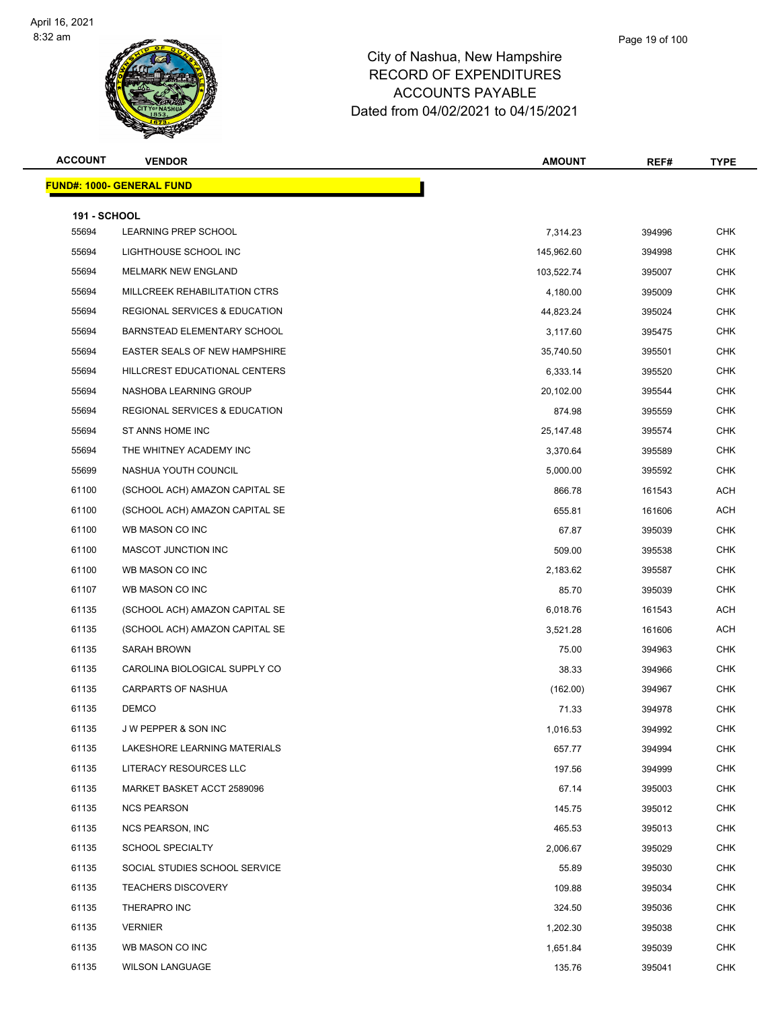

| <b>ACCOUNT</b>      | <b>VENDOR</b>                            | <b>AMOUNT</b> | REF#   | <b>TYPE</b> |
|---------------------|------------------------------------------|---------------|--------|-------------|
|                     | <b>FUND#: 1000- GENERAL FUND</b>         |               |        |             |
| <b>191 - SCHOOL</b> |                                          |               |        |             |
| 55694               | LEARNING PREP SCHOOL                     | 7,314.23      | 394996 | <b>CHK</b>  |
| 55694               | LIGHTHOUSE SCHOOL INC                    | 145,962.60    | 394998 | <b>CHK</b>  |
| 55694               | <b>MELMARK NEW ENGLAND</b>               | 103,522.74    | 395007 | <b>CHK</b>  |
| 55694               | MILLCREEK REHABILITATION CTRS            | 4,180.00      | 395009 | <b>CHK</b>  |
| 55694               | REGIONAL SERVICES & EDUCATION            | 44,823.24     | 395024 | <b>CHK</b>  |
| 55694               | BARNSTEAD ELEMENTARY SCHOOL              | 3,117.60      | 395475 | <b>CHK</b>  |
| 55694               | EASTER SEALS OF NEW HAMPSHIRE            | 35,740.50     | 395501 | <b>CHK</b>  |
| 55694               | HILLCREST EDUCATIONAL CENTERS            | 6,333.14      | 395520 | <b>CHK</b>  |
| 55694               | NASHOBA LEARNING GROUP                   | 20,102.00     | 395544 | <b>CHK</b>  |
| 55694               | <b>REGIONAL SERVICES &amp; EDUCATION</b> | 874.98        | 395559 | <b>CHK</b>  |
| 55694               | ST ANNS HOME INC                         | 25,147.48     | 395574 | <b>CHK</b>  |
| 55694               | THE WHITNEY ACADEMY INC                  | 3,370.64      | 395589 | <b>CHK</b>  |
| 55699               | NASHUA YOUTH COUNCIL                     | 5,000.00      | 395592 | <b>CHK</b>  |
| 61100               | (SCHOOL ACH) AMAZON CAPITAL SE           | 866.78        | 161543 | <b>ACH</b>  |
| 61100               | (SCHOOL ACH) AMAZON CAPITAL SE           | 655.81        | 161606 | <b>ACH</b>  |
| 61100               | WB MASON CO INC                          | 67.87         | 395039 | <b>CHK</b>  |
| 61100               | MASCOT JUNCTION INC                      | 509.00        | 395538 | <b>CHK</b>  |
| 61100               | WB MASON CO INC                          | 2,183.62      | 395587 | <b>CHK</b>  |
| 61107               | WB MASON CO INC                          | 85.70         | 395039 | <b>CHK</b>  |
| 61135               | (SCHOOL ACH) AMAZON CAPITAL SE           | 6,018.76      | 161543 | <b>ACH</b>  |
| 61135               | (SCHOOL ACH) AMAZON CAPITAL SE           | 3,521.28      | 161606 | <b>ACH</b>  |
| 61135               | SARAH BROWN                              | 75.00         | 394963 | <b>CHK</b>  |
| 61135               | CAROLINA BIOLOGICAL SUPPLY CO            | 38.33         | 394966 | <b>CHK</b>  |
| 61135               | CARPARTS OF NASHUA                       | (162.00)      | 394967 | <b>CHK</b>  |
| 61135               | <b>DEMCO</b>                             | 71.33         | 394978 | <b>CHK</b>  |
| 61135               | J W PEPPER & SON INC                     | 1,016.53      | 394992 | <b>CHK</b>  |
| 61135               | LAKESHORE LEARNING MATERIALS             | 657.77        | 394994 | <b>CHK</b>  |
| 61135               | LITERACY RESOURCES LLC                   | 197.56        | 394999 | <b>CHK</b>  |
| 61135               | MARKET BASKET ACCT 2589096               | 67.14         | 395003 | <b>CHK</b>  |
| 61135               | <b>NCS PEARSON</b>                       | 145.75        | 395012 | <b>CHK</b>  |
| 61135               | <b>NCS PEARSON, INC</b>                  | 465.53        | 395013 | <b>CHK</b>  |
| 61135               | <b>SCHOOL SPECIALTY</b>                  | 2,006.67      | 395029 | <b>CHK</b>  |
| 61135               | SOCIAL STUDIES SCHOOL SERVICE            | 55.89         | 395030 | <b>CHK</b>  |
| 61135               | <b>TEACHERS DISCOVERY</b>                | 109.88        | 395034 | <b>CHK</b>  |
| 61135               | THERAPRO INC                             | 324.50        | 395036 | <b>CHK</b>  |
| 61135               | <b>VERNIER</b>                           | 1,202.30      | 395038 | <b>CHK</b>  |
| 61135               | WB MASON CO INC                          | 1,651.84      | 395039 | <b>CHK</b>  |
| 61135               | <b>WILSON LANGUAGE</b>                   | 135.76        | 395041 | <b>CHK</b>  |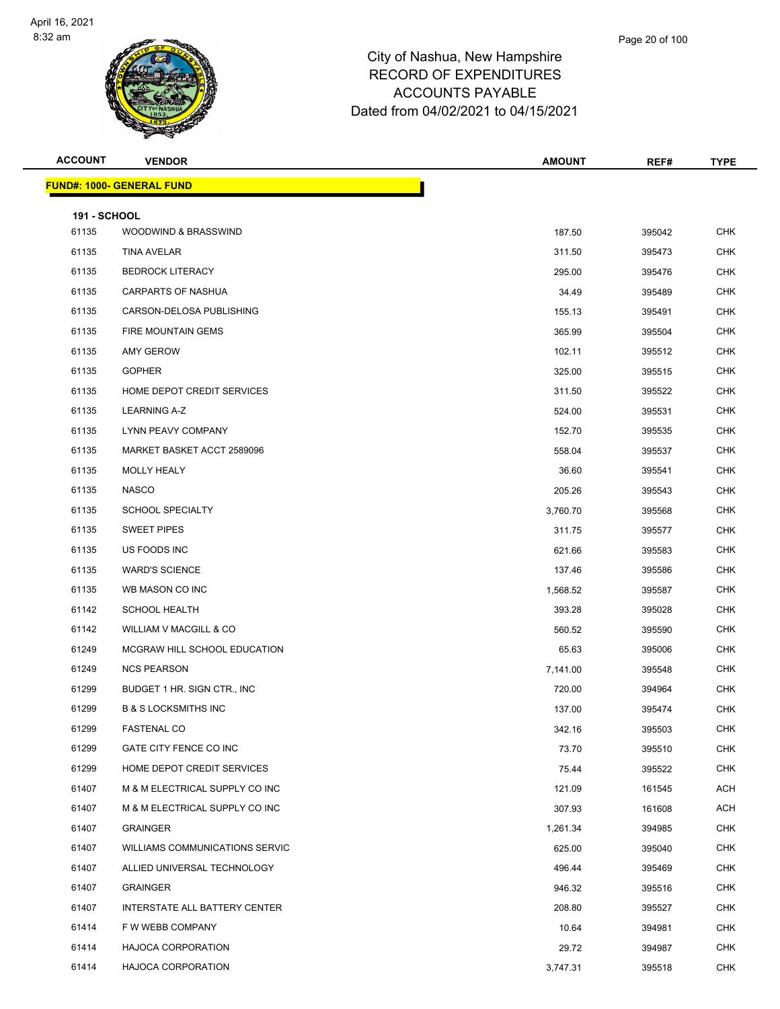

| <b>ACCOUNT</b>      | <b>VENDOR</b>                         | <b>AMOUNT</b> | REF#   | <b>TYPE</b> |
|---------------------|---------------------------------------|---------------|--------|-------------|
|                     | <u> FUND#: 1000- GENERAL FUND</u>     |               |        |             |
| <b>191 - SCHOOL</b> |                                       |               |        |             |
| 61135               | WOODWIND & BRASSWIND                  | 187.50        | 395042 | <b>CHK</b>  |
| 61135               | <b>TINA AVELAR</b>                    | 311.50        | 395473 | <b>CHK</b>  |
| 61135               | <b>BEDROCK LITERACY</b>               | 295.00        | 395476 | <b>CHK</b>  |
| 61135               | <b>CARPARTS OF NASHUA</b>             | 34.49         | 395489 | <b>CHK</b>  |
| 61135               | CARSON-DELOSA PUBLISHING              | 155.13        | 395491 | <b>CHK</b>  |
| 61135               | FIRE MOUNTAIN GEMS                    | 365.99        | 395504 | <b>CHK</b>  |
| 61135               | <b>AMY GEROW</b>                      | 102.11        | 395512 | <b>CHK</b>  |
| 61135               | <b>GOPHER</b>                         | 325.00        | 395515 | <b>CHK</b>  |
| 61135               | HOME DEPOT CREDIT SERVICES            | 311.50        | 395522 | <b>CHK</b>  |
| 61135               | <b>LEARNING A-Z</b>                   | 524.00        | 395531 | <b>CHK</b>  |
| 61135               | LYNN PEAVY COMPANY                    | 152.70        | 395535 | <b>CHK</b>  |
| 61135               | MARKET BASKET ACCT 2589096            | 558.04        | 395537 | <b>CHK</b>  |
| 61135               | MOLLY HEALY                           | 36.60         | 395541 | <b>CHK</b>  |
| 61135               | <b>NASCO</b>                          | 205.26        | 395543 | <b>CHK</b>  |
| 61135               | <b>SCHOOL SPECIALTY</b>               | 3,760.70      | 395568 | <b>CHK</b>  |
| 61135               | <b>SWEET PIPES</b>                    | 311.75        | 395577 | <b>CHK</b>  |
| 61135               | US FOODS INC                          | 621.66        | 395583 | <b>CHK</b>  |
| 61135               | <b>WARD'S SCIENCE</b>                 | 137.46        | 395586 | <b>CHK</b>  |
| 61135               | WB MASON CO INC                       | 1,568.52      | 395587 | <b>CHK</b>  |
| 61142               | <b>SCHOOL HEALTH</b>                  | 393.28        | 395028 | <b>CHK</b>  |
| 61142               | WILLIAM V MACGILL & CO                | 560.52        | 395590 | CHK         |
| 61249               | MCGRAW HILL SCHOOL EDUCATION          | 65.63         | 395006 | <b>CHK</b>  |
| 61249               | <b>NCS PEARSON</b>                    | 7,141.00      | 395548 | <b>CHK</b>  |
| 61299               | BUDGET 1 HR. SIGN CTR., INC.          | 720.00        | 394964 | <b>CHK</b>  |
| 61299               | <b>B &amp; S LOCKSMITHS INC</b>       | 137.00        | 395474 | <b>CHK</b>  |
| 61299               | FASTENAL CO                           | 342.16        | 395503 | <b>CHK</b>  |
| 61299               | GATE CITY FENCE CO INC                | 73.70         | 395510 | <b>CHK</b>  |
| 61299               | HOME DEPOT CREDIT SERVICES            | 75.44         | 395522 | <b>CHK</b>  |
| 61407               | M & M ELECTRICAL SUPPLY CO INC        | 121.09        | 161545 | ACH         |
| 61407               | M & M ELECTRICAL SUPPLY CO INC        | 307.93        | 161608 | <b>ACH</b>  |
| 61407               | <b>GRAINGER</b>                       | 1,261.34      | 394985 | <b>CHK</b>  |
| 61407               | <b>WILLIAMS COMMUNICATIONS SERVIC</b> | 625.00        | 395040 | <b>CHK</b>  |
| 61407               | ALLIED UNIVERSAL TECHNOLOGY           | 496.44        | 395469 | <b>CHK</b>  |
| 61407               | <b>GRAINGER</b>                       | 946.32        | 395516 | <b>CHK</b>  |
| 61407               | INTERSTATE ALL BATTERY CENTER         | 208.80        | 395527 | <b>CHK</b>  |
| 61414               | F W WEBB COMPANY                      | 10.64         | 394981 | <b>CHK</b>  |
| 61414               | <b>HAJOCA CORPORATION</b>             | 29.72         | 394987 | <b>CHK</b>  |
| 61414               | <b>HAJOCA CORPORATION</b>             | 3,747.31      | 395518 | <b>CHK</b>  |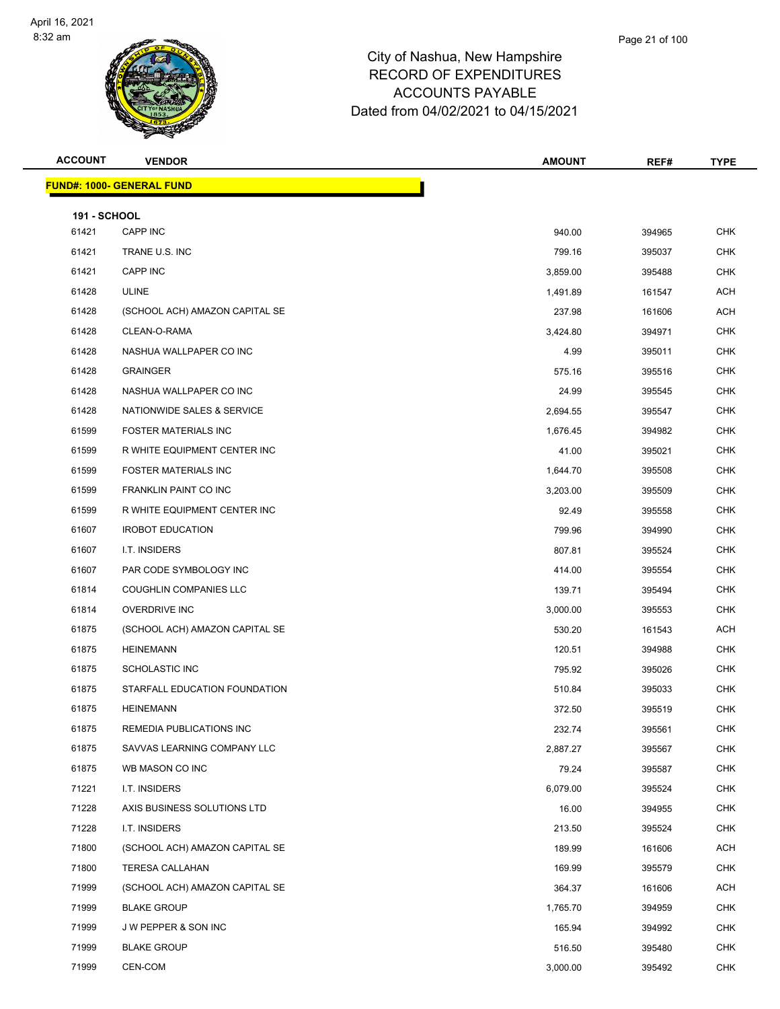

| <b>ACCOUNT</b>               | <b>VENDOR</b>                     | <b>AMOUNT</b> | REF#   | <b>TYPE</b> |
|------------------------------|-----------------------------------|---------------|--------|-------------|
|                              | <u> FUND#: 1000- GENERAL FUND</u> |               |        |             |
|                              |                                   |               |        |             |
| <b>191 - SCHOOL</b><br>61421 | CAPP INC                          | 940.00        | 394965 | <b>CHK</b>  |
| 61421                        | TRANE U.S. INC                    | 799.16        | 395037 | <b>CHK</b>  |
| 61421                        | CAPP INC                          | 3,859.00      | 395488 | <b>CHK</b>  |
| 61428                        | <b>ULINE</b>                      | 1,491.89      | 161547 | <b>ACH</b>  |
| 61428                        | (SCHOOL ACH) AMAZON CAPITAL SE    | 237.98        | 161606 | <b>ACH</b>  |
| 61428                        | CLEAN-O-RAMA                      | 3,424.80      | 394971 | <b>CHK</b>  |
| 61428                        | NASHUA WALLPAPER CO INC           | 4.99          | 395011 | <b>CHK</b>  |
| 61428                        | <b>GRAINGER</b>                   | 575.16        | 395516 | <b>CHK</b>  |
| 61428                        | NASHUA WALLPAPER CO INC           | 24.99         | 395545 | <b>CHK</b>  |
| 61428                        | NATIONWIDE SALES & SERVICE        | 2,694.55      | 395547 | <b>CHK</b>  |
| 61599                        | <b>FOSTER MATERIALS INC</b>       | 1,676.45      | 394982 | <b>CHK</b>  |
| 61599                        | R WHITE EQUIPMENT CENTER INC      | 41.00         | 395021 | <b>CHK</b>  |
| 61599                        | <b>FOSTER MATERIALS INC</b>       | 1,644.70      | 395508 | <b>CHK</b>  |
| 61599                        | FRANKLIN PAINT CO INC             | 3,203.00      | 395509 | <b>CHK</b>  |
| 61599                        | R WHITE EQUIPMENT CENTER INC      | 92.49         | 395558 | <b>CHK</b>  |
| 61607                        | <b>IROBOT EDUCATION</b>           | 799.96        | 394990 | <b>CHK</b>  |
| 61607                        | I.T. INSIDERS                     | 807.81        | 395524 | <b>CHK</b>  |
| 61607                        | PAR CODE SYMBOLOGY INC            | 414.00        | 395554 | <b>CHK</b>  |
| 61814                        | <b>COUGHLIN COMPANIES LLC</b>     | 139.71        | 395494 | <b>CHK</b>  |
| 61814                        | <b>OVERDRIVE INC</b>              | 3,000.00      | 395553 | <b>CHK</b>  |
| 61875                        | (SCHOOL ACH) AMAZON CAPITAL SE    | 530.20        | 161543 | ACH         |
| 61875                        | <b>HEINEMANN</b>                  | 120.51        | 394988 | CHK         |
| 61875                        | <b>SCHOLASTIC INC</b>             | 795.92        | 395026 | <b>CHK</b>  |
| 61875                        | STARFALL EDUCATION FOUNDATION     | 510.84        | 395033 | <b>CHK</b>  |
| 61875                        | <b>HEINEMANN</b>                  | 372.50        | 395519 | <b>CHK</b>  |
| 61875                        | REMEDIA PUBLICATIONS INC          | 232.74        | 395561 | CHK         |
| 61875                        | SAVVAS LEARNING COMPANY LLC       | 2,887.27      | 395567 | <b>CHK</b>  |
| 61875                        | WB MASON CO INC                   | 79.24         | 395587 | <b>CHK</b>  |
| 71221                        | I.T. INSIDERS                     | 6,079.00      | 395524 | <b>CHK</b>  |
| 71228                        | AXIS BUSINESS SOLUTIONS LTD       | 16.00         | 394955 | <b>CHK</b>  |
| 71228                        | I.T. INSIDERS                     | 213.50        | 395524 | <b>CHK</b>  |
| 71800                        | (SCHOOL ACH) AMAZON CAPITAL SE    | 189.99        | 161606 | ACH         |
| 71800                        | <b>TERESA CALLAHAN</b>            | 169.99        | 395579 | <b>CHK</b>  |
| 71999                        | (SCHOOL ACH) AMAZON CAPITAL SE    | 364.37        | 161606 | <b>ACH</b>  |
| 71999                        | <b>BLAKE GROUP</b>                | 1,765.70      | 394959 | <b>CHK</b>  |
| 71999                        | J W PEPPER & SON INC              | 165.94        | 394992 | <b>CHK</b>  |
| 71999                        | <b>BLAKE GROUP</b>                | 516.50        | 395480 | <b>CHK</b>  |
| 71999                        | CEN-COM                           | 3,000.00      | 395492 | <b>CHK</b>  |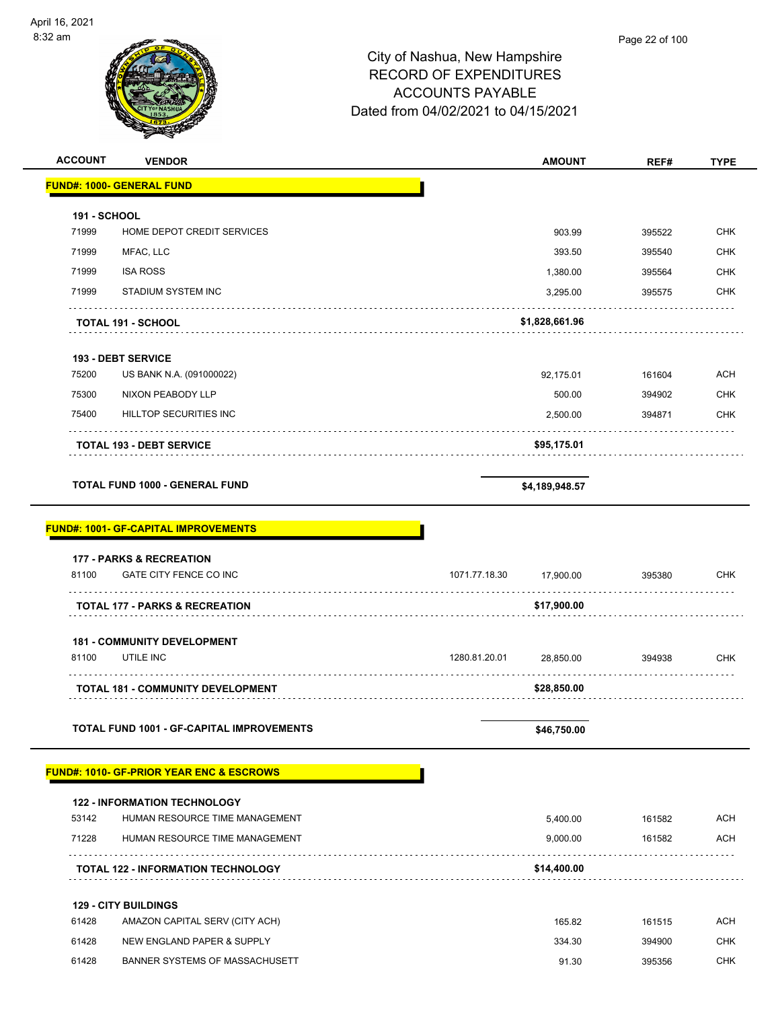| <b>ACCOUNT</b>      | <b>VENDOR</b>                                       | <b>AMOUNT</b>              | REF#   | <b>TYPE</b> |
|---------------------|-----------------------------------------------------|----------------------------|--------|-------------|
|                     | <b>FUND#: 1000- GENERAL FUND</b>                    |                            |        |             |
| <b>191 - SCHOOL</b> |                                                     |                            |        |             |
| 71999               | HOME DEPOT CREDIT SERVICES                          | 903.99                     | 395522 | <b>CHK</b>  |
| 71999               | MFAC, LLC                                           | 393.50                     | 395540 | <b>CHK</b>  |
| 71999               | <b>ISA ROSS</b>                                     | 1,380.00                   | 395564 | <b>CHK</b>  |
| 71999               | STADIUM SYSTEM INC                                  | 3,295.00                   | 395575 | <b>CHK</b>  |
|                     | <b>TOTAL 191 - SCHOOL</b>                           | \$1,828,661.96             |        |             |
|                     |                                                     |                            |        |             |
|                     | <b>193 - DEBT SERVICE</b>                           |                            |        |             |
| 75200               | US BANK N.A. (091000022)                            | 92,175.01                  | 161604 | <b>ACH</b>  |
| 75300               | NIXON PEABODY LLP                                   | 500.00                     | 394902 | <b>CHK</b>  |
| 75400               | HILLTOP SECURITIES INC                              | 2,500.00                   | 394871 | <b>CHK</b>  |
|                     | <b>TOTAL 193 - DEBT SERVICE</b>                     | \$95,175.01                |        |             |
|                     | <b>TOTAL FUND 1000 - GENERAL FUND</b>               | \$4,189,948.57             |        |             |
|                     |                                                     |                            |        |             |
|                     | <b>FUND#: 1001- GF-CAPITAL IMPROVEMENTS</b>         |                            |        |             |
|                     | <b>177 - PARKS &amp; RECREATION</b>                 |                            |        |             |
| 81100               | GATE CITY FENCE CO INC                              | 1071.77.18.30<br>17,900.00 | 395380 | <b>CHK</b>  |
|                     | <b>TOTAL 177 - PARKS &amp; RECREATION</b>           | \$17,900.00                |        |             |
|                     | <b>181 - COMMUNITY DEVELOPMENT</b>                  |                            |        |             |
| 81100               | UTILE INC                                           | 1280.81.20.01<br>28,850.00 | 394938 | <b>CHK</b>  |
|                     | <b>TOTAL 181 - COMMUNITY DEVELOPMENT</b>            | \$28,850.00                |        |             |
|                     | TOTAL FUND 1001 - GF-CAPITAL IMPROVEMENTS           | \$46,750.00                |        |             |
|                     |                                                     |                            |        |             |
|                     | <b>FUND#: 1010- GF-PRIOR YEAR ENC &amp; ESCROWS</b> |                            |        |             |
|                     | <b>122 - INFORMATION TECHNOLOGY</b>                 |                            |        |             |
| 53142               | HUMAN RESOURCE TIME MANAGEMENT                      | 5,400.00                   | 161582 | <b>ACH</b>  |
| 71228               | HUMAN RESOURCE TIME MANAGEMENT                      | 9,000.00                   | 161582 | ACH         |
|                     | <b>TOTAL 122 - INFORMATION TECHNOLOGY</b>           | \$14,400.00                |        |             |
|                     | <b>129 - CITY BUILDINGS</b>                         |                            |        |             |
| 61428               | AMAZON CAPITAL SERV (CITY ACH)                      | 165.82                     | 161515 | <b>ACH</b>  |
| 61428               | NEW ENGLAND PAPER & SUPPLY                          | 334.30                     | 394900 | <b>CHK</b>  |
| 61428               | BANNER SYSTEMS OF MASSACHUSETT                      | 91.30                      | 395356 | <b>CHK</b>  |
|                     |                                                     |                            |        |             |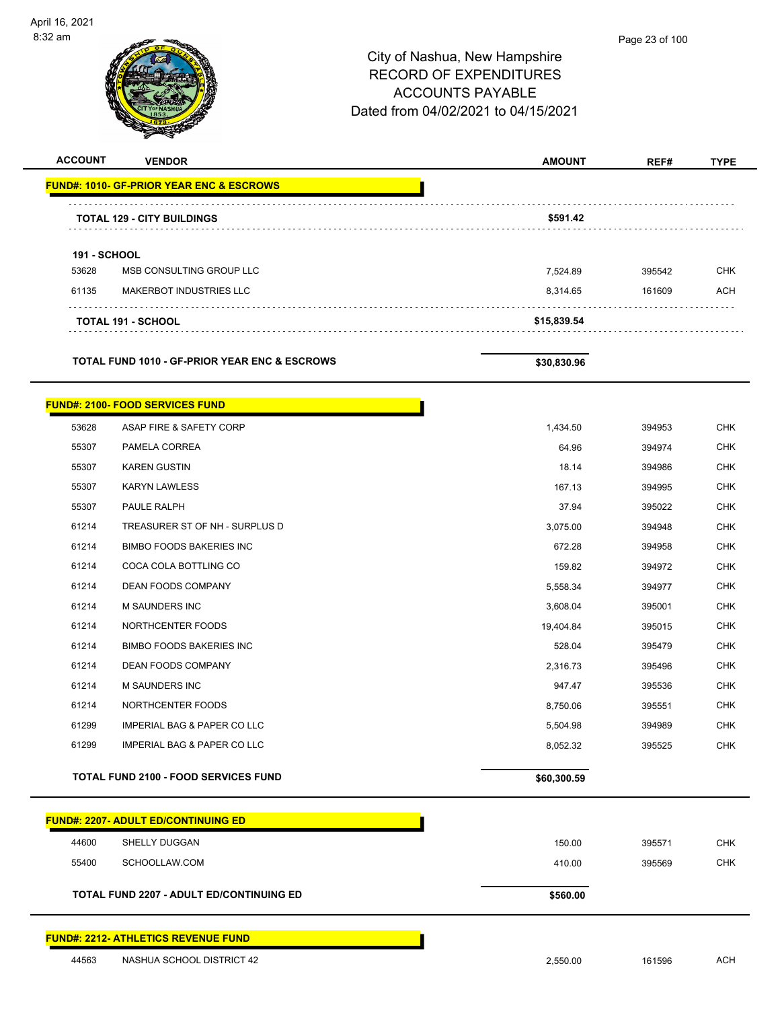

### Page 23 of 100

## City of Nashua, New Hampshire RECORD OF EXPENDITURES ACCOUNTS PAYABLE Dated from 04/02/2021 to 04/15/2021

| <b>ACCOUNT</b>      | <b>VENDOR</b>                                       | <b>AMOUNT</b> | REF#   | <b>TYPE</b> |
|---------------------|-----------------------------------------------------|---------------|--------|-------------|
|                     | <b>FUND#: 1010- GF-PRIOR YEAR ENC &amp; ESCROWS</b> |               |        |             |
|                     | <b>TOTAL 129 - CITY BUILDINGS</b>                   | \$591.42      |        |             |
| <b>191 - SCHOOL</b> |                                                     |               |        |             |
| 53628               | MSB CONSULTING GROUP LLC                            | 7,524.89      | 395542 | <b>CHK</b>  |
| 61135               | <b>MAKERBOT INDUSTRIES LLC</b>                      | 8,314.65      | 161609 | <b>ACH</b>  |
|                     | <b>TOTAL 191 - SCHOOL</b>                           | \$15,839.54   |        |             |
|                     |                                                     |               |        |             |

TOTAL FUND 1010 - GF-PRIOR YEAR ENC & ESCROWS \$30,830.96

|       | <b>FUND#: 2100- FOOD SERVICES FUND</b>      |             |        |            |
|-------|---------------------------------------------|-------------|--------|------------|
| 53628 | ASAP FIRE & SAFETY CORP                     | 1,434.50    | 394953 | <b>CHK</b> |
| 55307 | PAMELA CORREA                               | 64.96       | 394974 | <b>CHK</b> |
| 55307 | <b>KAREN GUSTIN</b>                         | 18.14       | 394986 | <b>CHK</b> |
| 55307 | <b>KARYN LAWLESS</b>                        | 167.13      | 394995 | <b>CHK</b> |
| 55307 | PAULE RALPH                                 | 37.94       | 395022 | <b>CHK</b> |
| 61214 | TREASURER ST OF NH - SURPLUS D              | 3,075.00    | 394948 | <b>CHK</b> |
| 61214 | <b>BIMBO FOODS BAKERIES INC</b>             | 672.28      | 394958 | <b>CHK</b> |
| 61214 | COCA COLA BOTTLING CO                       | 159.82      | 394972 | <b>CHK</b> |
| 61214 | <b>DEAN FOODS COMPANY</b>                   | 5,558.34    | 394977 | <b>CHK</b> |
| 61214 | <b>M SAUNDERS INC</b>                       | 3,608.04    | 395001 | <b>CHK</b> |
| 61214 | NORTHCENTER FOODS                           | 19,404.84   | 395015 | <b>CHK</b> |
| 61214 | <b>BIMBO FOODS BAKERIES INC</b>             | 528.04      | 395479 | <b>CHK</b> |
| 61214 | <b>DEAN FOODS COMPANY</b>                   | 2,316.73    | 395496 | <b>CHK</b> |
| 61214 | <b>M SAUNDERS INC</b>                       | 947.47      | 395536 | <b>CHK</b> |
| 61214 | NORTHCENTER FOODS                           | 8,750.06    | 395551 | <b>CHK</b> |
| 61299 | <b>IMPERIAL BAG &amp; PAPER CO LLC</b>      | 5,504.98    | 394989 | <b>CHK</b> |
| 61299 | <b>IMPERIAL BAG &amp; PAPER CO LLC</b>      | 8,052.32    | 395525 | <b>CHK</b> |
|       | <b>TOTAL FUND 2100 - FOOD SERVICES FUND</b> | \$60,300.59 |        |            |

|       | <b>FUND#: 2207- ADULT ED/CONTINUING ED</b>      |          |        |  |
|-------|-------------------------------------------------|----------|--------|--|
| 44600 | <b>SHELLY DUGGAN</b>                            | 150.00   | 395571 |  |
| 55400 | SCHOOLLAW.COM                                   | 410.00   | 395569 |  |
|       | <b>TOTAL FUND 2207 - ADULT ED/CONTINUING ED</b> | \$560.00 |        |  |
|       |                                                 |          |        |  |
|       |                                                 |          |        |  |

### **FUND#: 2212- ATHLETICS REVENUE FUND**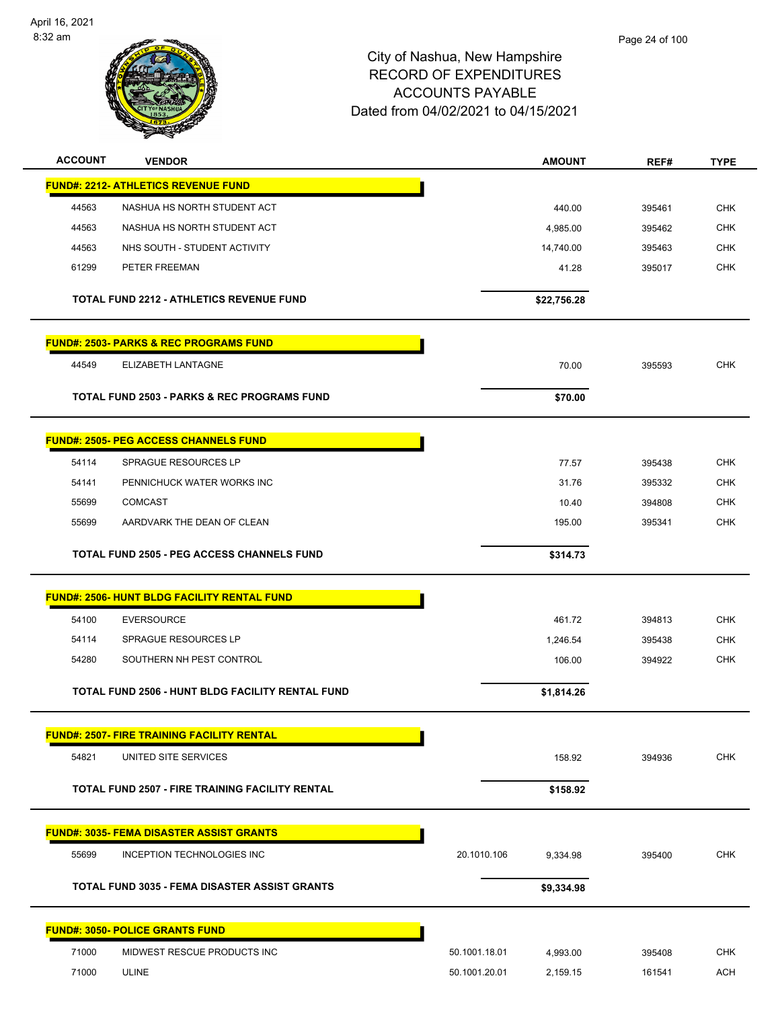

| <b>ACCOUNT</b> | <b>VENDOR</b>                                          |               | <b>AMOUNT</b> | REF#   | <b>TYPE</b> |
|----------------|--------------------------------------------------------|---------------|---------------|--------|-------------|
|                | <b>FUND#: 2212- ATHLETICS REVENUE FUND</b>             |               |               |        |             |
| 44563          | NASHUA HS NORTH STUDENT ACT                            |               | 440.00        | 395461 | <b>CHK</b>  |
| 44563          | NASHUA HS NORTH STUDENT ACT                            |               | 4,985.00      | 395462 | <b>CHK</b>  |
| 44563          | NHS SOUTH - STUDENT ACTIVITY                           |               | 14,740.00     | 395463 | <b>CHK</b>  |
| 61299          | PETER FREEMAN                                          |               | 41.28         | 395017 | <b>CHK</b>  |
|                | TOTAL FUND 2212 - ATHLETICS REVENUE FUND               |               | \$22,756.28   |        |             |
|                | <b>FUND#: 2503- PARKS &amp; REC PROGRAMS FUND</b>      |               |               |        |             |
| 44549          | ELIZABETH LANTAGNE                                     |               | 70.00         | 395593 | <b>CHK</b>  |
|                | <b>TOTAL FUND 2503 - PARKS &amp; REC PROGRAMS FUND</b> |               | \$70.00       |        |             |
|                | <b>FUND#: 2505- PEG ACCESS CHANNELS FUND</b>           |               |               |        |             |
| 54114          | <b>SPRAGUE RESOURCES LP</b>                            |               | 77.57         | 395438 | <b>CHK</b>  |
| 54141          | PENNICHUCK WATER WORKS INC                             |               | 31.76         | 395332 | <b>CHK</b>  |
| 55699          | <b>COMCAST</b>                                         |               | 10.40         | 394808 | <b>CHK</b>  |
| 55699          | AARDVARK THE DEAN OF CLEAN                             |               | 195.00        | 395341 | <b>CHK</b>  |
|                | <b>TOTAL FUND 2505 - PEG ACCESS CHANNELS FUND</b>      |               | \$314.73      |        |             |
|                | <b>FUND#: 2506- HUNT BLDG FACILITY RENTAL FUND</b>     |               |               |        |             |
| 54100          | <b>EVERSOURCE</b>                                      |               | 461.72        | 394813 | <b>CHK</b>  |
| 54114          | <b>SPRAGUE RESOURCES LP</b>                            |               | 1,246.54      | 395438 | <b>CHK</b>  |
| 54280          | SOUTHERN NH PEST CONTROL                               |               | 106.00        | 394922 | <b>CHK</b>  |
|                | TOTAL FUND 2506 - HUNT BLDG FACILITY RENTAL FUND       |               | \$1,814.26    |        |             |
|                | <b>FUND#: 2507- FIRE TRAINING FACILITY RENTAL</b>      |               |               |        |             |
| 54821          | UNITED SITE SERVICES                                   |               | 158.92        | 394936 | <b>CHK</b>  |
|                | TOTAL FUND 2507 - FIRE TRAINING FACILITY RENTAL        |               | \$158.92      |        |             |
|                | <b>FUND#: 3035- FEMA DISASTER ASSIST GRANTS</b>        |               |               |        |             |
| 55699          | INCEPTION TECHNOLOGIES INC                             | 20.1010.106   | 9,334.98      | 395400 | CHK         |
|                | TOTAL FUND 3035 - FEMA DISASTER ASSIST GRANTS          |               | \$9,334.98    |        |             |
|                | <b>FUND#: 3050- POLICE GRANTS FUND</b>                 |               |               |        |             |
| 71000          | MIDWEST RESCUE PRODUCTS INC                            | 50.1001.18.01 | 4,993.00      | 395408 | <b>CHK</b>  |
| 71000          | <b>ULINE</b>                                           | 50.1001.20.01 | 2,159.15      | 161541 | <b>ACH</b>  |
|                |                                                        |               |               |        |             |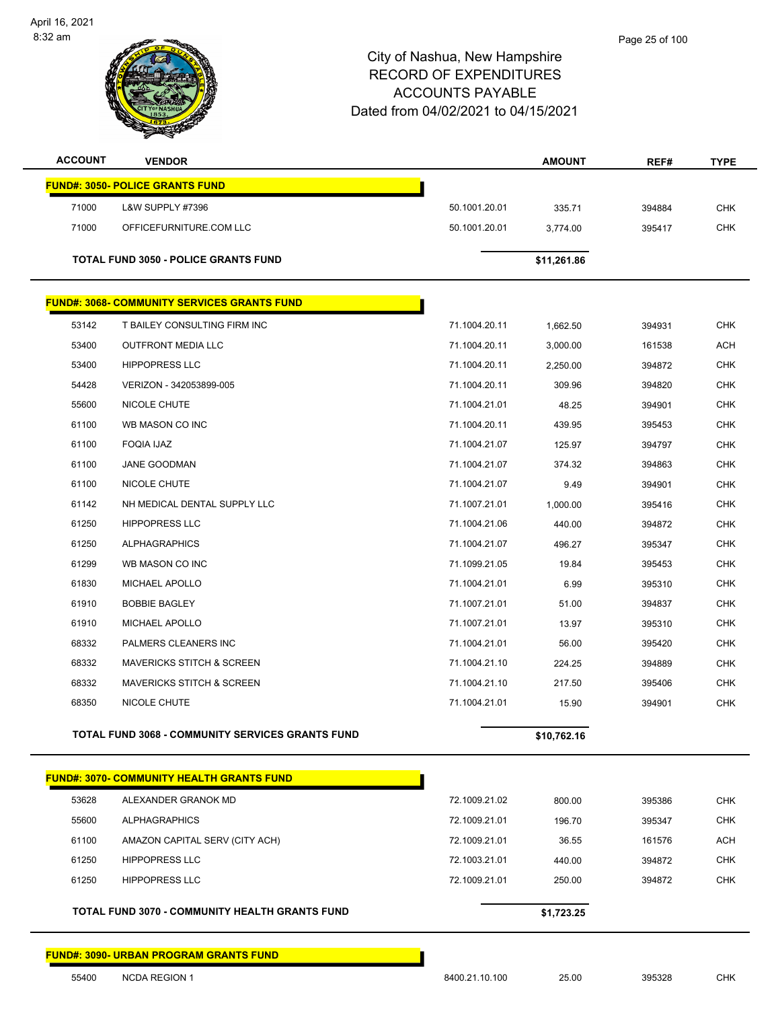

| <b>ACCOUNT</b> | <b>VENDOR</b>                                      |               | <b>AMOUNT</b> | REF#   | <b>TYPE</b> |
|----------------|----------------------------------------------------|---------------|---------------|--------|-------------|
|                | <b>FUND#: 3050- POLICE GRANTS FUND</b>             |               |               |        |             |
| 71000          | L&W SUPPLY #7396                                   | 50.1001.20.01 | 335.71        | 394884 | <b>CHK</b>  |
| 71000          | OFFICEFURNITURE.COM LLC                            | 50.1001.20.01 | 3,774.00      | 395417 | <b>CHK</b>  |
|                |                                                    |               |               |        |             |
|                | <b>TOTAL FUND 3050 - POLICE GRANTS FUND</b>        |               | \$11,261.86   |        |             |
|                | <b>FUND#: 3068- COMMUNITY SERVICES GRANTS FUND</b> |               |               |        |             |
| 53142          | T BAILEY CONSULTING FIRM INC                       | 71.1004.20.11 | 1,662.50      | 394931 | <b>CHK</b>  |
| 53400          | <b>OUTFRONT MEDIA LLC</b>                          | 71.1004.20.11 | 3,000.00      | 161538 | <b>ACH</b>  |
| 53400          | <b>HIPPOPRESS LLC</b>                              | 71.1004.20.11 | 2,250.00      | 394872 | CHK         |
| 54428          | VERIZON - 342053899-005                            | 71.1004.20.11 | 309.96        | 394820 | <b>CHK</b>  |
| 55600          | NICOLE CHUTE                                       | 71.1004.21.01 | 48.25         | 394901 | <b>CHK</b>  |
| 61100          | WB MASON CO INC                                    | 71.1004.20.11 | 439.95        | 395453 | <b>CHK</b>  |
| 61100          | FOQIA IJAZ                                         | 71.1004.21.07 | 125.97        | 394797 | <b>CHK</b>  |
| 61100          | JANE GOODMAN                                       | 71.1004.21.07 | 374.32        | 394863 | <b>CHK</b>  |
| 61100          | NICOLE CHUTE                                       | 71.1004.21.07 | 9.49          | 394901 | <b>CHK</b>  |
| 61142          | NH MEDICAL DENTAL SUPPLY LLC                       | 71.1007.21.01 | 1,000.00      | 395416 | <b>CHK</b>  |
| 61250          | <b>HIPPOPRESS LLC</b>                              | 71.1004.21.06 | 440.00        | 394872 | <b>CHK</b>  |
| 61250          | <b>ALPHAGRAPHICS</b>                               | 71.1004.21.07 | 496.27        | 395347 | <b>CHK</b>  |
| 61299          | WB MASON CO INC                                    | 71.1099.21.05 | 19.84         | 395453 | <b>CHK</b>  |
| 61830          | MICHAEL APOLLO                                     | 71.1004.21.01 | 6.99          | 395310 | <b>CHK</b>  |
| 61910          | <b>BOBBIE BAGLEY</b>                               | 71.1007.21.01 | 51.00         | 394837 | <b>CHK</b>  |
| 61910          | MICHAEL APOLLO                                     | 71.1007.21.01 | 13.97         | 395310 | <b>CHK</b>  |
| 68332          | PALMERS CLEANERS INC                               | 71.1004.21.01 | 56.00         | 395420 | <b>CHK</b>  |
| 68332          | <b>MAVERICKS STITCH &amp; SCREEN</b>               | 71.1004.21.10 | 224.25        | 394889 | <b>CHK</b>  |
| 68332          | <b>MAVERICKS STITCH &amp; SCREEN</b>               | 71.1004.21.10 | 217.50        | 395406 | <b>CHK</b>  |
| 68350          | NICOLE CHUTE                                       | 71.1004.21.01 | 15.90         | 394901 | <b>CHK</b>  |
|                | TOTAL FUND 3068 - COMMUNITY SERVICES GRANTS FUND   |               | \$10,762.16   |        |             |
|                | <b>FUND#: 3070- COMMUNITY HEALTH GRANTS FUND</b>   |               |               |        |             |
| 53628          | ALEXANDER GRANOK MD                                | 72.1009.21.02 | 800.00        | 395386 | <b>CHK</b>  |
| 55600          | <b>ALPHAGRAPHICS</b>                               | 72.1009.21.01 | 196.70        | 395347 | <b>CHK</b>  |
| 61100          | AMAZON CAPITAL SERV (CITY ACH)                     | 72.1009.21.01 | 36.55         | 161576 | ACH         |
| 61250          | <b>HIPPOPRESS LLC</b>                              | 72.1003.21.01 | 440.00        | 394872 | <b>CHK</b>  |
| 61250          | <b>HIPPOPRESS LLC</b>                              | 72.1009.21.01 | 250.00        | 394872 | <b>CHK</b>  |
|                | TOTAL FUND 3070 - COMMUNITY HEALTH GRANTS FUND     |               | \$1,723.25    |        |             |
|                |                                                    |               |               |        |             |
|                | <b>FUND#: 3090- URBAN PROGRAM GRANTS FUND</b>      |               |               |        |             |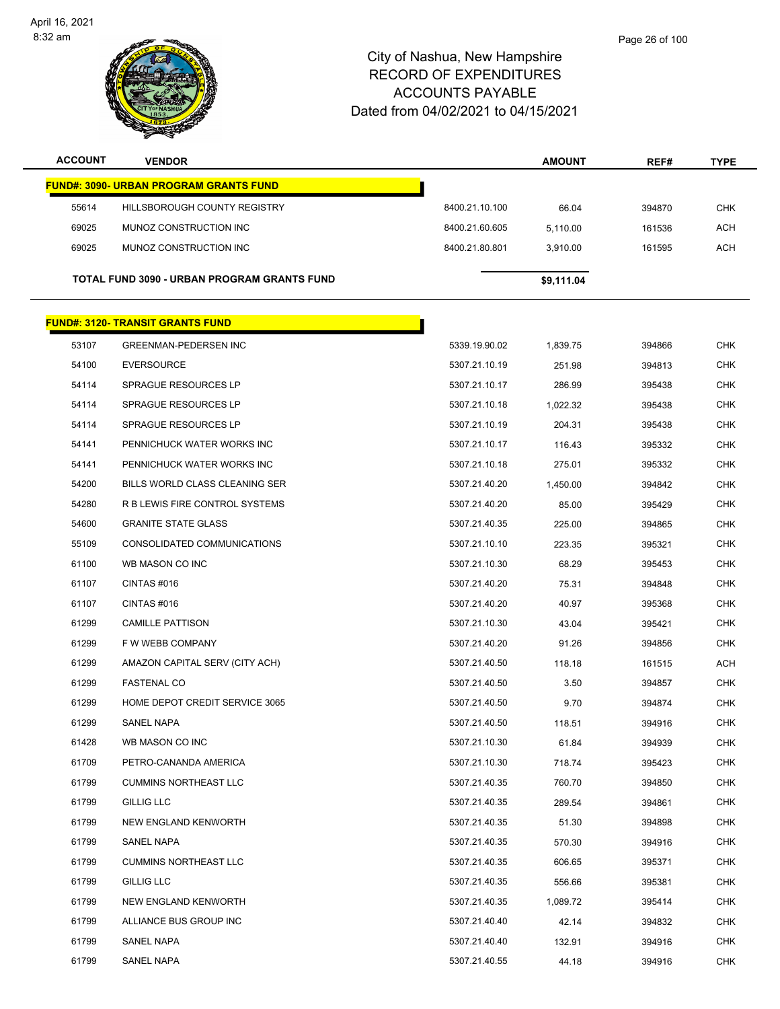

| <b>ACCOUNT</b> | <b>VENDOR</b>                                 |                | <b>AMOUNT</b> | REF#   | <b>TYPE</b> |
|----------------|-----------------------------------------------|----------------|---------------|--------|-------------|
|                | <b>FUND#: 3090- URBAN PROGRAM GRANTS FUND</b> |                |               |        |             |
| 55614          | HILLSBOROUGH COUNTY REGISTRY                  | 8400.21.10.100 | 66.04         | 394870 | <b>CHK</b>  |
| 69025          | MUNOZ CONSTRUCTION INC                        | 8400.21.60.605 | 5,110.00      | 161536 | <b>ACH</b>  |
| 69025          | MUNOZ CONSTRUCTION INC                        | 8400.21.80.801 | 3.910.00      | 161595 | <b>ACH</b>  |
|                | TOTAL FUND 3090 - URBAN PROGRAM GRANTS FUND   |                | \$9,111.04    |        |             |
|                | <b>FUND#: 3120- TRANSIT GRANTS FUND</b>       |                |               |        |             |
| 53107          | <b>GREENMAN-PEDERSEN INC</b>                  | 5339.19.90.02  | 1,839.75      | 394866 | <b>CHK</b>  |
| 54100          | <b>EVERSOURCE</b>                             | 5307.21.10.19  | 251.98        | 394813 | <b>CHK</b>  |
| 54114          | <b>SPRAGUE RESOURCES LP</b>                   | 5307.21.10.17  | 286.99        | 395438 | <b>CHK</b>  |
| 54114          | <b>SPRAGUE RESOURCES LP</b>                   | 5307.21.10.18  | 1,022.32      | 395438 | <b>CHK</b>  |
| 54114          | <b>SPRAGUE RESOURCES LP</b>                   | 5307.21.10.19  | 204.31        | 395438 | <b>CHK</b>  |
| 54141          | PENNICHUCK WATER WORKS INC                    | 5307.21.10.17  | 116.43        | 395332 | <b>CHK</b>  |
| 54141          | PENNICHUCK WATER WORKS INC                    | 5307.21.10.18  | 275.01        | 395332 | <b>CHK</b>  |
| 54200          | BILLS WORLD CLASS CLEANING SER                | 5307.21.40.20  | 1,450.00      | 394842 | <b>CHK</b>  |
| 54280          | R B LEWIS FIRE CONTROL SYSTEMS                | 5307.21.40.20  | 85.00         | 395429 | <b>CHK</b>  |
| 54600          | <b>GRANITE STATE GLASS</b>                    | 5307.21.40.35  | 225.00        | 394865 | <b>CHK</b>  |
| 55109          | CONSOLIDATED COMMUNICATIONS                   | 5307.21.10.10  | 223.35        | 395321 | <b>CHK</b>  |
| 61100          | WB MASON CO INC                               | 5307.21.10.30  | 68.29         | 395453 | <b>CHK</b>  |
| 61107          | CINTAS#016                                    | 5307.21.40.20  | 75.31         | 394848 | <b>CHK</b>  |
| 61107          | CINTAS#016                                    | 5307.21.40.20  | 40.97         | 395368 | <b>CHK</b>  |
| 61299          | <b>CAMILLE PATTISON</b>                       | 5307.21.10.30  | 43.04         | 395421 | CHK         |
| 61299          | F W WEBB COMPANY                              | 5307.21.40.20  | 91.26         | 394856 | <b>CHK</b>  |
| 61299          | AMAZON CAPITAL SERV (CITY ACH)                | 5307.21.40.50  | 118.18        | 161515 | ACH         |
| 61299          | <b>FASTENAL CO</b>                            | 5307.21.40.50  | 3.50          | 394857 | <b>CHK</b>  |
| 61299          | HOME DEPOT CREDIT SERVICE 3065                | 5307.21.40.50  | 9.70          | 394874 | <b>CHK</b>  |
| 61299          | <b>SANEL NAPA</b>                             | 5307.21.40.50  | 118.51        | 394916 | CHK         |
| 61428          | WB MASON CO INC                               | 5307.21.10.30  | 61.84         | 394939 | <b>CHK</b>  |
| 61709          | PETRO-CANANDA AMERICA                         | 5307.21.10.30  | 718.74        | 395423 | <b>CHK</b>  |
| 61799          | <b>CUMMINS NORTHEAST LLC</b>                  | 5307.21.40.35  | 760.70        | 394850 | <b>CHK</b>  |
| 61799          | GILLIG LLC                                    | 5307.21.40.35  | 289.54        | 394861 | <b>CHK</b>  |
| 61799          | <b>NEW ENGLAND KENWORTH</b>                   | 5307.21.40.35  | 51.30         | 394898 | <b>CHK</b>  |
| 61799          | SANEL NAPA                                    | 5307.21.40.35  | 570.30        | 394916 | <b>CHK</b>  |
| 61799          | <b>CUMMINS NORTHEAST LLC</b>                  | 5307.21.40.35  | 606.65        | 395371 | <b>CHK</b>  |
| 61799          | <b>GILLIG LLC</b>                             | 5307.21.40.35  | 556.66        | 395381 | <b>CHK</b>  |
| 61799          | NEW ENGLAND KENWORTH                          | 5307.21.40.35  | 1,089.72      | 395414 | <b>CHK</b>  |
| 61799          | ALLIANCE BUS GROUP INC                        | 5307.21.40.40  | 42.14         | 394832 | <b>CHK</b>  |
| 61799          | SANEL NAPA                                    | 5307.21.40.40  | 132.91        | 394916 | <b>CHK</b>  |
| 61799          | SANEL NAPA                                    | 5307.21.40.55  | 44.18         | 394916 | <b>CHK</b>  |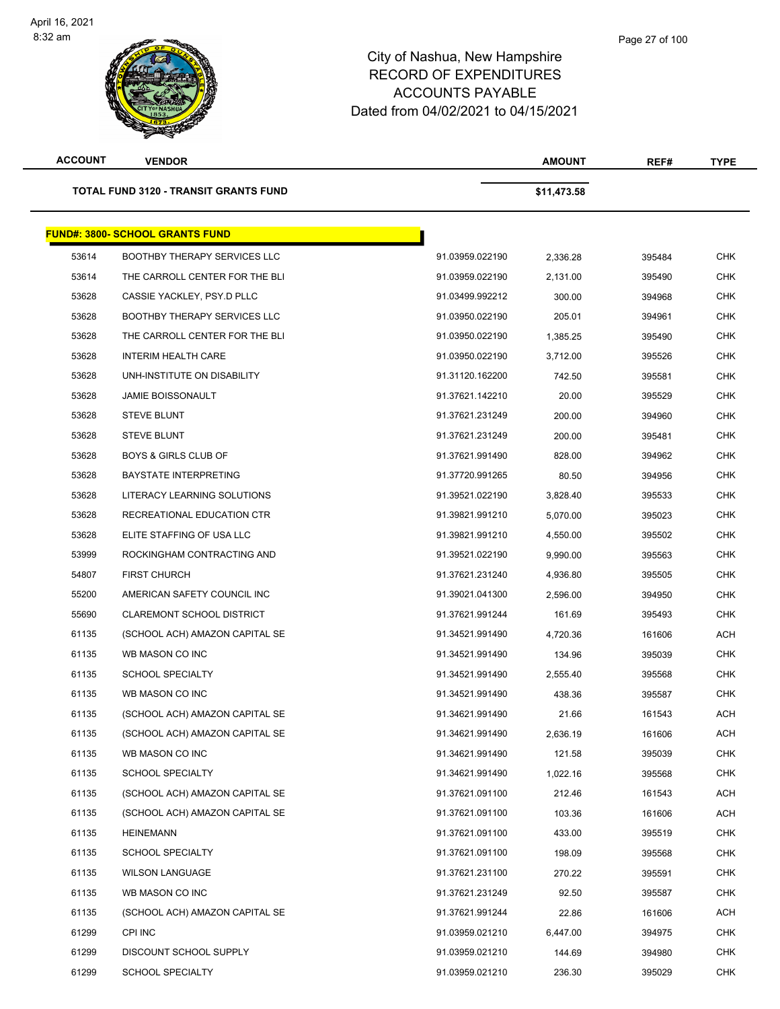### Page 27 of 100

| <b>ACCOUNT</b> | <b>VENDOR</b>                                |                 | <b>AMOUNT</b> | REF#   | TYPE       |
|----------------|----------------------------------------------|-----------------|---------------|--------|------------|
|                | <b>TOTAL FUND 3120 - TRANSIT GRANTS FUND</b> |                 | \$11,473.58   |        |            |
|                | <b>FUND#: 3800- SCHOOL GRANTS FUND</b>       |                 |               |        |            |
| 53614          | <b>BOOTHBY THERAPY SERVICES LLC</b>          | 91.03959.022190 | 2,336.28      | 395484 | CHK        |
| 53614          | THE CARROLL CENTER FOR THE BLI               | 91.03959.022190 | 2,131.00      | 395490 | CHK        |
| 53628          | CASSIE YACKLEY, PSY.D PLLC                   | 91.03499.992212 | 300.00        | 394968 | CHK        |
| 53628          | <b>BOOTHBY THERAPY SERVICES LLC</b>          | 91.03950.022190 | 205.01        | 394961 | CHK        |
| 53628          | THE CARROLL CENTER FOR THE BLI               | 91.03950.022190 | 1,385.25      | 395490 | <b>CHK</b> |
| 53628          | <b>INTERIM HEALTH CARE</b>                   | 91.03950.022190 | 3,712.00      | 395526 | CHK        |
| 53628          | UNH-INSTITUTE ON DISABILITY                  | 91.31120.162200 | 742.50        | 395581 | CHK        |
| 53628          | <b>JAMIE BOISSONAULT</b>                     | 91.37621.142210 | 20.00         | 395529 | CHK        |
| 53628          | <b>STEVE BLUNT</b>                           | 91.37621.231249 | 200.00        | 394960 | <b>CHK</b> |
| 53628          | <b>STEVE BLUNT</b>                           | 91.37621.231249 | 200.00        | 395481 | CHK        |
| 53628          | <b>BOYS &amp; GIRLS CLUB OF</b>              | 91.37621.991490 | 828.00        | 394962 | <b>CHK</b> |
| 53628          | <b>BAYSTATE INTERPRETING</b>                 | 91.37720.991265 | 80.50         | 394956 | CHK        |
| 53628          | LITERACY LEARNING SOLUTIONS                  | 91.39521.022190 | 3,828.40      | 395533 | CHK        |
| 53628          | RECREATIONAL EDUCATION CTR                   | 91.39821.991210 | 5,070.00      | 395023 | <b>CHK</b> |
| 53628          | ELITE STAFFING OF USA LLC                    | 91.39821.991210 | 4,550.00      | 395502 | <b>CHK</b> |
| 53999          | ROCKINGHAM CONTRACTING AND                   | 91.39521.022190 | 9,990.00      | 395563 | CHK        |
| 54807          | <b>FIRST CHURCH</b>                          | 91.37621.231240 | 4,936.80      | 395505 | CHK        |
| 55200          | AMERICAN SAFETY COUNCIL INC                  | 91.39021.041300 | 2,596.00      | 394950 | CHK        |
| 55690          | <b>CLAREMONT SCHOOL DISTRICT</b>             | 91.37621.991244 | 161.69        | 395493 | CHK        |
| 61135          | (SCHOOL ACH) AMAZON CAPITAL SE               | 91.34521.991490 | 4,720.36      | 161606 | ACH        |
| 61135          | WB MASON CO INC                              | 91.34521.991490 | 134.96        | 395039 | CHK        |
| 61135          | <b>SCHOOL SPECIALTY</b>                      | 91.34521.991490 | 2,555.40      | 395568 | CHK        |
| 61135          | WB MASON CO INC                              | 91.34521.991490 | 438.36        | 395587 | CHK        |
| 61135          | (SCHOOL ACH) AMAZON CAPITAL SE               | 91.34621.991490 | 21.66         | 161543 | ACH        |
| 61135          | (SCHOOL ACH) AMAZON CAPITAL SE               | 91.34621.991490 | 2,636.19      | 161606 | <b>ACH</b> |
| 61135          | WB MASON CO INC                              | 91.34621.991490 | 121.58        | 395039 | CHK        |
| 61135          | <b>SCHOOL SPECIALTY</b>                      | 91.34621.991490 | 1,022.16      | 395568 | CHK        |
| 61135          | (SCHOOL ACH) AMAZON CAPITAL SE               | 91.37621.091100 | 212.46        | 161543 | ACH        |
| 61135          | (SCHOOL ACH) AMAZON CAPITAL SE               | 91.37621.091100 | 103.36        | 161606 | ACH        |
| 61135          | HEINEMANN                                    | 91.37621.091100 | 433.00        | 395519 | <b>CHK</b> |
| 61135          | <b>SCHOOL SPECIALTY</b>                      | 91.37621.091100 | 198.09        | 395568 | <b>CHK</b> |
| 61135          | <b>WILSON LANGUAGE</b>                       | 91.37621.231100 | 270.22        | 395591 | <b>CHK</b> |
| 61135          | WB MASON CO INC                              | 91.37621.231249 | 92.50         | 395587 | CHK        |
| 61135          | (SCHOOL ACH) AMAZON CAPITAL SE               | 91.37621.991244 | 22.86         | 161606 | ACH        |
| 61299          | CPI INC                                      | 91.03959.021210 | 6,447.00      | 394975 | <b>CHK</b> |
| 61299          | DISCOUNT SCHOOL SUPPLY                       | 91.03959.021210 | 144.69        | 394980 | CHK        |
| 61299          | SCHOOL SPECIALTY                             | 91.03959.021210 | 236.30        | 395029 | <b>CHK</b> |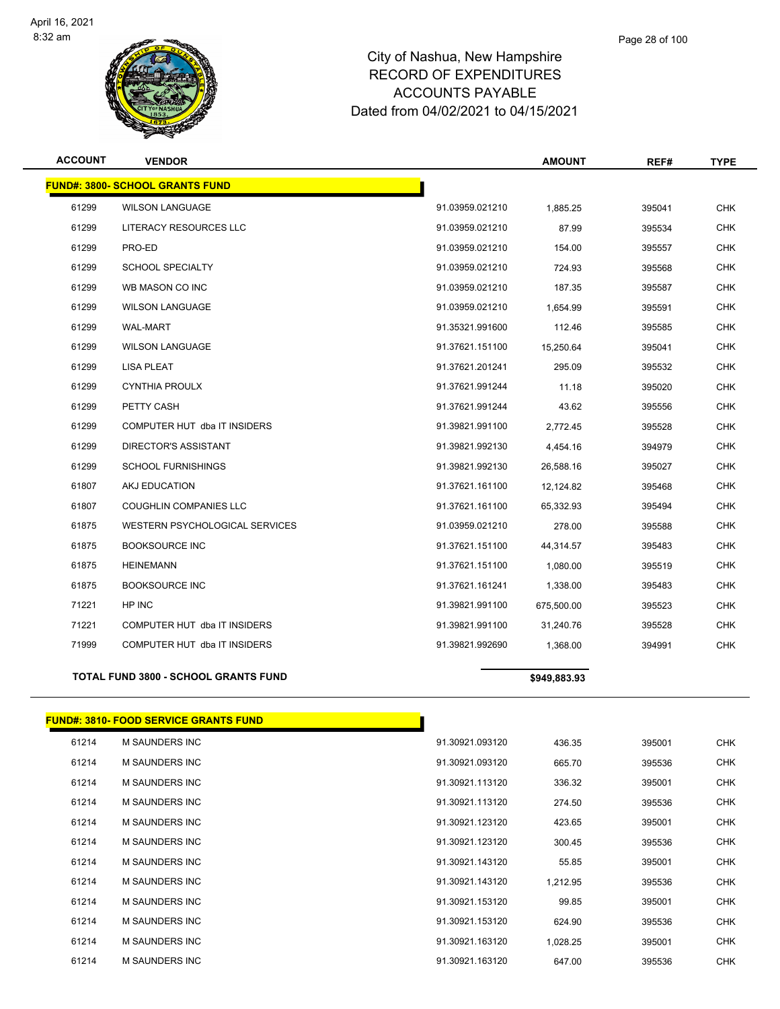

### Page 28 of 100

| <b>ACCOUNT</b> | <b>VENDOR</b>                                |                 | <b>AMOUNT</b> | REF#   | <b>TYPE</b> |
|----------------|----------------------------------------------|-----------------|---------------|--------|-------------|
|                | <b>FUND#: 3800- SCHOOL GRANTS FUND</b>       |                 |               |        |             |
| 61299          | <b>WILSON LANGUAGE</b>                       | 91.03959.021210 | 1,885.25      | 395041 | <b>CHK</b>  |
| 61299          | LITERACY RESOURCES LLC                       | 91.03959.021210 | 87.99         | 395534 | <b>CHK</b>  |
| 61299          | PRO-ED                                       | 91.03959.021210 | 154.00        | 395557 | <b>CHK</b>  |
| 61299          | <b>SCHOOL SPECIALTY</b>                      | 91.03959.021210 | 724.93        | 395568 | <b>CHK</b>  |
| 61299          | WB MASON CO INC                              | 91.03959.021210 | 187.35        | 395587 | <b>CHK</b>  |
| 61299          | <b>WILSON LANGUAGE</b>                       | 91.03959.021210 | 1,654.99      | 395591 | <b>CHK</b>  |
| 61299          | <b>WAL-MART</b>                              | 91.35321.991600 | 112.46        | 395585 | <b>CHK</b>  |
| 61299          | <b>WILSON LANGUAGE</b>                       | 91.37621.151100 | 15,250.64     | 395041 | <b>CHK</b>  |
| 61299          | <b>LISA PLEAT</b>                            | 91.37621.201241 | 295.09        | 395532 | <b>CHK</b>  |
| 61299          | <b>CYNTHIA PROULX</b>                        | 91.37621.991244 | 11.18         | 395020 | <b>CHK</b>  |
| 61299          | PETTY CASH                                   | 91.37621.991244 | 43.62         | 395556 | <b>CHK</b>  |
| 61299          | COMPUTER HUT dba IT INSIDERS                 | 91.39821.991100 | 2,772.45      | 395528 | <b>CHK</b>  |
| 61299          | DIRECTOR'S ASSISTANT                         | 91.39821.992130 | 4,454.16      | 394979 | <b>CHK</b>  |
| 61299          | <b>SCHOOL FURNISHINGS</b>                    | 91.39821.992130 | 26,588.16     | 395027 | <b>CHK</b>  |
| 61807          | AKJ EDUCATION                                | 91.37621.161100 | 12,124.82     | 395468 | <b>CHK</b>  |
| 61807          | <b>COUGHLIN COMPANIES LLC</b>                | 91.37621.161100 | 65,332.93     | 395494 | <b>CHK</b>  |
| 61875          | WESTERN PSYCHOLOGICAL SERVICES               | 91.03959.021210 | 278.00        | 395588 | <b>CHK</b>  |
| 61875          | <b>BOOKSOURCE INC</b>                        | 91.37621.151100 | 44,314.57     | 395483 | <b>CHK</b>  |
| 61875          | <b>HEINEMANN</b>                             | 91.37621.151100 | 1,080.00      | 395519 | <b>CHK</b>  |
| 61875          | <b>BOOKSOURCE INC</b>                        | 91.37621.161241 | 1,338.00      | 395483 | <b>CHK</b>  |
| 71221          | HP INC                                       | 91.39821.991100 | 675,500.00    | 395523 | <b>CHK</b>  |
| 71221          | COMPUTER HUT dba IT INSIDERS                 | 91.39821.991100 | 31,240.76     | 395528 | <b>CHK</b>  |
| 71999          | COMPUTER HUT dba IT INSIDERS                 | 91.39821.992690 | 1,368.00      | 394991 | <b>CHK</b>  |
|                | TOTAL FUND 3800 - SCHOOL GRANTS FUND         |                 | \$949,883.93  |        |             |
|                | <b>FUND#: 3810- FOOD SERVICE GRANTS FUND</b> |                 |               |        |             |
| 61214          | <b>M SAUNDERS INC</b>                        | 91.30921.093120 | 436.35        | 395001 | <b>CHK</b>  |
| 61214          | <b>M SAUNDERS INC</b>                        | 91.30921.093120 | 665.70        | 395536 | <b>CHK</b>  |
|                |                                              |                 |               |        |             |

| <u>.</u> |                       | <u>。</u>        | −∪∪.∪∪   | <u>oooo i</u> | ייי        |
|----------|-----------------------|-----------------|----------|---------------|------------|
| 61214    | M SAUNDERS INC        | 91.30921.093120 | 665.70   | 395536        | <b>CHK</b> |
| 61214    | <b>M SAUNDERS INC</b> | 91.30921.113120 | 336.32   | 395001        | <b>CHK</b> |
| 61214    | <b>M SAUNDERS INC</b> | 91.30921.113120 | 274.50   | 395536        | <b>CHK</b> |
| 61214    | <b>M SAUNDERS INC</b> | 91.30921.123120 | 423.65   | 395001        | <b>CHK</b> |
| 61214    | <b>M SAUNDERS INC</b> | 91.30921.123120 | 300.45   | 395536        | <b>CHK</b> |
| 61214    | <b>M SAUNDERS INC</b> | 91.30921.143120 | 55.85    | 395001        | <b>CHK</b> |
| 61214    | M SAUNDERS INC        | 91.30921.143120 | 1,212.95 | 395536        | <b>CHK</b> |
| 61214    | <b>M SAUNDERS INC</b> | 91.30921.153120 | 99.85    | 395001        | <b>CHK</b> |
| 61214    | <b>M SAUNDERS INC</b> | 91.30921.153120 | 624.90   | 395536        | <b>CHK</b> |
| 61214    | M SAUNDERS INC        | 91.30921.163120 | 1,028.25 | 395001        | <b>CHK</b> |
| 61214    | <b>M SAUNDERS INC</b> | 91.30921.163120 | 647.00   | 395536        | <b>CHK</b> |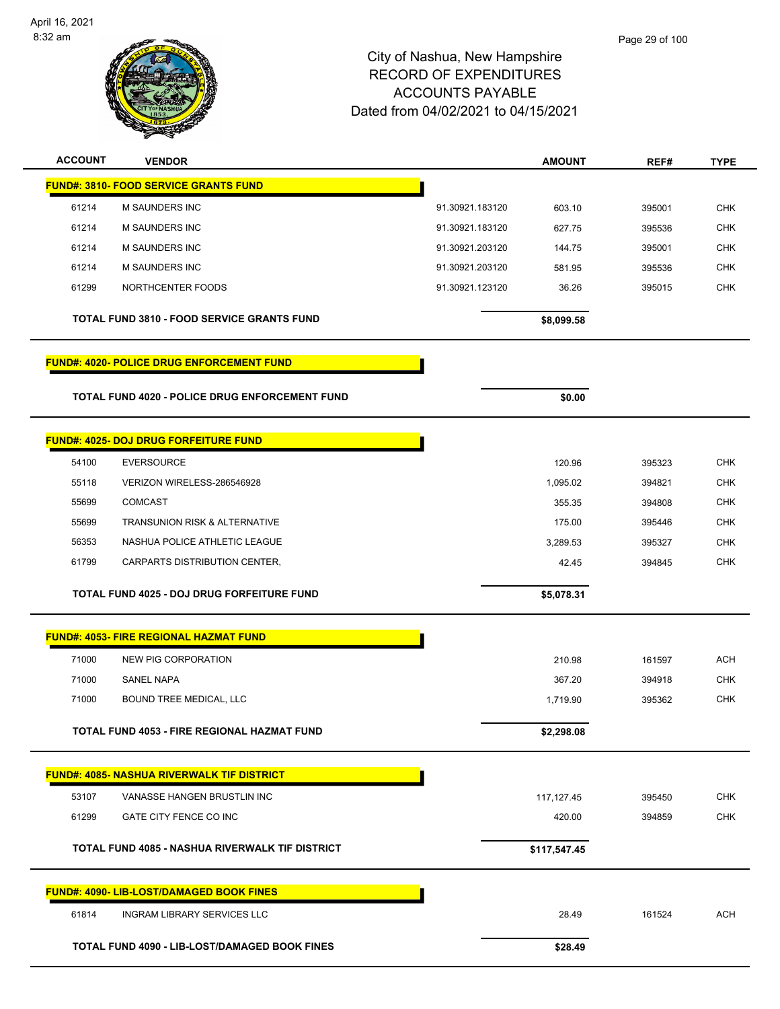

| <b>ACCOUNT</b> | <b>VENDOR</b>                                         |                 | <b>AMOUNT</b> | REF#   | <b>TYPE</b> |
|----------------|-------------------------------------------------------|-----------------|---------------|--------|-------------|
|                | <b>FUND#: 3810- FOOD SERVICE GRANTS FUND</b>          |                 |               |        |             |
| 61214          | M SAUNDERS INC                                        | 91.30921.183120 | 603.10        | 395001 | <b>CHK</b>  |
| 61214          | <b>M SAUNDERS INC</b>                                 | 91.30921.183120 | 627.75        | 395536 | <b>CHK</b>  |
| 61214          | M SAUNDERS INC                                        | 91.30921.203120 | 144.75        | 395001 | CHK         |
| 61214          | <b>M SAUNDERS INC</b>                                 | 91.30921.203120 | 581.95        | 395536 | <b>CHK</b>  |
| 61299          | NORTHCENTER FOODS                                     | 91.30921.123120 | 36.26         | 395015 | <b>CHK</b>  |
|                | <b>TOTAL FUND 3810 - FOOD SERVICE GRANTS FUND</b>     |                 | \$8,099.58    |        |             |
|                | <b>FUND#: 4020- POLICE DRUG ENFORCEMENT FUND</b>      |                 |               |        |             |
|                | <b>TOTAL FUND 4020 - POLICE DRUG ENFORCEMENT FUND</b> |                 | \$0.00        |        |             |
|                | <b>FUND#: 4025- DOJ DRUG FORFEITURE FUND</b>          |                 |               |        |             |
| 54100          | <b>EVERSOURCE</b>                                     |                 | 120.96        | 395323 | <b>CHK</b>  |
| 55118          | VERIZON WIRELESS-286546928                            |                 | 1,095.02      | 394821 | <b>CHK</b>  |
| 55699          | <b>COMCAST</b>                                        |                 | 355.35        | 394808 | <b>CHK</b>  |
| 55699          | <b>TRANSUNION RISK &amp; ALTERNATIVE</b>              |                 | 175.00        | 395446 | <b>CHK</b>  |
| 56353          | NASHUA POLICE ATHLETIC LEAGUE                         |                 | 3,289.53      | 395327 | CHK         |
| 61799          | CARPARTS DISTRIBUTION CENTER,                         |                 | 42.45         | 394845 | <b>CHK</b>  |
|                | TOTAL FUND 4025 - DOJ DRUG FORFEITURE FUND            |                 | \$5,078.31    |        |             |
|                | <b>FUND#: 4053- FIRE REGIONAL HAZMAT FUND</b>         |                 |               |        |             |
| 71000          | <b>NEW PIG CORPORATION</b>                            |                 | 210.98        | 161597 | <b>ACH</b>  |
| 71000          | <b>SANEL NAPA</b>                                     |                 | 367.20        | 394918 | <b>CHK</b>  |
| 71000          | BOUND TREE MEDICAL, LLC                               |                 | 1,719.90      | 395362 | <b>CHK</b>  |
|                |                                                       |                 |               |        |             |
|                | TOTAL FUND 4053 - FIRE REGIONAL HAZMAT FUND           |                 | \$2,298.08    |        |             |
|                | <b>FUND#: 4085- NASHUA RIVERWALK TIF DISTRICT</b>     |                 |               |        |             |
| 53107          | VANASSE HANGEN BRUSTLIN INC                           |                 | 117, 127.45   | 395450 | <b>CHK</b>  |
| 61299          | GATE CITY FENCE CO INC                                |                 | 420.00        | 394859 | <b>CHK</b>  |
|                | TOTAL FUND 4085 - NASHUA RIVERWALK TIF DISTRICT       |                 | \$117,547.45  |        |             |
|                | <b>FUND#: 4090- LIB-LOST/DAMAGED BOOK FINES</b>       |                 |               |        |             |
| 61814          | <b>INGRAM LIBRARY SERVICES LLC</b>                    |                 | 28.49         | 161524 | <b>ACH</b>  |
|                | TOTAL FUND 4090 - LIB-LOST/DAMAGED BOOK FINES         |                 | \$28.49       |        |             |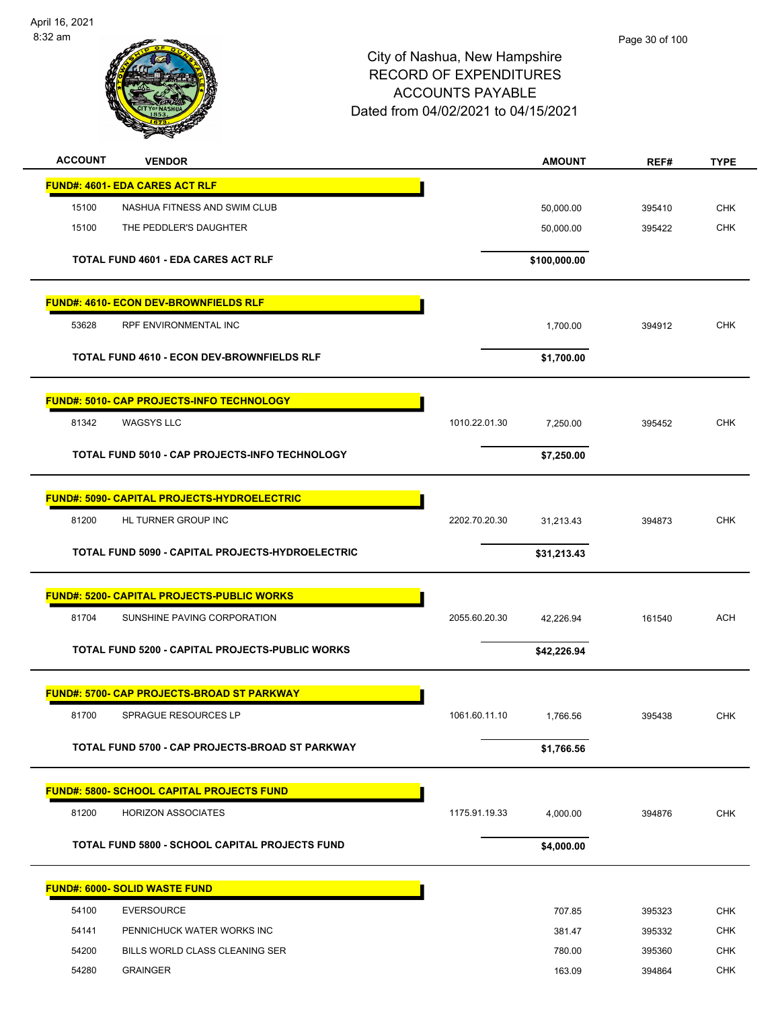

| <b>ACCOUNT</b> | <b>VENDOR</b>                                         |               | <b>AMOUNT</b> | REF#   | <b>TYPE</b> |
|----------------|-------------------------------------------------------|---------------|---------------|--------|-------------|
|                | <b>FUND#: 4601- EDA CARES ACT RLF</b>                 |               |               |        |             |
| 15100          | NASHUA FITNESS AND SWIM CLUB                          |               | 50,000.00     | 395410 | <b>CHK</b>  |
| 15100          | THE PEDDLER'S DAUGHTER                                |               | 50,000.00     | 395422 | <b>CHK</b>  |
|                | <b>TOTAL FUND 4601 - EDA CARES ACT RLF</b>            |               | \$100,000.00  |        |             |
|                | <b>FUND#: 4610- ECON DEV-BROWNFIELDS RLF</b>          |               |               |        |             |
| 53628          | RPF ENVIRONMENTAL INC                                 |               | 1,700.00      | 394912 | <b>CHK</b>  |
|                | TOTAL FUND 4610 - ECON DEV-BROWNFIELDS RLF            |               | \$1,700.00    |        |             |
|                | FUND#: 5010- CAP PROJECTS-INFO TECHNOLOGY             |               |               |        |             |
| 81342          | <b>WAGSYS LLC</b>                                     | 1010.22.01.30 | 7,250.00      | 395452 | <b>CHK</b>  |
|                | TOTAL FUND 5010 - CAP PROJECTS-INFO TECHNOLOGY        |               | \$7,250.00    |        |             |
|                | <b>FUND#: 5090- CAPITAL PROJECTS-HYDROELECTRIC</b>    |               |               |        |             |
| 81200          | HL TURNER GROUP INC                                   | 2202.70.20.30 | 31,213.43     | 394873 | <b>CHK</b>  |
|                | TOTAL FUND 5090 - CAPITAL PROJECTS-HYDROELECTRIC      |               | \$31,213.43   |        |             |
|                | <b>FUND#: 5200- CAPITAL PROJECTS-PUBLIC WORKS</b>     |               |               |        |             |
| 81704          | SUNSHINE PAVING CORPORATION                           | 2055.60.20.30 | 42,226.94     | 161540 | <b>ACH</b>  |
|                | TOTAL FUND 5200 - CAPITAL PROJECTS-PUBLIC WORKS       |               | \$42,226.94   |        |             |
|                | <b>FUND#: 5700- CAP PROJECTS-BROAD ST PARKWAY</b>     |               |               |        |             |
| 81700          | <b>SPRAGUE RESOURCES LP</b>                           | 1061.60.11.10 | 1,766.56      | 395438 | <b>CHK</b>  |
|                | TOTAL FUND 5700 - CAP PROJECTS-BROAD ST PARKWAY       |               | \$1,766.56    |        |             |
|                | <b>FUND#: 5800- SCHOOL CAPITAL PROJECTS FUND</b>      |               |               |        |             |
| 81200          | <b>HORIZON ASSOCIATES</b>                             | 1175.91.19.33 | 4,000.00      | 394876 | <b>CHK</b>  |
|                | <b>TOTAL FUND 5800 - SCHOOL CAPITAL PROJECTS FUND</b> |               | \$4,000.00    |        |             |
|                | <b>FUND#: 6000- SOLID WASTE FUND</b>                  |               |               |        |             |
| 54100          | <b>EVERSOURCE</b>                                     |               | 707.85        | 395323 | <b>CHK</b>  |
| 54141          | PENNICHUCK WATER WORKS INC                            |               | 381.47        | 395332 | <b>CHK</b>  |
| 54200          | BILLS WORLD CLASS CLEANING SER                        |               | 780.00        | 395360 | <b>CHK</b>  |
| 54280          | <b>GRAINGER</b>                                       |               | 163.09        | 394864 | <b>CHK</b>  |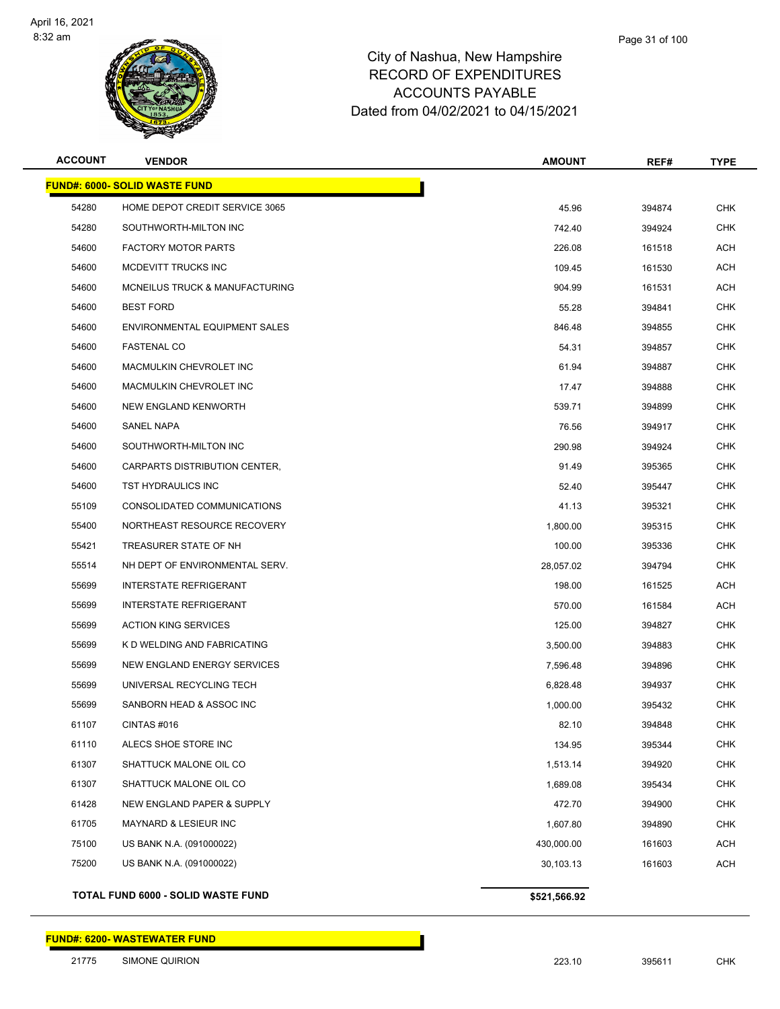

| <b>ACCOUNT</b> | <b>VENDOR</b>                             | <b>AMOUNT</b> | REF#   | <b>TYPE</b> |
|----------------|-------------------------------------------|---------------|--------|-------------|
|                | <b>FUND#: 6000- SOLID WASTE FUND</b>      |               |        |             |
| 54280          | HOME DEPOT CREDIT SERVICE 3065            | 45.96         | 394874 | <b>CHK</b>  |
| 54280          | SOUTHWORTH-MILTON INC                     | 742.40        | 394924 | <b>CHK</b>  |
| 54600          | <b>FACTORY MOTOR PARTS</b>                | 226.08        | 161518 | <b>ACH</b>  |
| 54600          | MCDEVITT TRUCKS INC                       | 109.45        | 161530 | <b>ACH</b>  |
| 54600          | <b>MCNEILUS TRUCK &amp; MANUFACTURING</b> | 904.99        | 161531 | <b>ACH</b>  |
| 54600          | <b>BEST FORD</b>                          | 55.28         | 394841 | <b>CHK</b>  |
| 54600          | ENVIRONMENTAL EQUIPMENT SALES             | 846.48        | 394855 | <b>CHK</b>  |
| 54600          | <b>FASTENAL CO</b>                        | 54.31         | 394857 | <b>CHK</b>  |
| 54600          | MACMULKIN CHEVROLET INC                   | 61.94         | 394887 | <b>CHK</b>  |
| 54600          | MACMULKIN CHEVROLET INC                   | 17.47         | 394888 | <b>CHK</b>  |
| 54600          | <b>NEW ENGLAND KENWORTH</b>               | 539.71        | 394899 | <b>CHK</b>  |
| 54600          | SANEL NAPA                                | 76.56         | 394917 | <b>CHK</b>  |
| 54600          | SOUTHWORTH-MILTON INC                     | 290.98        | 394924 | <b>CHK</b>  |
| 54600          | CARPARTS DISTRIBUTION CENTER,             | 91.49         | 395365 | <b>CHK</b>  |
| 54600          | TST HYDRAULICS INC                        | 52.40         | 395447 | <b>CHK</b>  |
| 55109          | CONSOLIDATED COMMUNICATIONS               | 41.13         | 395321 | <b>CHK</b>  |
| 55400          | NORTHEAST RESOURCE RECOVERY               | 1,800.00      | 395315 | <b>CHK</b>  |
| 55421          | TREASURER STATE OF NH                     | 100.00        | 395336 | <b>CHK</b>  |
| 55514          | NH DEPT OF ENVIRONMENTAL SERV.            | 28,057.02     | 394794 | <b>CHK</b>  |
| 55699          | <b>INTERSTATE REFRIGERANT</b>             | 198.00        | 161525 | <b>ACH</b>  |
| 55699          | <b>INTERSTATE REFRIGERANT</b>             | 570.00        | 161584 | <b>ACH</b>  |
| 55699          | <b>ACTION KING SERVICES</b>               | 125.00        | 394827 | <b>CHK</b>  |
| 55699          | K D WELDING AND FABRICATING               | 3,500.00      | 394883 | <b>CHK</b>  |
| 55699          | NEW ENGLAND ENERGY SERVICES               | 7,596.48      | 394896 | <b>CHK</b>  |
| 55699          | UNIVERSAL RECYCLING TECH                  | 6,828.48      | 394937 | <b>CHK</b>  |
| 55699          | SANBORN HEAD & ASSOC INC                  | 1,000.00      | 395432 | <b>CHK</b>  |
| 61107          | CINTAS #016                               | 82.10         | 394848 | CHK         |
| 61110          | ALECS SHOE STORE INC                      | 134.95        | 395344 | <b>CHK</b>  |
| 61307          | SHATTUCK MALONE OIL CO                    | 1,513.14      | 394920 | <b>CHK</b>  |
| 61307          | SHATTUCK MALONE OIL CO                    | 1,689.08      | 395434 | <b>CHK</b>  |
| 61428          | NEW ENGLAND PAPER & SUPPLY                | 472.70        | 394900 | <b>CHK</b>  |
| 61705          | MAYNARD & LESIEUR INC                     | 1,607.80      | 394890 | <b>CHK</b>  |
| 75100          | US BANK N.A. (091000022)                  | 430,000.00    | 161603 | <b>ACH</b>  |
| 75200          | US BANK N.A. (091000022)                  | 30,103.13     | 161603 | <b>ACH</b>  |
|                |                                           |               |        |             |

**TOTAL FUND 6000 - SOLID WASTE FUND \$521,566.92**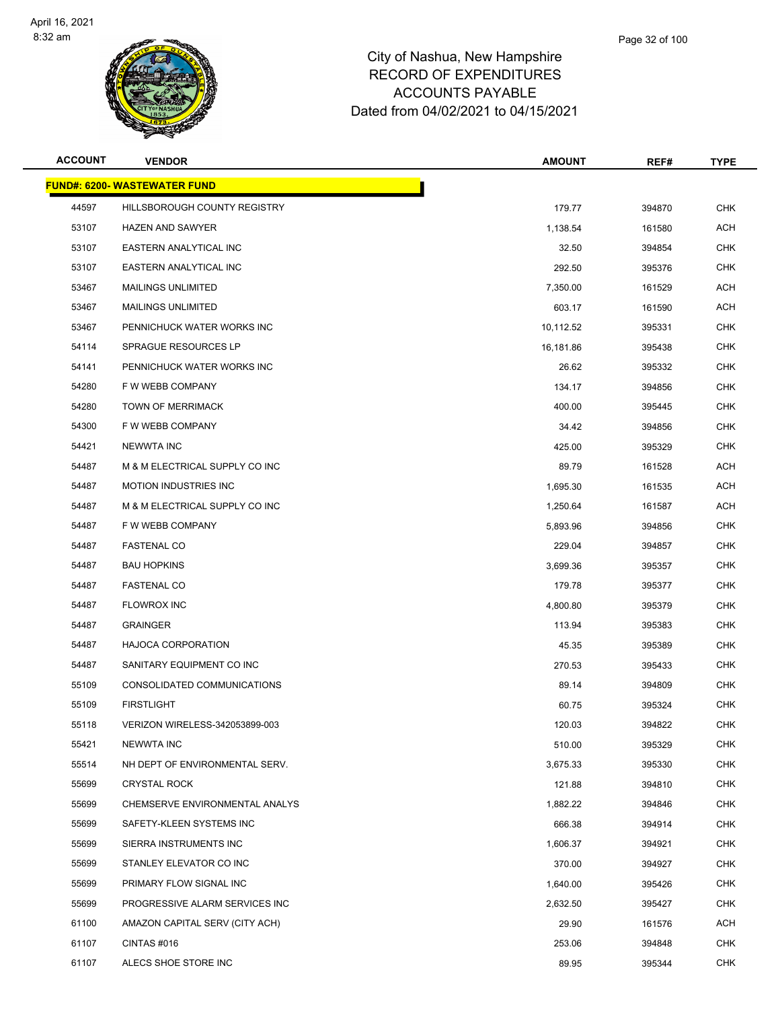

| <b>ACCOUNT</b> | <b>VENDOR</b>                        | <b>AMOUNT</b> | REF#   | <b>TYPE</b> |
|----------------|--------------------------------------|---------------|--------|-------------|
|                | <u> FUND#: 6200- WASTEWATER FUND</u> |               |        |             |
| 44597          | HILLSBOROUGH COUNTY REGISTRY         | 179.77        | 394870 | <b>CHK</b>  |
| 53107          | <b>HAZEN AND SAWYER</b>              | 1,138.54      | 161580 | <b>ACH</b>  |
| 53107          | <b>EASTERN ANALYTICAL INC</b>        | 32.50         | 394854 | <b>CHK</b>  |
| 53107          | EASTERN ANALYTICAL INC               | 292.50        | 395376 | <b>CHK</b>  |
| 53467          | <b>MAILINGS UNLIMITED</b>            | 7,350.00      | 161529 | <b>ACH</b>  |
| 53467          | <b>MAILINGS UNLIMITED</b>            | 603.17        | 161590 | ACH         |
| 53467          | PENNICHUCK WATER WORKS INC           | 10,112.52     | 395331 | <b>CHK</b>  |
| 54114          | SPRAGUE RESOURCES LP                 | 16,181.86     | 395438 | <b>CHK</b>  |
| 54141          | PENNICHUCK WATER WORKS INC           | 26.62         | 395332 | <b>CHK</b>  |
| 54280          | F W WEBB COMPANY                     | 134.17        | 394856 | <b>CHK</b>  |
| 54280          | <b>TOWN OF MERRIMACK</b>             | 400.00        | 395445 | <b>CHK</b>  |
| 54300          | F W WEBB COMPANY                     | 34.42         | 394856 | <b>CHK</b>  |
| 54421          | <b>NEWWTA INC</b>                    | 425.00        | 395329 | <b>CHK</b>  |
| 54487          | M & M ELECTRICAL SUPPLY CO INC       | 89.79         | 161528 | ACH         |
| 54487          | <b>MOTION INDUSTRIES INC</b>         | 1,695.30      | 161535 | <b>ACH</b>  |
| 54487          | M & M ELECTRICAL SUPPLY CO INC       | 1,250.64      | 161587 | ACH         |
| 54487          | F W WEBB COMPANY                     | 5,893.96      | 394856 | <b>CHK</b>  |
| 54487          | <b>FASTENAL CO</b>                   | 229.04        | 394857 | <b>CHK</b>  |
| 54487          | <b>BAU HOPKINS</b>                   | 3,699.36      | 395357 | <b>CHK</b>  |
| 54487          | <b>FASTENAL CO</b>                   | 179.78        | 395377 | <b>CHK</b>  |
| 54487          | <b>FLOWROX INC</b>                   | 4,800.80      | 395379 | <b>CHK</b>  |
| 54487          | <b>GRAINGER</b>                      | 113.94        | 395383 | <b>CHK</b>  |
| 54487          | <b>HAJOCA CORPORATION</b>            | 45.35         | 395389 | <b>CHK</b>  |
| 54487          | SANITARY EQUIPMENT CO INC            | 270.53        | 395433 | <b>CHK</b>  |
| 55109          | CONSOLIDATED COMMUNICATIONS          | 89.14         | 394809 | <b>CHK</b>  |
| 55109          | <b>FIRSTLIGHT</b>                    | 60.75         | 395324 | <b>CHK</b>  |
| 55118          | VERIZON WIRELESS-342053899-003       | 120.03        | 394822 | <b>CHK</b>  |
| 55421          | NEWWTA INC                           | 510.00        | 395329 | CHK         |
| 55514          | NH DEPT OF ENVIRONMENTAL SERV.       | 3,675.33      | 395330 | <b>CHK</b>  |
| 55699          | <b>CRYSTAL ROCK</b>                  | 121.88        | 394810 | <b>CHK</b>  |
| 55699          | CHEMSERVE ENVIRONMENTAL ANALYS       | 1,882.22      | 394846 | CHK         |
| 55699          | SAFETY-KLEEN SYSTEMS INC             | 666.38        | 394914 | <b>CHK</b>  |
| 55699          | SIERRA INSTRUMENTS INC               | 1,606.37      | 394921 | <b>CHK</b>  |
| 55699          | STANLEY ELEVATOR CO INC              | 370.00        | 394927 | <b>CHK</b>  |
| 55699          | PRIMARY FLOW SIGNAL INC              | 1,640.00      | 395426 | <b>CHK</b>  |
| 55699          | PROGRESSIVE ALARM SERVICES INC       | 2,632.50      | 395427 | <b>CHK</b>  |
| 61100          | AMAZON CAPITAL SERV (CITY ACH)       | 29.90         | 161576 | ACH         |
| 61107          | CINTAS #016                          | 253.06        | 394848 | CHK         |
| 61107          | ALECS SHOE STORE INC                 | 89.95         | 395344 | <b>CHK</b>  |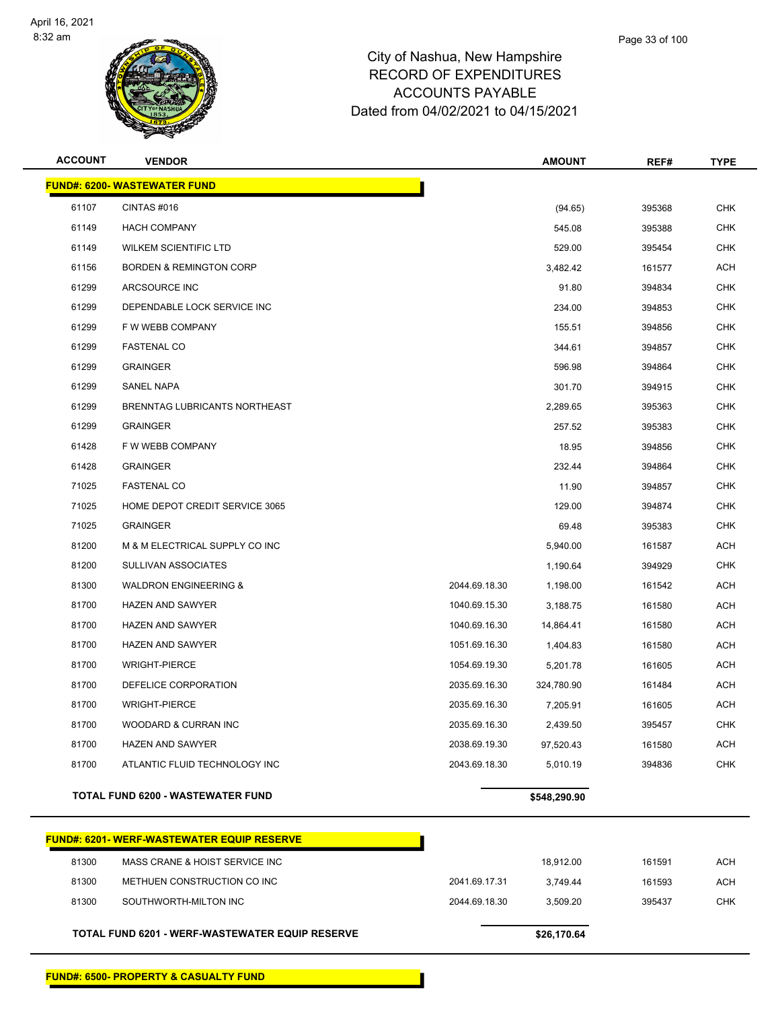

| <b>ACCOUNT</b> | <b>VENDOR</b>                                    |               | <b>AMOUNT</b> | REF#   | <b>TYPE</b> |
|----------------|--------------------------------------------------|---------------|---------------|--------|-------------|
|                | <b>FUND#: 6200- WASTEWATER FUND</b>              |               |               |        |             |
| 61107          | CINTAS#016                                       |               | (94.65)       | 395368 | <b>CHK</b>  |
| 61149          | <b>HACH COMPANY</b>                              |               | 545.08        | 395388 | <b>CHK</b>  |
| 61149          | <b>WILKEM SCIENTIFIC LTD</b>                     |               | 529.00        | 395454 | <b>CHK</b>  |
| 61156          | <b>BORDEN &amp; REMINGTON CORP</b>               |               | 3,482.42      | 161577 | <b>ACH</b>  |
| 61299          | ARCSOURCE INC                                    |               | 91.80         | 394834 | <b>CHK</b>  |
| 61299          | DEPENDABLE LOCK SERVICE INC                      |               | 234.00        | 394853 | <b>CHK</b>  |
| 61299          | F W WEBB COMPANY                                 |               | 155.51        | 394856 | <b>CHK</b>  |
| 61299          | <b>FASTENAL CO</b>                               |               | 344.61        | 394857 | <b>CHK</b>  |
| 61299          | <b>GRAINGER</b>                                  |               | 596.98        | 394864 | <b>CHK</b>  |
| 61299          | SANEL NAPA                                       |               | 301.70        | 394915 | <b>CHK</b>  |
| 61299          | BRENNTAG LUBRICANTS NORTHEAST                    |               | 2,289.65      | 395363 | <b>CHK</b>  |
| 61299          | <b>GRAINGER</b>                                  |               | 257.52        | 395383 | <b>CHK</b>  |
| 61428          | F W WEBB COMPANY                                 |               | 18.95         | 394856 | <b>CHK</b>  |
| 61428          | <b>GRAINGER</b>                                  |               | 232.44        | 394864 | <b>CHK</b>  |
| 71025          | <b>FASTENAL CO</b>                               |               | 11.90         | 394857 | <b>CHK</b>  |
| 71025          | HOME DEPOT CREDIT SERVICE 3065                   |               | 129.00        | 394874 | <b>CHK</b>  |
| 71025          | <b>GRAINGER</b>                                  |               | 69.48         | 395383 | <b>CHK</b>  |
| 81200          | M & M ELECTRICAL SUPPLY CO INC                   |               | 5,940.00      | 161587 | <b>ACH</b>  |
| 81200          | SULLIVAN ASSOCIATES                              |               | 1,190.64      | 394929 | <b>CHK</b>  |
| 81300          | <b>WALDRON ENGINEERING &amp;</b>                 | 2044.69.18.30 | 1,198.00      | 161542 | <b>ACH</b>  |
| 81700          | <b>HAZEN AND SAWYER</b>                          | 1040.69.15.30 | 3,188.75      | 161580 | <b>ACH</b>  |
| 81700          | <b>HAZEN AND SAWYER</b>                          | 1040.69.16.30 | 14,864.41     | 161580 | ACH         |
| 81700          | <b>HAZEN AND SAWYER</b>                          | 1051.69.16.30 | 1,404.83      | 161580 | <b>ACH</b>  |
| 81700          | <b>WRIGHT-PIERCE</b>                             | 1054.69.19.30 | 5,201.78      | 161605 | <b>ACH</b>  |
| 81700          | DEFELICE CORPORATION                             | 2035.69.16.30 | 324,780.90    | 161484 | <b>ACH</b>  |
| 81700          | <b>WRIGHT-PIERCE</b>                             | 2035.69.16.30 | 7,205.91      | 161605 | ACH         |
| 81700          | WOODARD & CURRAN INC                             | 2035.69.16.30 | 2,439.50      | 395457 | CHK         |
| 81700          | <b>HAZEN AND SAWYER</b>                          | 2038.69.19.30 | 97,520.43     | 161580 | <b>ACH</b>  |
| 81700          | ATLANTIC FLUID TECHNOLOGY INC                    | 2043.69.18.30 | 5,010.19      | 394836 | CHK         |
|                | <b>TOTAL FUND 6200 - WASTEWATER FUND</b>         |               | \$548,290.90  |        |             |
|                | <b>FUNDA, COOL, WEDE WASTEWATED FOUR DESERVE</b> |               |               |        |             |

|       | <u> FUND#: 6201- WERF-WASTEWATER EQUIP RESERVE_</u>    |               |             |        |     |
|-------|--------------------------------------------------------|---------------|-------------|--------|-----|
| 81300 | MASS CRANE & HOIST SERVICE INC                         |               | 18.912.00   | 161591 | ACH |
| 81300 | METHUEN CONSTRUCTION CO INC                            | 2041.69.17.31 | 3.749.44    | 161593 | ACH |
| 81300 | SOUTHWORTH-MILTON INC                                  | 2044.69.18.30 | 3.509.20    | 395437 | CHK |
|       | <b>TOTAL FUND 6201 - WERF-WASTEWATER EQUIP RESERVE</b> |               | \$26,170.64 |        |     |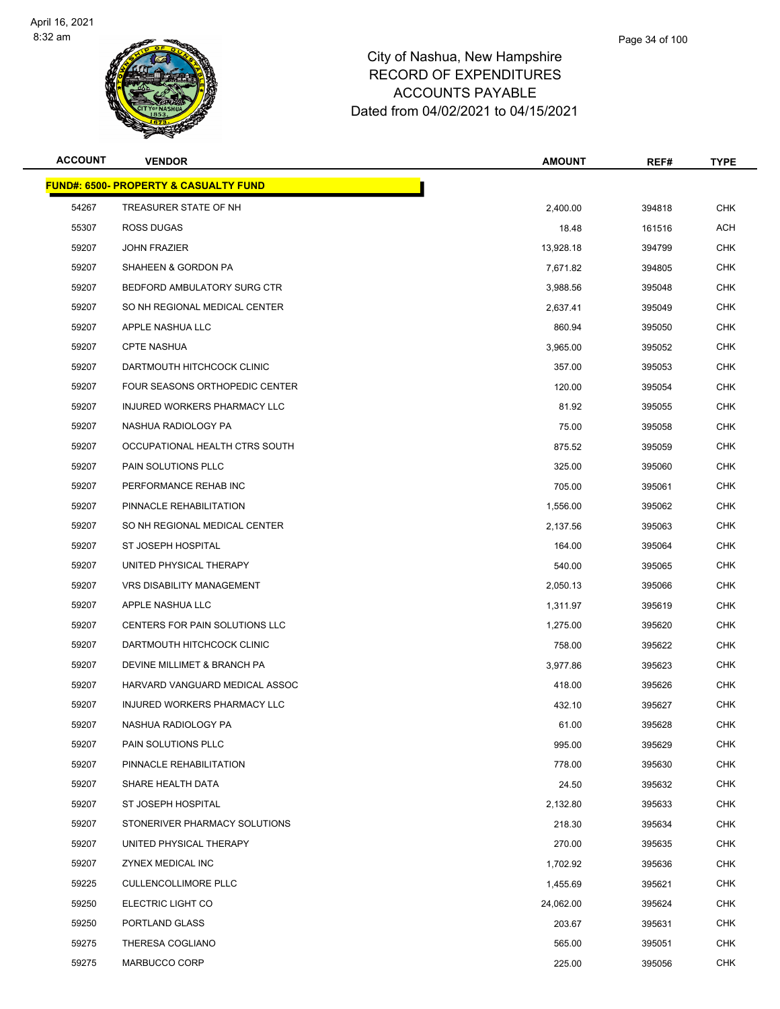

| <b>ACCOUNT</b> | <b>VENDOR</b>                                    | <b>AMOUNT</b> | REF#   | <b>TYPE</b> |
|----------------|--------------------------------------------------|---------------|--------|-------------|
|                | <b>FUND#: 6500- PROPERTY &amp; CASUALTY FUND</b> |               |        |             |
| 54267          | TREASURER STATE OF NH                            | 2,400.00      | 394818 | <b>CHK</b>  |
| 55307          | ROSS DUGAS                                       | 18.48         | 161516 | ACH         |
| 59207          | <b>JOHN FRAZIER</b>                              | 13,928.18     | 394799 | CHK         |
| 59207          | SHAHEEN & GORDON PA                              | 7,671.82      | 394805 | <b>CHK</b>  |
| 59207          | BEDFORD AMBULATORY SURG CTR                      | 3,988.56      | 395048 | <b>CHK</b>  |
| 59207          | SO NH REGIONAL MEDICAL CENTER                    | 2,637.41      | 395049 | CHK         |
| 59207          | APPLE NASHUA LLC                                 | 860.94        | 395050 | <b>CHK</b>  |
| 59207          | <b>CPTE NASHUA</b>                               | 3,965.00      | 395052 | <b>CHK</b>  |
| 59207          | DARTMOUTH HITCHCOCK CLINIC                       | 357.00        | 395053 | CHK         |
| 59207          | FOUR SEASONS ORTHOPEDIC CENTER                   | 120.00        | 395054 | <b>CHK</b>  |
| 59207          | INJURED WORKERS PHARMACY LLC                     | 81.92         | 395055 | CHK         |
| 59207          | NASHUA RADIOLOGY PA                              | 75.00         | 395058 | <b>CHK</b>  |
| 59207          | OCCUPATIONAL HEALTH CTRS SOUTH                   | 875.52        | 395059 | CHK         |
| 59207          | PAIN SOLUTIONS PLLC                              | 325.00        | 395060 | <b>CHK</b>  |
| 59207          | PERFORMANCE REHAB INC                            | 705.00        | 395061 | CHK         |
| 59207          | PINNACLE REHABILITATION                          | 1,556.00      | 395062 | CHK         |
| 59207          | SO NH REGIONAL MEDICAL CENTER                    | 2,137.56      | 395063 | <b>CHK</b>  |
| 59207          | ST JOSEPH HOSPITAL                               | 164.00        | 395064 | <b>CHK</b>  |
| 59207          | UNITED PHYSICAL THERAPY                          | 540.00        | 395065 | <b>CHK</b>  |
| 59207          | VRS DISABILITY MANAGEMENT                        | 2,050.13      | 395066 | <b>CHK</b>  |
| 59207          | APPLE NASHUA LLC                                 | 1,311.97      | 395619 | CHK         |
| 59207          | CENTERS FOR PAIN SOLUTIONS LLC                   | 1,275.00      | 395620 | <b>CHK</b>  |
| 59207          | DARTMOUTH HITCHCOCK CLINIC                       | 758.00        | 395622 | CHK         |
| 59207          | DEVINE MILLIMET & BRANCH PA                      | 3,977.86      | 395623 | <b>CHK</b>  |
| 59207          | HARVARD VANGUARD MEDICAL ASSOC                   | 418.00        | 395626 | <b>CHK</b>  |
| 59207          | <b>INJURED WORKERS PHARMACY LLC</b>              | 432.10        | 395627 | CHK         |
| 59207          | NASHUA RADIOLOGY PA                              | 61.00         | 395628 | <b>CHK</b>  |
| 59207          | PAIN SOLUTIONS PLLC                              | 995.00        | 395629 | <b>CHK</b>  |
| 59207          | PINNACLE REHABILITATION                          | 778.00        | 395630 | <b>CHK</b>  |
| 59207          | SHARE HEALTH DATA                                | 24.50         | 395632 | <b>CHK</b>  |
| 59207          | ST JOSEPH HOSPITAL                               | 2,132.80      | 395633 | CHK         |
| 59207          | STONERIVER PHARMACY SOLUTIONS                    | 218.30        | 395634 | <b>CHK</b>  |
| 59207          | UNITED PHYSICAL THERAPY                          | 270.00        | 395635 | <b>CHK</b>  |
| 59207          | ZYNEX MEDICAL INC                                | 1,702.92      | 395636 | <b>CHK</b>  |
| 59225          | <b>CULLENCOLLIMORE PLLC</b>                      | 1,455.69      | 395621 | <b>CHK</b>  |
| 59250          | ELECTRIC LIGHT CO                                | 24,062.00     | 395624 | <b>CHK</b>  |
| 59250          | PORTLAND GLASS                                   | 203.67        | 395631 | <b>CHK</b>  |
| 59275          | THERESA COGLIANO                                 | 565.00        | 395051 | <b>CHK</b>  |
| 59275          | MARBUCCO CORP                                    | 225.00        | 395056 | <b>CHK</b>  |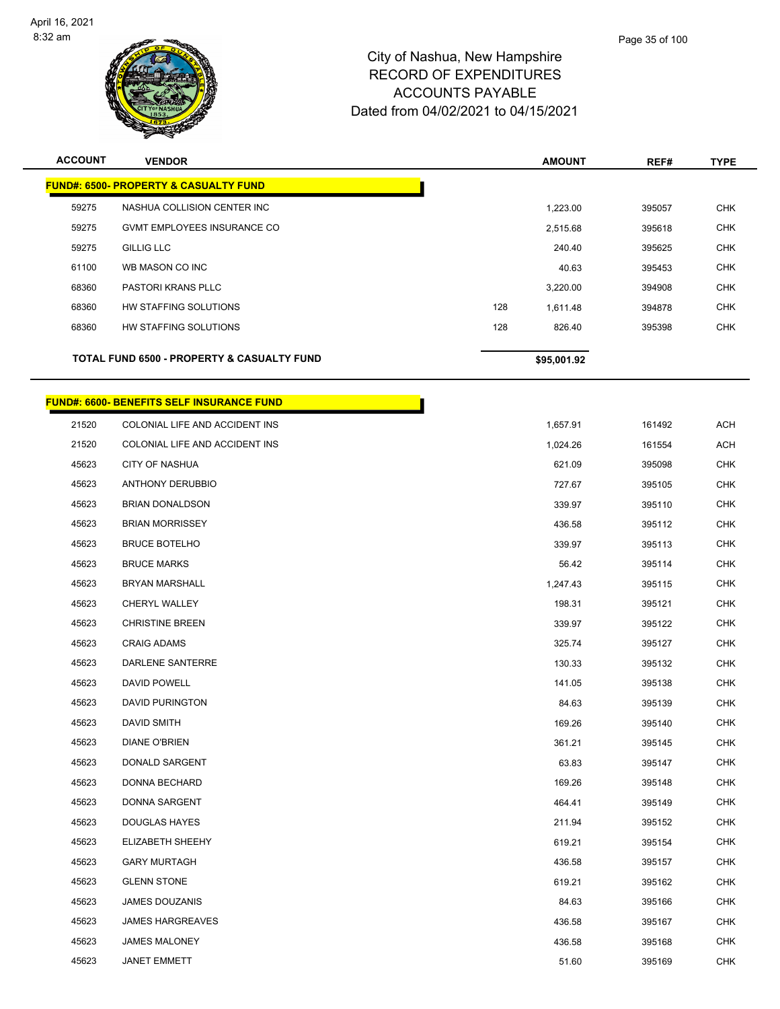

| <b>ACCOUNT</b> | <b>VENDOR</b>                                         |     | <b>AMOUNT</b> | REF#   | <b>TYPE</b> |
|----------------|-------------------------------------------------------|-----|---------------|--------|-------------|
|                | <u> FUND#: 6500- PROPERTY &amp; CASUALTY FUND</u>     |     |               |        |             |
| 59275          | NASHUA COLLISION CENTER INC                           |     | 1,223.00      | 395057 | <b>CHK</b>  |
| 59275          | <b>GVMT EMPLOYEES INSURANCE CO</b>                    |     | 2,515.68      | 395618 | <b>CHK</b>  |
| 59275          | <b>GILLIG LLC</b>                                     |     | 240.40        | 395625 | <b>CHK</b>  |
| 61100          | WB MASON CO INC                                       |     | 40.63         | 395453 | <b>CHK</b>  |
| 68360          | <b>PASTORI KRANS PLLC</b>                             |     | 3,220.00      | 394908 | <b>CHK</b>  |
| 68360          | HW STAFFING SOLUTIONS                                 | 128 | 1,611.48      | 394878 | <b>CHK</b>  |
| 68360          | HW STAFFING SOLUTIONS                                 | 128 | 826.40        | 395398 | <b>CHK</b>  |
|                | <b>TOTAL FUND 6500 - PROPERTY &amp; CASUALTY FUND</b> |     | \$95,001.92   |        |             |

# **FUND#: 6600- BENEFITS SELF INSURANCE FUND**

|       | <u> JND#: 6600- BENEFITS SELF INSURANCE FUND</u> |          |
|-------|--------------------------------------------------|----------|
| 21520 | COLONIAL LIFE AND ACCIDENT INS                   | 1,657.91 |
| 21520 | COLONIAL LIFE AND ACCIDENT INS                   | 1,024.26 |
| 45623 | <b>CITY OF NASHUA</b>                            | 621.09   |
| 45623 | <b>ANTHONY DERUBBIO</b>                          | 727.67   |
| 45623 | <b>BRIAN DONALDSON</b>                           | 339.97   |
| 45623 | <b>BRIAN MORRISSEY</b>                           | 436.58   |
| 45623 | <b>BRUCE BOTELHO</b>                             | 339.97   |
| 45623 | <b>BRUCE MARKS</b>                               | 56.42    |
| 45623 | <b>BRYAN MARSHALL</b>                            | 1,247.43 |
| 45623 | CHERYL WALLEY                                    | 198.31   |
| 45623 | <b>CHRISTINE BREEN</b>                           | 339.97   |
| 45623 | <b>CRAIG ADAMS</b>                               | 325.74   |
| 45623 | DARLENE SANTERRE                                 | 130.33   |
| 45623 | DAVID POWELL                                     | 141.05   |
| 45623 | <b>DAVID PURINGTON</b>                           | 84.63    |
| 45623 | <b>DAVID SMITH</b>                               | 169.26   |
| 45623 | DIANE O'BRIEN                                    | 361.21   |
| 45623 | DONALD SARGENT                                   | 63.83    |
| 45623 | DONNA BECHARD                                    | 169.26   |
| 45623 | DONNA SARGENT                                    | 464.41   |
| 45623 | <b>DOUGLAS HAYES</b>                             | 211.94   |
| 45623 | ELIZABETH SHEEHY                                 | 619.21   |
| 45623 | <b>GARY MURTAGH</b>                              | 436.58   |
| 45623 | <b>GLENN STONE</b>                               | 619.21   |
| 45623 | <b>JAMES DOUZANIS</b>                            | 84.63    |
| 45623 | <b>JAMES HARGREAVES</b>                          | 436.58   |
| 45623 | <b>JAMES MALONEY</b>                             | 436.58   |
| 45623 | <b>JANET EMMETT</b>                              | 51.60    |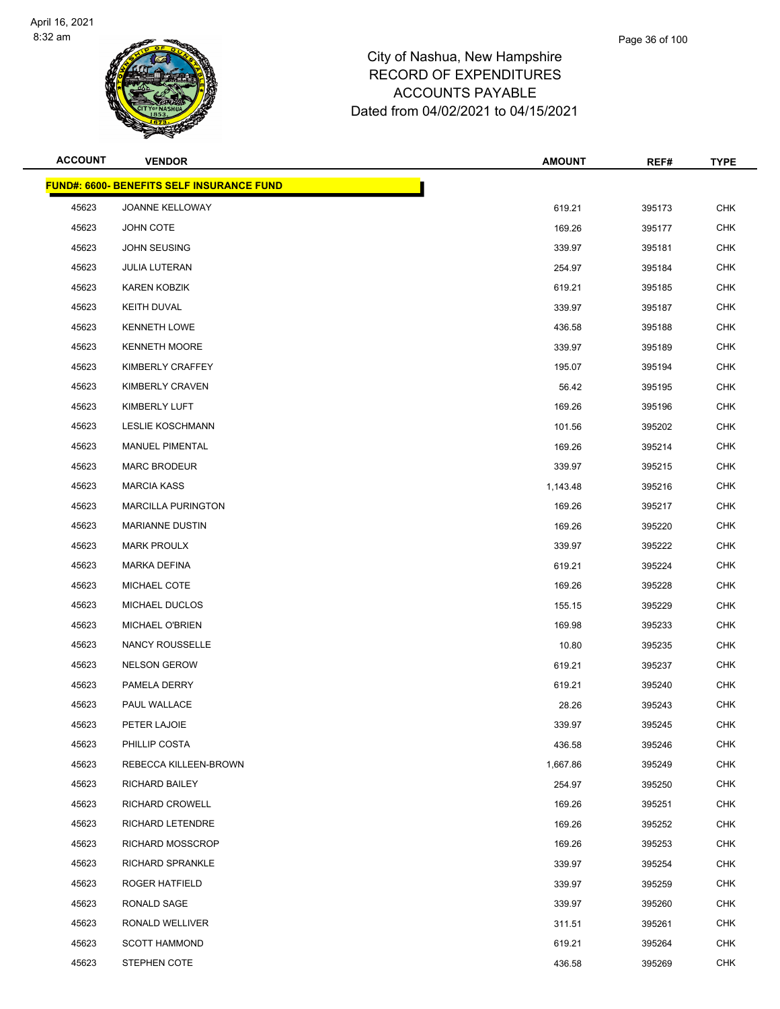

| <b>ACCOUNT</b> | <b>VENDOR</b>                                    | <b>AMOUNT</b> | REF#   | <b>TYPE</b> |
|----------------|--------------------------------------------------|---------------|--------|-------------|
|                | <b>FUND#: 6600- BENEFITS SELF INSURANCE FUND</b> |               |        |             |
| 45623          | JOANNE KELLOWAY                                  | 619.21        | 395173 | <b>CHK</b>  |
| 45623          | JOHN COTE                                        | 169.26        | 395177 | <b>CHK</b>  |
| 45623          | JOHN SEUSING                                     | 339.97        | 395181 | <b>CHK</b>  |
| 45623          | <b>JULIA LUTERAN</b>                             | 254.97        | 395184 | <b>CHK</b>  |
| 45623          | KAREN KOBZIK                                     | 619.21        | 395185 | <b>CHK</b>  |
| 45623          | <b>KEITH DUVAL</b>                               | 339.97        | 395187 | <b>CHK</b>  |
| 45623          | <b>KENNETH LOWE</b>                              | 436.58        | 395188 | <b>CHK</b>  |
| 45623          | <b>KENNETH MOORE</b>                             | 339.97        | 395189 | <b>CHK</b>  |
| 45623          | KIMBERLY CRAFFEY                                 | 195.07        | 395194 | <b>CHK</b>  |
| 45623          | KIMBERLY CRAVEN                                  | 56.42         | 395195 | <b>CHK</b>  |
| 45623          | KIMBERLY LUFT                                    | 169.26        | 395196 | <b>CHK</b>  |
| 45623          | <b>LESLIE KOSCHMANN</b>                          | 101.56        | 395202 | <b>CHK</b>  |
| 45623          | MANUEL PIMENTAL                                  | 169.26        | 395214 | <b>CHK</b>  |
| 45623          | <b>MARC BRODEUR</b>                              | 339.97        | 395215 | <b>CHK</b>  |
| 45623          | <b>MARCIA KASS</b>                               | 1,143.48      | 395216 | <b>CHK</b>  |
| 45623          | <b>MARCILLA PURINGTON</b>                        | 169.26        | 395217 | <b>CHK</b>  |
| 45623          | <b>MARIANNE DUSTIN</b>                           | 169.26        | 395220 | <b>CHK</b>  |
| 45623          | <b>MARK PROULX</b>                               | 339.97        | 395222 | <b>CHK</b>  |
| 45623          | MARKA DEFINA                                     | 619.21        | 395224 | <b>CHK</b>  |
| 45623          | MICHAEL COTE                                     | 169.26        | 395228 | <b>CHK</b>  |
| 45623          | MICHAEL DUCLOS                                   | 155.15        | 395229 | <b>CHK</b>  |
| 45623          | MICHAEL O'BRIEN                                  | 169.98        | 395233 | <b>CHK</b>  |
| 45623          | <b>NANCY ROUSSELLE</b>                           | 10.80         | 395235 | <b>CHK</b>  |
| 45623          | <b>NELSON GEROW</b>                              | 619.21        | 395237 | <b>CHK</b>  |
| 45623          | PAMELA DERRY                                     | 619.21        | 395240 | <b>CHK</b>  |
| 45623          | PAUL WALLACE                                     | 28.26         | 395243 | <b>CHK</b>  |
| 45623          | PETER LAJOIE                                     | 339.97        | 395245 | <b>CHK</b>  |
| 45623          | PHILLIP COSTA                                    | 436.58        | 395246 | <b>CHK</b>  |
| 45623          | REBECCA KILLEEN-BROWN                            | 1,667.86      | 395249 | <b>CHK</b>  |
| 45623          | RICHARD BAILEY                                   | 254.97        | 395250 | <b>CHK</b>  |
| 45623          | RICHARD CROWELL                                  | 169.26        | 395251 | <b>CHK</b>  |
| 45623          | RICHARD LETENDRE                                 | 169.26        | 395252 | <b>CHK</b>  |
| 45623          | <b>RICHARD MOSSCROP</b>                          | 169.26        | 395253 | <b>CHK</b>  |
| 45623          | RICHARD SPRANKLE                                 | 339.97        | 395254 | <b>CHK</b>  |
| 45623          | <b>ROGER HATFIELD</b>                            | 339.97        | 395259 | <b>CHK</b>  |
| 45623          | RONALD SAGE                                      | 339.97        | 395260 | <b>CHK</b>  |
| 45623          | RONALD WELLIVER                                  | 311.51        | 395261 | <b>CHK</b>  |
| 45623          | <b>SCOTT HAMMOND</b>                             | 619.21        | 395264 | <b>CHK</b>  |
| 45623          | STEPHEN COTE                                     | 436.58        | 395269 | <b>CHK</b>  |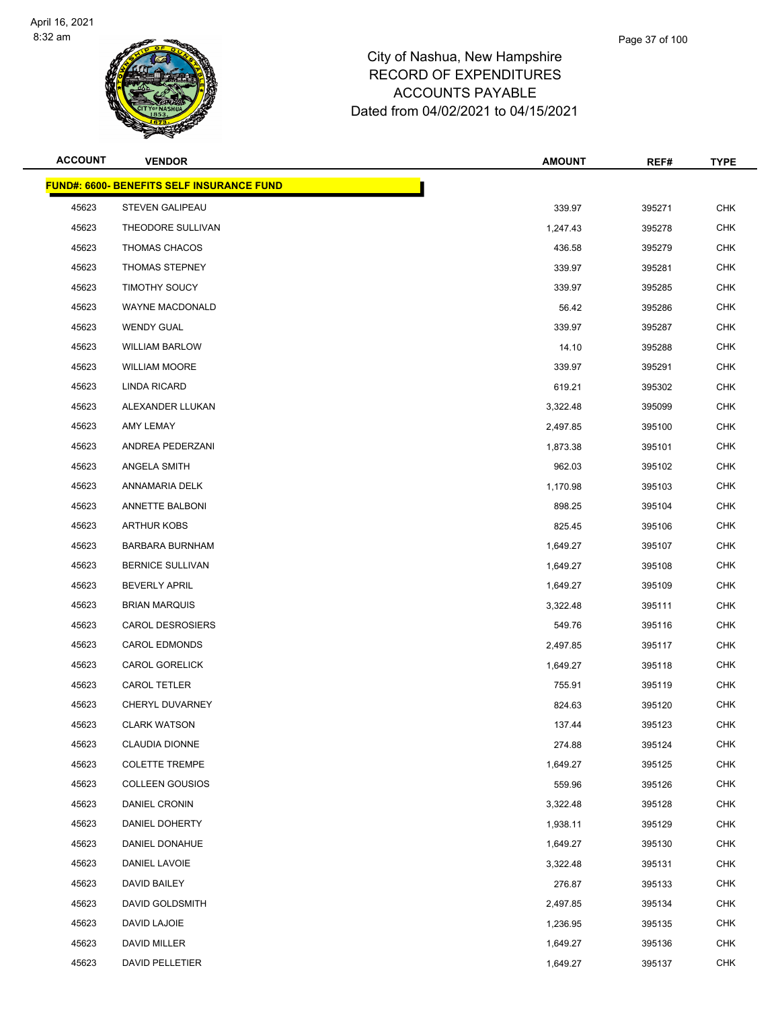

|       | Page 37 of 100 |  |
|-------|----------------|--|
| shire |                |  |
| nro   |                |  |

| <b>ACCOUNT</b> | <b>VENDOR</b>                                    | <b>AMOUNT</b> | REF#   | <b>TYPE</b> |
|----------------|--------------------------------------------------|---------------|--------|-------------|
|                | <b>FUND#: 6600- BENEFITS SELF INSURANCE FUND</b> |               |        |             |
| 45623          | <b>STEVEN GALIPEAU</b>                           | 339.97        | 395271 | <b>CHK</b>  |
| 45623          | THEODORE SULLIVAN                                | 1,247.43      | 395278 | <b>CHK</b>  |
| 45623          | THOMAS CHACOS                                    | 436.58        | 395279 | <b>CHK</b>  |
| 45623          | <b>THOMAS STEPNEY</b>                            | 339.97        | 395281 | <b>CHK</b>  |
| 45623          | <b>TIMOTHY SOUCY</b>                             | 339.97        | 395285 | <b>CHK</b>  |
| 45623          | WAYNE MACDONALD                                  | 56.42         | 395286 | <b>CHK</b>  |
| 45623          | <b>WENDY GUAL</b>                                | 339.97        | 395287 | <b>CHK</b>  |
| 45623          | <b>WILLIAM BARLOW</b>                            | 14.10         | 395288 | <b>CHK</b>  |
| 45623          | <b>WILLIAM MOORE</b>                             | 339.97        | 395291 | <b>CHK</b>  |
| 45623          | LINDA RICARD                                     | 619.21        | 395302 | <b>CHK</b>  |
| 45623          | ALEXANDER LLUKAN                                 | 3,322.48      | 395099 | <b>CHK</b>  |
| 45623          | AMY LEMAY                                        | 2,497.85      | 395100 | <b>CHK</b>  |
| 45623          | ANDREA PEDERZANI                                 | 1,873.38      | 395101 | <b>CHK</b>  |
| 45623          | ANGELA SMITH                                     | 962.03        | 395102 | <b>CHK</b>  |
| 45623          | ANNAMARIA DELK                                   | 1,170.98      | 395103 | <b>CHK</b>  |
| 45623          | ANNETTE BALBONI                                  | 898.25        | 395104 | <b>CHK</b>  |
| 45623          | <b>ARTHUR KOBS</b>                               | 825.45        | 395106 | <b>CHK</b>  |
| 45623          | <b>BARBARA BURNHAM</b>                           | 1,649.27      | 395107 | <b>CHK</b>  |
| 45623          | <b>BERNICE SULLIVAN</b>                          | 1,649.27      | 395108 | <b>CHK</b>  |
| 45623          | <b>BEVERLY APRIL</b>                             | 1,649.27      | 395109 | <b>CHK</b>  |
| 45623          | <b>BRIAN MARQUIS</b>                             | 3,322.48      | 395111 | <b>CHK</b>  |
| 45623          | <b>CAROL DESROSIERS</b>                          | 549.76        | 395116 | <b>CHK</b>  |
| 45623          | <b>CAROL EDMONDS</b>                             | 2,497.85      | 395117 | <b>CHK</b>  |
| 45623          | <b>CAROL GORELICK</b>                            | 1,649.27      | 395118 | <b>CHK</b>  |
| 45623          | CAROL TETLER                                     | 755.91        | 395119 | <b>CHK</b>  |
| 45623          | CHERYL DUVARNEY                                  | 824.63        | 395120 | <b>CHK</b>  |
| 45623          | <b>CLARK WATSON</b>                              | 137.44        | 395123 | <b>CHK</b>  |
| 45623          | CLAUDIA DIONNE                                   | 274.88        | 395124 | <b>CHK</b>  |
| 45623          | <b>COLETTE TREMPE</b>                            | 1,649.27      | 395125 | <b>CHK</b>  |
| 45623          | <b>COLLEEN GOUSIOS</b>                           | 559.96        | 395126 | <b>CHK</b>  |
| 45623          | <b>DANIEL CRONIN</b>                             | 3,322.48      | 395128 | <b>CHK</b>  |
| 45623          | DANIEL DOHERTY                                   | 1,938.11      | 395129 | <b>CHK</b>  |
| 45623          | DANIEL DONAHUE                                   | 1,649.27      | 395130 | <b>CHK</b>  |
| 45623          | DANIEL LAVOIE                                    | 3,322.48      | 395131 | <b>CHK</b>  |
| 45623          | DAVID BAILEY                                     | 276.87        | 395133 | <b>CHK</b>  |
| 45623          | DAVID GOLDSMITH                                  | 2,497.85      | 395134 | <b>CHK</b>  |
| 45623          | DAVID LAJOIE                                     | 1,236.95      | 395135 | <b>CHK</b>  |
| 45623          | DAVID MILLER                                     | 1,649.27      | 395136 | <b>CHK</b>  |
| 45623          | DAVID PELLETIER                                  | 1,649.27      | 395137 | <b>CHK</b>  |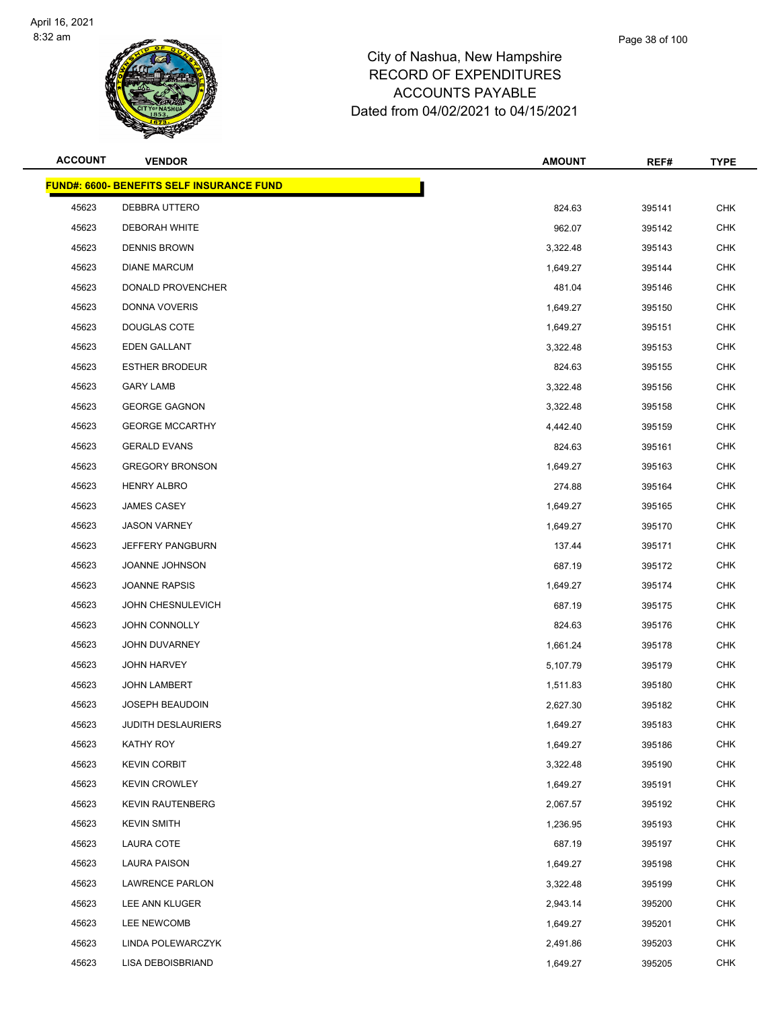

| <b>ACCOUNT</b> | <b>VENDOR</b>                                    | <b>AMOUNT</b> | REF#   | <b>TYPE</b> |
|----------------|--------------------------------------------------|---------------|--------|-------------|
|                | <b>FUND#: 6600- BENEFITS SELF INSURANCE FUND</b> |               |        |             |
| 45623          | DEBBRA UTTERO                                    | 824.63        | 395141 | <b>CHK</b>  |
| 45623          | <b>DEBORAH WHITE</b>                             | 962.07        | 395142 | <b>CHK</b>  |
| 45623          | <b>DENNIS BROWN</b>                              | 3,322.48      | 395143 | <b>CHK</b>  |
| 45623          | <b>DIANE MARCUM</b>                              | 1,649.27      | 395144 | <b>CHK</b>  |
| 45623          | DONALD PROVENCHER                                | 481.04        | 395146 | <b>CHK</b>  |
| 45623          | DONNA VOVERIS                                    | 1,649.27      | 395150 | <b>CHK</b>  |
| 45623          | <b>DOUGLAS COTE</b>                              | 1,649.27      | 395151 | <b>CHK</b>  |
| 45623          | EDEN GALLANT                                     | 3,322.48      | 395153 | <b>CHK</b>  |
| 45623          | <b>ESTHER BRODEUR</b>                            | 824.63        | 395155 | <b>CHK</b>  |
| 45623          | <b>GARY LAMB</b>                                 | 3,322.48      | 395156 | <b>CHK</b>  |
| 45623          | <b>GEORGE GAGNON</b>                             | 3,322.48      | 395158 | CHK         |
| 45623          | <b>GEORGE MCCARTHY</b>                           | 4,442.40      | 395159 | <b>CHK</b>  |
| 45623          | <b>GERALD EVANS</b>                              | 824.63        | 395161 | <b>CHK</b>  |
| 45623          | <b>GREGORY BRONSON</b>                           | 1,649.27      | 395163 | <b>CHK</b>  |
| 45623          | <b>HENRY ALBRO</b>                               | 274.88        | 395164 | <b>CHK</b>  |
| 45623          | <b>JAMES CASEY</b>                               | 1,649.27      | 395165 | CHK         |
| 45623          | <b>JASON VARNEY</b>                              | 1,649.27      | 395170 | <b>CHK</b>  |
| 45623          | JEFFERY PANGBURN                                 | 137.44        | 395171 | <b>CHK</b>  |
| 45623          | <b>JOANNE JOHNSON</b>                            | 687.19        | 395172 | <b>CHK</b>  |
| 45623          | <b>JOANNE RAPSIS</b>                             | 1,649.27      | 395174 | <b>CHK</b>  |
| 45623          | JOHN CHESNULEVICH                                | 687.19        | 395175 | CHK         |
| 45623          | JOHN CONNOLLY                                    | 824.63        | 395176 | <b>CHK</b>  |
| 45623          | JOHN DUVARNEY                                    | 1,661.24      | 395178 | <b>CHK</b>  |
| 45623          | <b>JOHN HARVEY</b>                               | 5,107.79      | 395179 | <b>CHK</b>  |
| 45623          | <b>JOHN LAMBERT</b>                              | 1,511.83      | 395180 | <b>CHK</b>  |
| 45623          | <b>JOSEPH BEAUDOIN</b>                           | 2,627.30      | 395182 | CHK         |
| 45623          | <b>JUDITH DESLAURIERS</b>                        | 1,649.27      | 395183 | <b>CHK</b>  |
| 45623          | KATHY ROY                                        | 1,649.27      | 395186 | <b>CHK</b>  |
| 45623          | <b>KEVIN CORBIT</b>                              | 3,322.48      | 395190 | <b>CHK</b>  |
| 45623          | <b>KEVIN CROWLEY</b>                             | 1,649.27      | 395191 | <b>CHK</b>  |
| 45623          | <b>KEVIN RAUTENBERG</b>                          | 2,067.57      | 395192 | <b>CHK</b>  |
| 45623          | <b>KEVIN SMITH</b>                               | 1,236.95      | 395193 | <b>CHK</b>  |
| 45623          | LAURA COTE                                       | 687.19        | 395197 | <b>CHK</b>  |
| 45623          | LAURA PAISON                                     | 1,649.27      | 395198 | <b>CHK</b>  |
| 45623          | LAWRENCE PARLON                                  | 3,322.48      | 395199 | <b>CHK</b>  |
| 45623          | LEE ANN KLUGER                                   | 2,943.14      | 395200 | <b>CHK</b>  |
| 45623          | LEE NEWCOMB                                      | 1,649.27      | 395201 | <b>CHK</b>  |
| 45623          | LINDA POLEWARCZYK                                | 2,491.86      | 395203 | <b>CHK</b>  |
| 45623          | LISA DEBOISBRIAND                                | 1,649.27      | 395205 | <b>CHK</b>  |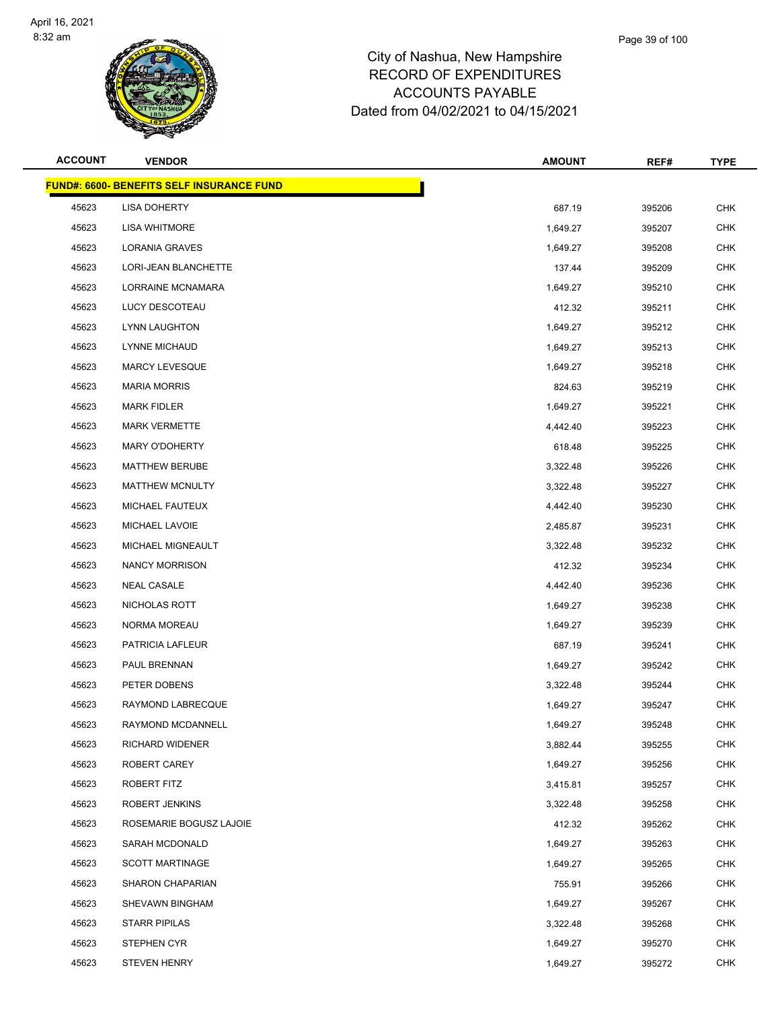

**FUND#: 6600- BENEFITS SELF IN** 45623 LISA DOHERTY 45623 LISA WHITMORE

|                | <b>Karata</b>                                    |               |        |             |
|----------------|--------------------------------------------------|---------------|--------|-------------|
| <b>ACCOUNT</b> | <b>VENDOR</b>                                    | <b>AMOUNT</b> | REF#   | <b>TYPE</b> |
|                | <u> IND#: 6600- BENEFITS SELF INSURANCE FUND</u> |               |        |             |
| 45623          | <b>LISA DOHERTY</b>                              | 687.19        | 395206 | <b>CHK</b>  |
| 45623          | <b>LISA WHITMORE</b>                             | 1,649.27      | 395207 | <b>CHK</b>  |
| 45623          | <b>LORANIA GRAVES</b>                            | 1,649.27      | 395208 | <b>CHK</b>  |
| 45623          | LORI-JEAN BLANCHETTE                             | 137.44        | 395209 | <b>CHK</b>  |
| 45623          | LORRAINE MCNAMARA                                | 1,649.27      | 395210 | <b>CHK</b>  |
| 45623          | LUCY DESCOTEAU                                   | 412.32        | 395211 | <b>CHK</b>  |
| 45623          | LYNN LAUGHTON                                    | 1,649.27      | 395212 | <b>CHK</b>  |
| 45623          | LYNNE MICHAUD                                    | 1,649.27      | 395213 | <b>CHK</b>  |
| 45623          | MARCY LEVESQUE                                   | 1,649.27      | 395218 | <b>CHK</b>  |
| 45623          | <b>MARIA MORRIS</b>                              | 824.63        | 395219 | <b>CHK</b>  |
| 45623          | <b>MARK FIDLER</b>                               | 1,649.27      | 395221 | <b>CHK</b>  |
| 45623          | <b>MARK VERMETTE</b>                             | 4,442.40      | 395223 | <b>CHK</b>  |
| 45623          | <b>MARY O'DOHERTY</b>                            | 618.48        | 395225 | <b>CHK</b>  |
| 45623          | <b>MATTHEW BERUBE</b>                            | 3,322.48      | 395226 | <b>CHK</b>  |
| 45623          | <b>MATTHEW MCNULTY</b>                           | 3,322.48      | 395227 | <b>CHK</b>  |
| 45623          | MICHAEL FAUTEUX                                  | 4,442.40      | 395230 | <b>CHK</b>  |
| 45623          | MICHAEL LAVOIE                                   | 2,485.87      | 395231 | <b>CHK</b>  |
| 45623          | MICHAEL MIGNEAULT                                | 3,322.48      | 395232 | <b>CHK</b>  |
| 45623          | <b>NANCY MORRISON</b>                            | 412.32        | 395234 | <b>CHK</b>  |
| 45623          | <b>NEAL CASALE</b>                               | 4,442.40      | 395236 | <b>CHK</b>  |
| 45623          | NICHOLAS ROTT                                    | 1,649.27      | 395238 | <b>CHK</b>  |
| 45623          | NORMA MOREAU                                     | 1,649.27      | 395239 | <b>CHK</b>  |
| 45623          | PATRICIA LAFLEUR                                 | 687.19        | 395241 | <b>CHK</b>  |
| 45623          | PAUL BRENNAN                                     | 1,649.27      | 395242 | <b>CHK</b>  |
| 45623          | PETER DOBENS                                     | 3,322.48      | 395244 | <b>CHK</b>  |
| 45623          | RAYMOND LABRECQUE                                | 1,649.27      | 395247 | <b>CHK</b>  |
| 45623          | RAYMOND MCDANNELL                                | 1,649.27      | 395248 | <b>CHK</b>  |
| 45623          | RICHARD WIDENER                                  | 3,882.44      | 395255 | <b>CHK</b>  |
|                |                                                  |               |        |             |

| 45623 | <b>MARK FIDLER</b>      | 1,649.27 | 395221 | <b>CHK</b> |
|-------|-------------------------|----------|--------|------------|
| 45623 | <b>MARK VERMETTE</b>    | 4,442.40 | 395223 | <b>CHK</b> |
| 45623 | <b>MARY O'DOHERTY</b>   | 618.48   | 395225 | <b>CHK</b> |
| 45623 | <b>MATTHEW BERUBE</b>   | 3,322.48 | 395226 | <b>CHK</b> |
| 45623 | <b>MATTHEW MCNULTY</b>  | 3,322.48 | 395227 | <b>CHK</b> |
| 45623 | MICHAEL FAUTEUX         | 4,442.40 | 395230 | <b>CHK</b> |
| 45623 | MICHAEL LAVOIE          | 2,485.87 | 395231 | <b>CHK</b> |
| 45623 | MICHAEL MIGNEAULT       | 3,322.48 | 395232 | <b>CHK</b> |
| 45623 | NANCY MORRISON          | 412.32   | 395234 | <b>CHK</b> |
| 45623 | <b>NEAL CASALE</b>      | 4,442.40 | 395236 | <b>CHK</b> |
| 45623 | NICHOLAS ROTT           | 1,649.27 | 395238 | <b>CHK</b> |
| 45623 | NORMA MOREAU            | 1,649.27 | 395239 | <b>CHK</b> |
| 45623 | PATRICIA LAFLEUR        | 687.19   | 395241 | <b>CHK</b> |
| 45623 | PAUL BRENNAN            | 1,649.27 | 395242 | <b>CHK</b> |
| 45623 | PETER DOBENS            | 3,322.48 | 395244 | <b>CHK</b> |
| 45623 | RAYMOND LABRECQUE       | 1,649.27 | 395247 | <b>CHK</b> |
| 45623 | RAYMOND MCDANNELL       | 1,649.27 | 395248 | <b>CHK</b> |
| 45623 | RICHARD WIDENER         | 3,882.44 | 395255 | <b>CHK</b> |
| 45623 | ROBERT CAREY            | 1,649.27 | 395256 | <b>CHK</b> |
| 45623 | ROBERT FITZ             | 3,415.81 | 395257 | <b>CHK</b> |
| 45623 | ROBERT JENKINS          | 3,322.48 | 395258 | <b>CHK</b> |
| 45623 | ROSEMARIE BOGUSZ LAJOIE | 412.32   | 395262 | <b>CHK</b> |
| 45623 | SARAH MCDONALD          | 1,649.27 | 395263 | <b>CHK</b> |
| 45623 | <b>SCOTT MARTINAGE</b>  | 1,649.27 | 395265 | <b>CHK</b> |
| 45623 | SHARON CHAPARIAN        | 755.91   | 395266 | <b>CHK</b> |
| 45623 | SHEVAWN BINGHAM         | 1,649.27 | 395267 | <b>CHK</b> |
| 45623 | <b>STARR PIPILAS</b>    | 3,322.48 | 395268 | <b>CHK</b> |
| 45623 | STEPHEN CYR             | 1,649.27 | 395270 | <b>CHK</b> |
| 45623 | <b>STEVEN HENRY</b>     | 1,649.27 | 395272 | <b>CHK</b> |
|       |                         |          |        |            |
|       |                         |          |        |            |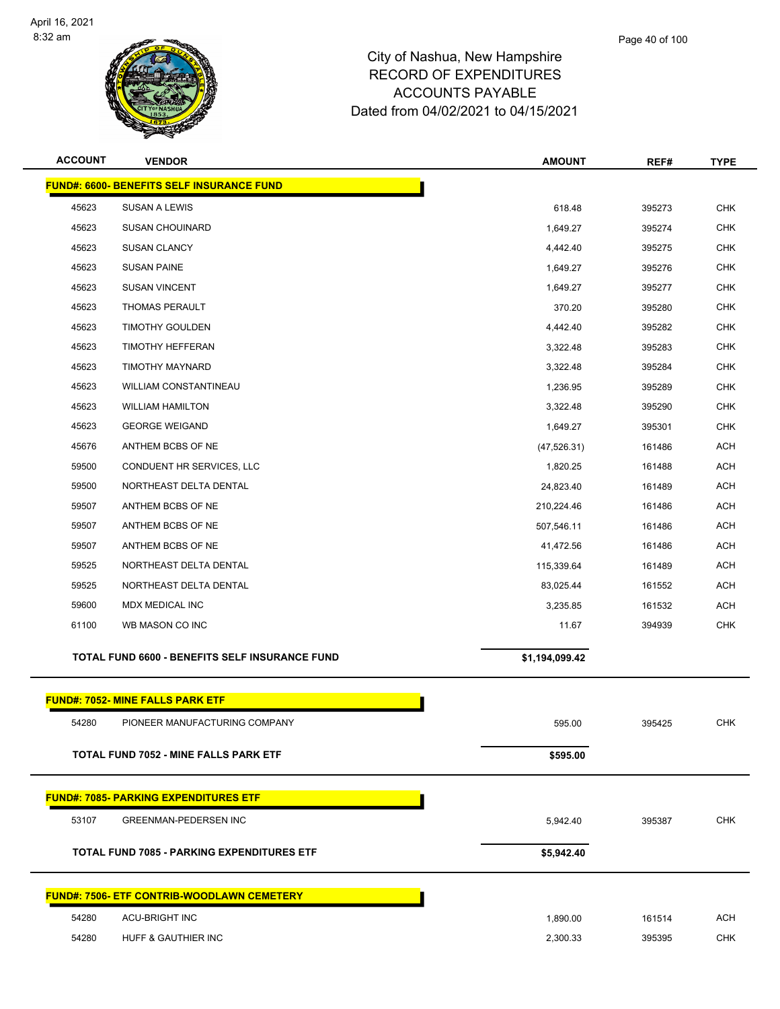

| <b>ACCOUNT</b> | <b>VENDOR</b>                                         | <b>AMOUNT</b>  | REF#   | <b>TYPE</b> |
|----------------|-------------------------------------------------------|----------------|--------|-------------|
|                | <b>FUND#: 6600- BENEFITS SELF INSURANCE FUND</b>      |                |        |             |
| 45623          | <b>SUSAN A LEWIS</b>                                  | 618.48         | 395273 | <b>CHK</b>  |
| 45623          | <b>SUSAN CHOUINARD</b>                                | 1,649.27       | 395274 | CHK         |
| 45623          | <b>SUSAN CLANCY</b>                                   | 4,442.40       | 395275 | <b>CHK</b>  |
| 45623          | <b>SUSAN PAINE</b>                                    | 1,649.27       | 395276 | <b>CHK</b>  |
| 45623          | <b>SUSAN VINCENT</b>                                  | 1,649.27       | 395277 | <b>CHK</b>  |
| 45623          | <b>THOMAS PERAULT</b>                                 | 370.20         | 395280 | <b>CHK</b>  |
| 45623          | <b>TIMOTHY GOULDEN</b>                                | 4,442.40       | 395282 | <b>CHK</b>  |
| 45623          | <b>TIMOTHY HEFFERAN</b>                               | 3,322.48       | 395283 | <b>CHK</b>  |
| 45623          | TIMOTHY MAYNARD                                       | 3,322.48       | 395284 | <b>CHK</b>  |
| 45623          | <b>WILLIAM CONSTANTINEAU</b>                          | 1,236.95       | 395289 | <b>CHK</b>  |
| 45623          | <b>WILLIAM HAMILTON</b>                               | 3,322.48       | 395290 | <b>CHK</b>  |
| 45623          | <b>GEORGE WEIGAND</b>                                 | 1,649.27       | 395301 | <b>CHK</b>  |
| 45676          | ANTHEM BCBS OF NE                                     | (47, 526.31)   | 161486 | <b>ACH</b>  |
| 59500          | CONDUENT HR SERVICES, LLC                             | 1,820.25       | 161488 | <b>ACH</b>  |
| 59500          | NORTHEAST DELTA DENTAL                                | 24,823.40      | 161489 | <b>ACH</b>  |
| 59507          | ANTHEM BCBS OF NE                                     | 210,224.46     | 161486 | <b>ACH</b>  |
| 59507          | ANTHEM BCBS OF NE                                     | 507,546.11     | 161486 | <b>ACH</b>  |
| 59507          | ANTHEM BCBS OF NE                                     | 41,472.56      | 161486 | <b>ACH</b>  |
| 59525          | NORTHEAST DELTA DENTAL                                | 115,339.64     | 161489 | <b>ACH</b>  |
| 59525          | NORTHEAST DELTA DENTAL                                | 83,025.44      | 161552 | <b>ACH</b>  |
| 59600          | MDX MEDICAL INC                                       | 3,235.85       | 161532 | <b>ACH</b>  |
| 61100          | WB MASON CO INC                                       | 11.67          | 394939 | <b>CHK</b>  |
|                | <b>TOTAL FUND 6600 - BENEFITS SELF INSURANCE FUND</b> | \$1,194,099.42 |        |             |
|                | <b>FUND#: 7052- MINE FALLS PARK ETF</b>               |                |        |             |
| 54280          | PIONEER MANUFACTURING COMPANY                         | 595.00         | 395425 | <b>CHK</b>  |
|                | <b>TOTAL FUND 7052 - MINE FALLS PARK ETF</b>          | \$595.00       |        |             |
|                |                                                       |                |        |             |
|                | <b>FUND#: 7085- PARKING EXPENDITURES ETF</b>          |                |        |             |
| 53107          | <b>GREENMAN-PEDERSEN INC</b>                          | 5,942.40       | 395387 | <b>CHK</b>  |
|                | <b>TOTAL FUND 7085 - PARKING EXPENDITURES ETF</b>     | \$5,942.40     |        |             |
|                | <b>FUND#: 7506- ETF CONTRIB-WOODLAWN CEMETERY</b>     |                |        |             |
| 54280          | <b>ACU-BRIGHT INC</b>                                 | 1,890.00       | 161514 | <b>ACH</b>  |
| 54280          | HUFF & GAUTHIER INC                                   | 2,300.33       | 395395 | <b>CHK</b>  |
|                |                                                       |                |        |             |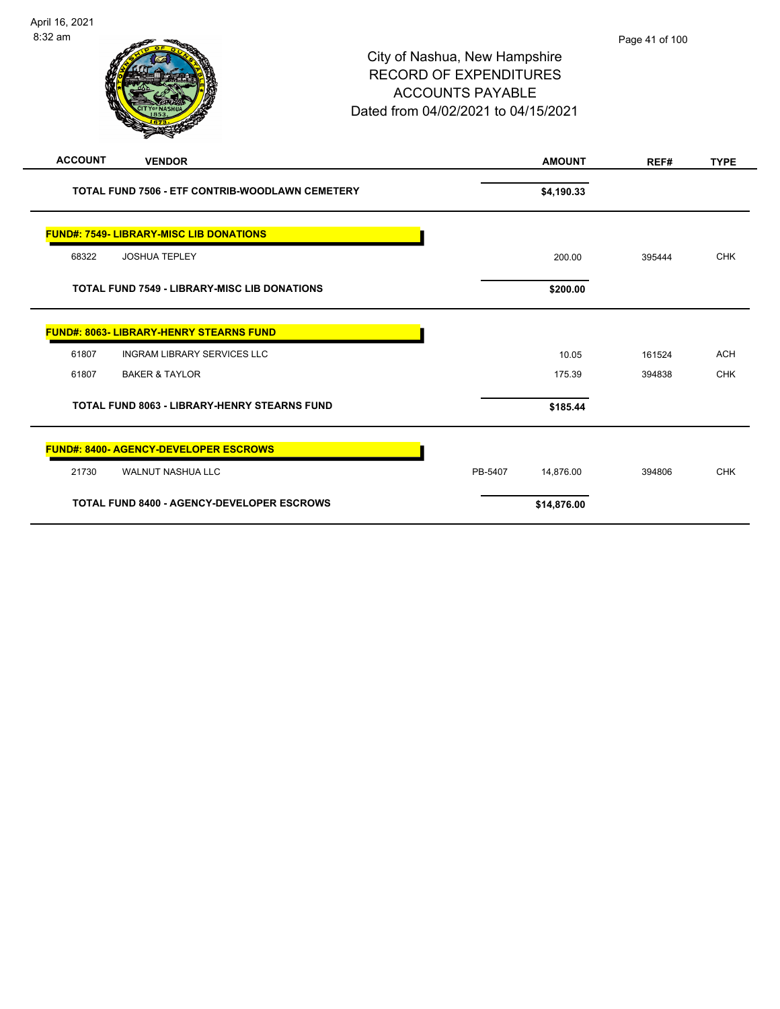| <b>ACCOUNT</b><br><b>VENDOR</b>                     | <b>AMOUNT</b>        | REF#   | <b>TYPE</b> |
|-----------------------------------------------------|----------------------|--------|-------------|
| TOTAL FUND 7506 - ETF CONTRIB-WOODLAWN CEMETERY     | \$4,190.33           |        |             |
| <b>FUND#: 7549- LIBRARY-MISC LIB DONATIONS</b>      |                      |        |             |
| 68322<br><b>JOSHUA TEPLEY</b>                       | 200.00               | 395444 | <b>CHK</b>  |
| <b>TOTAL FUND 7549 - LIBRARY-MISC LIB DONATIONS</b> | \$200.00             |        |             |
| <b>FUND#: 8063- LIBRARY-HENRY STEARNS FUND</b>      |                      |        |             |
| 61807<br><b>INGRAM LIBRARY SERVICES LLC</b>         | 10.05                | 161524 | <b>ACH</b>  |
| <b>BAKER &amp; TAYLOR</b><br>61807                  | 175.39               | 394838 | <b>CHK</b>  |
| <b>TOTAL FUND 8063 - LIBRARY-HENRY STEARNS FUND</b> | \$185.44             |        |             |
| <b>FUND#: 8400- AGENCY-DEVELOPER ESCROWS</b>        |                      |        |             |
| 21730<br><b>WALNUT NASHUA LLC</b>                   | PB-5407<br>14,876.00 | 394806 | <b>CHK</b>  |
| <b>TOTAL FUND 8400 - AGENCY-DEVELOPER ESCROWS</b>   | \$14,876.00          |        |             |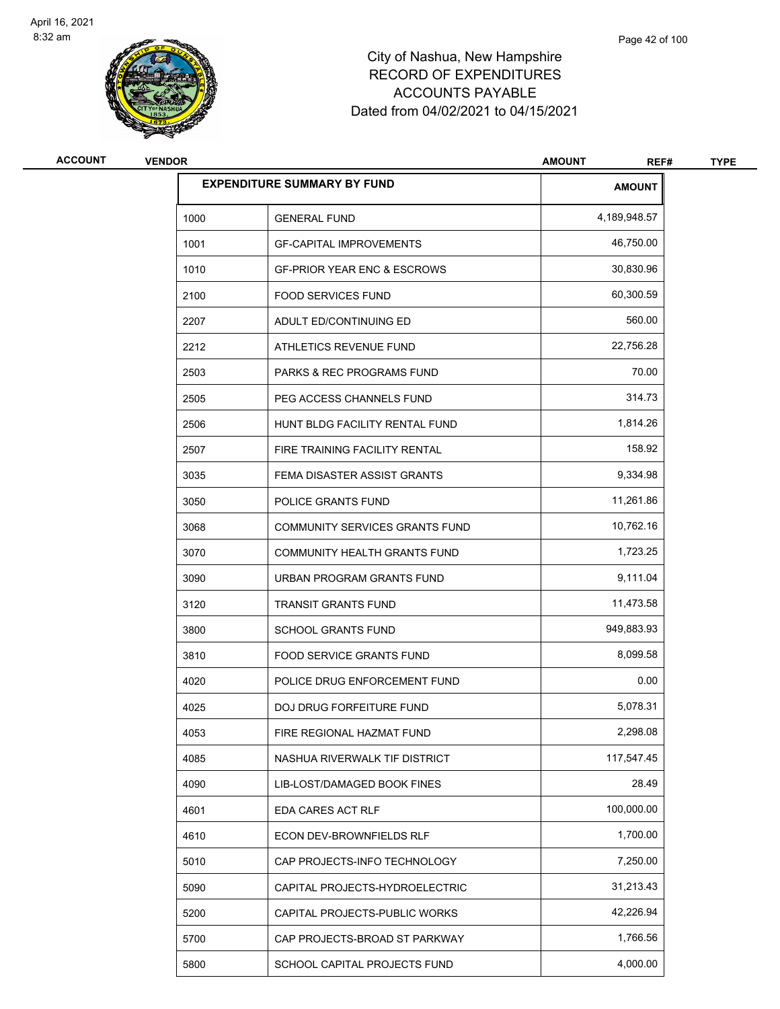

| <b>ACCOUNT</b> | <b>VENDOR</b> |                                        | <b>AMOUNT</b><br>REF# | <b>TYPE</b> |
|----------------|---------------|----------------------------------------|-----------------------|-------------|
|                |               | <b>EXPENDITURE SUMMARY BY FUND</b>     | <b>AMOUNT</b>         |             |
|                | 1000          | <b>GENERAL FUND</b>                    | 4,189,948.57          |             |
|                | 1001          | <b>GF-CAPITAL IMPROVEMENTS</b>         | 46,750.00             |             |
|                | 1010          | <b>GF-PRIOR YEAR ENC &amp; ESCROWS</b> | 30,830.96             |             |
|                | 2100          | <b>FOOD SERVICES FUND</b>              | 60,300.59             |             |
|                | 2207          | ADULT ED/CONTINUING ED                 | 560.00                |             |
|                | 2212          | ATHLETICS REVENUE FUND                 | 22,756.28             |             |
|                | 2503          | <b>PARKS &amp; REC PROGRAMS FUND</b>   | 70.00                 |             |
|                | 2505          | PEG ACCESS CHANNELS FUND               | 314.73                |             |
|                | 2506          | HUNT BLDG FACILITY RENTAL FUND         | 1,814.26              |             |
|                | 2507          | FIRE TRAINING FACILITY RENTAL          | 158.92                |             |
|                | 3035          | FEMA DISASTER ASSIST GRANTS            | 9,334.98              |             |
|                | 3050          | POLICE GRANTS FUND                     | 11,261.86             |             |
|                | 3068          | COMMUNITY SERVICES GRANTS FUND         | 10,762.16             |             |
|                | 3070          | COMMUNITY HEALTH GRANTS FUND           | 1,723.25              |             |
|                | 3090          | URBAN PROGRAM GRANTS FUND              | 9,111.04              |             |
|                | 3120          | <b>TRANSIT GRANTS FUND</b>             | 11,473.58             |             |
|                | 3800          | <b>SCHOOL GRANTS FUND</b>              | 949,883.93            |             |
|                | 3810          | <b>FOOD SERVICE GRANTS FUND</b>        | 8,099.58              |             |
|                | 4020          | POLICE DRUG ENFORCEMENT FUND           | 0.00                  |             |
|                | 4025          | DOJ DRUG FORFEITURE FUND               | 5,078.31              |             |
|                | 4053          | FIRE REGIONAL HAZMAT FUND              | 2,298.08              |             |
|                | 4085          | NASHUA RIVERWALK TIF DISTRICT          | 117,547.45            |             |
|                | 4090          | LIB-LOST/DAMAGED BOOK FINES            | 28.49                 |             |
|                | 4601          | EDA CARES ACT RLF                      | 100,000.00            |             |
|                | 4610          | ECON DEV-BROWNFIELDS RLF               | 1,700.00              |             |
|                | 5010          | CAP PROJECTS-INFO TECHNOLOGY           | 7,250.00              |             |
|                | 5090          | CAPITAL PROJECTS-HYDROELECTRIC         | 31,213.43             |             |
|                | 5200          | CAPITAL PROJECTS-PUBLIC WORKS          | 42,226.94             |             |
|                | 5700          | CAP PROJECTS-BROAD ST PARKWAY          | 1,766.56              |             |
|                | 5800          | SCHOOL CAPITAL PROJECTS FUND           | 4,000.00              |             |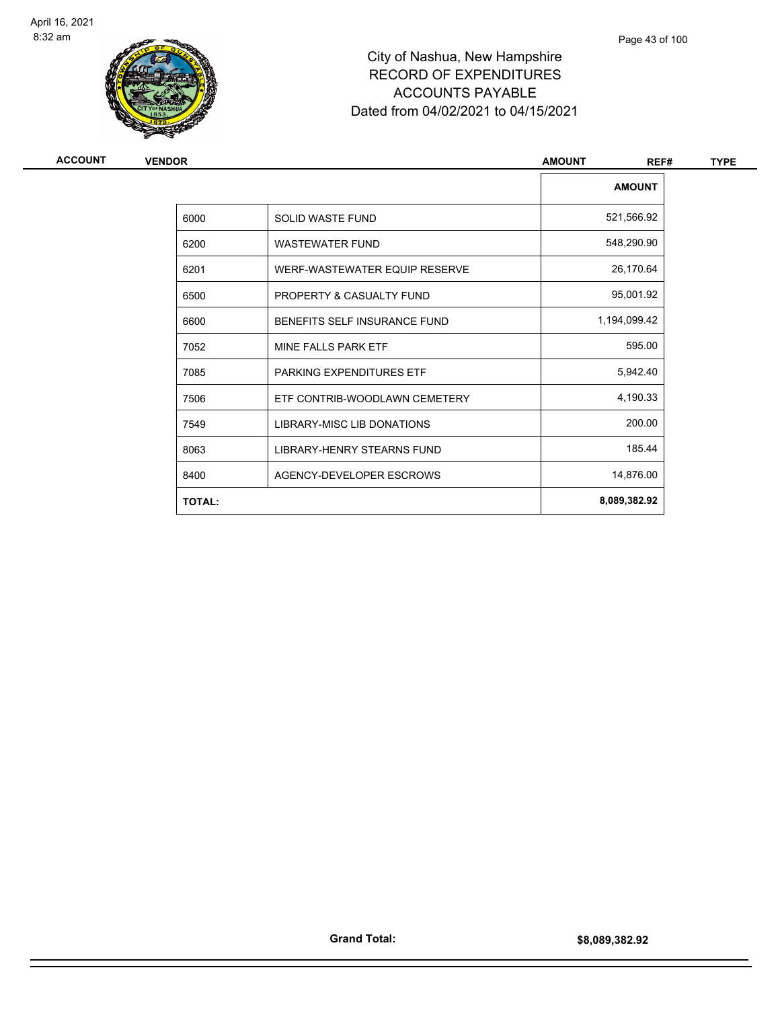

| <b>VENDOR</b> |                                   |               | <b>TYPE</b>           |
|---------------|-----------------------------------|---------------|-----------------------|
|               |                                   | <b>AMOUNT</b> |                       |
| 6000          | <b>SOLID WASTE FUND</b>           | 521,566.92    |                       |
| 6200          | <b>WASTEWATER FUND</b>            | 548,290.90    |                       |
| 6201          | WERF-WASTEWATER EQUIP RESERVE     | 26,170.64     |                       |
| 6500          | PROPERTY & CASUALTY FUND          | 95,001.92     |                       |
| 6600          | BENEFITS SELF INSURANCE FUND      | 1,194,099.42  |                       |
| 7052          | MINE FALLS PARK ETF               | 595.00        |                       |
| 7085          | PARKING EXPENDITURES ETF          | 5,942.40      |                       |
| 7506          | ETF CONTRIB-WOODLAWN CEMETERY     | 4,190.33      |                       |
| 7549          | <b>LIBRARY-MISC LIB DONATIONS</b> | 200.00        |                       |
| 8063          | LIBRARY-HENRY STEARNS FUND        | 185.44        |                       |
| 8400          | AGENCY-DEVELOPER ESCROWS          | 14,876.00     |                       |
| <b>TOTAL:</b> |                                   | 8,089,382.92  |                       |
|               |                                   |               | <b>AMOUNT</b><br>REF# |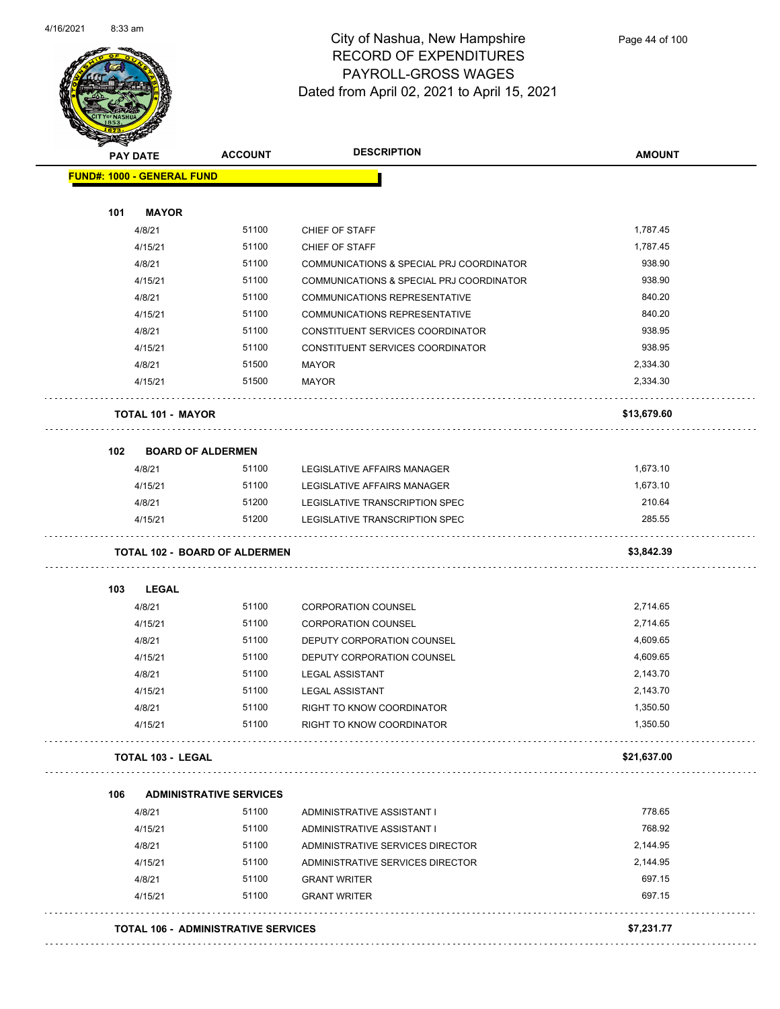

| <b>STARTED</b><br><b>PAY DATE</b> | <b>ACCOUNT</b>                             | <b>DESCRIPTION</b>                       | <b>AMOUNT</b> |
|-----------------------------------|--------------------------------------------|------------------------------------------|---------------|
| <b>FUND#: 1000 - GENERAL FUND</b> |                                            |                                          |               |
|                                   |                                            |                                          |               |
| 101<br><b>MAYOR</b>               |                                            |                                          |               |
| 4/8/21                            | 51100                                      | CHIEF OF STAFF                           | 1,787.45      |
| 4/15/21                           | 51100                                      | CHIEF OF STAFF                           | 1,787.45      |
| 4/8/21                            | 51100                                      | COMMUNICATIONS & SPECIAL PRJ COORDINATOR | 938.90        |
| 4/15/21                           | 51100                                      | COMMUNICATIONS & SPECIAL PRJ COORDINATOR | 938.90        |
| 4/8/21                            | 51100                                      | <b>COMMUNICATIONS REPRESENTATIVE</b>     | 840.20        |
| 4/15/21                           | 51100                                      | COMMUNICATIONS REPRESENTATIVE            | 840.20        |
| 4/8/21                            | 51100                                      | CONSTITUENT SERVICES COORDINATOR         | 938.95        |
| 4/15/21                           | 51100                                      | CONSTITUENT SERVICES COORDINATOR         | 938.95        |
| 4/8/21                            | 51500                                      | <b>MAYOR</b>                             | 2,334.30      |
| 4/15/21                           | 51500                                      | <b>MAYOR</b>                             | 2,334.30      |
| <b>TOTAL 101 - MAYOR</b>          |                                            |                                          | \$13,679.60   |
| 102                               | <b>BOARD OF ALDERMEN</b>                   |                                          |               |
| 4/8/21                            | 51100                                      | LEGISLATIVE AFFAIRS MANAGER              | 1,673.10      |
| 4/15/21                           | 51100                                      | LEGISLATIVE AFFAIRS MANAGER              | 1,673.10      |
| 4/8/21                            | 51200                                      | LEGISLATIVE TRANSCRIPTION SPEC           | 210.64        |
| 4/15/21                           | 51200                                      | LEGISLATIVE TRANSCRIPTION SPEC           | 285.55        |
|                                   | <b>TOTAL 102 - BOARD OF ALDERMEN</b>       |                                          | \$3,842.39    |
| 103<br><b>LEGAL</b>               |                                            |                                          |               |
| 4/8/21                            | 51100                                      | <b>CORPORATION COUNSEL</b>               | 2,714.65      |
| 4/15/21                           | 51100                                      | <b>CORPORATION COUNSEL</b>               | 2,714.65      |
| 4/8/21                            | 51100                                      | DEPUTY CORPORATION COUNSEL               | 4,609.65      |
| 4/15/21                           | 51100                                      | DEPUTY CORPORATION COUNSEL               | 4,609.65      |
| 4/8/21                            | 51100                                      | <b>LEGAL ASSISTANT</b>                   | 2,143.70      |
| 4/15/21                           | 51100                                      | <b>LEGAL ASSISTANT</b>                   | 2,143.70      |
| 4/8/21                            | 51100                                      | RIGHT TO KNOW COORDINATOR                | 1,350.50      |
| 4/15/21                           | 51100                                      | RIGHT TO KNOW COORDINATOR                | 1,350.50      |
| TOTAL 103 - LEGAL                 |                                            |                                          | \$21,637.00   |
| 106                               | <b>ADMINISTRATIVE SERVICES</b>             |                                          |               |
| 4/8/21                            | 51100                                      | ADMINISTRATIVE ASSISTANT I               | 778.65        |
| 4/15/21                           | 51100                                      | ADMINISTRATIVE ASSISTANT I               | 768.92        |
| 4/8/21                            | 51100                                      | ADMINISTRATIVE SERVICES DIRECTOR         | 2,144.95      |
| 4/15/21                           | 51100                                      | ADMINISTRATIVE SERVICES DIRECTOR         | 2,144.95      |
| 4/8/21                            | 51100                                      | <b>GRANT WRITER</b>                      | 697.15        |
| 4/15/21                           | 51100                                      | <b>GRANT WRITER</b>                      | 697.15        |
|                                   | <b>TOTAL 106 - ADMINISTRATIVE SERVICES</b> |                                          | \$7,231.77    |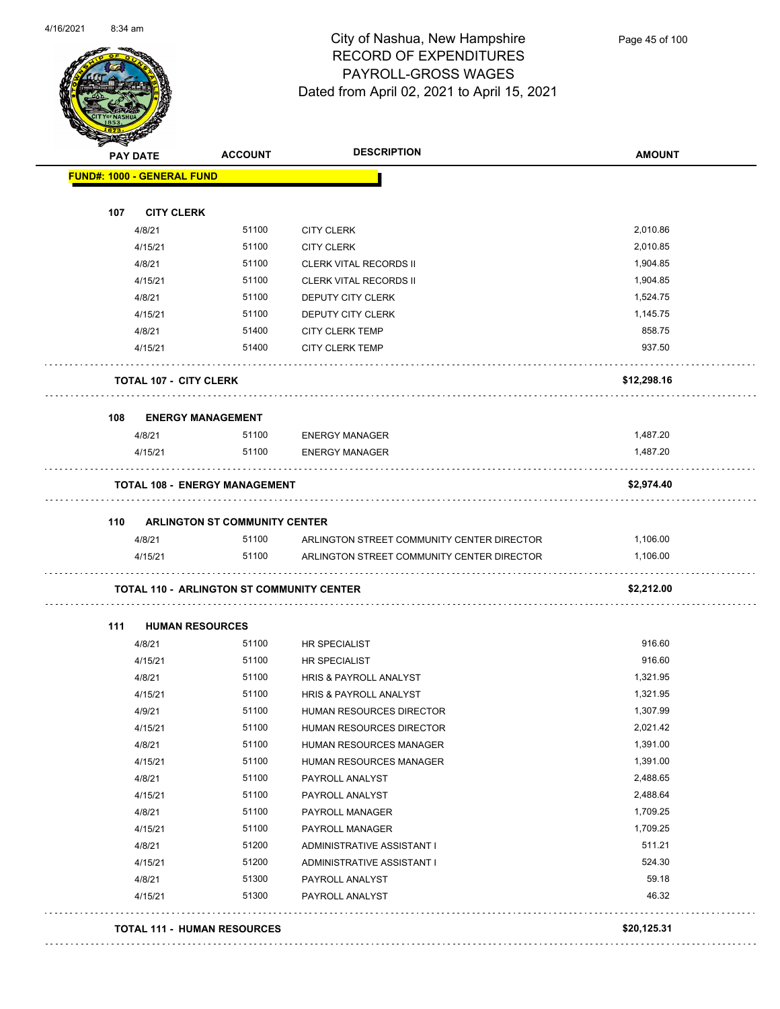

|     | <b>PAY DATE</b>                   | <b>ACCOUNT</b>                                   | <b>DESCRIPTION</b>                                                                       | <b>AMOUNT</b>        |
|-----|-----------------------------------|--------------------------------------------------|------------------------------------------------------------------------------------------|----------------------|
|     | <b>FUND#: 1000 - GENERAL FUND</b> |                                                  |                                                                                          |                      |
| 107 | <b>CITY CLERK</b>                 |                                                  |                                                                                          |                      |
|     | 4/8/21                            | 51100                                            | <b>CITY CLERK</b>                                                                        | 2,010.86             |
|     | 4/15/21                           | 51100                                            | <b>CITY CLERK</b>                                                                        | 2,010.85             |
|     | 4/8/21                            | 51100                                            | <b>CLERK VITAL RECORDS II</b>                                                            | 1,904.85             |
|     | 4/15/21                           | 51100                                            | <b>CLERK VITAL RECORDS II</b>                                                            | 1,904.85             |
|     | 4/8/21                            | 51100                                            | DEPUTY CITY CLERK                                                                        | 1,524.75             |
|     | 4/15/21                           | 51100                                            | DEPUTY CITY CLERK                                                                        | 1,145.75             |
|     | 4/8/21                            | 51400                                            | <b>CITY CLERK TEMP</b>                                                                   | 858.75               |
|     | 4/15/21                           | 51400                                            | <b>CITY CLERK TEMP</b>                                                                   | 937.50               |
|     | <b>TOTAL 107 - CITY CLERK</b>     |                                                  |                                                                                          | \$12,298.16          |
| 108 |                                   | <b>ENERGY MANAGEMENT</b>                         |                                                                                          |                      |
|     | 4/8/21                            | 51100                                            | <b>ENERGY MANAGER</b>                                                                    | 1,487.20             |
|     | 4/15/21                           | 51100                                            | <b>ENERGY MANAGER</b>                                                                    | 1,487.20             |
|     |                                   | <b>TOTAL 108 - ENERGY MANAGEMENT</b>             |                                                                                          | \$2,974.40           |
|     |                                   |                                                  |                                                                                          |                      |
|     |                                   |                                                  |                                                                                          |                      |
| 110 |                                   | <b>ARLINGTON ST COMMUNITY CENTER</b><br>51100    |                                                                                          | 1,106.00             |
|     | 4/8/21<br>4/15/21                 | 51100                                            | ARLINGTON STREET COMMUNITY CENTER DIRECTOR<br>ARLINGTON STREET COMMUNITY CENTER DIRECTOR | 1,106.00             |
|     |                                   | <b>TOTAL 110 - ARLINGTON ST COMMUNITY CENTER</b> |                                                                                          | \$2,212.00           |
| 111 |                                   |                                                  |                                                                                          |                      |
|     | <b>HUMAN RESOURCES</b>            | 51100                                            |                                                                                          | 916.60               |
|     | 4/8/21                            | 51100                                            | HR SPECIALIST                                                                            | 916.60               |
|     | 4/15/21<br>4/8/21                 | 51100                                            | HR SPECIALIST<br><b>HRIS &amp; PAYROLL ANALYST</b>                                       | 1,321.95             |
|     | 4/15/21                           | 51100                                            | HRIS & PAYROLL ANALYST                                                                   | 1,321.95             |
|     |                                   | 51100                                            |                                                                                          | 1,307.99             |
|     | 4/9/21                            | 51100                                            | HUMAN RESOURCES DIRECTOR                                                                 | 2,021.42             |
|     | 4/15/21                           | 51100                                            | HUMAN RESOURCES DIRECTOR                                                                 | 1,391.00             |
|     | 4/8/21<br>4/15/21                 | 51100                                            | HUMAN RESOURCES MANAGER<br>HUMAN RESOURCES MANAGER                                       | 1,391.00             |
|     |                                   | 51100                                            |                                                                                          | 2,488.65             |
|     | 4/8/21                            | 51100                                            | PAYROLL ANALYST                                                                          | 2,488.64             |
|     | 4/15/21                           |                                                  | PAYROLL ANALYST                                                                          |                      |
|     | 4/8/21                            | 51100<br>51100                                   | PAYROLL MANAGER                                                                          | 1,709.25<br>1,709.25 |
|     | 4/15/21                           |                                                  | PAYROLL MANAGER                                                                          |                      |
|     | 4/8/21                            | 51200                                            | ADMINISTRATIVE ASSISTANT I                                                               | 511.21               |
|     | 4/15/21<br>4/8/21                 | 51200<br>51300                                   | ADMINISTRATIVE ASSISTANT I<br>PAYROLL ANALYST                                            | 524.30<br>59.18      |

#### **TOTAL 111 - HUMAN RESOURCES \$20,125.31**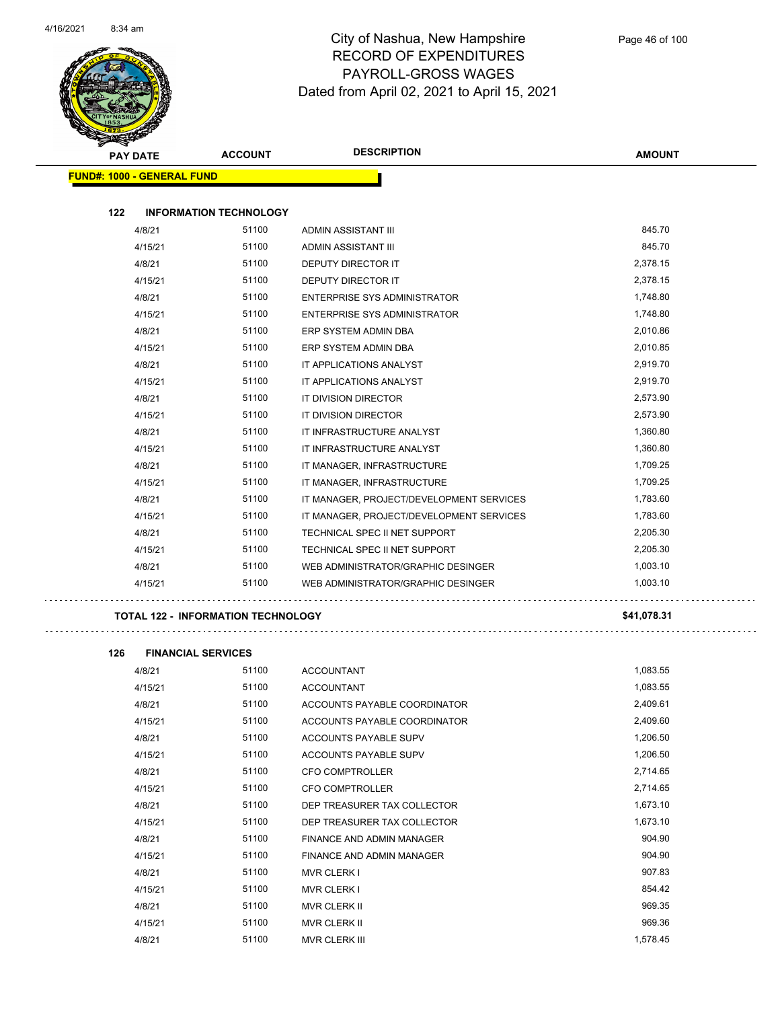$\bar{1}$  ,  $\bar{1}$ 



#### City of Nashua, New Hampshire RECORD OF EXPENDITURES PAYROLL-GROSS WAGES Dated from April 02, 2021 to April 15, 2021

| <b>STARTING</b><br><b>PAY DATE</b> | <b>ACCOUNT</b>                | <b>DESCRIPTION</b>                       | <b>AMOUNT</b> |
|------------------------------------|-------------------------------|------------------------------------------|---------------|
| <b>FUND#: 1000 - GENERAL FUND</b>  |                               |                                          |               |
|                                    |                               |                                          |               |
| 122                                | <b>INFORMATION TECHNOLOGY</b> |                                          |               |
| 4/8/21                             | 51100                         | ADMIN ASSISTANT III                      | 845.70        |
| 4/15/21                            | 51100                         | <b>ADMIN ASSISTANT III</b>               | 845.70        |
| 4/8/21                             | 51100                         | <b>DEPUTY DIRECTOR IT</b>                | 2,378.15      |
| 4/15/21                            | 51100                         | <b>DEPUTY DIRECTOR IT</b>                | 2,378.15      |
| 4/8/21                             | 51100                         | ENTERPRISE SYS ADMINISTRATOR             | 1,748.80      |
| 4/15/21                            | 51100                         | <b>ENTERPRISE SYS ADMINISTRATOR</b>      | 1,748.80      |
| 4/8/21                             | 51100                         | ERP SYSTEM ADMIN DBA                     | 2,010.86      |
| 4/15/21                            | 51100                         | ERP SYSTEM ADMIN DBA                     | 2,010.85      |
| 4/8/21                             | 51100                         | IT APPLICATIONS ANALYST                  | 2,919.70      |
| 4/15/21                            | 51100                         | IT APPLICATIONS ANALYST                  | 2,919.70      |
| 4/8/21                             | 51100                         | IT DIVISION DIRECTOR                     | 2,573.90      |
| 4/15/21                            | 51100                         | IT DIVISION DIRECTOR                     | 2,573.90      |
| 4/8/21                             | 51100                         | IT INFRASTRUCTURE ANALYST                | 1,360.80      |
| 4/15/21                            | 51100                         | IT INFRASTRUCTURE ANALYST                | 1,360.80      |
| 4/8/21                             | 51100                         | IT MANAGER, INFRASTRUCTURE               | 1,709.25      |
| 4/15/21                            | 51100                         | IT MANAGER, INFRASTRUCTURE               | 1,709.25      |
| 4/8/21                             | 51100                         | IT MANAGER, PROJECT/DEVELOPMENT SERVICES | 1,783.60      |
| 4/15/21                            | 51100                         | IT MANAGER, PROJECT/DEVELOPMENT SERVICES | 1,783.60      |
| 4/8/21                             | 51100                         | TECHNICAL SPEC II NET SUPPORT            | 2,205.30      |
| 4/15/21                            | 51100                         | TECHNICAL SPEC II NET SUPPORT            | 2,205.30      |
| 4/8/21                             | 51100                         | WEB ADMINISTRATOR/GRAPHIC DESINGER       | 1,003.10      |
| 4/15/21                            | 51100                         | WEB ADMINISTRATOR/GRAPHIC DESINGER       | 1.003.10      |
|                                    |                               |                                          |               |

#### **TOTAL 122 - INFORMATION TECHNOLOGY \$41,078.31**

| 126 | <b>FINANCIAL SERVICES</b> |       |                              |          |
|-----|---------------------------|-------|------------------------------|----------|
|     | 4/8/21                    | 51100 | <b>ACCOUNTANT</b>            | 1,083.55 |
|     | 4/15/21                   | 51100 | <b>ACCOUNTANT</b>            | 1,083.55 |
|     | 4/8/21                    | 51100 | ACCOUNTS PAYABLE COORDINATOR | 2,409.61 |
|     | 4/15/21                   | 51100 | ACCOUNTS PAYABLE COORDINATOR | 2,409.60 |
|     | 4/8/21                    | 51100 | <b>ACCOUNTS PAYABLE SUPV</b> | 1,206.50 |
|     | 4/15/21                   | 51100 | <b>ACCOUNTS PAYABLE SUPV</b> | 1,206.50 |
|     | 4/8/21                    | 51100 | <b>CFO COMPTROLLER</b>       | 2,714.65 |
|     | 4/15/21                   | 51100 | <b>CFO COMPTROLLER</b>       | 2,714.65 |
|     | 4/8/21                    | 51100 | DEP TREASURER TAX COLLECTOR  | 1,673.10 |
|     | 4/15/21                   | 51100 | DEP TREASURER TAX COLLECTOR  | 1,673.10 |
|     | 4/8/21                    | 51100 | FINANCE AND ADMIN MANAGER    | 904.90   |
|     | 4/15/21                   | 51100 | FINANCE AND ADMIN MANAGER    | 904.90   |
|     | 4/8/21                    | 51100 | <b>MVR CLERK I</b>           | 907.83   |
|     | 4/15/21                   | 51100 | <b>MVR CLERK I</b>           | 854.42   |
|     | 4/8/21                    | 51100 | <b>MVR CLERK II</b>          | 969.35   |
|     | 4/15/21                   | 51100 | <b>MVR CLERK II</b>          | 969.36   |
|     | 4/8/21                    | 51100 | <b>MVR CLERK III</b>         | 1,578.45 |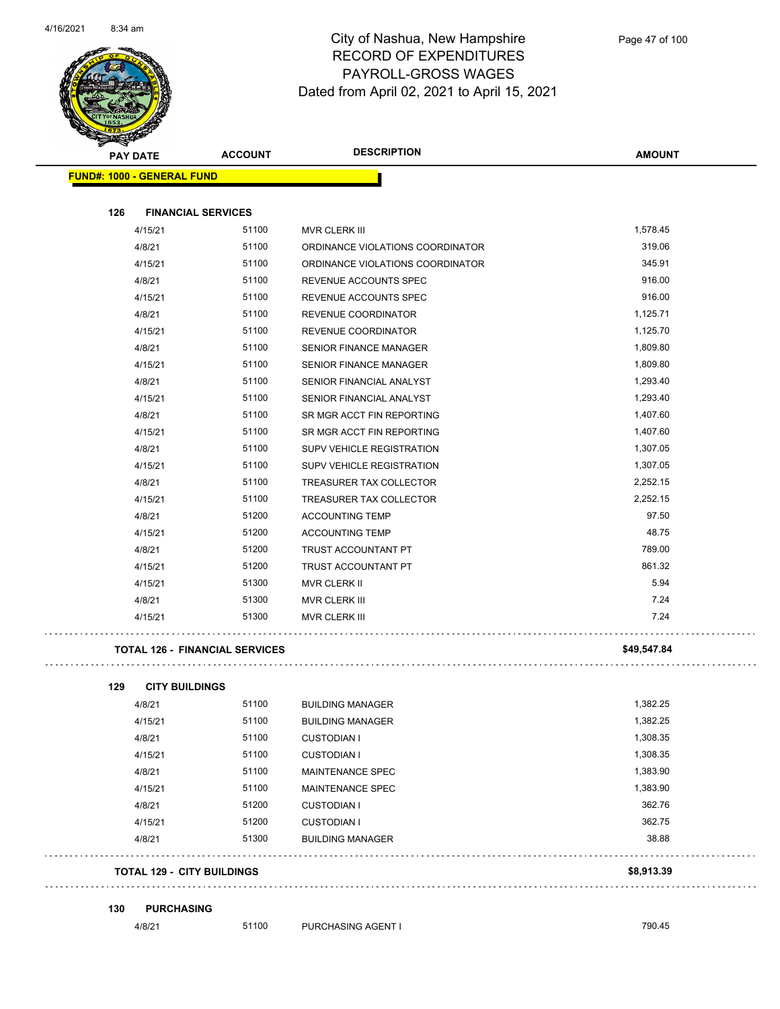

| <b>SANGRA</b>                     |                                       |                                  |               |
|-----------------------------------|---------------------------------------|----------------------------------|---------------|
| <b>PAY DATE</b>                   | <b>ACCOUNT</b>                        | <b>DESCRIPTION</b>               | <b>AMOUNT</b> |
| <b>FUND#: 1000 - GENERAL FUND</b> |                                       |                                  |               |
|                                   |                                       |                                  |               |
| 126                               | <b>FINANCIAL SERVICES</b>             |                                  |               |
| 4/15/21                           | 51100                                 | MVR CLERK III                    | 1,578.45      |
| 4/8/21                            | 51100                                 | ORDINANCE VIOLATIONS COORDINATOR | 319.06        |
| 4/15/21                           | 51100                                 | ORDINANCE VIOLATIONS COORDINATOR | 345.91        |
| 4/8/21                            | 51100                                 | REVENUE ACCOUNTS SPEC            | 916.00        |
| 4/15/21                           | 51100                                 | REVENUE ACCOUNTS SPEC            | 916.00        |
| 4/8/21                            | 51100                                 | REVENUE COORDINATOR              | 1,125.71      |
| 4/15/21                           | 51100                                 | REVENUE COORDINATOR              | 1,125.70      |
| 4/8/21                            | 51100                                 | <b>SENIOR FINANCE MANAGER</b>    | 1,809.80      |
| 4/15/21                           | 51100                                 | <b>SENIOR FINANCE MANAGER</b>    | 1,809.80      |
| 4/8/21                            | 51100                                 | SENIOR FINANCIAL ANALYST         | 1,293.40      |
| 4/15/21                           | 51100                                 | SENIOR FINANCIAL ANALYST         | 1,293.40      |
| 4/8/21                            | 51100                                 | SR MGR ACCT FIN REPORTING        | 1,407.60      |
| 4/15/21                           | 51100                                 | SR MGR ACCT FIN REPORTING        | 1,407.60      |
| 4/8/21                            | 51100                                 | SUPV VEHICLE REGISTRATION        | 1,307.05      |
| 4/15/21                           | 51100                                 | SUPV VEHICLE REGISTRATION        | 1,307.05      |
| 4/8/21                            | 51100                                 | TREASURER TAX COLLECTOR          | 2,252.15      |
| 4/15/21                           | 51100                                 | TREASURER TAX COLLECTOR          | 2,252.15      |
| 4/8/21                            | 51200                                 | <b>ACCOUNTING TEMP</b>           | 97.50         |
| 4/15/21                           | 51200                                 | <b>ACCOUNTING TEMP</b>           | 48.75         |
| 4/8/21                            | 51200                                 | TRUST ACCOUNTANT PT              | 789.00        |
| 4/15/21                           | 51200                                 | TRUST ACCOUNTANT PT              | 861.32        |
| 4/15/21                           | 51300                                 | MVR CLERK II                     | 5.94          |
| 4/8/21                            | 51300                                 | MVR CLERK III                    | 7.24          |
| 4/15/21                           | 51300                                 | MVR CLERK III                    | 7.24          |
|                                   | <b>TOTAL 126 - FINANCIAL SERVICES</b> |                                  | \$49,547.84   |
|                                   |                                       |                                  |               |
| 129                               | <b>CITY BUILDINGS</b>                 |                                  |               |
| 4/8/21                            | 51100                                 | <b>BUILDING MANAGER</b>          | 1,382.25      |
| 4/15/21                           | 51100                                 | <b>BUILDING MANAGER</b>          | 1,382.25      |
| 4/8/21                            | 51100                                 | <b>CUSTODIAN I</b>               | 1,308.35      |
| 4/15/21                           | 51100                                 | <b>CUSTODIAN I</b>               | 1,308.35      |
| 4/8/21                            | 51100                                 | MAINTENANCE SPEC                 | 1,383.90      |
| 4/15/21                           | 51100                                 | MAINTENANCE SPEC                 | 1,383.90      |
| 4/8/21                            | 51200                                 | <b>CUSTODIAN I</b>               | 362.76        |
| 4/15/21                           | 51200                                 | <b>CUSTODIAN I</b>               | 362.75        |
| 4/8/21                            | 51300                                 | <b>BUILDING MANAGER</b>          | 38.88         |

#### **TOTAL 129 - CITY BUILDINGS \$8,913.39**

#### **130 PURCHASING**

4/8/21 51100 PURCHASING AGENT I 790.45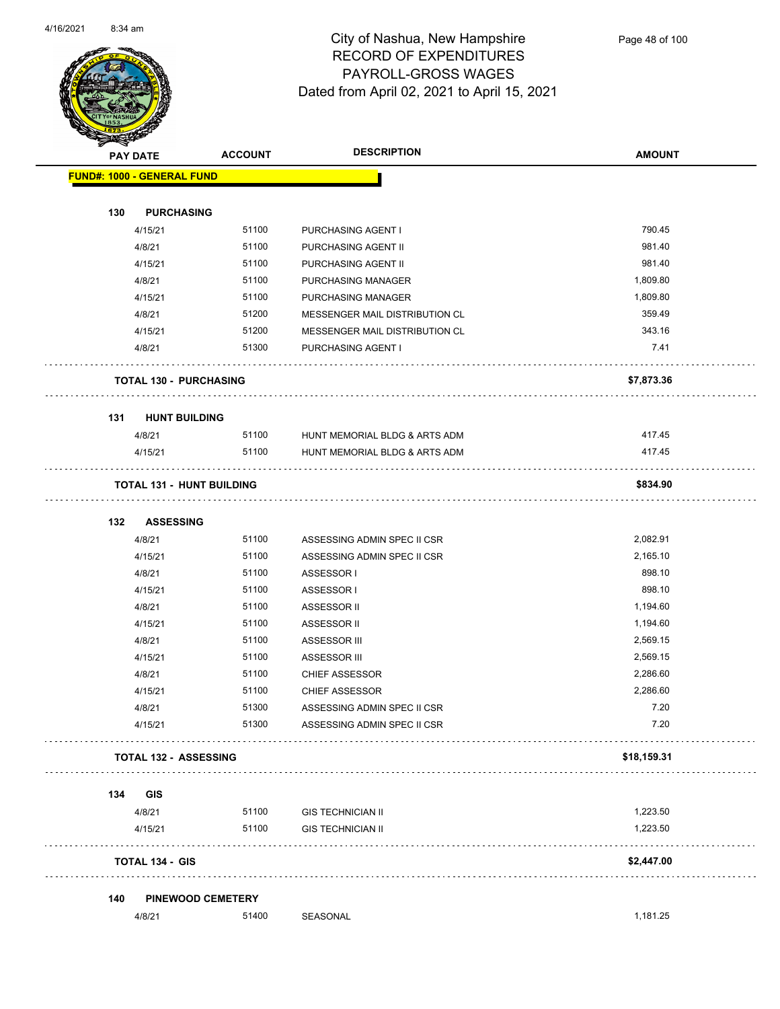

| <b>PAY DATE</b> |                                   | <b>ACCOUNT</b>           | <b>DESCRIPTION</b>                                         | <b>AMOUNT</b>      |
|-----------------|-----------------------------------|--------------------------|------------------------------------------------------------|--------------------|
|                 | <b>FUND#: 1000 - GENERAL FUND</b> |                          |                                                            |                    |
|                 |                                   |                          |                                                            |                    |
| 130             | <b>PURCHASING</b>                 |                          |                                                            |                    |
|                 | 4/15/21                           | 51100                    | PURCHASING AGENT I                                         | 790.45             |
|                 | 4/8/21                            | 51100                    | PURCHASING AGENT II                                        | 981.40             |
|                 | 4/15/21                           | 51100<br>51100           | PURCHASING AGENT II                                        | 981.40<br>1,809.80 |
|                 | 4/8/21<br>4/15/21                 | 51100                    | PURCHASING MANAGER<br>PURCHASING MANAGER                   | 1,809.80           |
|                 | 4/8/21                            | 51200                    | MESSENGER MAIL DISTRIBUTION CL                             | 359.49             |
|                 | 4/15/21                           | 51200                    | MESSENGER MAIL DISTRIBUTION CL                             | 343.16             |
|                 | 4/8/21                            | 51300                    | PURCHASING AGENT I                                         | 7.41               |
|                 | <b>TOTAL 130 - PURCHASING</b>     |                          |                                                            | \$7,873.36         |
| 131             | <b>HUNT BUILDING</b>              |                          |                                                            |                    |
|                 | 4/8/21                            | 51100                    | HUNT MEMORIAL BLDG & ARTS ADM                              | 417.45             |
|                 | 4/15/21                           | 51100                    | HUNT MEMORIAL BLDG & ARTS ADM                              | 417.45             |
|                 | <b>TOTAL 131 - HUNT BUILDING</b>  |                          |                                                            | \$834.90           |
| 132             | <b>ASSESSING</b>                  |                          |                                                            |                    |
|                 | 4/8/21                            | 51100                    | ASSESSING ADMIN SPEC II CSR                                | 2,082.91           |
|                 | 4/15/21                           | 51100                    | ASSESSING ADMIN SPEC II CSR                                | 2,165.10           |
|                 | 4/8/21                            | 51100                    | ASSESSOR I                                                 | 898.10             |
|                 | 4/15/21                           | 51100                    | ASSESSOR I                                                 | 898.10             |
|                 | 4/8/21                            | 51100                    | ASSESSOR II                                                | 1,194.60           |
|                 | 4/15/21                           | 51100                    | ASSESSOR II                                                | 1,194.60           |
|                 | 4/8/21                            | 51100                    | ASSESSOR III                                               | 2,569.15           |
|                 | 4/15/21                           | 51100                    | ASSESSOR III                                               | 2,569.15           |
|                 | 4/8/21                            | 51100                    | <b>CHIEF ASSESSOR</b>                                      | 2,286.60           |
|                 | 4/15/21                           | 51100                    | <b>CHIEF ASSESSOR</b>                                      | 2,286.60           |
|                 | 4/8/21<br>4/15/21                 | 51300<br>51300           | ASSESSING ADMIN SPEC II CSR<br>ASSESSING ADMIN SPEC II CSR | 7.20<br>7.20       |
|                 | <b>TOTAL 132 - ASSESSING</b>      |                          |                                                            | \$18,159.31        |
|                 |                                   |                          |                                                            |                    |
| 134             | <b>GIS</b><br>4/8/21              | 51100                    | <b>GIS TECHNICIAN II</b>                                   | 1,223.50           |
|                 | 4/15/21                           | 51100                    | <b>GIS TECHNICIAN II</b>                                   | 1,223.50           |
|                 | <b>TOTAL 134 - GIS</b>            |                          |                                                            | \$2,447.00         |
| 140             |                                   | <b>PINEWOOD CEMETERY</b> |                                                            |                    |
|                 | 4/8/21                            | 51400                    | SEASONAL                                                   | 1,181.25           |
|                 |                                   |                          |                                                            |                    |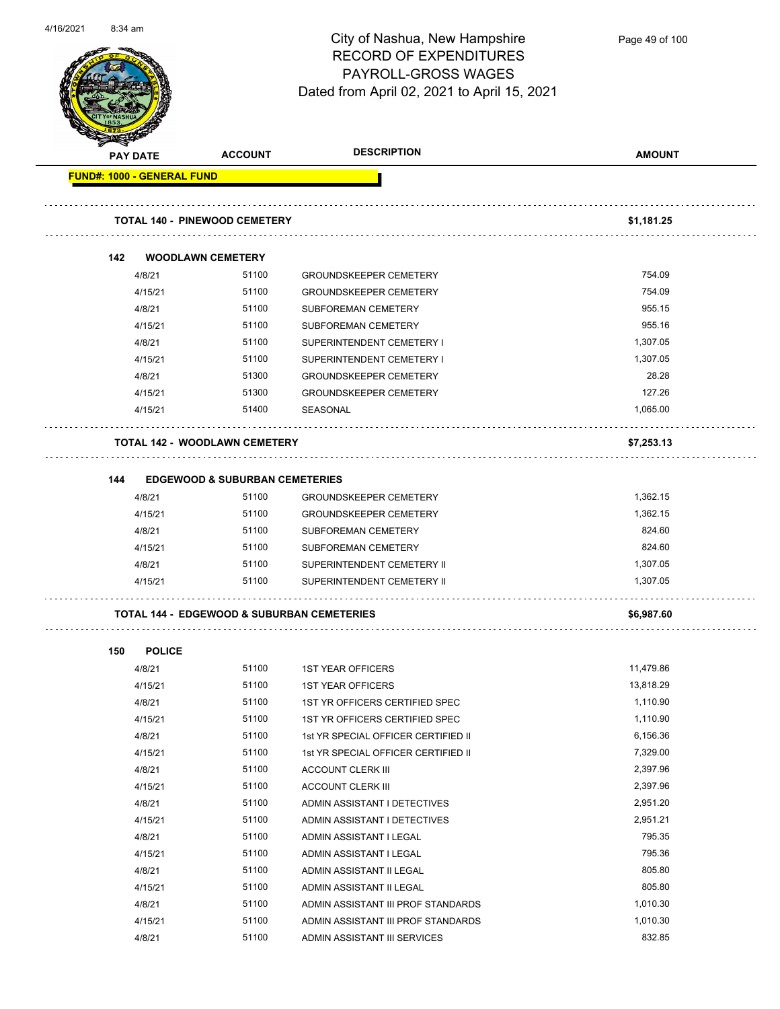

Page 49 of 100

|     | <b>PAY DATE</b> | <b>ACCOUNT</b>                                        | <b>DESCRIPTION</b>                  | <b>AMOUNT</b> |
|-----|-----------------|-------------------------------------------------------|-------------------------------------|---------------|
|     |                 | <b>FUND#: 1000 - GENERAL FUND</b>                     |                                     |               |
|     |                 | TOTAL 140 - PINEWOOD CEMETERY                         |                                     | \$1,181.25    |
| 142 |                 | <b>WOODLAWN CEMETERY</b>                              |                                     |               |
|     | 4/8/21          | 51100                                                 | <b>GROUNDSKEEPER CEMETERY</b>       | 754.09        |
|     | 4/15/21         | 51100                                                 | <b>GROUNDSKEEPER CEMETERY</b>       | 754.09        |
|     | 4/8/21          | 51100                                                 | SUBFOREMAN CEMETERY                 | 955.15        |
|     | 4/15/21         | 51100                                                 | SUBFOREMAN CEMETERY                 | 955.16        |
|     | 4/8/21          | 51100                                                 | SUPERINTENDENT CEMETERY I           | 1,307.05      |
|     | 4/15/21         | 51100                                                 | SUPERINTENDENT CEMETERY I           | 1,307.05      |
|     | 4/8/21          | 51300                                                 | <b>GROUNDSKEEPER CEMETERY</b>       | 28.28         |
|     | 4/15/21         | 51300                                                 | <b>GROUNDSKEEPER CEMETERY</b>       | 127.26        |
|     | 4/15/21         | 51400                                                 | SEASONAL                            | 1,065.00      |
|     |                 | <b>TOTAL 142 - WOODLAWN CEMETERY</b>                  |                                     | \$7,253.13    |
| 144 |                 | <b>EDGEWOOD &amp; SUBURBAN CEMETERIES</b>             |                                     |               |
|     | 4/8/21          | 51100                                                 | <b>GROUNDSKEEPER CEMETERY</b>       | 1,362.15      |
|     | 4/15/21         | 51100                                                 | <b>GROUNDSKEEPER CEMETERY</b>       | 1,362.15      |
|     | 4/8/21          | 51100                                                 | SUBFOREMAN CEMETERY                 | 824.60        |
|     | 4/15/21         | 51100                                                 | SUBFOREMAN CEMETERY                 | 824.60        |
|     | 4/8/21          | 51100                                                 | SUPERINTENDENT CEMETERY II          | 1,307.05      |
|     | 4/15/21         | 51100                                                 | SUPERINTENDENT CEMETERY II          | 1,307.05      |
|     |                 | <b>TOTAL 144 - EDGEWOOD &amp; SUBURBAN CEMETERIES</b> |                                     | \$6,987.60    |
| 150 | <b>POLICE</b>   |                                                       |                                     |               |
|     | 4/8/21          | 51100                                                 | <b>1ST YEAR OFFICERS</b>            | 11,479.86     |
|     | 4/15/21         | 51100                                                 | <b>1ST YEAR OFFICERS</b>            | 13,818.29     |
|     | 4/8/21          | 51100                                                 | 1ST YR OFFICERS CERTIFIED SPEC      | 1,110.90      |
|     | 4/15/21         | 51100                                                 | 1ST YR OFFICERS CERTIFIED SPEC      | 1,110.90      |
|     | 4/8/21          | 51100                                                 | 1st YR SPECIAL OFFICER CERTIFIED II | 6,156.36      |
|     | 4/15/21         | 51100                                                 | 1st YR SPECIAL OFFICER CERTIFIED II | 7,329.00      |
|     | 4/8/21          | 51100                                                 | <b>ACCOUNT CLERK III</b>            | 2,397.96      |
|     | 4/15/21         | 51100                                                 | <b>ACCOUNT CLERK III</b>            | 2,397.96      |
|     | 4/8/21          | 51100                                                 | ADMIN ASSISTANT I DETECTIVES        | 2,951.20      |
|     | 4/15/21         | 51100                                                 | ADMIN ASSISTANT I DETECTIVES        | 2,951.21      |
|     | 4/8/21          | 51100                                                 | ADMIN ASSISTANT I LEGAL             | 795.35        |
|     | 4/15/21         | 51100                                                 | ADMIN ASSISTANT I LEGAL             | 795.36        |
|     | 4/8/21          | 51100                                                 | ADMIN ASSISTANT II LEGAL            | 805.80        |
|     | 4/15/21         | 51100                                                 | ADMIN ASSISTANT II LEGAL            | 805.80        |
|     | 4/8/21          | 51100                                                 | ADMIN ASSISTANT III PROF STANDARDS  | 1,010.30      |
|     |                 |                                                       |                                     |               |
|     | 4/15/21         | 51100                                                 | ADMIN ASSISTANT III PROF STANDARDS  | 1,010.30      |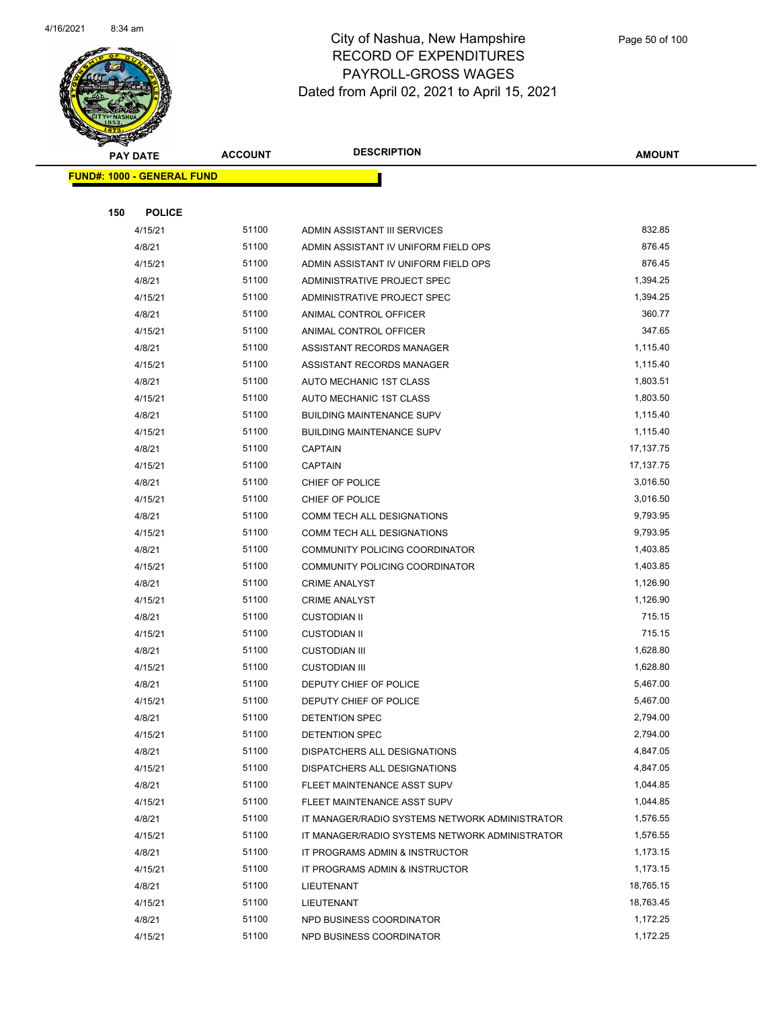

|     | <b>PAY DATE</b>                    | <b>ACCOUNT</b> | <b>DESCRIPTION</b>                             | <b>AMOUNT</b> |
|-----|------------------------------------|----------------|------------------------------------------------|---------------|
|     | <u> FUND#: 1000 - GENERAL FUND</u> |                |                                                |               |
|     |                                    |                |                                                |               |
| 150 | <b>POLICE</b>                      |                |                                                |               |
|     | 4/15/21                            | 51100          | ADMIN ASSISTANT III SERVICES                   | 832.85        |
|     | 4/8/21                             | 51100          | ADMIN ASSISTANT IV UNIFORM FIELD OPS           | 876.45        |
|     | 4/15/21                            | 51100          | ADMIN ASSISTANT IV UNIFORM FIELD OPS           | 876.45        |
|     | 4/8/21                             | 51100          | ADMINISTRATIVE PROJECT SPEC                    | 1,394.25      |
|     | 4/15/21                            | 51100          | ADMINISTRATIVE PROJECT SPEC                    | 1,394.25      |
|     | 4/8/21                             | 51100          | ANIMAL CONTROL OFFICER                         | 360.77        |
|     | 4/15/21                            | 51100          | ANIMAL CONTROL OFFICER                         | 347.65        |
|     | 4/8/21                             | 51100          | ASSISTANT RECORDS MANAGER                      | 1,115.40      |
|     | 4/15/21                            | 51100          | ASSISTANT RECORDS MANAGER                      | 1,115.40      |
|     | 4/8/21                             | 51100          | AUTO MECHANIC 1ST CLASS                        | 1,803.51      |
|     | 4/15/21                            | 51100          | AUTO MECHANIC 1ST CLASS                        | 1,803.50      |
|     | 4/8/21                             | 51100          | <b>BUILDING MAINTENANCE SUPV</b>               | 1,115.40      |
|     | 4/15/21                            | 51100          | <b>BUILDING MAINTENANCE SUPV</b>               | 1,115.40      |
|     | 4/8/21                             | 51100          | <b>CAPTAIN</b>                                 | 17,137.75     |
|     | 4/15/21                            | 51100          | <b>CAPTAIN</b>                                 | 17,137.75     |
|     | 4/8/21                             | 51100          | CHIEF OF POLICE                                | 3,016.50      |
|     | 4/15/21                            | 51100          | CHIEF OF POLICE                                | 3,016.50      |
|     | 4/8/21                             | 51100          | COMM TECH ALL DESIGNATIONS                     | 9,793.95      |
|     | 4/15/21                            | 51100          | COMM TECH ALL DESIGNATIONS                     | 9,793.95      |
|     | 4/8/21                             | 51100          | COMMUNITY POLICING COORDINATOR                 | 1,403.85      |
|     | 4/15/21                            | 51100          | COMMUNITY POLICING COORDINATOR                 | 1,403.85      |
|     | 4/8/21                             | 51100          | <b>CRIME ANALYST</b>                           | 1,126.90      |
|     | 4/15/21                            | 51100          | <b>CRIME ANALYST</b>                           | 1,126.90      |
|     | 4/8/21                             | 51100          | <b>CUSTODIAN II</b>                            | 715.15        |
|     | 4/15/21                            | 51100          | <b>CUSTODIAN II</b>                            | 715.15        |
|     | 4/8/21                             | 51100          | <b>CUSTODIAN III</b>                           | 1,628.80      |
|     | 4/15/21                            | 51100          | <b>CUSTODIAN III</b>                           | 1,628.80      |
|     | 4/8/21                             | 51100          | DEPUTY CHIEF OF POLICE                         | 5,467.00      |
|     | 4/15/21                            | 51100          | DEPUTY CHIEF OF POLICE                         | 5,467.00      |
|     | 4/8/21                             | 51100          | DETENTION SPEC                                 | 2,794.00      |
|     | 4/15/21                            | 51100          | DETENTION SPEC                                 | 2,794.00      |
|     | 4/8/21                             | 51100          | DISPATCHERS ALL DESIGNATIONS                   | 4,847.05      |
|     | 4/15/21                            | 51100          | DISPATCHERS ALL DESIGNATIONS                   | 4,847.05      |
|     | 4/8/21                             | 51100          | FLEET MAINTENANCE ASST SUPV                    | 1,044.85      |
|     | 4/15/21                            | 51100          | FLEET MAINTENANCE ASST SUPV                    | 1,044.85      |
|     | 4/8/21                             | 51100          | IT MANAGER/RADIO SYSTEMS NETWORK ADMINISTRATOR | 1,576.55      |
|     | 4/15/21                            | 51100          | IT MANAGER/RADIO SYSTEMS NETWORK ADMINISTRATOR | 1,576.55      |
|     | 4/8/21                             | 51100          | IT PROGRAMS ADMIN & INSTRUCTOR                 | 1,173.15      |
|     | 4/15/21                            | 51100          | IT PROGRAMS ADMIN & INSTRUCTOR                 | 1,173.15      |
|     | 4/8/21                             | 51100          | LIEUTENANT                                     | 18,765.15     |
|     | 4/15/21                            | 51100          | LIEUTENANT                                     | 18,763.45     |
|     | 4/8/21                             | 51100          | NPD BUSINESS COORDINATOR                       | 1,172.25      |
|     | 4/15/21                            | 51100          | NPD BUSINESS COORDINATOR                       | 1,172.25      |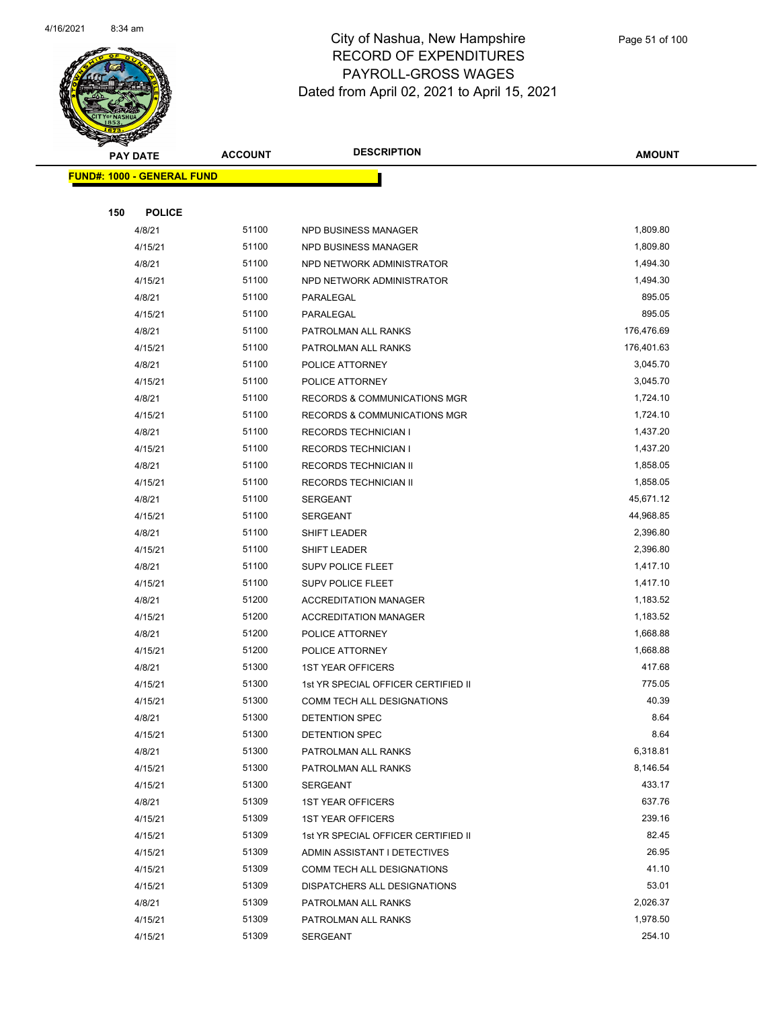

| <b>PAY DATE</b> |                                    | <b>ACCOUNT</b> | <b>DESCRIPTION</b>                      | <b>AMOUNT</b> |  |
|-----------------|------------------------------------|----------------|-----------------------------------------|---------------|--|
|                 | <u> FUND#: 1000 - GENERAL FUND</u> |                |                                         |               |  |
|                 |                                    |                |                                         |               |  |
| 150             | <b>POLICE</b>                      |                |                                         |               |  |
|                 | 4/8/21                             | 51100          | NPD BUSINESS MANAGER                    | 1,809.80      |  |
|                 | 4/15/21                            | 51100          | NPD BUSINESS MANAGER                    | 1,809.80      |  |
|                 | 4/8/21                             | 51100          | NPD NETWORK ADMINISTRATOR               | 1,494.30      |  |
|                 | 4/15/21                            | 51100          | NPD NETWORK ADMINISTRATOR               | 1,494.30      |  |
|                 | 4/8/21                             | 51100          | PARALEGAL                               | 895.05        |  |
|                 | 4/15/21                            | 51100          | PARALEGAL                               | 895.05        |  |
|                 | 4/8/21                             | 51100          | PATROLMAN ALL RANKS                     | 176,476.69    |  |
|                 | 4/15/21                            | 51100          | PATROLMAN ALL RANKS                     | 176,401.63    |  |
|                 | 4/8/21                             | 51100          | POLICE ATTORNEY                         | 3,045.70      |  |
|                 | 4/15/21                            | 51100          | POLICE ATTORNEY                         | 3,045.70      |  |
|                 | 4/8/21                             | 51100          | RECORDS & COMMUNICATIONS MGR            | 1,724.10      |  |
|                 | 4/15/21                            | 51100          | <b>RECORDS &amp; COMMUNICATIONS MGR</b> | 1,724.10      |  |
|                 | 4/8/21                             | 51100          | <b>RECORDS TECHNICIAN I</b>             | 1,437.20      |  |
|                 | 4/15/21                            | 51100          | <b>RECORDS TECHNICIAN I</b>             | 1,437.20      |  |
|                 | 4/8/21                             | 51100          | RECORDS TECHNICIAN II                   | 1,858.05      |  |
|                 | 4/15/21                            | 51100          | RECORDS TECHNICIAN II                   | 1,858.05      |  |
|                 | 4/8/21                             | 51100          | <b>SERGEANT</b>                         | 45,671.12     |  |
|                 | 4/15/21                            | 51100          | <b>SERGEANT</b>                         | 44,968.85     |  |
|                 | 4/8/21                             | 51100          | SHIFT LEADER                            | 2,396.80      |  |
|                 | 4/15/21                            | 51100          | SHIFT LEADER                            | 2,396.80      |  |
|                 | 4/8/21                             | 51100          | <b>SUPV POLICE FLEET</b>                | 1,417.10      |  |
|                 | 4/15/21                            | 51100          | SUPV POLICE FLEET                       | 1,417.10      |  |
|                 | 4/8/21                             | 51200          | <b>ACCREDITATION MANAGER</b>            | 1,183.52      |  |
|                 | 4/15/21                            | 51200          | <b>ACCREDITATION MANAGER</b>            | 1,183.52      |  |
|                 | 4/8/21                             | 51200          | POLICE ATTORNEY                         | 1,668.88      |  |
|                 | 4/15/21                            | 51200          | POLICE ATTORNEY                         | 1,668.88      |  |
|                 | 4/8/21                             | 51300          | <b>1ST YEAR OFFICERS</b>                | 417.68        |  |
|                 | 4/15/21                            | 51300          | 1st YR SPECIAL OFFICER CERTIFIED II     | 775.05        |  |
|                 | 4/15/21                            | 51300          | COMM TECH ALL DESIGNATIONS              | 40.39         |  |
|                 | 4/8/21                             | 51300          | DETENTION SPEC                          | 8.64          |  |
|                 | 4/15/21                            | 51300          | DETENTION SPEC                          | 8.64          |  |
|                 | 4/8/21                             | 51300          | PATROLMAN ALL RANKS                     | 6,318.81      |  |
|                 | 4/15/21                            | 51300          | PATROLMAN ALL RANKS                     | 8,146.54      |  |
|                 | 4/15/21                            | 51300          | SERGEANT                                | 433.17        |  |
|                 | 4/8/21                             | 51309          | <b>1ST YEAR OFFICERS</b>                | 637.76        |  |
|                 | 4/15/21                            | 51309          | <b>1ST YEAR OFFICERS</b>                | 239.16        |  |
|                 | 4/15/21                            | 51309          | 1st YR SPECIAL OFFICER CERTIFIED II     | 82.45         |  |
|                 | 4/15/21                            | 51309          | ADMIN ASSISTANT I DETECTIVES            | 26.95         |  |
|                 | 4/15/21                            | 51309          | COMM TECH ALL DESIGNATIONS              | 41.10         |  |
|                 | 4/15/21                            | 51309          | DISPATCHERS ALL DESIGNATIONS            | 53.01         |  |
|                 | 4/8/21                             | 51309          | PATROLMAN ALL RANKS                     | 2,026.37      |  |
|                 | 4/15/21                            | 51309          | PATROLMAN ALL RANKS                     | 1,978.50      |  |
|                 | 4/15/21                            | 51309          | SERGEANT                                | 254.10        |  |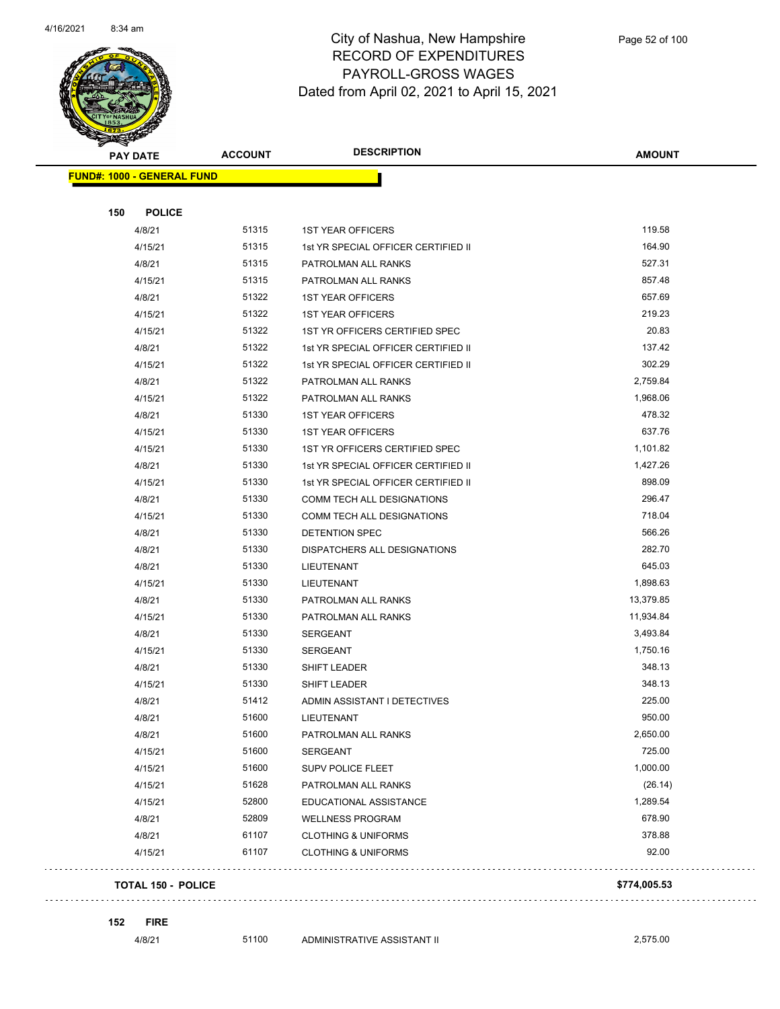

|     | <b>PAY DATE</b>                    | <b>ACCOUNT</b> | <b>DESCRIPTION</b>                  | <b>AMOUNT</b> |
|-----|------------------------------------|----------------|-------------------------------------|---------------|
|     | <u> FUND#: 1000 - GENERAL FUND</u> |                |                                     |               |
|     |                                    |                |                                     |               |
| 150 | <b>POLICE</b>                      |                |                                     |               |
|     | 4/8/21                             | 51315          | <b>1ST YEAR OFFICERS</b>            | 119.58        |
|     | 4/15/21                            | 51315          | 1st YR SPECIAL OFFICER CERTIFIED II | 164.90        |
|     | 4/8/21                             | 51315          | PATROLMAN ALL RANKS                 | 527.31        |
|     | 4/15/21                            | 51315          | PATROLMAN ALL RANKS                 | 857.48        |
|     | 4/8/21                             | 51322          | <b>1ST YEAR OFFICERS</b>            | 657.69        |
|     | 4/15/21                            | 51322          | <b>1ST YEAR OFFICERS</b>            | 219.23        |
|     | 4/15/21                            | 51322          | 1ST YR OFFICERS CERTIFIED SPEC      | 20.83         |
|     | 4/8/21                             | 51322          | 1st YR SPECIAL OFFICER CERTIFIED II | 137.42        |
|     | 4/15/21                            | 51322          | 1st YR SPECIAL OFFICER CERTIFIED II | 302.29        |
|     | 4/8/21                             | 51322          | PATROLMAN ALL RANKS                 | 2,759.84      |
|     | 4/15/21                            | 51322          | PATROLMAN ALL RANKS                 | 1,968.06      |
|     | 4/8/21                             | 51330          | <b>1ST YEAR OFFICERS</b>            | 478.32        |
|     | 4/15/21                            | 51330          | <b>1ST YEAR OFFICERS</b>            | 637.76        |
|     | 4/15/21                            | 51330          | 1ST YR OFFICERS CERTIFIED SPEC      | 1,101.82      |
|     | 4/8/21                             | 51330          | 1st YR SPECIAL OFFICER CERTIFIED II | 1,427.26      |
|     | 4/15/21                            | 51330          | 1st YR SPECIAL OFFICER CERTIFIED II | 898.09        |
|     | 4/8/21                             | 51330          | COMM TECH ALL DESIGNATIONS          | 296.47        |
|     | 4/15/21                            | 51330          | COMM TECH ALL DESIGNATIONS          | 718.04        |
|     | 4/8/21                             | 51330          | DETENTION SPEC                      | 566.26        |
|     | 4/8/21                             | 51330          | DISPATCHERS ALL DESIGNATIONS        | 282.70        |
|     | 4/8/21                             | 51330          | LIEUTENANT                          | 645.03        |
|     | 4/15/21                            | 51330          | LIEUTENANT                          | 1,898.63      |
|     | 4/8/21                             | 51330          | PATROLMAN ALL RANKS                 | 13,379.85     |
|     | 4/15/21                            | 51330          | PATROLMAN ALL RANKS                 | 11,934.84     |
|     | 4/8/21                             | 51330          | SERGEANT                            | 3,493.84      |
|     | 4/15/21                            | 51330          | <b>SERGEANT</b>                     | 1,750.16      |
|     | 4/8/21                             | 51330          | SHIFT LEADER                        | 348.13        |
|     | 4/15/21                            | 51330          | <b>SHIFT LEADER</b>                 | 348.13        |
|     | 4/8/21                             | 51412          | ADMIN ASSISTANT I DETECTIVES        | 225.00        |
|     | 4/8/21                             | 51600          | LIEUTENANT                          | 950.00        |
|     | 4/8/21                             | 51600          | PATROLMAN ALL RANKS                 | 2,650.00      |
|     | 4/15/21                            | 51600          | SERGEANT                            | 725.00        |
|     | 4/15/21                            | 51600          | SUPV POLICE FLEET                   | 1,000.00      |
|     | 4/15/21                            | 51628          | PATROLMAN ALL RANKS                 | (26.14)       |
|     | 4/15/21                            | 52800          | EDUCATIONAL ASSISTANCE              | 1,289.54      |
|     | 4/8/21                             | 52809          | <b>WELLNESS PROGRAM</b>             | 678.90        |
|     | 4/8/21                             | 61107          | <b>CLOTHING &amp; UNIFORMS</b>      | 378.88        |
|     | 4/15/21                            | 61107          | <b>CLOTHING &amp; UNIFORMS</b>      | 92.00         |
|     | <b>TOTAL 150 - POLICE</b>          |                |                                     | \$774,005.53  |

 $\mathbb{Z}^2$  .  $\mathbb{Z}^2$  ,  $\mathbb{Z}^2$ 

**152 FIRE**

4/8/21 51100 ADMINISTRATIVE ASSISTANT II 2,575.00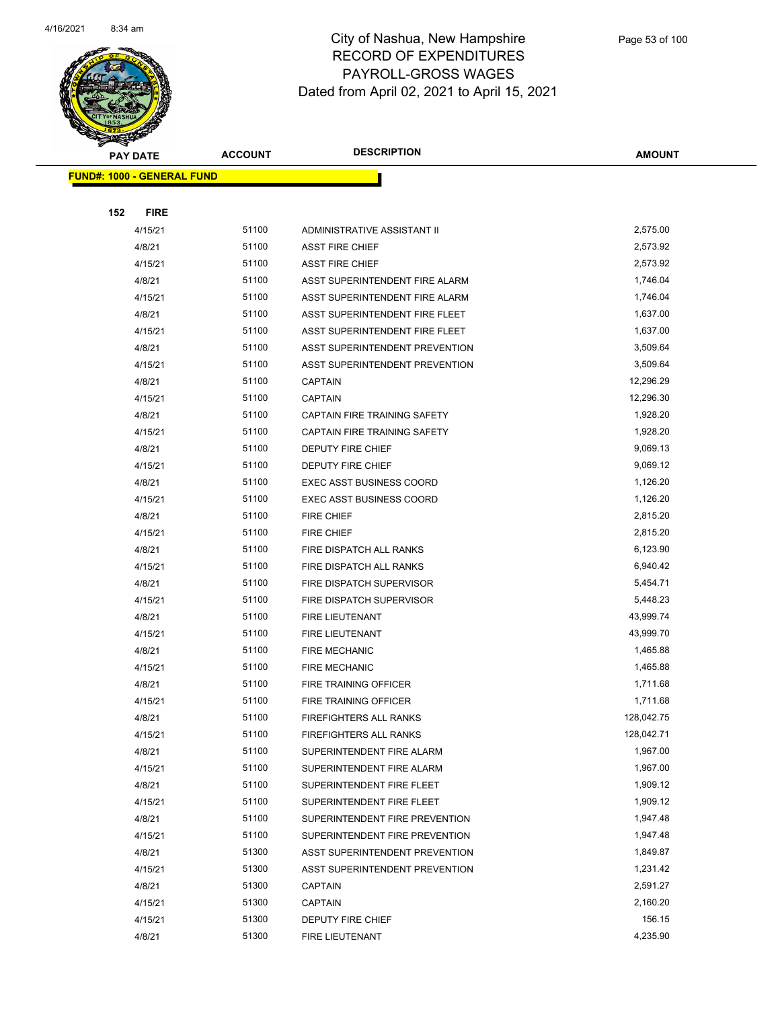

|     | <b>PAY DATE</b>                    | <b>ACCOUNT</b> | <b>DESCRIPTION</b>              | <b>AMOUNT</b> |
|-----|------------------------------------|----------------|---------------------------------|---------------|
|     | <u> FUND#: 1000 - GENERAL FUND</u> |                |                                 |               |
|     |                                    |                |                                 |               |
| 152 | <b>FIRE</b>                        |                |                                 |               |
|     | 4/15/21                            | 51100          | ADMINISTRATIVE ASSISTANT II     | 2,575.00      |
|     | 4/8/21                             | 51100          | <b>ASST FIRE CHIEF</b>          | 2,573.92      |
|     | 4/15/21                            | 51100          | <b>ASST FIRE CHIEF</b>          | 2,573.92      |
|     | 4/8/21                             | 51100          | ASST SUPERINTENDENT FIRE ALARM  | 1,746.04      |
|     | 4/15/21                            | 51100          | ASST SUPERINTENDENT FIRE ALARM  | 1,746.04      |
|     | 4/8/21                             | 51100          | ASST SUPERINTENDENT FIRE FLEET  | 1,637.00      |
|     | 4/15/21                            | 51100          | ASST SUPERINTENDENT FIRE FLEET  | 1,637.00      |
|     | 4/8/21                             | 51100          | ASST SUPERINTENDENT PREVENTION  | 3,509.64      |
|     | 4/15/21                            | 51100          | ASST SUPERINTENDENT PREVENTION  | 3,509.64      |
|     | 4/8/21                             | 51100          | CAPTAIN                         | 12,296.29     |
|     | 4/15/21                            | 51100          | <b>CAPTAIN</b>                  | 12,296.30     |
|     | 4/8/21                             | 51100          | CAPTAIN FIRE TRAINING SAFETY    | 1,928.20      |
|     | 4/15/21                            | 51100          | CAPTAIN FIRE TRAINING SAFETY    | 1,928.20      |
|     | 4/8/21                             | 51100          | DEPUTY FIRE CHIEF               | 9,069.13      |
|     | 4/15/21                            | 51100          | DEPUTY FIRE CHIEF               | 9,069.12      |
|     | 4/8/21                             | 51100          | <b>EXEC ASST BUSINESS COORD</b> | 1,126.20      |
|     | 4/15/21                            | 51100          | <b>EXEC ASST BUSINESS COORD</b> | 1,126.20      |
|     | 4/8/21                             | 51100          | <b>FIRE CHIEF</b>               | 2,815.20      |
|     | 4/15/21                            | 51100          | <b>FIRE CHIEF</b>               | 2,815.20      |
|     | 4/8/21                             | 51100          | FIRE DISPATCH ALL RANKS         | 6,123.90      |
|     | 4/15/21                            | 51100          | FIRE DISPATCH ALL RANKS         | 6,940.42      |
|     | 4/8/21                             | 51100          | FIRE DISPATCH SUPERVISOR        | 5,454.71      |
|     | 4/15/21                            | 51100          | FIRE DISPATCH SUPERVISOR        | 5,448.23      |
|     | 4/8/21                             | 51100          | FIRE LIEUTENANT                 | 43,999.74     |
|     | 4/15/21                            | 51100          | FIRE LIEUTENANT                 | 43,999.70     |
|     | 4/8/21                             | 51100          | <b>FIRE MECHANIC</b>            | 1,465.88      |
|     | 4/15/21                            | 51100          | <b>FIRE MECHANIC</b>            | 1,465.88      |
|     | 4/8/21                             | 51100          | FIRE TRAINING OFFICER           | 1,711.68      |
|     | 4/15/21                            | 51100          | FIRE TRAINING OFFICER           | 1,711.68      |
|     | 4/8/21                             | 51100          | <b>FIREFIGHTERS ALL RANKS</b>   | 128,042.75    |
|     | 4/15/21                            | 51100          | FIREFIGHTERS ALL RANKS          | 128,042.71    |
|     | 4/8/21                             | 51100          | SUPERINTENDENT FIRE ALARM       | 1,967.00      |
|     | 4/15/21                            | 51100          | SUPERINTENDENT FIRE ALARM       | 1,967.00      |
|     | 4/8/21                             | 51100          | SUPERINTENDENT FIRE FLEET       | 1,909.12      |
|     | 4/15/21                            | 51100          | SUPERINTENDENT FIRE FLEET       | 1,909.12      |
|     | 4/8/21                             | 51100          | SUPERINTENDENT FIRE PREVENTION  | 1,947.48      |
|     | 4/15/21                            | 51100          | SUPERINTENDENT FIRE PREVENTION  | 1,947.48      |
|     | 4/8/21                             | 51300          | ASST SUPERINTENDENT PREVENTION  | 1,849.87      |
|     | 4/15/21                            | 51300          | ASST SUPERINTENDENT PREVENTION  | 1,231.42      |
|     | 4/8/21                             | 51300          | <b>CAPTAIN</b>                  | 2,591.27      |
|     | 4/15/21                            | 51300          | <b>CAPTAIN</b>                  | 2,160.20      |
|     | 4/15/21                            | 51300          | DEPUTY FIRE CHIEF               | 156.15        |
|     | 4/8/21                             | 51300          | FIRE LIEUTENANT                 | 4,235.90      |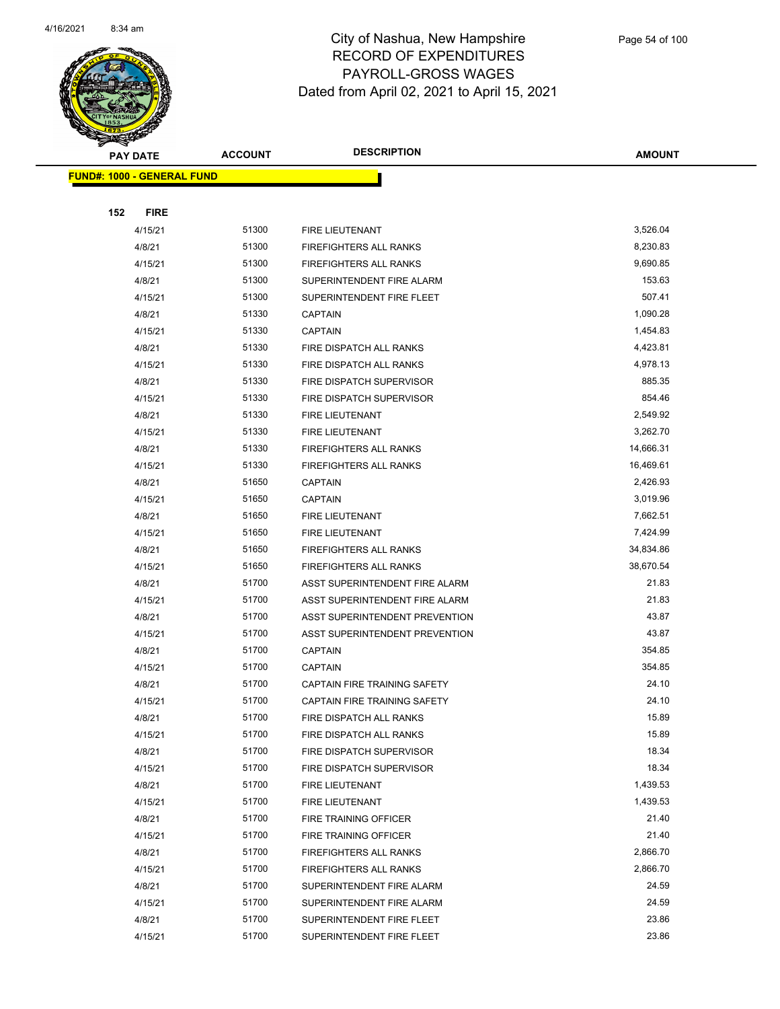

|     | <b>PAY DATE</b>                   | <b>ACCOUNT</b> | <b>DESCRIPTION</b>             | <b>AMOUNT</b> |
|-----|-----------------------------------|----------------|--------------------------------|---------------|
|     | <b>FUND#: 1000 - GENERAL FUND</b> |                |                                |               |
|     |                                   |                |                                |               |
| 152 | <b>FIRE</b>                       |                |                                |               |
|     | 4/15/21                           | 51300          | FIRE LIEUTENANT                | 3,526.04      |
|     | 4/8/21                            | 51300          | <b>FIREFIGHTERS ALL RANKS</b>  | 8,230.83      |
|     | 4/15/21                           | 51300          | <b>FIREFIGHTERS ALL RANKS</b>  | 9,690.85      |
|     | 4/8/21                            | 51300          | SUPERINTENDENT FIRE ALARM      | 153.63        |
|     | 4/15/21                           | 51300          | SUPERINTENDENT FIRE FLEET      | 507.41        |
|     | 4/8/21                            | 51330          | <b>CAPTAIN</b>                 | 1,090.28      |
|     | 4/15/21                           | 51330          | <b>CAPTAIN</b>                 | 1,454.83      |
|     | 4/8/21                            | 51330          | FIRE DISPATCH ALL RANKS        | 4,423.81      |
|     | 4/15/21                           | 51330          | FIRE DISPATCH ALL RANKS        | 4,978.13      |
|     | 4/8/21                            | 51330          | FIRE DISPATCH SUPERVISOR       | 885.35        |
|     | 4/15/21                           | 51330          | FIRE DISPATCH SUPERVISOR       | 854.46        |
|     | 4/8/21                            | 51330          | <b>FIRE LIEUTENANT</b>         | 2,549.92      |
|     | 4/15/21                           | 51330          | FIRE LIEUTENANT                | 3,262.70      |
|     | 4/8/21                            | 51330          | <b>FIREFIGHTERS ALL RANKS</b>  | 14,666.31     |
|     | 4/15/21                           | 51330          | <b>FIREFIGHTERS ALL RANKS</b>  | 16,469.61     |
|     | 4/8/21                            | 51650          | <b>CAPTAIN</b>                 | 2,426.93      |
|     | 4/15/21                           | 51650          | <b>CAPTAIN</b>                 | 3,019.96      |
|     | 4/8/21                            | 51650          | FIRE LIEUTENANT                | 7,662.51      |
|     | 4/15/21                           | 51650          | FIRE LIEUTENANT                | 7,424.99      |
|     | 4/8/21                            | 51650          | <b>FIREFIGHTERS ALL RANKS</b>  | 34,834.86     |
|     | 4/15/21                           | 51650          | <b>FIREFIGHTERS ALL RANKS</b>  | 38,670.54     |
|     | 4/8/21                            | 51700          | ASST SUPERINTENDENT FIRE ALARM | 21.83         |
|     | 4/15/21                           | 51700          | ASST SUPERINTENDENT FIRE ALARM | 21.83         |
|     | 4/8/21                            | 51700          | ASST SUPERINTENDENT PREVENTION | 43.87         |
|     | 4/15/21                           | 51700          | ASST SUPERINTENDENT PREVENTION | 43.87         |
|     | 4/8/21                            | 51700          | <b>CAPTAIN</b>                 | 354.85        |
|     | 4/15/21                           | 51700          | <b>CAPTAIN</b>                 | 354.85        |
|     | 4/8/21                            | 51700          | CAPTAIN FIRE TRAINING SAFETY   | 24.10         |
|     | 4/15/21                           | 51700          | CAPTAIN FIRE TRAINING SAFETY   | 24.10         |
|     | 4/8/21                            | 51700          | FIRE DISPATCH ALL RANKS        | 15.89         |
|     | 4/15/21                           | 51700          | FIRE DISPATCH ALL RANKS        | 15.89         |
|     | 4/8/21                            | 51700          | FIRE DISPATCH SUPERVISOR       | 18.34         |
|     | 4/15/21                           | 51700          | FIRE DISPATCH SUPERVISOR       | 18.34         |
|     | 4/8/21                            | 51700          | FIRE LIEUTENANT                | 1,439.53      |
|     | 4/15/21                           | 51700          | FIRE LIEUTENANT                | 1,439.53      |
|     | 4/8/21                            | 51700          | FIRE TRAINING OFFICER          | 21.40         |
|     | 4/15/21                           | 51700          | FIRE TRAINING OFFICER          | 21.40         |
|     | 4/8/21                            | 51700          | <b>FIREFIGHTERS ALL RANKS</b>  | 2,866.70      |
|     | 4/15/21                           | 51700          | <b>FIREFIGHTERS ALL RANKS</b>  | 2,866.70      |
|     | 4/8/21                            | 51700          | SUPERINTENDENT FIRE ALARM      | 24.59         |
|     | 4/15/21                           | 51700          | SUPERINTENDENT FIRE ALARM      | 24.59         |
|     | 4/8/21                            | 51700          | SUPERINTENDENT FIRE FLEET      | 23.86         |
|     | 4/15/21                           | 51700          | SUPERINTENDENT FIRE FLEET      | 23.86         |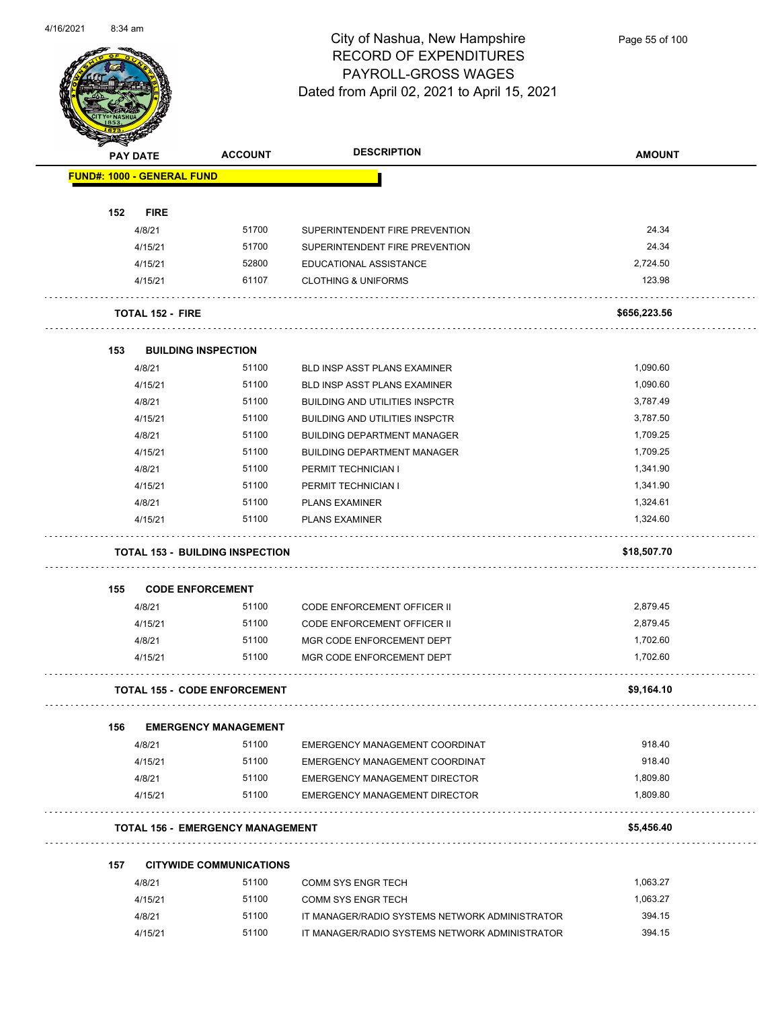$\overline{\phantom{0}}$ 



#### City of Nashua, New Hampshire RECORD OF EXPENDITURES PAYROLL-GROSS WAGES Dated from April 02, 2021 to April 15, 2021

Page 55 of 100

|     | <b>PAY DATE</b>                         | <b>ACCOUNT</b>                 | <b>DESCRIPTION</b>                                               | <b>AMOUNT</b>      |
|-----|-----------------------------------------|--------------------------------|------------------------------------------------------------------|--------------------|
|     | <b>FUND#: 1000 - GENERAL FUND</b>       |                                |                                                                  |                    |
|     |                                         |                                |                                                                  |                    |
| 152 | <b>FIRE</b>                             |                                |                                                                  |                    |
|     |                                         | 51700                          |                                                                  | 24.34              |
|     | 4/8/21<br>4/15/21                       | 51700                          | SUPERINTENDENT FIRE PREVENTION<br>SUPERINTENDENT FIRE PREVENTION | 24.34              |
|     | 4/15/21                                 | 52800                          | EDUCATIONAL ASSISTANCE                                           | 2,724.50           |
|     | 4/15/21                                 | 61107                          | <b>CLOTHING &amp; UNIFORMS</b>                                   | 123.98             |
|     |                                         |                                |                                                                  |                    |
|     | <b>TOTAL 152 - FIRE</b>                 |                                |                                                                  | \$656,223.56       |
| 153 | <b>BUILDING INSPECTION</b>              |                                |                                                                  |                    |
|     | 4/8/21                                  | 51100                          | <b>BLD INSP ASST PLANS EXAMINER</b>                              | 1,090.60           |
|     | 4/15/21                                 | 51100                          | <b>BLD INSP ASST PLANS EXAMINER</b>                              | 1,090.60           |
|     | 4/8/21                                  | 51100                          | <b>BUILDING AND UTILITIES INSPCTR</b>                            | 3,787.49           |
|     | 4/15/21                                 | 51100                          | <b>BUILDING AND UTILITIES INSPCTR</b>                            | 3,787.50           |
|     | 4/8/21                                  | 51100                          | <b>BUILDING DEPARTMENT MANAGER</b>                               | 1,709.25           |
|     | 4/15/21                                 | 51100                          | <b>BUILDING DEPARTMENT MANAGER</b>                               | 1,709.25           |
|     | 4/8/21                                  | 51100                          | PERMIT TECHNICIAN I                                              | 1,341.90           |
|     | 4/15/21                                 | 51100                          | PERMIT TECHNICIAN I                                              | 1,341.90           |
|     | 4/8/21                                  | 51100                          | <b>PLANS EXAMINER</b>                                            | 1,324.61           |
|     | 4/15/21                                 | 51100                          | <b>PLANS EXAMINER</b>                                            | 1,324.60           |
|     |                                         |                                |                                                                  |                    |
|     | <b>TOTAL 153 - BUILDING INSPECTION</b>  |                                |                                                                  | \$18,507.70        |
| 155 | <b>CODE ENFORCEMENT</b>                 |                                |                                                                  |                    |
|     | 4/8/21                                  | 51100                          | CODE ENFORCEMENT OFFICER II                                      | 2,879.45           |
|     | 4/15/21                                 | 51100                          | <b>CODE ENFORCEMENT OFFICER II</b>                               | 2,879.45           |
|     | 4/8/21                                  | 51100                          | MGR CODE ENFORCEMENT DEPT                                        | 1,702.60           |
|     | 4/15/21                                 | 51100                          | MGR CODE ENFORCEMENT DEPT                                        | 1,702.60           |
|     |                                         |                                |                                                                  |                    |
|     | <b>TOTAL 155 - CODE ENFORCEMENT</b>     |                                |                                                                  | \$9,164.10         |
| 156 |                                         | <b>EMERGENCY MANAGEMENT</b>    |                                                                  |                    |
|     | 4/8/21                                  | 51100                          | EMERGENCY MANAGEMENT COORDINAT                                   | 918.40             |
|     | 4/15/21                                 | 51100                          | EMERGENCY MANAGEMENT COORDINAT                                   | 918.40             |
|     | 4/8/21                                  | 51100                          | <b>EMERGENCY MANAGEMENT DIRECTOR</b>                             | 1,809.80           |
|     | 4/15/21                                 | 51100                          | <b>EMERGENCY MANAGEMENT DIRECTOR</b>                             | 1,809.80           |
|     | <b>TOTAL 156 - EMERGENCY MANAGEMENT</b> |                                |                                                                  | \$5,456.40         |
|     |                                         |                                |                                                                  |                    |
| 157 |                                         | <b>CITYWIDE COMMUNICATIONS</b> |                                                                  |                    |
|     | 4/8/21                                  | 51100                          | <b>COMM SYS ENGR TECH</b>                                        | 1,063.27           |
|     | 4/15/21                                 | 51100                          | <b>COMM SYS ENGR TECH</b>                                        | 1,063.27<br>394.15 |
|     | 4/8/21                                  | 51100                          | IT MANAGER/RADIO SYSTEMS NETWORK ADMINISTRATOR                   | 394.15             |
|     | 4/15/21                                 | 51100                          | IT MANAGER/RADIO SYSTEMS NETWORK ADMINISTRATOR                   |                    |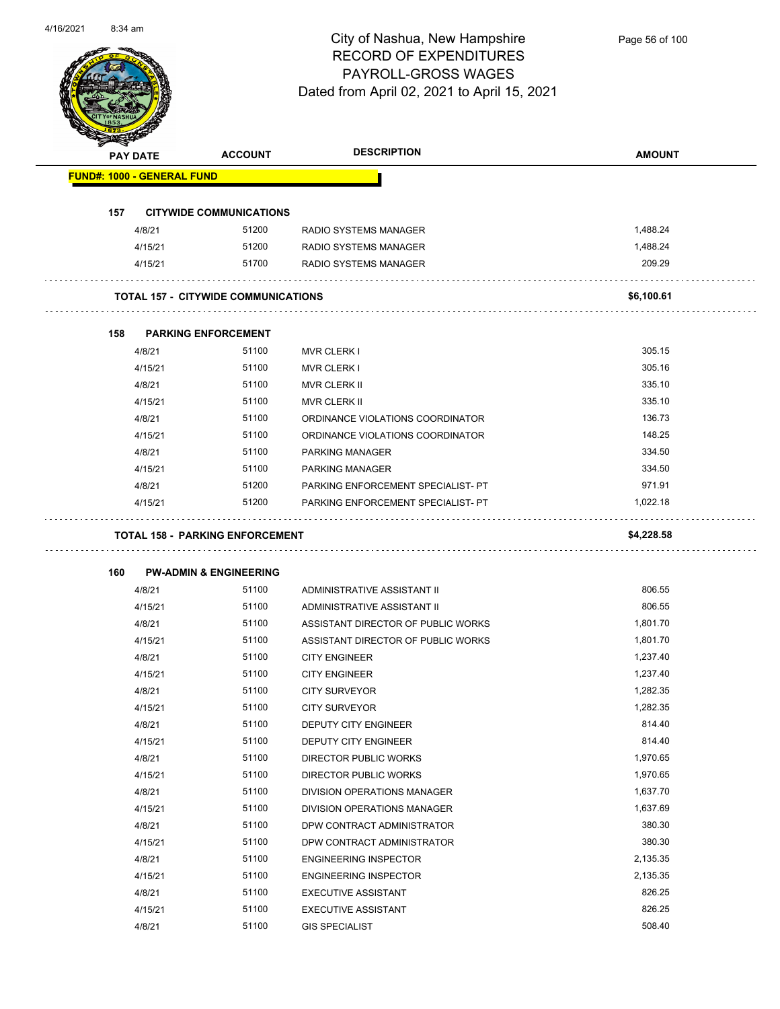

| <b>PAY DATE</b> |                                   | <b>ACCOUNT</b>                             | <b>DESCRIPTION</b>                 | <b>AMOUNT</b> |
|-----------------|-----------------------------------|--------------------------------------------|------------------------------------|---------------|
|                 | <b>FUND#: 1000 - GENERAL FUND</b> |                                            |                                    |               |
| 157             |                                   | <b>CITYWIDE COMMUNICATIONS</b>             |                                    |               |
|                 | 4/8/21                            | 51200                                      | RADIO SYSTEMS MANAGER              | 1,488.24      |
|                 | 4/15/21                           | 51200                                      | RADIO SYSTEMS MANAGER              | 1,488.24      |
|                 | 4/15/21                           | 51700                                      | RADIO SYSTEMS MANAGER              | 209.29        |
|                 |                                   | <b>TOTAL 157 - CITYWIDE COMMUNICATIONS</b> |                                    | \$6,100.61    |
| 158             |                                   | <b>PARKING ENFORCEMENT</b>                 |                                    |               |
|                 | 4/8/21                            | 51100                                      | <b>MVR CLERK I</b>                 | 305.15        |
|                 | 4/15/21                           | 51100                                      | <b>MVR CLERK I</b>                 | 305.16        |
|                 | 4/8/21                            | 51100                                      | <b>MVR CLERK II</b>                | 335.10        |
|                 | 4/15/21                           | 51100                                      | <b>MVR CLERK II</b>                | 335.10        |
|                 | 4/8/21                            | 51100                                      | ORDINANCE VIOLATIONS COORDINATOR   | 136.73        |
|                 | 4/15/21                           | 51100                                      | ORDINANCE VIOLATIONS COORDINATOR   | 148.25        |
|                 | 4/8/21                            | 51100                                      | <b>PARKING MANAGER</b>             | 334.50        |
|                 | 4/15/21                           | 51100                                      | <b>PARKING MANAGER</b>             | 334.50        |
|                 | 4/8/21                            | 51200                                      | PARKING ENFORCEMENT SPECIALIST- PT | 971.91        |
|                 | 4/15/21                           | 51200                                      | PARKING ENFORCEMENT SPECIALIST- PT | 1,022.18      |
| 160             |                                   | <b>PW-ADMIN &amp; ENGINEERING</b>          |                                    |               |
|                 | 4/8/21                            | 51100                                      | ADMINISTRATIVE ASSISTANT II        | 806.55        |
|                 | 4/15/21                           | 51100                                      | ADMINISTRATIVE ASSISTANT II        | 806.55        |
|                 | 4/8/21                            | 51100                                      | ASSISTANT DIRECTOR OF PUBLIC WORKS | 1,801.70      |
|                 | 4/15/21                           | 51100                                      | ASSISTANT DIRECTOR OF PUBLIC WORKS | 1,801.70      |
|                 | 4/8/21                            | 51100                                      | <b>CITY ENGINEER</b>               | 1,237.40      |
|                 | 4/15/21                           | 51100                                      | <b>CITY ENGINEER</b>               | 1,237.40      |
|                 | 4/8/21                            | 51100                                      | <b>CITY SURVEYOR</b>               | 1,282.35      |
|                 | 4/15/21                           | 51100                                      | <b>CITY SURVEYOR</b>               | 1,282.35      |
|                 | 4/8/21                            | 51100                                      | DEPUTY CITY ENGINEER               | 814.40        |
|                 | 4/15/21                           | 51100                                      | DEPUTY CITY ENGINEER               | 814.40        |
|                 | 4/8/21                            | 51100                                      | DIRECTOR PUBLIC WORKS              | 1,970.65      |
|                 | 4/15/21                           | 51100                                      | DIRECTOR PUBLIC WORKS              | 1,970.65      |
|                 | 4/8/21                            | 51100                                      | DIVISION OPERATIONS MANAGER        | 1,637.70      |
|                 | 4/15/21                           | 51100                                      | DIVISION OPERATIONS MANAGER        | 1,637.69      |
|                 | 4/8/21                            | 51100                                      | DPW CONTRACT ADMINISTRATOR         | 380.30        |
|                 | 4/15/21                           | 51100                                      | DPW CONTRACT ADMINISTRATOR         | 380.30        |
|                 | 4/8/21                            | 51100                                      | <b>ENGINEERING INSPECTOR</b>       | 2,135.35      |
|                 | 4/15/21                           | 51100                                      | <b>ENGINEERING INSPECTOR</b>       | 2,135.35      |
|                 | 4/8/21                            | 51100                                      | <b>EXECUTIVE ASSISTANT</b>         | 826.25        |
|                 | 4/15/21                           | 51100                                      | <b>EXECUTIVE ASSISTANT</b>         | 826.25        |
|                 |                                   |                                            |                                    |               |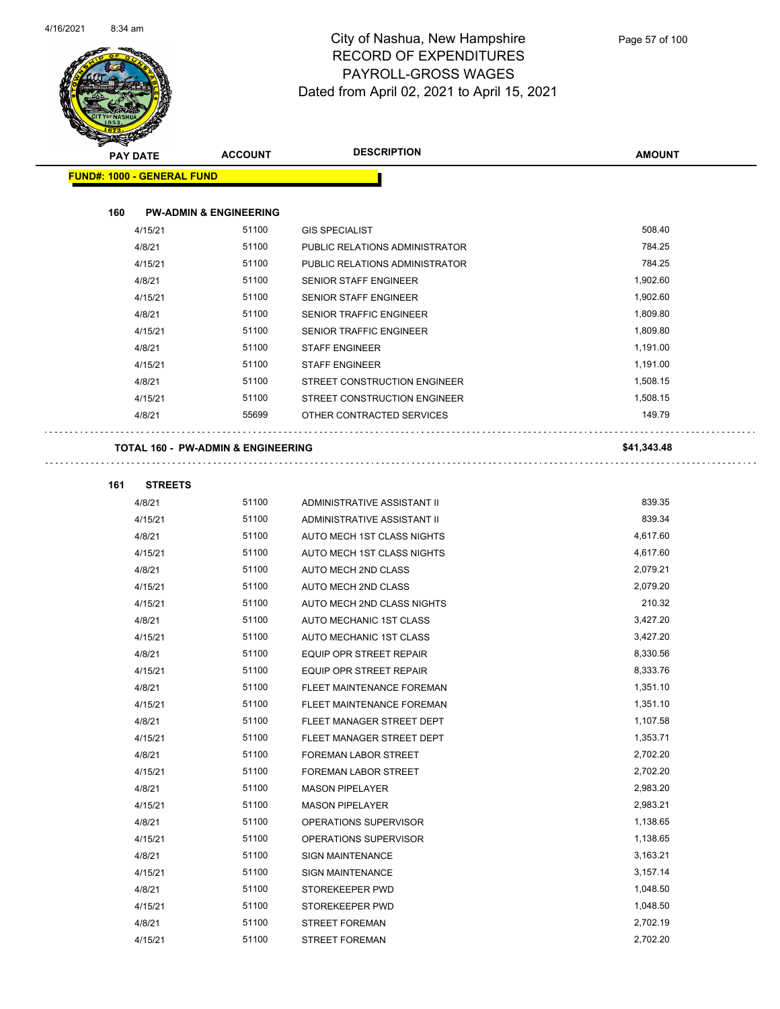

| PAY DATE                                      | <b>ACCOUNT</b>                    | <b>DESCRIPTION</b>                                        | <b>AMOUNT</b>        |
|-----------------------------------------------|-----------------------------------|-----------------------------------------------------------|----------------------|
| <b>FUND#: 1000 - GENERAL FUND</b>             |                                   |                                                           |                      |
|                                               |                                   |                                                           |                      |
| 160                                           | <b>PW-ADMIN &amp; ENGINEERING</b> |                                                           |                      |
| 4/15/21                                       | 51100                             | <b>GIS SPECIALIST</b>                                     | 508.40               |
| 4/8/21                                        | 51100                             | PUBLIC RELATIONS ADMINISTRATOR                            | 784.25               |
| 4/15/21                                       | 51100                             | PUBLIC RELATIONS ADMINISTRATOR                            | 784.25               |
| 4/8/21                                        | 51100                             | SENIOR STAFF ENGINEER                                     | 1,902.60             |
| 4/15/21                                       | 51100                             | <b>SENIOR STAFF ENGINEER</b>                              | 1,902.60             |
| 4/8/21                                        | 51100                             | SENIOR TRAFFIC ENGINEER                                   | 1,809.80             |
| 4/15/21                                       | 51100                             | SENIOR TRAFFIC ENGINEER                                   | 1,809.80             |
| 4/8/21                                        | 51100                             | <b>STAFF ENGINEER</b>                                     | 1,191.00             |
| 4/15/21                                       | 51100                             | <b>STAFF ENGINEER</b>                                     | 1,191.00             |
| 4/8/21                                        | 51100                             | STREET CONSTRUCTION ENGINEER                              | 1,508.15             |
| 4/15/21                                       | 51100                             | STREET CONSTRUCTION ENGINEER                              | 1,508.15             |
| 4/8/21                                        | 55699                             | OTHER CONTRACTED SERVICES                                 | 149.79               |
|                                               |                                   |                                                           |                      |
| <b>TOTAL 160 - PW-ADMIN &amp; ENGINEERING</b> |                                   |                                                           | \$41,343.48          |
|                                               |                                   |                                                           |                      |
| 161<br><b>STREETS</b>                         |                                   |                                                           |                      |
| 4/8/21                                        | 51100                             | ADMINISTRATIVE ASSISTANT II                               | 839.35               |
| 4/15/21                                       | 51100                             | ADMINISTRATIVE ASSISTANT II                               | 839.34               |
| 4/8/21                                        | 51100                             | AUTO MECH 1ST CLASS NIGHTS                                | 4,617.60             |
| 4/15/21                                       | 51100                             | AUTO MECH 1ST CLASS NIGHTS                                | 4,617.60             |
| 4/8/21                                        | 51100                             | AUTO MECH 2ND CLASS                                       | 2,079.21             |
| 4/15/21                                       | 51100                             | AUTO MECH 2ND CLASS                                       | 2,079.20             |
| 4/15/21                                       | 51100                             | AUTO MECH 2ND CLASS NIGHTS                                | 210.32               |
| 4/8/21                                        | 51100<br>51100                    | AUTO MECHANIC 1ST CLASS                                   | 3,427.20             |
| 4/15/21                                       | 51100                             | AUTO MECHANIC 1ST CLASS<br><b>EQUIP OPR STREET REPAIR</b> | 3,427.20<br>8,330.56 |
| 4/8/21                                        | 51100                             |                                                           | 8,333.76             |
| 4/15/21<br>4/8/21                             | 51100                             | EQUIP OPR STREET REPAIR<br>FLEET MAINTENANCE FOREMAN      | 1,351.10             |
| 4/15/21                                       | 51100                             | FLEET MAINTENANCE FOREMAN                                 | 1,351.10             |
| 4/8/21                                        | 51100                             | FLEET MANAGER STREET DEPT                                 | 1,107.58             |
| 4/15/21                                       | 51100                             | FLEET MANAGER STREET DEPT                                 | 1,353.71             |
| 4/8/21                                        | 51100                             | FOREMAN LABOR STREET                                      | 2,702.20             |
| 4/15/21                                       | 51100                             | FOREMAN LABOR STREET                                      | 2,702.20             |
| 4/8/21                                        | 51100                             | <b>MASON PIPELAYER</b>                                    | 2,983.20             |
| 4/15/21                                       | 51100                             | <b>MASON PIPELAYER</b>                                    | 2,983.21             |
| 4/8/21                                        | 51100                             | OPERATIONS SUPERVISOR                                     | 1,138.65             |
| 4/15/21                                       | 51100                             | OPERATIONS SUPERVISOR                                     | 1,138.65             |
| 4/8/21                                        | 51100                             | <b>SIGN MAINTENANCE</b>                                   | 3,163.21             |
| 4/15/21                                       | 51100                             | <b>SIGN MAINTENANCE</b>                                   | 3,157.14             |
| 4/8/21                                        | 51100                             | STOREKEEPER PWD                                           | 1,048.50             |
| 4/15/21                                       | 51100                             | STOREKEEPER PWD                                           | 1,048.50             |
| 4/8/21                                        | 51100                             | <b>STREET FOREMAN</b>                                     | 2,702.19             |
| 4/15/21                                       | 51100                             | <b>STREET FOREMAN</b>                                     | 2,702.20             |
|                                               |                                   |                                                           |                      |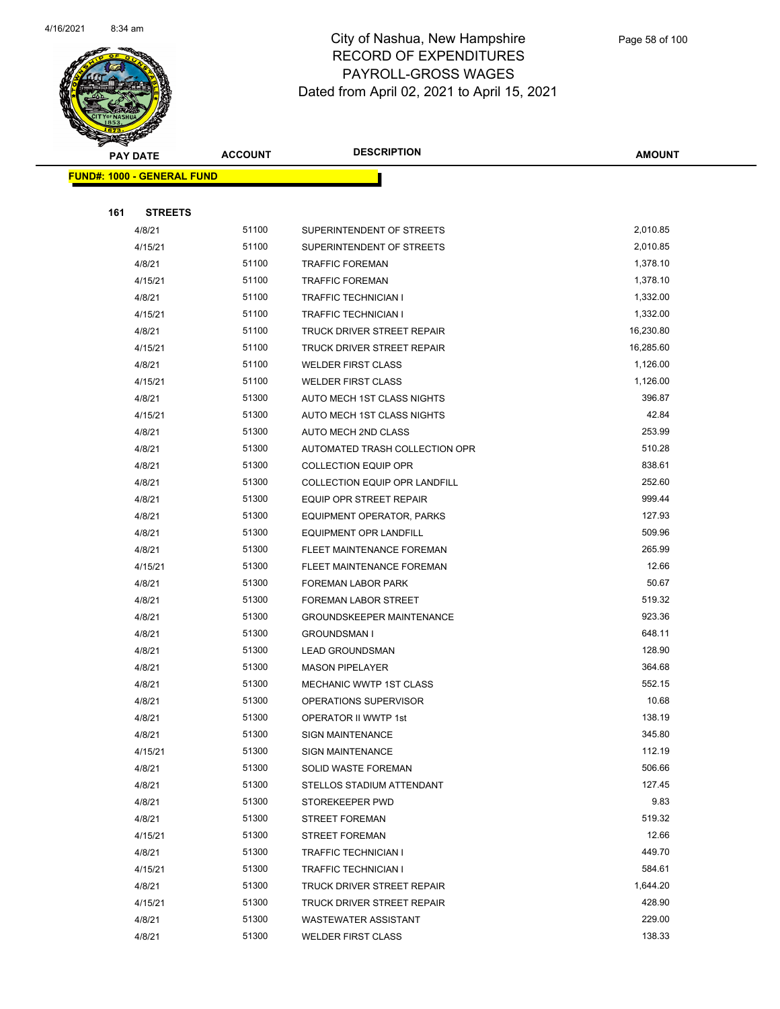

|     | <b>PAY DATE</b>                   | <b>ACCOUNT</b> | <b>DESCRIPTION</b>                   | <b>AMOUNT</b> |
|-----|-----------------------------------|----------------|--------------------------------------|---------------|
|     | <b>FUND#: 1000 - GENERAL FUND</b> |                |                                      |               |
|     |                                   |                |                                      |               |
| 161 | <b>STREETS</b>                    |                |                                      |               |
|     | 4/8/21                            | 51100          | SUPERINTENDENT OF STREETS            | 2,010.85      |
|     | 4/15/21                           | 51100          | SUPERINTENDENT OF STREETS            | 2,010.85      |
|     | 4/8/21                            | 51100          | <b>TRAFFIC FOREMAN</b>               | 1,378.10      |
|     | 4/15/21                           | 51100          | <b>TRAFFIC FOREMAN</b>               | 1,378.10      |
|     | 4/8/21                            | 51100          | TRAFFIC TECHNICIAN I                 | 1,332.00      |
|     | 4/15/21                           | 51100          | <b>TRAFFIC TECHNICIAN I</b>          | 1,332.00      |
|     | 4/8/21                            | 51100          | <b>TRUCK DRIVER STREET REPAIR</b>    | 16,230.80     |
|     | 4/15/21                           | 51100          | TRUCK DRIVER STREET REPAIR           | 16,285.60     |
|     | 4/8/21                            | 51100          | <b>WELDER FIRST CLASS</b>            | 1,126.00      |
|     | 4/15/21                           | 51100          | <b>WELDER FIRST CLASS</b>            | 1,126.00      |
|     | 4/8/21                            | 51300          | AUTO MECH 1ST CLASS NIGHTS           | 396.87        |
|     | 4/15/21                           | 51300          | AUTO MECH 1ST CLASS NIGHTS           | 42.84         |
|     | 4/8/21                            | 51300          | AUTO MECH 2ND CLASS                  | 253.99        |
|     | 4/8/21                            | 51300          | AUTOMATED TRASH COLLECTION OPR       | 510.28        |
|     | 4/8/21                            | 51300          | <b>COLLECTION EQUIP OPR</b>          | 838.61        |
|     | 4/8/21                            | 51300          | <b>COLLECTION EQUIP OPR LANDFILL</b> | 252.60        |
|     | 4/8/21                            | 51300          | EQUIP OPR STREET REPAIR              | 999.44        |
|     | 4/8/21                            | 51300          | <b>EQUIPMENT OPERATOR, PARKS</b>     | 127.93        |
|     | 4/8/21                            | 51300          | <b>EQUIPMENT OPR LANDFILL</b>        | 509.96        |
|     | 4/8/21                            | 51300          | FLEET MAINTENANCE FOREMAN            | 265.99        |
|     | 4/15/21                           | 51300          | FLEET MAINTENANCE FOREMAN            | 12.66         |
|     | 4/8/21                            | 51300          | FOREMAN LABOR PARK                   | 50.67         |
|     | 4/8/21                            | 51300          | FOREMAN LABOR STREET                 | 519.32        |
|     | 4/8/21                            | 51300          | <b>GROUNDSKEEPER MAINTENANCE</b>     | 923.36        |
|     | 4/8/21                            | 51300          | <b>GROUNDSMAN I</b>                  | 648.11        |
|     | 4/8/21                            | 51300          | <b>LEAD GROUNDSMAN</b>               | 128.90        |
|     | 4/8/21                            | 51300          | <b>MASON PIPELAYER</b>               | 364.68        |
|     | 4/8/21                            | 51300          | <b>MECHANIC WWTP 1ST CLASS</b>       | 552.15        |
|     | 4/8/21                            | 51300          | OPERATIONS SUPERVISOR                | 10.68         |
|     | 4/8/21                            | 51300          | OPERATOR II WWTP 1st                 | 138.19        |
|     | 4/8/21                            | 51300          | <b>SIGN MAINTENANCE</b>              | 345.80        |
|     | 4/15/21                           | 51300          | <b>SIGN MAINTENANCE</b>              | 112.19        |
|     | 4/8/21                            | 51300          | SOLID WASTE FOREMAN                  | 506.66        |
|     | 4/8/21                            | 51300          | STELLOS STADIUM ATTENDANT            | 127.45        |
|     | 4/8/21                            | 51300          | STOREKEEPER PWD                      | 9.83          |
|     | 4/8/21                            | 51300          | <b>STREET FOREMAN</b>                | 519.32        |
|     | 4/15/21                           | 51300          | <b>STREET FOREMAN</b>                | 12.66         |
|     | 4/8/21                            | 51300          | TRAFFIC TECHNICIAN I                 | 449.70        |
|     | 4/15/21                           | 51300          | TRAFFIC TECHNICIAN I                 | 584.61        |
|     | 4/8/21                            | 51300          | TRUCK DRIVER STREET REPAIR           | 1,644.20      |
|     | 4/15/21                           | 51300          | TRUCK DRIVER STREET REPAIR           | 428.90        |
|     | 4/8/21                            | 51300          | <b>WASTEWATER ASSISTANT</b>          | 229.00        |
|     | 4/8/21                            | 51300          | <b>WELDER FIRST CLASS</b>            | 138.33        |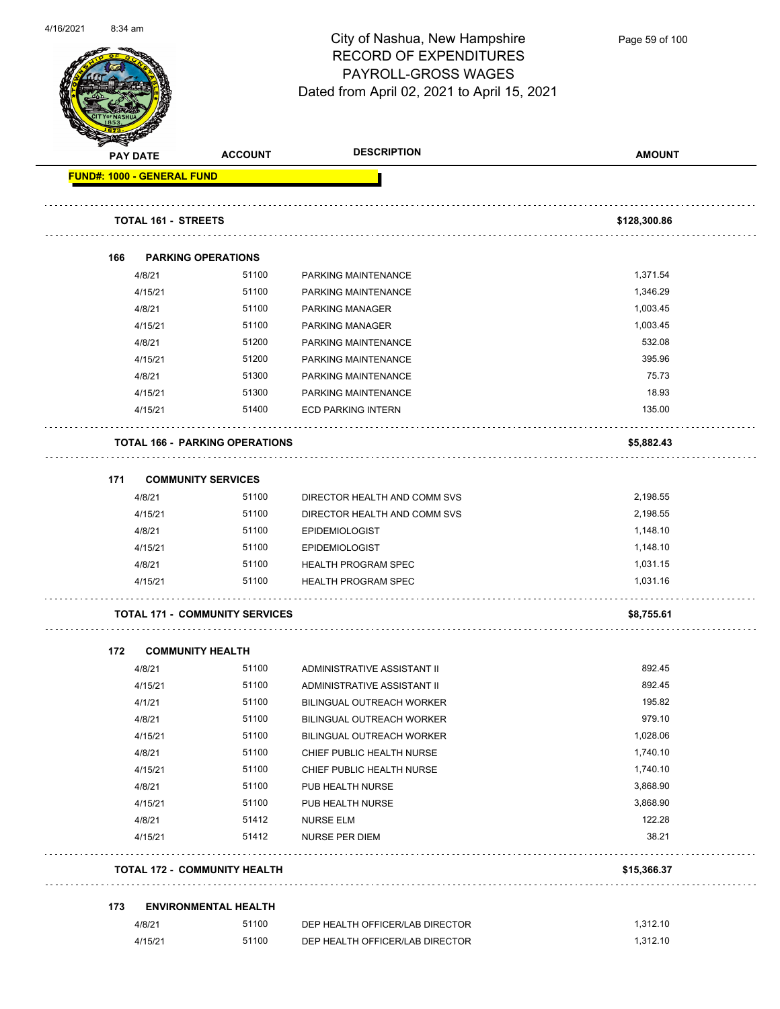

Page 59 of 100

| <b>RECEIP</b> |                                   |                                       |                                  |               |
|---------------|-----------------------------------|---------------------------------------|----------------------------------|---------------|
|               | <b>PAY DATE</b>                   | <b>ACCOUNT</b>                        | <b>DESCRIPTION</b>               | <b>AMOUNT</b> |
|               | <b>FUND#: 1000 - GENERAL FUND</b> |                                       |                                  |               |
|               | <b>TOTAL 161 - STREETS</b>        |                                       |                                  | \$128,300.86  |
|               |                                   |                                       |                                  |               |
| 166           |                                   | <b>PARKING OPERATIONS</b>             |                                  |               |
|               | 4/8/21                            | 51100                                 | PARKING MAINTENANCE              | 1,371.54      |
|               | 4/15/21                           | 51100                                 | PARKING MAINTENANCE              | 1,346.29      |
|               | 4/8/21                            | 51100                                 | PARKING MANAGER                  | 1,003.45      |
|               | 4/15/21                           | 51100                                 | PARKING MANAGER                  | 1,003.45      |
|               | 4/8/21                            | 51200                                 | PARKING MAINTENANCE              | 532.08        |
|               | 4/15/21                           | 51200                                 | PARKING MAINTENANCE              | 395.96        |
|               | 4/8/21                            | 51300                                 | PARKING MAINTENANCE              | 75.73         |
|               | 4/15/21                           | 51300                                 | PARKING MAINTENANCE              | 18.93         |
|               | 4/15/21                           | 51400                                 | <b>ECD PARKING INTERN</b>        | 135.00        |
|               |                                   | <b>TOTAL 166 - PARKING OPERATIONS</b> |                                  | \$5,882.43    |
| 171           |                                   | <b>COMMUNITY SERVICES</b>             |                                  |               |
|               | 4/8/21                            | 51100                                 | DIRECTOR HEALTH AND COMM SVS     | 2,198.55      |
|               | 4/15/21                           | 51100                                 | DIRECTOR HEALTH AND COMM SVS     | 2,198.55      |
|               | 4/8/21                            | 51100                                 | <b>EPIDEMIOLOGIST</b>            | 1,148.10      |
|               | 4/15/21                           | 51100                                 | <b>EPIDEMIOLOGIST</b>            | 1,148.10      |
|               | 4/8/21                            | 51100                                 | <b>HEALTH PROGRAM SPEC</b>       | 1,031.15      |
|               | 4/15/21                           | 51100                                 | <b>HEALTH PROGRAM SPEC</b>       | 1,031.16      |
|               |                                   | <b>TOTAL 171 - COMMUNITY SERVICES</b> |                                  | \$8,755.61    |
| 172           | <b>COMMUNITY HEALTH</b>           |                                       |                                  |               |
|               | 4/8/21                            | 51100                                 | ADMINISTRATIVE ASSISTANT II      | 892.45        |
|               | 4/15/21                           | 51100                                 | ADMINISTRATIVE ASSISTANT II      | 892.45        |
|               | 4/1/21                            | 51100                                 | <b>BILINGUAL OUTREACH WORKER</b> | 195.82        |
|               | 4/8/21                            | 51100                                 | BILINGUAL OUTREACH WORKER        | 979.10        |
|               | 4/15/21                           | 51100                                 | <b>BILINGUAL OUTREACH WORKER</b> | 1,028.06      |
|               | 4/8/21                            | 51100                                 | CHIEF PUBLIC HEALTH NURSE        | 1,740.10      |
|               | 4/15/21                           | 51100                                 | CHIEF PUBLIC HEALTH NURSE        | 1,740.10      |
|               | 4/8/21                            | 51100                                 | PUB HEALTH NURSE                 | 3,868.90      |
|               | 4/15/21                           | 51100                                 | PUB HEALTH NURSE                 | 3,868.90      |
|               | 4/8/21                            | 51412                                 | <b>NURSE ELM</b>                 | 122.28        |
|               | 4/15/21                           | 51412                                 | NURSE PER DIEM                   | 38.21         |
|               |                                   | <b>TOTAL 172 - COMMUNITY HEALTH</b>   |                                  | \$15,366.37   |
| 173           |                                   | <b>ENVIRONMENTAL HEALTH</b>           |                                  |               |
|               |                                   |                                       |                                  | 1,312.10      |
|               | 4/8/21                            | 51100                                 | DEP HEALTH OFFICER/LAB DIRECTOR  |               |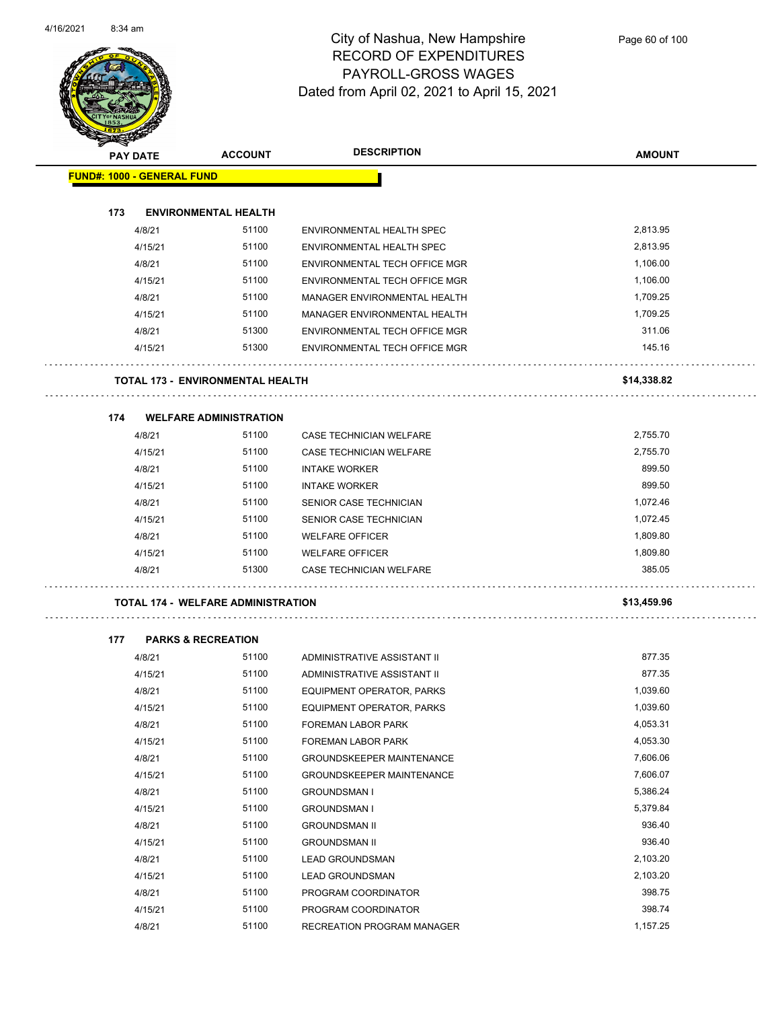$\overline{\phantom{0}}$ 



#### City of Nashua, New Hampshire RECORD OF EXPENDITURES PAYROLL-GROSS WAGES Dated from April 02, 2021 to April 15, 2021

| <b>PAY DATE</b>                   | <b>ACCOUNT</b>                          | <b>DESCRIPTION</b>               | <b>AMOUNT</b> |
|-----------------------------------|-----------------------------------------|----------------------------------|---------------|
| <b>FUND#: 1000 - GENERAL FUND</b> |                                         |                                  |               |
|                                   |                                         |                                  |               |
| 173                               | <b>ENVIRONMENTAL HEALTH</b>             |                                  |               |
| 4/8/21                            | 51100                                   | ENVIRONMENTAL HEALTH SPEC        | 2,813.95      |
| 4/15/21                           | 51100                                   | ENVIRONMENTAL HEALTH SPEC        | 2,813.95      |
| 4/8/21                            | 51100                                   | ENVIRONMENTAL TECH OFFICE MGR    | 1,106.00      |
| 4/15/21                           | 51100                                   | ENVIRONMENTAL TECH OFFICE MGR    | 1,106.00      |
| 4/8/21                            | 51100                                   | MANAGER ENVIRONMENTAL HEALTH     | 1,709.25      |
| 4/15/21                           | 51100                                   | MANAGER ENVIRONMENTAL HEALTH     | 1,709.25      |
| 4/8/21                            | 51300                                   | ENVIRONMENTAL TECH OFFICE MGR    | 311.06        |
| 4/15/21                           | 51300                                   | ENVIRONMENTAL TECH OFFICE MGR    | 145.16        |
|                                   | <b>TOTAL 173 - ENVIRONMENTAL HEALTH</b> |                                  | \$14,338.82   |
| 174                               | <b>WELFARE ADMINISTRATION</b>           |                                  |               |
| 4/8/21                            | 51100                                   | CASE TECHNICIAN WELFARE          | 2,755.70      |
| 4/15/21                           | 51100                                   | CASE TECHNICIAN WELFARE          | 2,755.70      |
| 4/8/21                            | 51100                                   | <b>INTAKE WORKER</b>             | 899.50        |
| 4/15/21                           | 51100                                   | <b>INTAKE WORKER</b>             | 899.50        |
| 4/8/21                            | 51100                                   | SENIOR CASE TECHNICIAN           | 1,072.46      |
| 4/15/21                           | 51100                                   | SENIOR CASE TECHNICIAN           | 1,072.45      |
| 4/8/21                            | 51100                                   | <b>WELFARE OFFICER</b>           | 1,809.80      |
| 4/15/21                           | 51100                                   | <b>WELFARE OFFICER</b>           | 1,809.80      |
| 4/8/21                            | 51300                                   | <b>CASE TECHNICIAN WELFARE</b>   | 385.05        |
|                                   | TOTAL 174 - WELFARE ADMINISTRATION      |                                  | \$13,459.96   |
| 177                               | <b>PARKS &amp; RECREATION</b>           |                                  |               |
| 4/8/21                            | 51100                                   | ADMINISTRATIVE ASSISTANT II      | 877.35        |
| 4/15/21                           | 51100                                   | ADMINISTRATIVE ASSISTANT II      | 877.35        |
| 4/8/21                            | 51100                                   | EQUIPMENT OPERATOR, PARKS        | 1,039.60      |
| 4/15/21                           | 51100                                   | EQUIPMENT OPERATOR, PARKS        | 1,039.60      |
| 4/8/21                            | 51100                                   | FOREMAN LABOR PARK               | 4,053.31      |
| 4/15/21                           | 51100                                   | FOREMAN LABOR PARK               | 4,053.30      |
| 4/8/21                            | 51100                                   | <b>GROUNDSKEEPER MAINTENANCE</b> | 7,606.06      |
| 4/15/21                           | 51100                                   | <b>GROUNDSKEEPER MAINTENANCE</b> | 7,606.07      |
| 4/8/21                            | 51100                                   | <b>GROUNDSMAN I</b>              | 5,386.24      |
| 4/15/21                           | 51100                                   | <b>GROUNDSMAN I</b>              | 5,379.84      |
| 4/8/21                            | 51100                                   | <b>GROUNDSMAN II</b>             | 936.40        |
| 4/15/21                           | 51100                                   | <b>GROUNDSMAN II</b>             | 936.40        |
| 4/8/21                            | 51100                                   | <b>LEAD GROUNDSMAN</b>           | 2,103.20      |
| 4/15/21                           | 51100                                   | <b>LEAD GROUNDSMAN</b>           | 2,103.20      |
| 4/8/21                            | 51100                                   | PROGRAM COORDINATOR              | 398.75        |

4/15/21 51100 PROGRAM COORDINATOR 398.74 4/8/21 51100 RECREATION PROGRAM MANAGER 1,157.25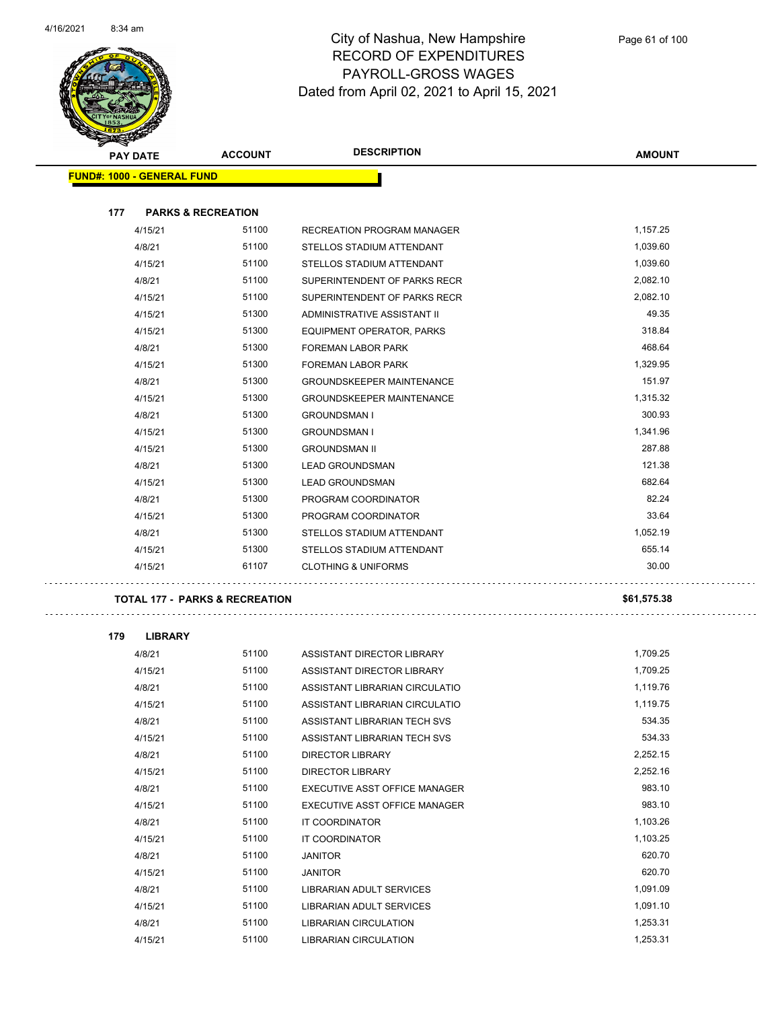

| <b>STARTING CARD</b>                      |                |                                  |               |
|-------------------------------------------|----------------|----------------------------------|---------------|
| <b>PAY DATE</b>                           | <b>ACCOUNT</b> | <b>DESCRIPTION</b>               | <b>AMOUNT</b> |
| <b>FUND#: 1000 - GENERAL FUND</b>         |                |                                  |               |
|                                           |                |                                  |               |
| 177<br><b>PARKS &amp; RECREATION</b>      |                |                                  |               |
| 4/15/21                                   | 51100          | RECREATION PROGRAM MANAGER       | 1,157.25      |
| 4/8/21                                    | 51100          | STELLOS STADIUM ATTENDANT        | 1,039.60      |
| 4/15/21                                   | 51100          | STELLOS STADIUM ATTENDANT        | 1,039.60      |
| 4/8/21                                    | 51100          | SUPERINTENDENT OF PARKS RECR     | 2,082.10      |
| 4/15/21                                   | 51100          | SUPERINTENDENT OF PARKS RECR     | 2,082.10      |
| 4/15/21                                   | 51300          | ADMINISTRATIVE ASSISTANT II      | 49.35         |
| 4/15/21                                   | 51300          | <b>EQUIPMENT OPERATOR, PARKS</b> | 318.84        |
| 4/8/21                                    | 51300          | FOREMAN LABOR PARK               | 468.64        |
| 4/15/21                                   | 51300          | FOREMAN LABOR PARK               | 1,329.95      |
| 4/8/21                                    | 51300          | <b>GROUNDSKEEPER MAINTENANCE</b> | 151.97        |
| 4/15/21                                   | 51300          | <b>GROUNDSKEEPER MAINTENANCE</b> | 1,315.32      |
| 4/8/21                                    | 51300          | <b>GROUNDSMAN I</b>              | 300.93        |
| 4/15/21                                   | 51300          | <b>GROUNDSMAN I</b>              | 1,341.96      |
| 4/15/21                                   | 51300          | <b>GROUNDSMAN II</b>             | 287.88        |
| 4/8/21                                    | 51300          | <b>LEAD GROUNDSMAN</b>           | 121.38        |
| 4/15/21                                   | 51300          | <b>LEAD GROUNDSMAN</b>           | 682.64        |
| 4/8/21                                    | 51300          | PROGRAM COORDINATOR              | 82.24         |
| 4/15/21                                   | 51300          | PROGRAM COORDINATOR              | 33.64         |
| 4/8/21                                    | 51300          | STELLOS STADIUM ATTENDANT        | 1,052.19      |
| 4/15/21                                   | 51300          | STELLOS STADIUM ATTENDANT        | 655.14        |
| 4/15/21                                   | 61107          | <b>CLOTHING &amp; UNIFORMS</b>   | 30.00         |
| <b>TOTAL 177 - PARKS &amp; RECREATION</b> |                |                                  | \$61,575.38   |
|                                           |                |                                  |               |
| 179<br><b>LIBRARY</b>                     |                |                                  |               |
| 4/8/21                                    | 51100          | ASSISTANT DIRECTOR LIBRARY       | 1,709.25      |
| 4/15/21                                   | 51100          | ASSISTANT DIRECTOR LIBRARY       | 1,709.25      |
| 4/8/21                                    | 51100          | ASSISTANT LIBRARIAN CIRCULATIO   | 1.119.76      |
| 4/15/21                                   | 51100          | ASSISTANT LIBRARIAN CIRCULATIO   | 1,119.75      |
| 4/8/21                                    | 51100          | ASSISTANT LIBRARIAN TECH SVS     | 534.35        |
| 4/15/21                                   | 51100          | ASSISTANT LIBRARIAN TECH SVS     | 534.33        |
| 4/8/21                                    | 51100          | DIRECTOR LIBRARY                 | 2,252.15      |
| 4/15/21                                   | 51100          | DIRECTOR LIBRARY                 | 2,252.16      |
| 4/8/21                                    | 51100          | EXECUTIVE ASST OFFICE MANAGER    | 983.10        |
| 4/15/21                                   | 51100          | EXECUTIVE ASST OFFICE MANAGER    | 983.10        |
| 4/8/21                                    | 51100          | IT COORDINATOR                   | 1,103.26      |
| 4/15/21                                   | 51100          | IT COORDINATOR                   | 1,103.25      |
| 4/8/21                                    | 51100          | <b>JANITOR</b>                   | 620.70        |
| 4/15/21                                   | 51100          | <b>JANITOR</b>                   | 620.70        |
| 4/8/21                                    | 51100          | LIBRARIAN ADULT SERVICES         | 1,091.09      |
| 4/15/21                                   | 51100          | LIBRARIAN ADULT SERVICES         | 1,091.10      |
| 4/8/21                                    | 51100          | LIBRARIAN CIRCULATION            | 1,253.31      |
| 4/15/21                                   | 51100          | LIBRARIAN CIRCULATION            | 1,253.31      |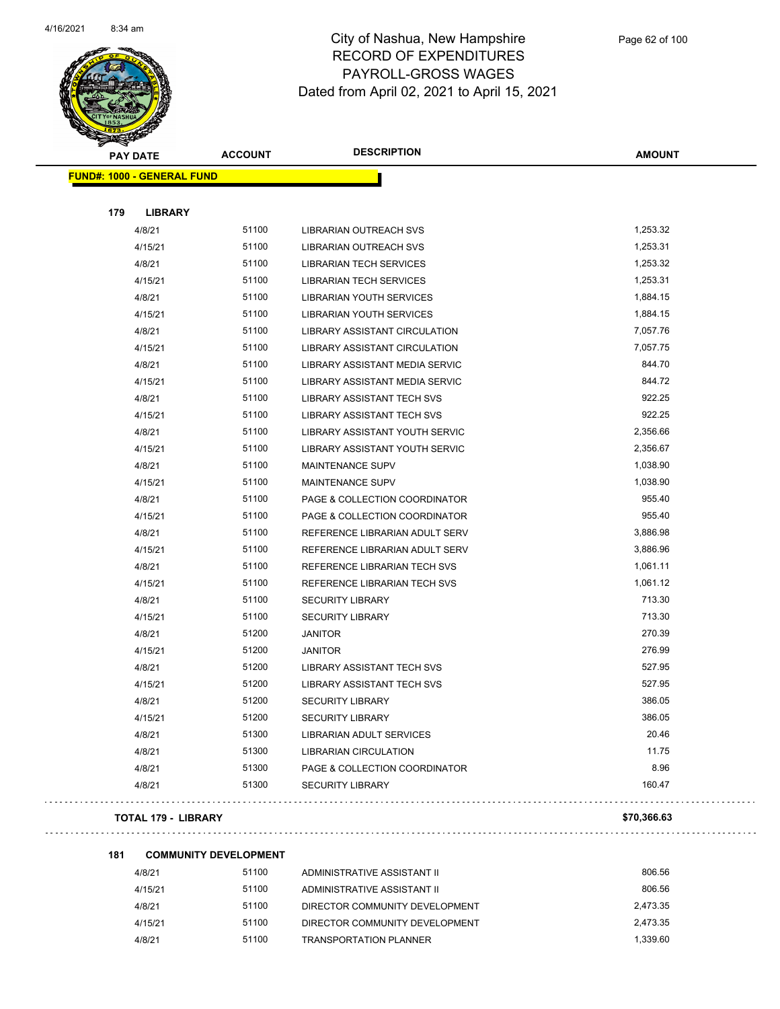

| <b>PAY DATE</b>                   | <b>ACCOUNT</b> | <b>DESCRIPTION</b>                | <b>AMOUNT</b> |  |
|-----------------------------------|----------------|-----------------------------------|---------------|--|
| <b>FUND#: 1000 - GENERAL FUND</b> |                |                                   |               |  |
|                                   |                |                                   |               |  |
| 179                               | <b>LIBRARY</b> |                                   |               |  |
| 4/8/21                            | 51100          | <b>LIBRARIAN OUTREACH SVS</b>     | 1,253.32      |  |
| 4/15/21                           | 51100          | LIBRARIAN OUTREACH SVS            | 1,253.31      |  |
| 4/8/21                            | 51100          | <b>LIBRARIAN TECH SERVICES</b>    | 1,253.32      |  |
| 4/15/21                           | 51100          | <b>LIBRARIAN TECH SERVICES</b>    | 1,253.31      |  |
| 4/8/21                            | 51100          | <b>LIBRARIAN YOUTH SERVICES</b>   | 1,884.15      |  |
| 4/15/21                           | 51100          | <b>LIBRARIAN YOUTH SERVICES</b>   | 1,884.15      |  |
| 4/8/21                            | 51100          | LIBRARY ASSISTANT CIRCULATION     | 7,057.76      |  |
| 4/15/21                           | 51100          | LIBRARY ASSISTANT CIRCULATION     | 7,057.75      |  |
| 4/8/21                            | 51100          | LIBRARY ASSISTANT MEDIA SERVIC    | 844.70        |  |
| 4/15/21                           | 51100          | LIBRARY ASSISTANT MEDIA SERVIC    | 844.72        |  |
| 4/8/21                            | 51100          | <b>LIBRARY ASSISTANT TECH SVS</b> | 922.25        |  |
| 4/15/21                           | 51100          | <b>LIBRARY ASSISTANT TECH SVS</b> | 922.25        |  |
| 4/8/21                            | 51100          | LIBRARY ASSISTANT YOUTH SERVIC    | 2,356.66      |  |
| 4/15/21                           | 51100          | LIBRARY ASSISTANT YOUTH SERVIC    | 2,356.67      |  |
| 4/8/21                            | 51100          | MAINTENANCE SUPV                  | 1,038.90      |  |
| 4/15/21                           | 51100          | MAINTENANCE SUPV                  | 1,038.90      |  |
| 4/8/21                            | 51100          | PAGE & COLLECTION COORDINATOR     | 955.40        |  |
| 4/15/21                           | 51100          | PAGE & COLLECTION COORDINATOR     | 955.40        |  |
| 4/8/21                            | 51100          | REFERENCE LIBRARIAN ADULT SERV    | 3,886.98      |  |
| 4/15/21                           | 51100          | REFERENCE LIBRARIAN ADULT SERV    | 3,886.96      |  |
| 4/8/21                            | 51100          | REFERENCE LIBRARIAN TECH SVS      | 1,061.11      |  |
| 4/15/21                           | 51100          | REFERENCE LIBRARIAN TECH SVS      | 1,061.12      |  |
| 4/8/21                            | 51100          | <b>SECURITY LIBRARY</b>           | 713.30        |  |
| 4/15/21                           | 51100          | <b>SECURITY LIBRARY</b>           | 713.30        |  |
| 4/8/21                            | 51200          | <b>JANITOR</b>                    | 270.39        |  |
| 4/15/21                           | 51200          | <b>JANITOR</b>                    | 276.99        |  |
| 4/8/21                            | 51200          | LIBRARY ASSISTANT TECH SVS        | 527.95        |  |
| 4/15/21                           | 51200          | <b>LIBRARY ASSISTANT TECH SVS</b> | 527.95        |  |
| 4/8/21                            | 51200          | <b>SECURITY LIBRARY</b>           | 386.05        |  |
| 4/15/21                           | 51200          | <b>SECURITY LIBRARY</b>           | 386.05        |  |
| 4/8/21                            | 51300          | LIBRARIAN ADULT SERVICES          | 20.46         |  |
| 4/8/21                            | 51300          | <b>LIBRARIAN CIRCULATION</b>      | 11.75         |  |
| 4/8/21                            | 51300          | PAGE & COLLECTION COORDINATOR     | 8.96          |  |
| 4/8/21                            | 51300          | <b>SECURITY LIBRARY</b>           | 160.47        |  |
|                                   |                |                                   |               |  |

#### **TOTAL 179 - LIBRARY \$70,366.63**

| 181 | <b>COMMUNITY DEVELOPMENT</b> |       |                                |          |
|-----|------------------------------|-------|--------------------------------|----------|
|     | 4/8/21                       | 51100 | ADMINISTRATIVE ASSISTANT II    | 806.56   |
|     | 4/15/21                      | 51100 | ADMINISTRATIVE ASSISTANT II    | 806.56   |
|     | 4/8/21                       | 51100 | DIRECTOR COMMUNITY DEVELOPMENT | 2.473.35 |
|     | 4/15/21                      | 51100 | DIRECTOR COMMUNITY DEVELOPMENT | 2.473.35 |
|     | 4/8/21                       | 51100 | <b>TRANSPORTATION PLANNER</b>  | 1.339.60 |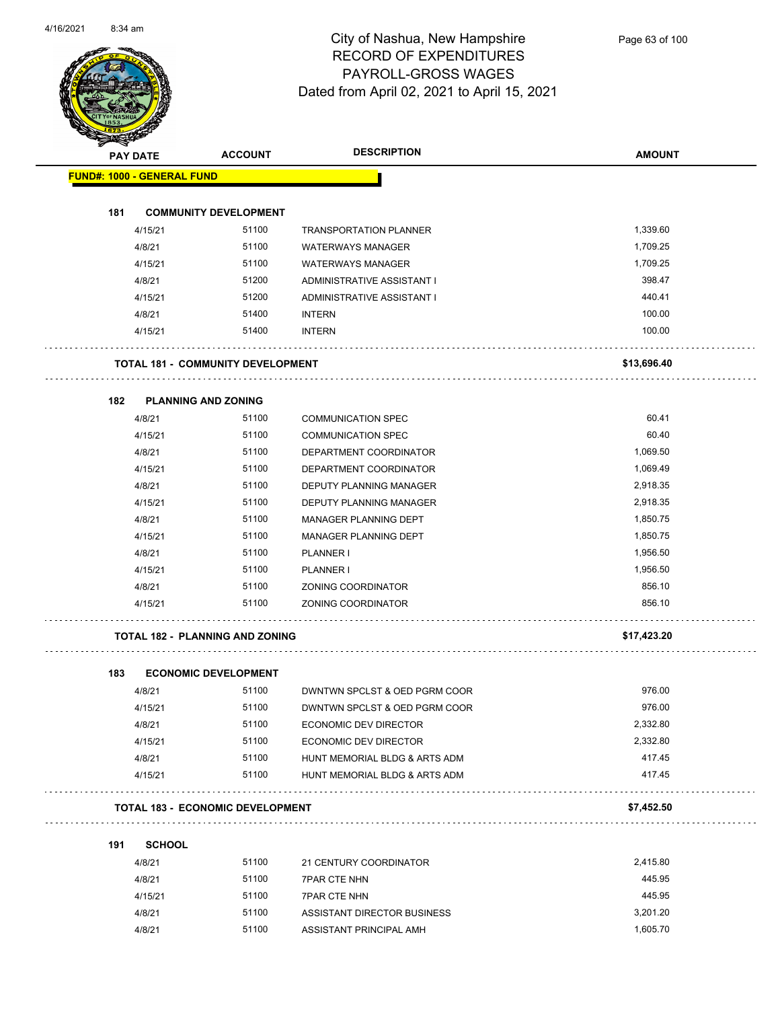

| <b>STATER</b> |                                   |                                          |                                |               |
|---------------|-----------------------------------|------------------------------------------|--------------------------------|---------------|
|               | <b>PAY DATE</b>                   | <b>ACCOUNT</b>                           | <b>DESCRIPTION</b>             | <b>AMOUNT</b> |
|               | <b>FUND#: 1000 - GENERAL FUND</b> |                                          |                                |               |
|               |                                   |                                          |                                |               |
| 181           |                                   | <b>COMMUNITY DEVELOPMENT</b>             |                                |               |
|               | 4/15/21                           | 51100                                    | <b>TRANSPORTATION PLANNER</b>  | 1,339.60      |
|               | 4/8/21                            | 51100                                    | <b>WATERWAYS MANAGER</b>       | 1,709.25      |
|               | 4/15/21                           | 51100                                    | <b>WATERWAYS MANAGER</b>       | 1,709.25      |
|               | 4/8/21                            | 51200                                    | ADMINISTRATIVE ASSISTANT I     | 398.47        |
|               | 4/15/21                           | 51200                                    | ADMINISTRATIVE ASSISTANT I     | 440.41        |
|               | 4/8/21                            | 51400                                    | <b>INTERN</b>                  | 100.00        |
|               | 4/15/21                           | 51400                                    | <b>INTERN</b>                  | 100.00        |
|               |                                   | <b>TOTAL 181 - COMMUNITY DEVELOPMENT</b> |                                | \$13,696.40   |
|               |                                   |                                          |                                |               |
| 182           |                                   | <b>PLANNING AND ZONING</b>               |                                |               |
|               | 4/8/21                            | 51100                                    | <b>COMMUNICATION SPEC</b>      | 60.41         |
|               | 4/15/21                           | 51100                                    | <b>COMMUNICATION SPEC</b>      | 60.40         |
|               | 4/8/21                            | 51100                                    | DEPARTMENT COORDINATOR         | 1,069.50      |
|               | 4/15/21                           | 51100                                    | DEPARTMENT COORDINATOR         | 1,069.49      |
|               | 4/8/21                            | 51100                                    | DEPUTY PLANNING MANAGER        | 2,918.35      |
|               | 4/15/21                           | 51100                                    | <b>DEPUTY PLANNING MANAGER</b> | 2,918.35      |
|               | 4/8/21                            | 51100                                    | MANAGER PLANNING DEPT          | 1,850.75      |
|               | 4/15/21                           | 51100                                    | MANAGER PLANNING DEPT          | 1,850.75      |
|               | 4/8/21                            | 51100                                    | PLANNER I                      | 1,956.50      |
|               | 4/15/21                           | 51100                                    | PLANNER I                      | 1,956.50      |
|               | 4/8/21                            | 51100                                    | ZONING COORDINATOR             | 856.10        |
|               | 4/15/21                           | 51100                                    | ZONING COORDINATOR             | 856.10        |
|               |                                   |                                          |                                |               |
|               |                                   | TOTAL 182 - PLANNING AND ZONING          |                                | \$17,423.20   |
| 183           |                                   | <b>ECONOMIC DEVELOPMENT</b>              |                                |               |
|               | 4/8/21                            | 51100                                    | DWNTWN SPCLST & OED PGRM COOR  | 976.00        |
|               | 4/15/21                           | 51100                                    | DWNTWN SPCLST & OED PGRM COOR  | 976.00        |
|               | 4/8/21                            | 51100                                    | ECONOMIC DEV DIRECTOR          | 2,332.80      |
|               | 4/15/21                           | 51100                                    | ECONOMIC DEV DIRECTOR          | 2,332.80      |
|               | 4/8/21                            | 51100                                    | HUNT MEMORIAL BLDG & ARTS ADM  | 417.45        |
|               | 4/15/21                           | 51100                                    | HUNT MEMORIAL BLDG & ARTS ADM  | 417.45        |
|               |                                   | <b>TOTAL 183 - ECONOMIC DEVELOPMENT</b>  |                                | \$7,452.50    |
| 191           | <b>SCHOOL</b>                     |                                          |                                |               |
|               | 4/8/21                            | 51100                                    | 21 CENTURY COORDINATOR         | 2,415.80      |
|               | 4/8/21                            | 51100                                    | <b>7PAR CTE NHN</b>            | 445.95        |
|               | 4/15/21                           | 51100                                    | <b>7PAR CTE NHN</b>            | 445.95        |
|               | 4/8/21                            | 51100                                    | ASSISTANT DIRECTOR BUSINESS    | 3,201.20      |

4/8/21 51100 ASSISTANT PRINCIPAL AMH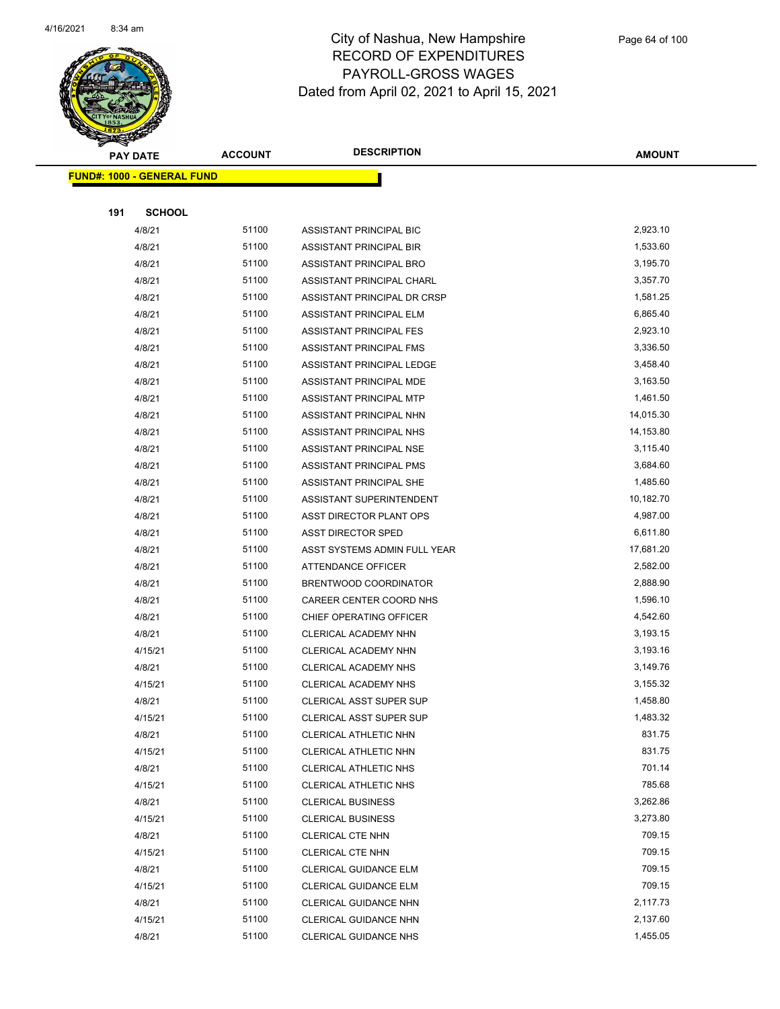

|     | <b>PAY DATE</b>                    | <b>ACCOUNT</b> | <b>DESCRIPTION</b>                                     | <b>AMOUNT</b>        |
|-----|------------------------------------|----------------|--------------------------------------------------------|----------------------|
|     | <u> FUND#: 1000 - GENERAL FUND</u> |                |                                                        |                      |
|     |                                    |                |                                                        |                      |
| 191 | <b>SCHOOL</b>                      |                |                                                        |                      |
|     | 4/8/21                             | 51100          | ASSISTANT PRINCIPAL BIC                                | 2,923.10             |
|     | 4/8/21                             | 51100          | ASSISTANT PRINCIPAL BIR                                | 1,533.60             |
|     | 4/8/21                             | 51100          | ASSISTANT PRINCIPAL BRO                                | 3,195.70             |
|     | 4/8/21                             | 51100          | ASSISTANT PRINCIPAL CHARL                              | 3,357.70             |
|     | 4/8/21                             | 51100          | ASSISTANT PRINCIPAL DR CRSP                            | 1,581.25             |
|     | 4/8/21                             | 51100          | ASSISTANT PRINCIPAL ELM                                | 6,865.40             |
|     | 4/8/21                             | 51100          | <b>ASSISTANT PRINCIPAL FES</b>                         | 2,923.10             |
|     | 4/8/21                             | 51100          | ASSISTANT PRINCIPAL FMS                                | 3,336.50             |
|     | 4/8/21                             | 51100          | ASSISTANT PRINCIPAL LEDGE                              | 3,458.40             |
|     | 4/8/21                             | 51100          | ASSISTANT PRINCIPAL MDE                                | 3,163.50             |
|     | 4/8/21                             | 51100          | ASSISTANT PRINCIPAL MTP                                | 1,461.50             |
|     | 4/8/21                             | 51100          | ASSISTANT PRINCIPAL NHN                                | 14,015.30            |
|     | 4/8/21                             | 51100          | ASSISTANT PRINCIPAL NHS                                | 14,153.80            |
|     | 4/8/21                             | 51100          | ASSISTANT PRINCIPAL NSE                                | 3,115.40             |
|     | 4/8/21                             | 51100          | ASSISTANT PRINCIPAL PMS                                | 3,684.60             |
|     | 4/8/21                             | 51100          | ASSISTANT PRINCIPAL SHE                                | 1,485.60             |
|     | 4/8/21                             | 51100          | ASSISTANT SUPERINTENDENT                               | 10,182.70            |
|     | 4/8/21                             | 51100          | ASST DIRECTOR PLANT OPS                                | 4,987.00             |
|     | 4/8/21                             | 51100          | <b>ASST DIRECTOR SPED</b>                              | 6,611.80             |
|     | 4/8/21                             | 51100          | ASST SYSTEMS ADMIN FULL YEAR                           | 17,681.20            |
|     | 4/8/21                             | 51100          | ATTENDANCE OFFICER                                     | 2,582.00             |
|     | 4/8/21                             | 51100          | BRENTWOOD COORDINATOR                                  | 2,888.90             |
|     | 4/8/21                             | 51100          | CAREER CENTER COORD NHS                                | 1,596.10             |
|     | 4/8/21                             | 51100          | CHIEF OPERATING OFFICER                                | 4,542.60             |
|     | 4/8/21                             | 51100          | CLERICAL ACADEMY NHN                                   | 3,193.15             |
|     | 4/15/21                            | 51100          | CLERICAL ACADEMY NHN                                   | 3,193.16             |
|     | 4/8/21                             | 51100<br>51100 | CLERICAL ACADEMY NHS                                   | 3,149.76             |
|     | 4/15/21<br>4/8/21                  | 51100          | CLERICAL ACADEMY NHS<br><b>CLERICAL ASST SUPER SUP</b> | 3,155.32<br>1,458.80 |
|     | 4/15/21                            | 51100          | <b>CLERICAL ASST SUPER SUP</b>                         | 1,483.32             |
|     | 4/8/21                             | 51100          | CLERICAL ATHLETIC NHN                                  | 831.75               |
|     | 4/15/21                            | 51100          | CLERICAL ATHLETIC NHN                                  | 831.75               |
|     | 4/8/21                             | 51100          | CLERICAL ATHLETIC NHS                                  | 701.14               |
|     | 4/15/21                            | 51100          | CLERICAL ATHLETIC NHS                                  | 785.68               |
|     | 4/8/21                             | 51100          | <b>CLERICAL BUSINESS</b>                               | 3,262.86             |
|     | 4/15/21                            | 51100          | <b>CLERICAL BUSINESS</b>                               | 3,273.80             |
|     | 4/8/21                             | 51100          | CLERICAL CTE NHN                                       | 709.15               |
|     | 4/15/21                            | 51100          | CLERICAL CTE NHN                                       | 709.15               |
|     | 4/8/21                             | 51100          | CLERICAL GUIDANCE ELM                                  | 709.15               |
|     | 4/15/21                            | 51100          | CLERICAL GUIDANCE ELM                                  | 709.15               |
|     | 4/8/21                             | 51100          | CLERICAL GUIDANCE NHN                                  | 2,117.73             |
|     | 4/15/21                            | 51100          | CLERICAL GUIDANCE NHN                                  | 2,137.60             |
|     | 4/8/21                             | 51100          | <b>CLERICAL GUIDANCE NHS</b>                           | 1,455.05             |
|     |                                    |                |                                                        |                      |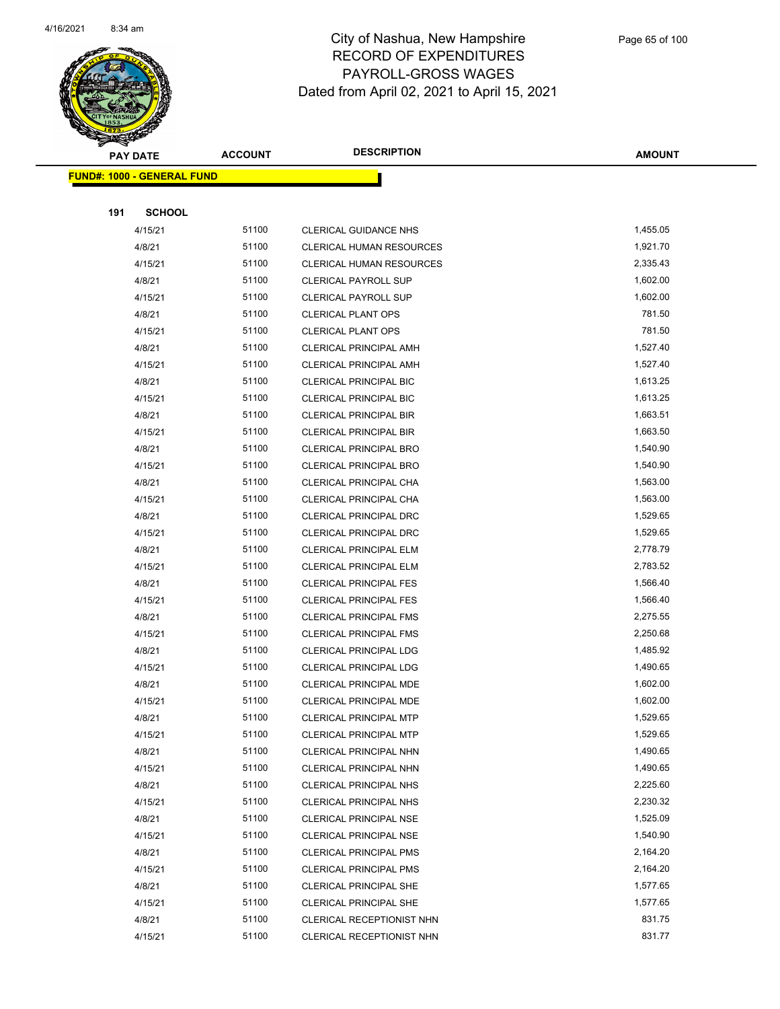

|     | <b>PAY DATE</b>                    | <b>ACCOUNT</b> | <b>DESCRIPTION</b>                                             | <b>AMOUNT</b>        |
|-----|------------------------------------|----------------|----------------------------------------------------------------|----------------------|
|     | <u> FUND#: 1000 - GENERAL FUND</u> |                |                                                                |                      |
|     |                                    |                |                                                                |                      |
| 191 | <b>SCHOOL</b>                      |                |                                                                |                      |
|     | 4/15/21                            | 51100          | <b>CLERICAL GUIDANCE NHS</b>                                   | 1,455.05             |
|     | 4/8/21                             | 51100          | <b>CLERICAL HUMAN RESOURCES</b>                                | 1,921.70             |
|     | 4/15/21                            | 51100          | <b>CLERICAL HUMAN RESOURCES</b>                                | 2,335.43             |
|     | 4/8/21                             | 51100          | <b>CLERICAL PAYROLL SUP</b>                                    | 1,602.00             |
|     | 4/15/21                            | 51100          | <b>CLERICAL PAYROLL SUP</b>                                    | 1,602.00             |
|     | 4/8/21                             | 51100          | <b>CLERICAL PLANT OPS</b>                                      | 781.50               |
|     | 4/15/21                            | 51100          | <b>CLERICAL PLANT OPS</b>                                      | 781.50               |
|     | 4/8/21                             | 51100          | CLERICAL PRINCIPAL AMH                                         | 1,527.40             |
|     | 4/15/21                            | 51100          | <b>CLERICAL PRINCIPAL AMH</b>                                  | 1,527.40             |
|     | 4/8/21                             | 51100          | <b>CLERICAL PRINCIPAL BIC</b>                                  | 1,613.25             |
|     | 4/15/21                            | 51100          | CLERICAL PRINCIPAL BIC                                         | 1,613.25             |
|     | 4/8/21                             | 51100          | <b>CLERICAL PRINCIPAL BIR</b>                                  | 1,663.51             |
|     | 4/15/21                            | 51100          | <b>CLERICAL PRINCIPAL BIR</b>                                  | 1,663.50             |
|     | 4/8/21                             | 51100          | <b>CLERICAL PRINCIPAL BRO</b>                                  | 1,540.90             |
|     | 4/15/21                            | 51100          | <b>CLERICAL PRINCIPAL BRO</b>                                  | 1,540.90             |
|     | 4/8/21                             | 51100          | CLERICAL PRINCIPAL CHA                                         | 1,563.00             |
|     | 4/15/21                            | 51100          | CLERICAL PRINCIPAL CHA                                         | 1,563.00             |
|     | 4/8/21                             | 51100          | CLERICAL PRINCIPAL DRC                                         | 1,529.65             |
|     | 4/15/21                            | 51100          | CLERICAL PRINCIPAL DRC                                         | 1,529.65             |
|     | 4/8/21                             | 51100          | <b>CLERICAL PRINCIPAL ELM</b>                                  | 2,778.79             |
|     | 4/15/21                            | 51100          | <b>CLERICAL PRINCIPAL ELM</b>                                  | 2,783.52             |
|     | 4/8/21                             | 51100          | <b>CLERICAL PRINCIPAL FES</b>                                  | 1,566.40             |
|     | 4/15/21                            | 51100          | <b>CLERICAL PRINCIPAL FES</b>                                  | 1,566.40             |
|     | 4/8/21                             | 51100          | <b>CLERICAL PRINCIPAL FMS</b>                                  | 2,275.55             |
|     | 4/15/21                            | 51100          | <b>CLERICAL PRINCIPAL FMS</b>                                  | 2,250.68             |
|     | 4/8/21                             | 51100          | <b>CLERICAL PRINCIPAL LDG</b>                                  | 1,485.92             |
|     | 4/15/21                            | 51100          | <b>CLERICAL PRINCIPAL LDG</b>                                  | 1,490.65             |
|     | 4/8/21                             | 51100          | CLERICAL PRINCIPAL MDE                                         | 1,602.00             |
|     | 4/15/21                            | 51100          | <b>CLERICAL PRINCIPAL MDE</b>                                  | 1,602.00             |
|     | 4/8/21                             | 51100          | CLERICAL PRINCIPAL MTP                                         | 1,529.65             |
|     | 4/15/21                            | 51100<br>51100 | <b>CLERICAL PRINCIPAL MTP</b>                                  | 1,529.65<br>1,490.65 |
|     | 4/8/21                             | 51100          | CLERICAL PRINCIPAL NHN                                         | 1,490.65             |
|     | 4/15/21                            | 51100          | CLERICAL PRINCIPAL NHN                                         | 2,225.60             |
|     | 4/8/21                             | 51100          | <b>CLERICAL PRINCIPAL NHS</b>                                  | 2,230.32             |
|     | 4/15/21<br>4/8/21                  | 51100          | <b>CLERICAL PRINCIPAL NHS</b><br><b>CLERICAL PRINCIPAL NSE</b> | 1,525.09             |
|     | 4/15/21                            | 51100          |                                                                | 1,540.90             |
|     | 4/8/21                             | 51100          | <b>CLERICAL PRINCIPAL NSE</b><br><b>CLERICAL PRINCIPAL PMS</b> | 2,164.20             |
|     | 4/15/21                            | 51100          | <b>CLERICAL PRINCIPAL PMS</b>                                  | 2,164.20             |
|     | 4/8/21                             | 51100          | <b>CLERICAL PRINCIPAL SHE</b>                                  | 1,577.65             |
|     | 4/15/21                            | 51100          | <b>CLERICAL PRINCIPAL SHE</b>                                  | 1,577.65             |
|     | 4/8/21                             | 51100          | CLERICAL RECEPTIONIST NHN                                      | 831.75               |
|     | 4/15/21                            | 51100          | CLERICAL RECEPTIONIST NHN                                      | 831.77               |
|     |                                    |                |                                                                |                      |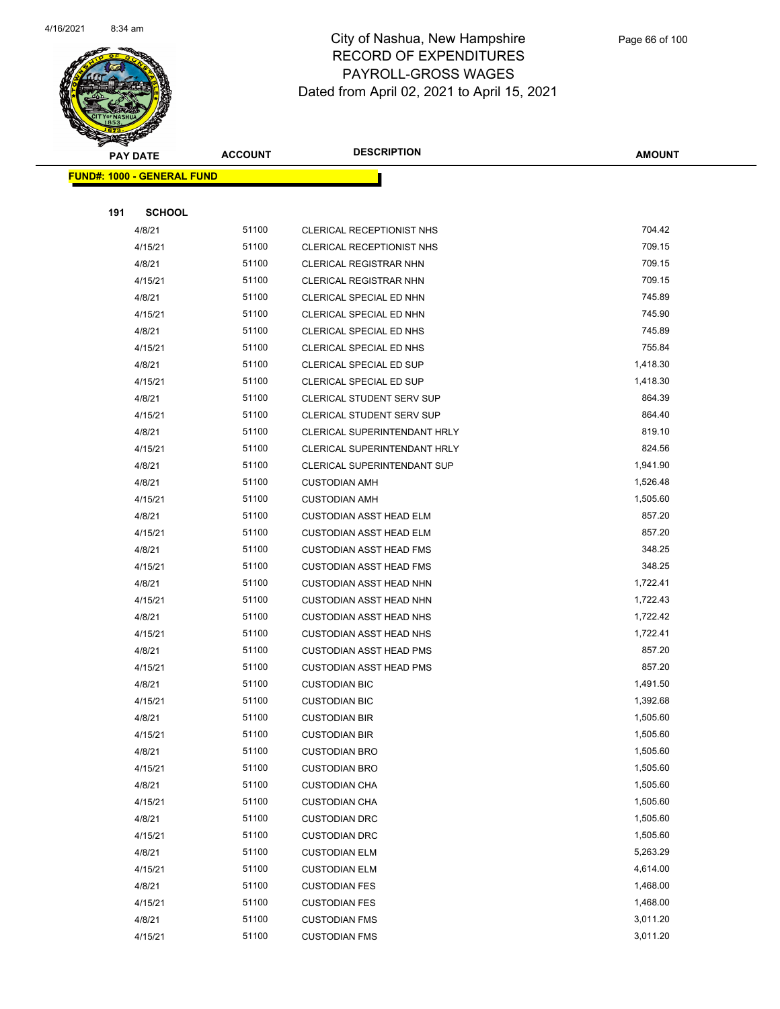

|     | <b>PAY DATE</b>                    | <b>ACCOUNT</b> | <b>DESCRIPTION</b>                  | AMOUNT   |
|-----|------------------------------------|----------------|-------------------------------------|----------|
|     | <u> FUND#: 1000 - GENERAL FUND</u> |                |                                     |          |
|     |                                    |                |                                     |          |
| 191 | <b>SCHOOL</b>                      |                |                                     |          |
|     | 4/8/21                             | 51100          | CLERICAL RECEPTIONIST NHS           | 704.42   |
|     | 4/15/21                            | 51100          | <b>CLERICAL RECEPTIONIST NHS</b>    | 709.15   |
|     | 4/8/21                             | 51100          | <b>CLERICAL REGISTRAR NHN</b>       | 709.15   |
|     | 4/15/21                            | 51100          | <b>CLERICAL REGISTRAR NHN</b>       | 709.15   |
|     | 4/8/21                             | 51100          | CLERICAL SPECIAL ED NHN             | 745.89   |
|     | 4/15/21                            | 51100          | CLERICAL SPECIAL ED NHN             | 745.90   |
|     | 4/8/21                             | 51100          | CLERICAL SPECIAL ED NHS             | 745.89   |
|     | 4/15/21                            | 51100          | CLERICAL SPECIAL ED NHS             | 755.84   |
|     | 4/8/21                             | 51100          | CLERICAL SPECIAL ED SUP             | 1,418.30 |
|     | 4/15/21                            | 51100          | CLERICAL SPECIAL ED SUP             | 1,418.30 |
|     | 4/8/21                             | 51100          | <b>CLERICAL STUDENT SERV SUP</b>    | 864.39   |
|     | 4/15/21                            | 51100          | <b>CLERICAL STUDENT SERV SUP</b>    | 864.40   |
|     | 4/8/21                             | 51100          | <b>CLERICAL SUPERINTENDANT HRLY</b> | 819.10   |
|     | 4/15/21                            | 51100          | CLERICAL SUPERINTENDANT HRLY        | 824.56   |
|     | 4/8/21                             | 51100          | <b>CLERICAL SUPERINTENDANT SUP</b>  | 1,941.90 |
|     | 4/8/21                             | 51100          | <b>CUSTODIAN AMH</b>                | 1,526.48 |
|     | 4/15/21                            | 51100          | <b>CUSTODIAN AMH</b>                | 1,505.60 |
|     | 4/8/21                             | 51100          | <b>CUSTODIAN ASST HEAD ELM</b>      | 857.20   |
|     | 4/15/21                            | 51100          | <b>CUSTODIAN ASST HEAD ELM</b>      | 857.20   |
|     | 4/8/21                             | 51100          | <b>CUSTODIAN ASST HEAD FMS</b>      | 348.25   |
|     | 4/15/21                            | 51100          | <b>CUSTODIAN ASST HEAD FMS</b>      | 348.25   |
|     | 4/8/21                             | 51100          | <b>CUSTODIAN ASST HEAD NHN</b>      | 1,722.41 |
|     | 4/15/21                            | 51100          | <b>CUSTODIAN ASST HEAD NHN</b>      | 1,722.43 |
|     | 4/8/21                             | 51100          | <b>CUSTODIAN ASST HEAD NHS</b>      | 1,722.42 |
|     | 4/15/21                            | 51100          | <b>CUSTODIAN ASST HEAD NHS</b>      | 1,722.41 |
|     | 4/8/21                             | 51100          | <b>CUSTODIAN ASST HEAD PMS</b>      | 857.20   |
|     | 4/15/21                            | 51100          | <b>CUSTODIAN ASST HEAD PMS</b>      | 857.20   |
|     | 4/8/21                             | 51100          | <b>CUSTODIAN BIC</b>                | 1,491.50 |
|     | 4/15/21                            | 51100          | <b>CUSTODIAN BIC</b>                | 1,392.68 |
|     | 4/8/21                             | 51100          | <b>CUSTODIAN BIR</b>                | 1,505.60 |
|     | 4/15/21                            | 51100          | <b>CUSTODIAN BIR</b>                | 1,505.60 |
|     | 4/8/21                             | 51100          | <b>CUSTODIAN BRO</b>                | 1,505.60 |
|     | 4/15/21                            | 51100          | <b>CUSTODIAN BRO</b>                | 1,505.60 |
|     | 4/8/21                             | 51100          | <b>CUSTODIAN CHA</b>                | 1,505.60 |
|     | 4/15/21                            | 51100          | <b>CUSTODIAN CHA</b>                | 1,505.60 |
|     | 4/8/21                             | 51100          | <b>CUSTODIAN DRC</b>                | 1,505.60 |
|     | 4/15/21                            | 51100          | <b>CUSTODIAN DRC</b>                | 1,505.60 |
|     | 4/8/21                             | 51100          | <b>CUSTODIAN ELM</b>                | 5,263.29 |
|     | 4/15/21                            | 51100          | <b>CUSTODIAN ELM</b>                | 4,614.00 |
|     | 4/8/21                             | 51100          | <b>CUSTODIAN FES</b>                | 1,468.00 |
|     | 4/15/21                            | 51100          | <b>CUSTODIAN FES</b>                | 1,468.00 |
|     | 4/8/21                             | 51100          | <b>CUSTODIAN FMS</b>                | 3,011.20 |
|     | 4/15/21                            | 51100          | <b>CUSTODIAN FMS</b>                | 3,011.20 |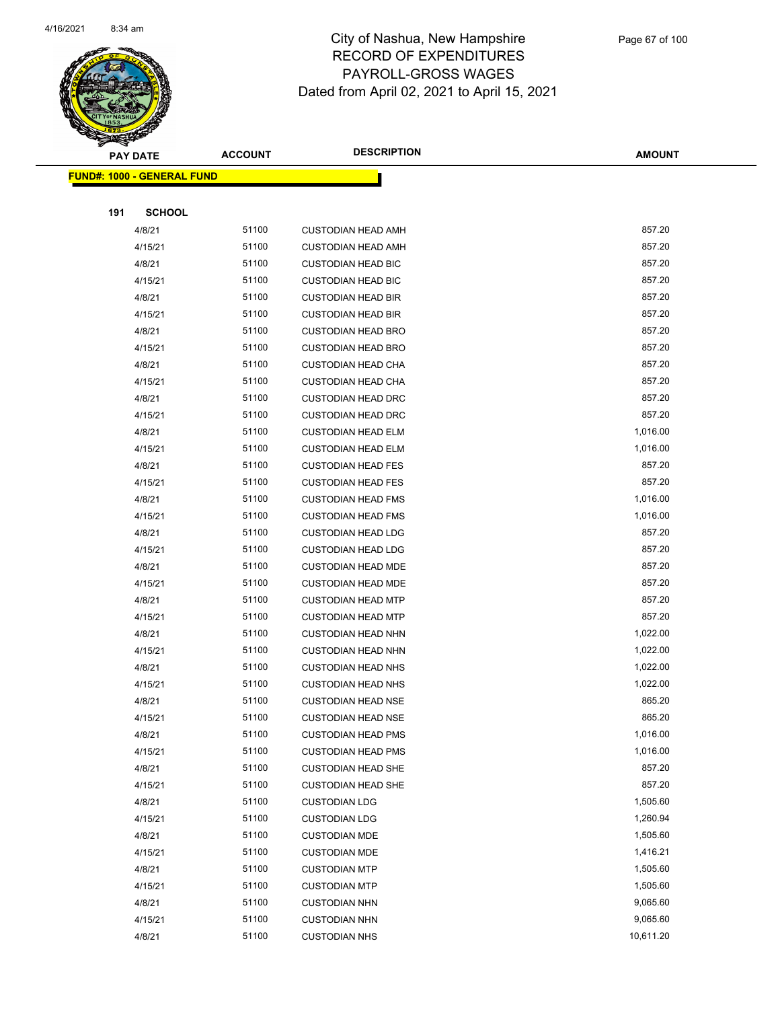

|     | <b>PAY DATE</b>                    | <b>ACCOUNT</b> | <b>DESCRIPTION</b>                                     | <b>AMOUNT</b>    |
|-----|------------------------------------|----------------|--------------------------------------------------------|------------------|
|     | <u> FUND#: 1000 - GENERAL FUND</u> |                |                                                        |                  |
|     |                                    |                |                                                        |                  |
| 191 | <b>SCHOOL</b>                      |                |                                                        |                  |
|     | 4/8/21                             | 51100          | <b>CUSTODIAN HEAD AMH</b>                              | 857.20           |
|     | 4/15/21                            | 51100          | <b>CUSTODIAN HEAD AMH</b>                              | 857.20           |
|     | 4/8/21                             | 51100          | <b>CUSTODIAN HEAD BIC</b>                              | 857.20           |
|     | 4/15/21                            | 51100          | <b>CUSTODIAN HEAD BIC</b>                              | 857.20           |
|     | 4/8/21                             | 51100          | <b>CUSTODIAN HEAD BIR</b>                              | 857.20           |
|     | 4/15/21                            | 51100          | <b>CUSTODIAN HEAD BIR</b>                              | 857.20           |
|     | 4/8/21                             | 51100          | <b>CUSTODIAN HEAD BRO</b>                              | 857.20           |
|     | 4/15/21                            | 51100          | <b>CUSTODIAN HEAD BRO</b>                              | 857.20           |
|     | 4/8/21                             | 51100          | <b>CUSTODIAN HEAD CHA</b>                              | 857.20           |
|     | 4/15/21                            | 51100          | <b>CUSTODIAN HEAD CHA</b>                              | 857.20           |
|     | 4/8/21                             | 51100          | <b>CUSTODIAN HEAD DRC</b>                              | 857.20           |
|     | 4/15/21                            | 51100          | <b>CUSTODIAN HEAD DRC</b>                              | 857.20           |
|     | 4/8/21                             | 51100          | <b>CUSTODIAN HEAD ELM</b>                              | 1,016.00         |
|     | 4/15/21                            | 51100          | <b>CUSTODIAN HEAD ELM</b>                              | 1,016.00         |
|     | 4/8/21                             | 51100          | <b>CUSTODIAN HEAD FES</b>                              | 857.20           |
|     | 4/15/21                            | 51100          | <b>CUSTODIAN HEAD FES</b>                              | 857.20           |
|     | 4/8/21                             | 51100          | <b>CUSTODIAN HEAD FMS</b>                              | 1,016.00         |
|     | 4/15/21                            | 51100          | <b>CUSTODIAN HEAD FMS</b>                              | 1,016.00         |
|     | 4/8/21                             | 51100<br>51100 | <b>CUSTODIAN HEAD LDG</b>                              | 857.20<br>857.20 |
|     | 4/15/21<br>4/8/21                  | 51100          | <b>CUSTODIAN HEAD LDG</b>                              | 857.20           |
|     | 4/15/21                            | 51100          | <b>CUSTODIAN HEAD MDE</b><br><b>CUSTODIAN HEAD MDE</b> | 857.20           |
|     | 4/8/21                             | 51100          | <b>CUSTODIAN HEAD MTP</b>                              | 857.20           |
|     | 4/15/21                            | 51100          | <b>CUSTODIAN HEAD MTP</b>                              | 857.20           |
|     | 4/8/21                             | 51100          | <b>CUSTODIAN HEAD NHN</b>                              | 1,022.00         |
|     | 4/15/21                            | 51100          | <b>CUSTODIAN HEAD NHN</b>                              | 1,022.00         |
|     | 4/8/21                             | 51100          | <b>CUSTODIAN HEAD NHS</b>                              | 1,022.00         |
|     | 4/15/21                            | 51100          | <b>CUSTODIAN HEAD NHS</b>                              | 1,022.00         |
|     | 4/8/21                             | 51100          | <b>CUSTODIAN HEAD NSE</b>                              | 865.20           |
|     | 4/15/21                            | 51100          | <b>CUSTODIAN HEAD NSE</b>                              | 865.20           |
|     | 4/8/21                             | 51100          | <b>CUSTODIAN HEAD PMS</b>                              | 1,016.00         |
|     | 4/15/21                            | 51100          | <b>CUSTODIAN HEAD PMS</b>                              | 1,016.00         |
|     | 4/8/21                             | 51100          | <b>CUSTODIAN HEAD SHE</b>                              | 857.20           |
|     | 4/15/21                            | 51100          | <b>CUSTODIAN HEAD SHE</b>                              | 857.20           |
|     | 4/8/21                             | 51100          | <b>CUSTODIAN LDG</b>                                   | 1,505.60         |
|     | 4/15/21                            | 51100          | <b>CUSTODIAN LDG</b>                                   | 1,260.94         |
|     | 4/8/21                             | 51100          | <b>CUSTODIAN MDE</b>                                   | 1,505.60         |
|     | 4/15/21                            | 51100          | <b>CUSTODIAN MDE</b>                                   | 1,416.21         |
|     | 4/8/21                             | 51100          | <b>CUSTODIAN MTP</b>                                   | 1,505.60         |
|     | 4/15/21                            | 51100          | <b>CUSTODIAN MTP</b>                                   | 1,505.60         |
|     | 4/8/21                             | 51100          | <b>CUSTODIAN NHN</b>                                   | 9,065.60         |
|     | 4/15/21                            | 51100          | <b>CUSTODIAN NHN</b>                                   | 9,065.60         |
|     | 4/8/21                             | 51100          | <b>CUSTODIAN NHS</b>                                   | 10,611.20        |
|     |                                    |                |                                                        |                  |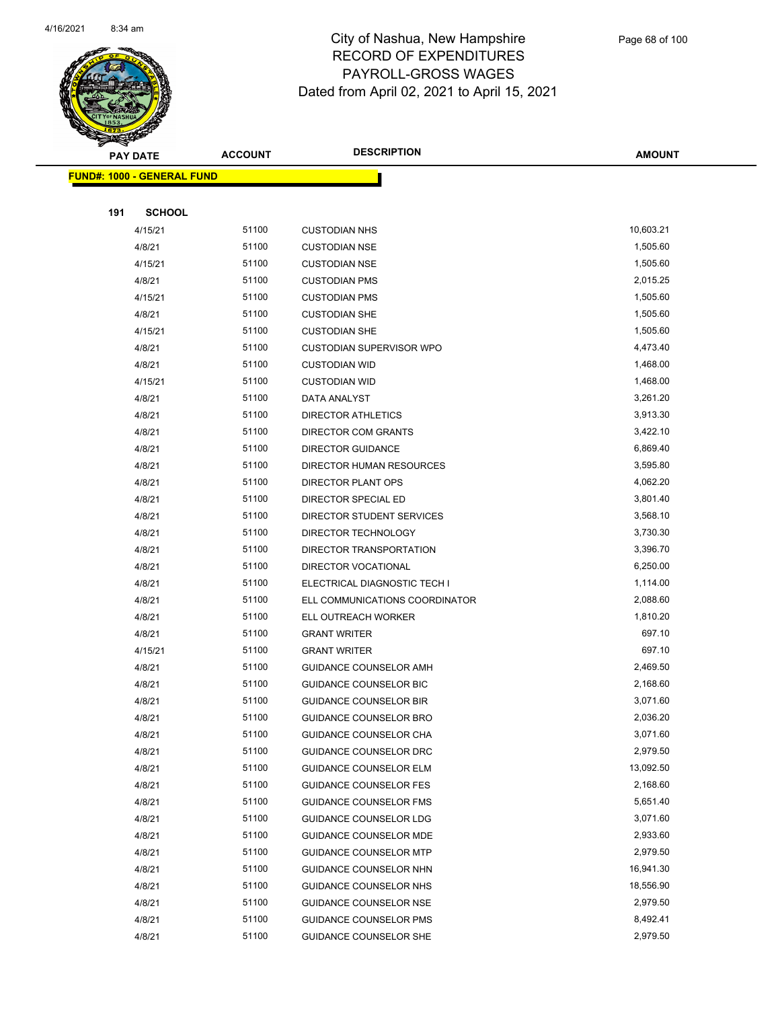

|     | <b>PAY DATE</b>                    | <b>ACCOUNT</b> | <b>DESCRIPTION</b>              | <b>AMOUNT</b> |
|-----|------------------------------------|----------------|---------------------------------|---------------|
|     | <u> FUND#: 1000 - GENERAL FUND</u> |                |                                 |               |
|     |                                    |                |                                 |               |
| 191 | <b>SCHOOL</b>                      |                |                                 |               |
|     | 4/15/21                            | 51100          | <b>CUSTODIAN NHS</b>            | 10,603.21     |
|     | 4/8/21                             | 51100          | <b>CUSTODIAN NSE</b>            | 1,505.60      |
|     | 4/15/21                            | 51100          | <b>CUSTODIAN NSE</b>            | 1,505.60      |
|     | 4/8/21                             | 51100          | <b>CUSTODIAN PMS</b>            | 2,015.25      |
|     | 4/15/21                            | 51100          | <b>CUSTODIAN PMS</b>            | 1,505.60      |
|     | 4/8/21                             | 51100          | <b>CUSTODIAN SHE</b>            | 1,505.60      |
|     | 4/15/21                            | 51100          | <b>CUSTODIAN SHE</b>            | 1,505.60      |
|     | 4/8/21                             | 51100          | <b>CUSTODIAN SUPERVISOR WPO</b> | 4,473.40      |
|     | 4/8/21                             | 51100          | <b>CUSTODIAN WID</b>            | 1,468.00      |
|     | 4/15/21                            | 51100          | <b>CUSTODIAN WID</b>            | 1,468.00      |
|     | 4/8/21                             | 51100          | DATA ANALYST                    | 3,261.20      |
|     | 4/8/21                             | 51100          | <b>DIRECTOR ATHLETICS</b>       | 3,913.30      |
|     | 4/8/21                             | 51100          | DIRECTOR COM GRANTS             | 3,422.10      |
|     | 4/8/21                             | 51100          | <b>DIRECTOR GUIDANCE</b>        | 6,869.40      |
|     | 4/8/21                             | 51100          | DIRECTOR HUMAN RESOURCES        | 3,595.80      |
|     | 4/8/21                             | 51100          | DIRECTOR PLANT OPS              | 4,062.20      |
|     | 4/8/21                             | 51100          | DIRECTOR SPECIAL ED             | 3,801.40      |
|     | 4/8/21                             | 51100          | DIRECTOR STUDENT SERVICES       | 3,568.10      |
|     | 4/8/21                             | 51100          | DIRECTOR TECHNOLOGY             | 3,730.30      |
|     | 4/8/21                             | 51100          | DIRECTOR TRANSPORTATION         | 3,396.70      |
|     | 4/8/21                             | 51100          | DIRECTOR VOCATIONAL             | 6,250.00      |
|     | 4/8/21                             | 51100          | ELECTRICAL DIAGNOSTIC TECH I    | 1,114.00      |
|     | 4/8/21                             | 51100          | ELL COMMUNICATIONS COORDINATOR  | 2,088.60      |
|     | 4/8/21                             | 51100          | ELL OUTREACH WORKER             | 1,810.20      |
|     | 4/8/21                             | 51100          | <b>GRANT WRITER</b>             | 697.10        |
|     | 4/15/21                            | 51100          | <b>GRANT WRITER</b>             | 697.10        |
|     | 4/8/21                             | 51100          | GUIDANCE COUNSELOR AMH          | 2,469.50      |
|     | 4/8/21                             | 51100          | <b>GUIDANCE COUNSELOR BIC</b>   | 2,168.60      |
|     | 4/8/21                             | 51100          | <b>GUIDANCE COUNSELOR BIR</b>   | 3,071.60      |
|     | 4/8/21                             | 51100          | GUIDANCE COUNSELOR BRO          | 2,036.20      |
|     | 4/8/21                             | 51100          | GUIDANCE COUNSELOR CHA          | 3,071.60      |
|     | 4/8/21                             | 51100          | GUIDANCE COUNSELOR DRC          | 2,979.50      |
|     | 4/8/21                             | 51100          | GUIDANCE COUNSELOR ELM          | 13,092.50     |
|     | 4/8/21                             | 51100          | <b>GUIDANCE COUNSELOR FES</b>   | 2,168.60      |
|     | 4/8/21                             | 51100          | <b>GUIDANCE COUNSELOR FMS</b>   | 5,651.40      |
|     | 4/8/21                             | 51100          | GUIDANCE COUNSELOR LDG          | 3,071.60      |
|     | 4/8/21                             | 51100          | <b>GUIDANCE COUNSELOR MDE</b>   | 2,933.60      |
|     | 4/8/21                             | 51100          | <b>GUIDANCE COUNSELOR MTP</b>   | 2,979.50      |
|     | 4/8/21                             | 51100          | GUIDANCE COUNSELOR NHN          | 16,941.30     |
|     | 4/8/21                             | 51100          | GUIDANCE COUNSELOR NHS          | 18,556.90     |
|     | 4/8/21                             | 51100          | <b>GUIDANCE COUNSELOR NSE</b>   | 2,979.50      |
|     | 4/8/21                             | 51100          | <b>GUIDANCE COUNSELOR PMS</b>   | 8,492.41      |
|     | 4/8/21                             | 51100          | <b>GUIDANCE COUNSELOR SHE</b>   | 2,979.50      |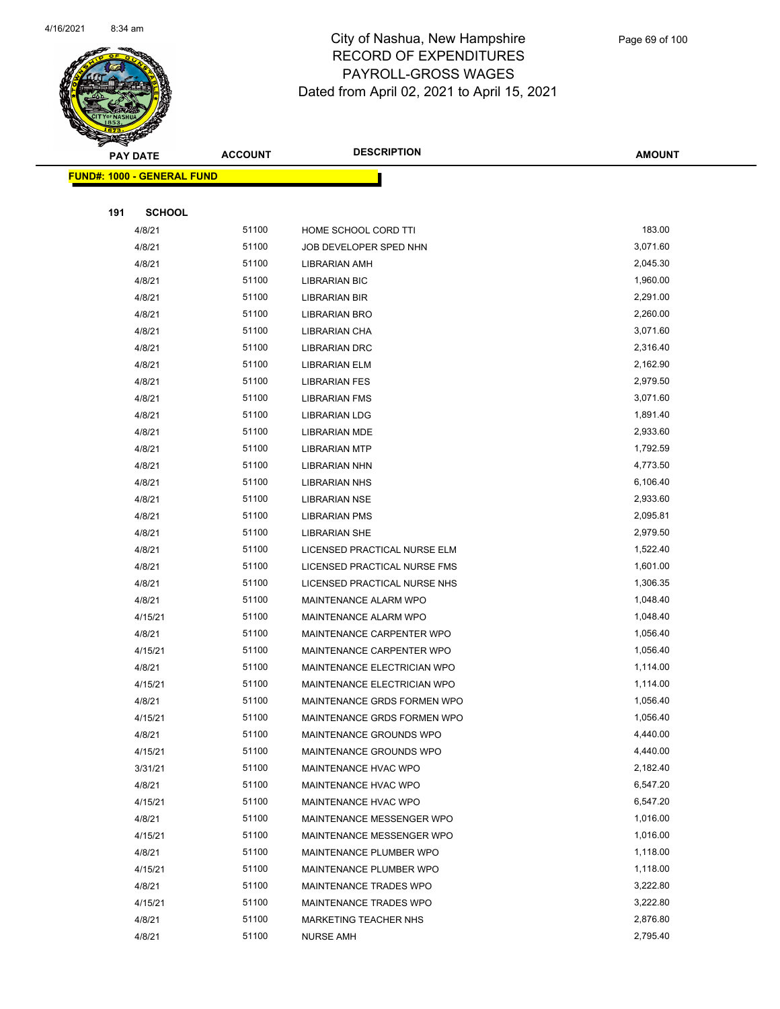

|     | <b>PAY DATE</b>                    | <b>ACCOUNT</b> | <b>DESCRIPTION</b>           | <b>AMOUNT</b> |
|-----|------------------------------------|----------------|------------------------------|---------------|
|     | <u> FUND#: 1000 - GENERAL FUND</u> |                |                              |               |
|     |                                    |                |                              |               |
| 191 | <b>SCHOOL</b>                      |                |                              |               |
|     | 4/8/21                             | 51100          | HOME SCHOOL CORD TTI         | 183.00        |
|     | 4/8/21                             | 51100          | JOB DEVELOPER SPED NHN       | 3,071.60      |
|     | 4/8/21                             | 51100          | LIBRARIAN AMH                | 2,045.30      |
|     | 4/8/21                             | 51100          | <b>LIBRARIAN BIC</b>         | 1,960.00      |
|     | 4/8/21                             | 51100          | <b>LIBRARIAN BIR</b>         | 2,291.00      |
|     | 4/8/21                             | 51100          | <b>LIBRARIAN BRO</b>         | 2,260.00      |
|     | 4/8/21                             | 51100          | LIBRARIAN CHA                | 3,071.60      |
|     | 4/8/21                             | 51100          | LIBRARIAN DRC                | 2,316.40      |
|     | 4/8/21                             | 51100          | LIBRARIAN ELM                | 2,162.90      |
|     | 4/8/21                             | 51100          | <b>LIBRARIAN FES</b>         | 2,979.50      |
|     | 4/8/21                             | 51100          | <b>LIBRARIAN FMS</b>         | 3,071.60      |
|     | 4/8/21                             | 51100          | <b>LIBRARIAN LDG</b>         | 1,891.40      |
|     | 4/8/21                             | 51100          | LIBRARIAN MDE                | 2,933.60      |
|     | 4/8/21                             | 51100          | <b>LIBRARIAN MTP</b>         | 1,792.59      |
|     | 4/8/21                             | 51100          | LIBRARIAN NHN                | 4,773.50      |
|     | 4/8/21                             | 51100          | <b>LIBRARIAN NHS</b>         | 6,106.40      |
|     | 4/8/21                             | 51100          | <b>LIBRARIAN NSE</b>         | 2,933.60      |
|     | 4/8/21                             | 51100          | LIBRARIAN PMS                | 2,095.81      |
|     | 4/8/21                             | 51100          | <b>LIBRARIAN SHE</b>         | 2,979.50      |
|     | 4/8/21                             | 51100          | LICENSED PRACTICAL NURSE ELM | 1,522.40      |
|     | 4/8/21                             | 51100          | LICENSED PRACTICAL NURSE FMS | 1,601.00      |
|     | 4/8/21                             | 51100          | LICENSED PRACTICAL NURSE NHS | 1,306.35      |
|     | 4/8/21                             | 51100          | MAINTENANCE ALARM WPO        | 1,048.40      |
|     | 4/15/21                            | 51100          | <b>MAINTENANCE ALARM WPO</b> | 1,048.40      |
|     | 4/8/21                             | 51100          | MAINTENANCE CARPENTER WPO    | 1,056.40      |
|     | 4/15/21                            | 51100          | MAINTENANCE CARPENTER WPO    | 1,056.40      |
|     | 4/8/21                             | 51100          | MAINTENANCE ELECTRICIAN WPO  | 1,114.00      |
|     | 4/15/21                            | 51100          | MAINTENANCE ELECTRICIAN WPO  | 1,114.00      |
|     | 4/8/21                             | 51100          | MAINTENANCE GRDS FORMEN WPO  | 1,056.40      |
|     | 4/15/21                            | 51100          | MAINTENANCE GRDS FORMEN WPO  | 1,056.40      |
|     | 4/8/21                             | 51100          | MAINTENANCE GROUNDS WPO      | 4,440.00      |
|     | 4/15/21                            | 51100          | MAINTENANCE GROUNDS WPO      | 4,440.00      |
|     | 3/31/21                            | 51100          | MAINTENANCE HVAC WPO         | 2,182.40      |
|     | 4/8/21                             | 51100          | MAINTENANCE HVAC WPO         | 6,547.20      |
|     | 4/15/21                            | 51100          | MAINTENANCE HVAC WPO         | 6,547.20      |
|     | 4/8/21                             | 51100          | MAINTENANCE MESSENGER WPO    | 1,016.00      |
|     | 4/15/21                            | 51100          | MAINTENANCE MESSENGER WPO    | 1,016.00      |
|     | 4/8/21                             | 51100          | MAINTENANCE PLUMBER WPO      | 1,118.00      |
|     | 4/15/21                            | 51100          | MAINTENANCE PLUMBER WPO      | 1,118.00      |
|     | 4/8/21                             | 51100          | MAINTENANCE TRADES WPO       | 3,222.80      |
|     | 4/15/21                            | 51100          | MAINTENANCE TRADES WPO       | 3,222.80      |
|     | 4/8/21                             | 51100          | MARKETING TEACHER NHS        | 2,876.80      |
|     | 4/8/21                             | 51100          | <b>NURSE AMH</b>             | 2,795.40      |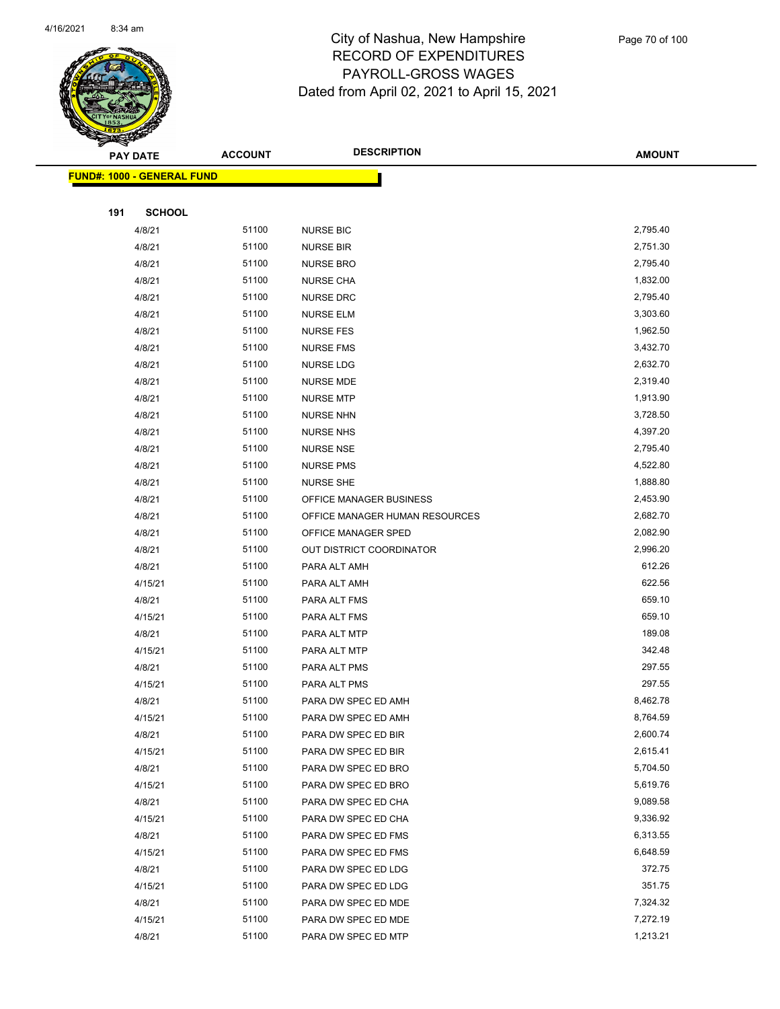

Page 70 of 100

|     | <u> FUND#: 1000 - GENERAL FUND</u> |                |                                      |                      |
|-----|------------------------------------|----------------|--------------------------------------|----------------------|
|     |                                    |                |                                      |                      |
| 191 | <b>SCHOOL</b>                      |                |                                      |                      |
|     | 4/8/21                             | 51100          | <b>NURSE BIC</b>                     | 2,795.40             |
|     | 4/8/21                             | 51100          | <b>NURSE BIR</b>                     | 2,751.30             |
|     | 4/8/21                             | 51100          | <b>NURSE BRO</b>                     | 2,795.40             |
|     | 4/8/21                             | 51100          | <b>NURSE CHA</b>                     | 1,832.00             |
|     | 4/8/21                             | 51100          | <b>NURSE DRC</b>                     | 2,795.40             |
|     | 4/8/21                             | 51100          | <b>NURSE ELM</b>                     | 3,303.60             |
|     | 4/8/21                             | 51100          | <b>NURSE FES</b>                     | 1,962.50             |
|     | 4/8/21                             | 51100          | <b>NURSE FMS</b>                     | 3,432.70             |
|     | 4/8/21                             | 51100          | <b>NURSE LDG</b>                     | 2,632.70             |
|     | 4/8/21                             | 51100          | <b>NURSE MDE</b>                     | 2,319.40             |
|     | 4/8/21                             | 51100          | <b>NURSE MTP</b>                     | 1,913.90             |
|     | 4/8/21                             | 51100<br>51100 | <b>NURSE NHN</b><br><b>NURSE NHS</b> | 3,728.50             |
|     | 4/8/21<br>4/8/21                   | 51100          | <b>NURSE NSE</b>                     | 4,397.20<br>2,795.40 |
|     | 4/8/21                             | 51100          | <b>NURSE PMS</b>                     | 4,522.80             |
|     | 4/8/21                             | 51100          | <b>NURSE SHE</b>                     | 1,888.80             |
|     | 4/8/21                             | 51100          | OFFICE MANAGER BUSINESS              | 2,453.90             |
|     | 4/8/21                             | 51100          | OFFICE MANAGER HUMAN RESOURCES       | 2,682.70             |
|     | 4/8/21                             | 51100          | OFFICE MANAGER SPED                  | 2,082.90             |
|     | 4/8/21                             | 51100          | OUT DISTRICT COORDINATOR             | 2,996.20             |
|     | 4/8/21                             | 51100          | PARA ALT AMH                         | 612.26               |
|     | 4/15/21                            | 51100          | PARA ALT AMH                         | 622.56               |
|     | 4/8/21                             | 51100          | PARA ALT FMS                         | 659.10               |
|     | 4/15/21                            | 51100          | PARA ALT FMS                         | 659.10               |
|     | 4/8/21                             | 51100          | PARA ALT MTP                         | 189.08               |
|     | 4/15/21                            | 51100          | PARA ALT MTP                         | 342.48               |
|     | 4/8/21                             | 51100          | PARA ALT PMS                         | 297.55               |
|     | 4/15/21                            | 51100          | PARA ALT PMS                         | 297.55               |
|     | 4/8/21                             | 51100          | PARA DW SPEC ED AMH                  | 8,462.78             |
|     | 4/15/21                            | 51100          | PARA DW SPEC ED AMH                  | 8,764.59             |
|     | 4/8/21                             | 51100          | PARA DW SPEC ED BIR                  | 2,600.74             |
|     | 4/15/21                            | 51100          | PARA DW SPEC ED BIR                  | 2,615.41             |
|     | 4/8/21                             | 51100          | PARA DW SPEC ED BRO                  | 5,704.50             |
|     | 4/15/21                            | 51100          | PARA DW SPEC ED BRO                  | 5,619.76             |
|     | 4/8/21                             | 51100          | PARA DW SPEC ED CHA                  | 9,089.58             |
|     | 4/15/21                            | 51100          | PARA DW SPEC ED CHA                  | 9,336.92             |
|     | 4/8/21                             | 51100          | PARA DW SPEC ED FMS                  | 6,313.55             |
|     | 4/15/21                            | 51100          | PARA DW SPEC ED FMS                  | 6,648.59             |
|     | 4/8/21                             | 51100          | PARA DW SPEC ED LDG                  | 372.75               |
|     | 4/15/21                            | 51100          | PARA DW SPEC ED LDG                  | 351.75               |
|     | 4/8/21                             | 51100          | PARA DW SPEC ED MDE                  | 7,324.32             |
|     | 4/15/21                            | 51100          | PARA DW SPEC ED MDE                  | 7,272.19             |
|     | 4/8/21                             | 51100          | PARA DW SPEC ED MTP                  | 1,213.21             |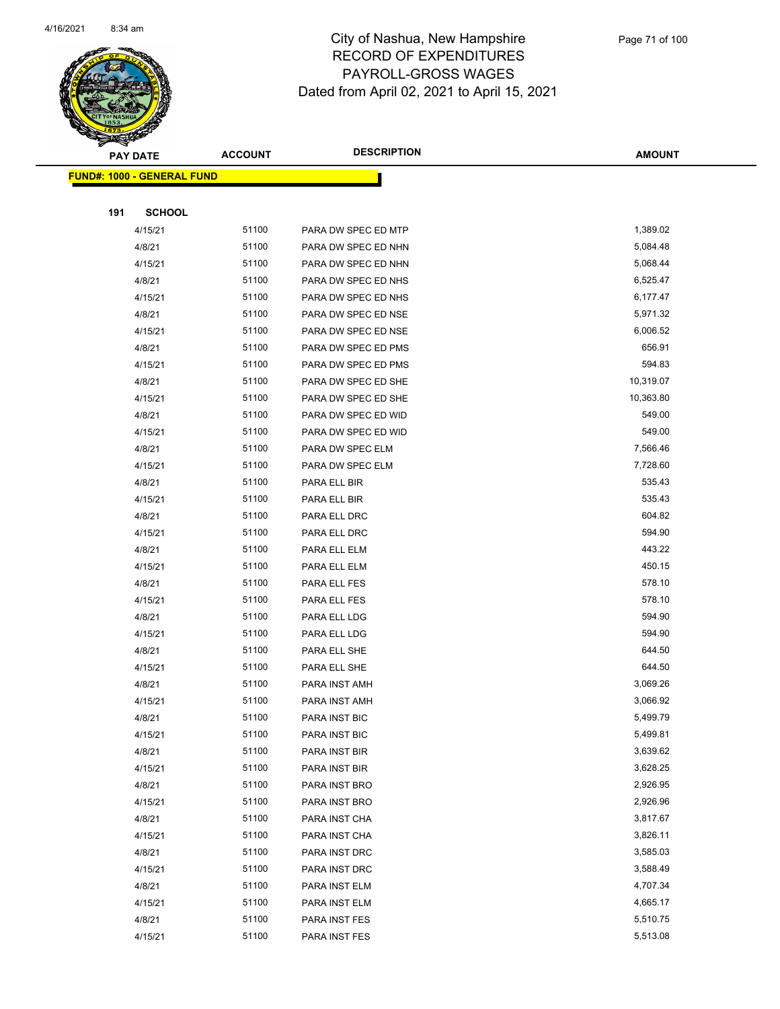

|     | <b>PAY DATE</b>                    | <b>ACCOUNT</b> | <b>DESCRIPTION</b>             | <b>AMOUNT</b>        |
|-----|------------------------------------|----------------|--------------------------------|----------------------|
|     | <u> FUND#: 1000 - GENERAL FUND</u> |                |                                |                      |
|     |                                    |                |                                |                      |
| 191 | <b>SCHOOL</b>                      |                |                                |                      |
|     | 4/15/21                            | 51100          | PARA DW SPEC ED MTP            | 1,389.02             |
|     | 4/8/21                             | 51100          | PARA DW SPEC ED NHN            | 5,084.48             |
|     | 4/15/21                            | 51100          | PARA DW SPEC ED NHN            | 5,068.44             |
|     | 4/8/21                             | 51100          | PARA DW SPEC ED NHS            | 6,525.47             |
|     | 4/15/21                            | 51100          | PARA DW SPEC ED NHS            | 6,177.47             |
|     | 4/8/21                             | 51100          | PARA DW SPEC ED NSE            | 5,971.32             |
|     | 4/15/21                            | 51100          | PARA DW SPEC ED NSE            | 6,006.52             |
|     | 4/8/21                             | 51100          | PARA DW SPEC ED PMS            | 656.91               |
|     | 4/15/21                            | 51100          | PARA DW SPEC ED PMS            | 594.83               |
|     | 4/8/21                             | 51100          | PARA DW SPEC ED SHE            | 10,319.07            |
|     | 4/15/21                            | 51100          | PARA DW SPEC ED SHE            | 10,363.80            |
|     | 4/8/21                             | 51100          | PARA DW SPEC ED WID            | 549.00               |
|     | 4/15/21                            | 51100          | PARA DW SPEC ED WID            | 549.00               |
|     | 4/8/21                             | 51100          | PARA DW SPEC ELM               | 7,566.46             |
|     | 4/15/21                            | 51100          | PARA DW SPEC ELM               | 7,728.60             |
|     | 4/8/21                             | 51100          | PARA ELL BIR                   | 535.43               |
|     | 4/15/21                            | 51100          | PARA ELL BIR                   | 535.43               |
|     | 4/8/21                             | 51100          | PARA ELL DRC                   | 604.82               |
|     | 4/15/21                            | 51100          | PARA ELL DRC                   | 594.90               |
|     | 4/8/21                             | 51100          | PARA ELL ELM                   | 443.22               |
|     | 4/15/21                            | 51100          | PARA ELL ELM                   | 450.15               |
|     | 4/8/21                             | 51100          | PARA ELL FES                   | 578.10               |
|     | 4/15/21                            | 51100          | PARA ELL FES                   | 578.10               |
|     | 4/8/21                             | 51100          | PARA ELL LDG                   | 594.90               |
|     | 4/15/21                            | 51100          | PARA ELL LDG                   | 594.90               |
|     | 4/8/21                             | 51100          | PARA ELL SHE                   | 644.50               |
|     | 4/15/21                            | 51100          | PARA ELL SHE                   | 644.50               |
|     | 4/8/21                             | 51100          | PARA INST AMH                  | 3,069.26             |
|     | 4/15/21                            | 51100          | PARA INST AMH                  | 3,066.92             |
|     | 4/8/21                             | 51100          | PARA INST BIC                  | 5,499.79             |
|     | 4/15/21                            | 51100          | PARA INST BIC                  | 5,499.81             |
|     | 4/8/21                             | 51100          | PARA INST BIR                  | 3,639.62             |
|     | 4/15/21<br>4/8/21                  | 51100<br>51100 | PARA INST BIR                  | 3,628.25<br>2,926.95 |
|     | 4/15/21                            | 51100          | PARA INST BRO                  | 2,926.96             |
|     | 4/8/21                             | 51100          | PARA INST BRO                  | 3,817.67             |
|     | 4/15/21                            | 51100          | PARA INST CHA                  | 3,826.11             |
|     | 4/8/21                             | 51100          | PARA INST CHA<br>PARA INST DRC | 3,585.03             |
|     | 4/15/21                            | 51100          | PARA INST DRC                  | 3,588.49             |
|     | 4/8/21                             | 51100          | PARA INST ELM                  | 4,707.34             |
|     | 4/15/21                            | 51100          | PARA INST ELM                  | 4,665.17             |
|     | 4/8/21                             | 51100          | PARA INST FES                  | 5,510.75             |
|     | 4/15/21                            | 51100          | PARA INST FES                  | 5,513.08             |
|     |                                    |                |                                |                      |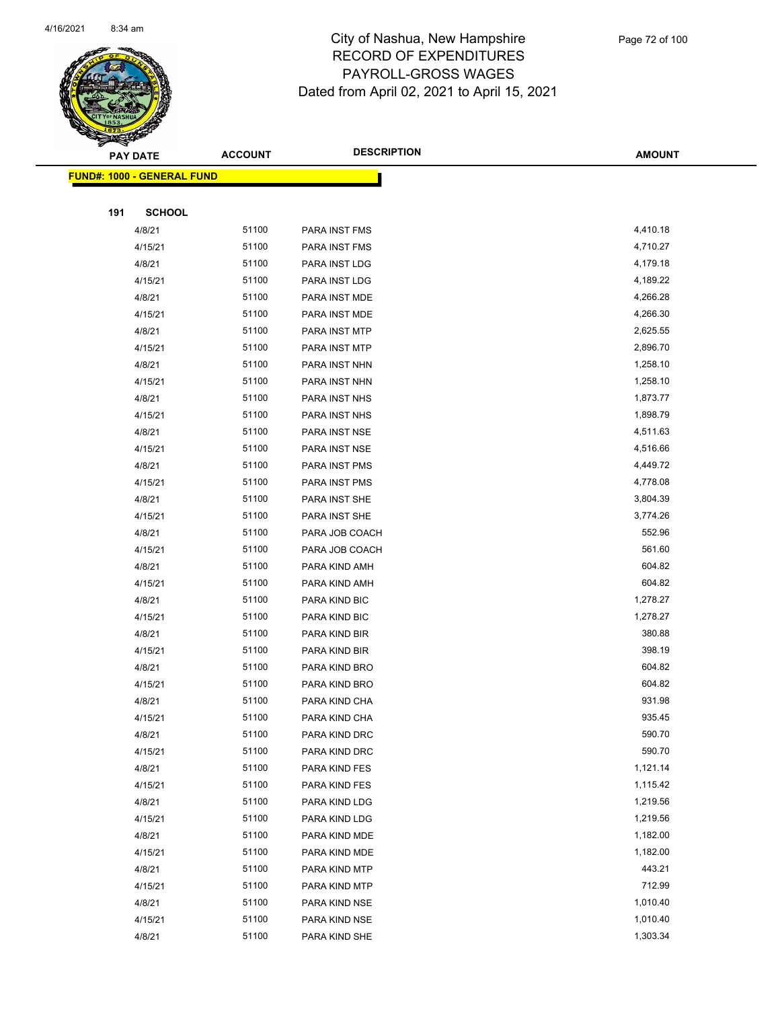

|     | <b>PAY DATE</b>                   | <b>ACCOUNT</b> | <b>DESCRIPTION</b> | <b>AMOUNT</b> |  |
|-----|-----------------------------------|----------------|--------------------|---------------|--|
|     | <b>FUND#: 1000 - GENERAL FUND</b> |                |                    |               |  |
|     |                                   |                |                    |               |  |
| 191 | <b>SCHOOL</b>                     |                |                    |               |  |
|     | 4/8/21                            | 51100          | PARA INST FMS      | 4,410.18      |  |
|     | 4/15/21                           | 51100          | PARA INST FMS      | 4,710.27      |  |
|     | 4/8/21                            | 51100          | PARA INST LDG      | 4,179.18      |  |
|     | 4/15/21                           | 51100          | PARA INST LDG      | 4,189.22      |  |
|     | 4/8/21                            | 51100          | PARA INST MDE      | 4,266.28      |  |
|     | 4/15/21                           | 51100          | PARA INST MDE      | 4,266.30      |  |
|     | 4/8/21                            | 51100          | PARA INST MTP      | 2,625.55      |  |
|     | 4/15/21                           | 51100          | PARA INST MTP      | 2,896.70      |  |
|     | 4/8/21                            | 51100          | PARA INST NHN      | 1,258.10      |  |
|     | 4/15/21                           | 51100          | PARA INST NHN      | 1,258.10      |  |
|     | 4/8/21                            | 51100          | PARA INST NHS      | 1,873.77      |  |
|     | 4/15/21                           | 51100          | PARA INST NHS      | 1,898.79      |  |
|     | 4/8/21                            | 51100          | PARA INST NSE      | 4,511.63      |  |
|     | 4/15/21                           | 51100          | PARA INST NSE      | 4,516.66      |  |
|     | 4/8/21                            | 51100          | PARA INST PMS      | 4,449.72      |  |
|     | 4/15/21                           | 51100          | PARA INST PMS      | 4,778.08      |  |
|     | 4/8/21                            | 51100          | PARA INST SHE      | 3,804.39      |  |
|     | 4/15/21                           | 51100          | PARA INST SHE      | 3,774.26      |  |
|     | 4/8/21                            | 51100          | PARA JOB COACH     | 552.96        |  |
|     | 4/15/21                           | 51100          | PARA JOB COACH     | 561.60        |  |
|     | 4/8/21                            | 51100          | PARA KIND AMH      | 604.82        |  |
|     | 4/15/21                           | 51100          | PARA KIND AMH      | 604.82        |  |
|     | 4/8/21                            | 51100          | PARA KIND BIC      | 1,278.27      |  |
|     | 4/15/21                           | 51100          | PARA KIND BIC      | 1,278.27      |  |
|     | 4/8/21                            | 51100          | PARA KIND BIR      | 380.88        |  |
|     | 4/15/21                           | 51100          | PARA KIND BIR      | 398.19        |  |
|     | 4/8/21                            | 51100          | PARA KIND BRO      | 604.82        |  |
|     | 4/15/21                           | 51100          | PARA KIND BRO      | 604.82        |  |
|     | 4/8/21                            | 51100          | PARA KIND CHA      | 931.98        |  |
|     | 4/15/21                           | 51100          | PARA KIND CHA      | 935.45        |  |
|     | 4/8/21                            | 51100          | PARA KIND DRC      | 590.70        |  |
|     | 4/15/21                           | 51100          | PARA KIND DRC      | 590.70        |  |
|     | 4/8/21                            | 51100          | PARA KIND FES      | 1,121.14      |  |
|     | 4/15/21                           | 51100          | PARA KIND FES      | 1,115.42      |  |
|     | 4/8/21                            | 51100          | PARA KIND LDG      | 1,219.56      |  |
|     | 4/15/21                           | 51100          | PARA KIND LDG      | 1,219.56      |  |
|     | 4/8/21                            | 51100          | PARA KIND MDE      | 1,182.00      |  |
|     | 4/15/21                           | 51100          | PARA KIND MDE      | 1,182.00      |  |
|     | 4/8/21                            | 51100          | PARA KIND MTP      | 443.21        |  |
|     | 4/15/21                           | 51100          | PARA KIND MTP      | 712.99        |  |
|     | 4/8/21                            | 51100          | PARA KIND NSE      | 1,010.40      |  |
|     | 4/15/21                           | 51100          | PARA KIND NSE      | 1,010.40      |  |
|     | 4/8/21                            | 51100          | PARA KIND SHE      | 1,303.34      |  |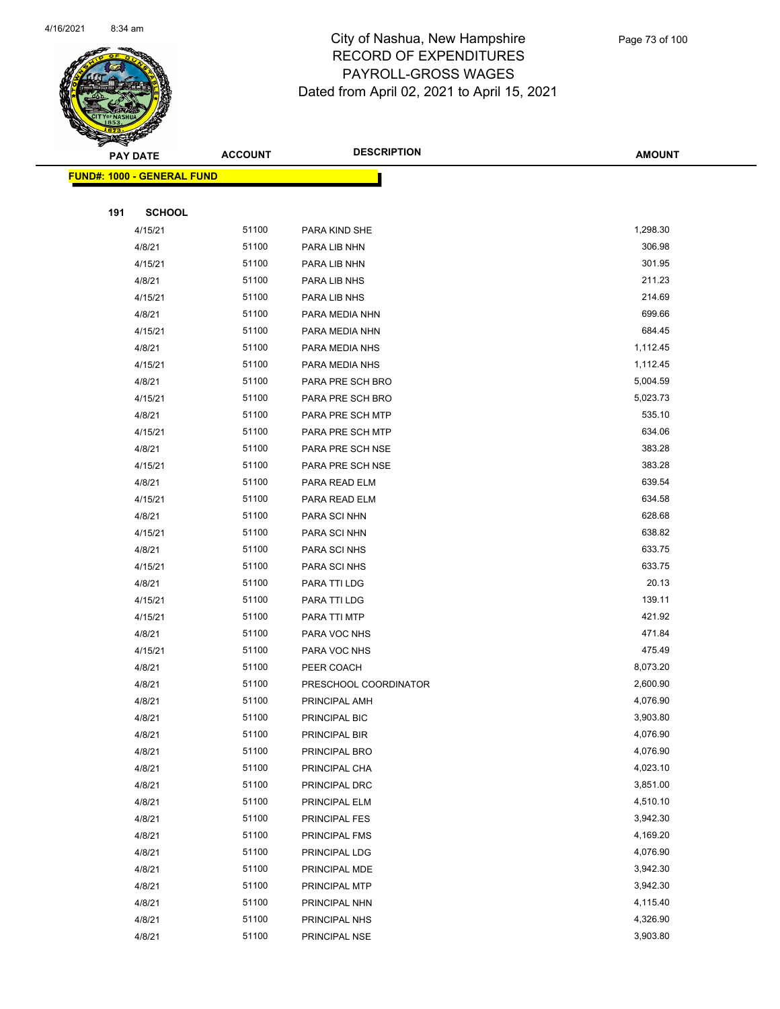

| <b>PAY DATE</b>                    |               | <b>ACCOUNT</b> | <b>DESCRIPTION</b>    | <b>AMOUNT</b>        |
|------------------------------------|---------------|----------------|-----------------------|----------------------|
| <u> FUND#: 1000 - GENERAL FUND</u> |               |                |                       |                      |
|                                    |               |                |                       |                      |
| 191                                | <b>SCHOOL</b> |                |                       |                      |
|                                    | 4/15/21       | 51100          | PARA KIND SHE         | 1,298.30             |
|                                    | 4/8/21        | 51100          | PARA LIB NHN          | 306.98               |
|                                    | 4/15/21       | 51100          | PARA LIB NHN          | 301.95               |
|                                    | 4/8/21        | 51100          | PARA LIB NHS          | 211.23               |
|                                    | 4/15/21       | 51100          | PARA LIB NHS          | 214.69               |
|                                    | 4/8/21        | 51100          | PARA MEDIA NHN        | 699.66               |
|                                    | 4/15/21       | 51100          | PARA MEDIA NHN        | 684.45               |
|                                    | 4/8/21        | 51100          | PARA MEDIA NHS        | 1,112.45             |
|                                    | 4/15/21       | 51100          | PARA MEDIA NHS        | 1,112.45             |
|                                    | 4/8/21        | 51100          | PARA PRE SCH BRO      | 5,004.59             |
|                                    | 4/15/21       | 51100          | PARA PRE SCH BRO      | 5,023.73             |
|                                    | 4/8/21        | 51100          | PARA PRE SCH MTP      | 535.10               |
|                                    | 4/15/21       | 51100          | PARA PRE SCH MTP      | 634.06               |
|                                    | 4/8/21        | 51100          | PARA PRE SCH NSE      | 383.28               |
|                                    | 4/15/21       | 51100          | PARA PRE SCH NSE      | 383.28               |
|                                    | 4/8/21        | 51100          | PARA READ ELM         | 639.54               |
|                                    | 4/15/21       | 51100          | PARA READ ELM         | 634.58               |
|                                    | 4/8/21        | 51100          | PARA SCI NHN          | 628.68               |
|                                    | 4/15/21       | 51100          | PARA SCI NHN          | 638.82               |
|                                    | 4/8/21        | 51100          | PARA SCI NHS          | 633.75               |
|                                    | 4/15/21       | 51100          | PARA SCI NHS          | 633.75               |
|                                    | 4/8/21        | 51100          | PARA TTI LDG          | 20.13                |
|                                    | 4/15/21       | 51100          | PARA TTI LDG          | 139.11               |
|                                    | 4/15/21       | 51100          | PARA TTI MTP          | 421.92               |
|                                    | 4/8/21        | 51100          | PARA VOC NHS          | 471.84               |
|                                    | 4/15/21       | 51100          | PARA VOC NHS          | 475.49               |
|                                    | 4/8/21        | 51100          | PEER COACH            | 8,073.20             |
|                                    | 4/8/21        | 51100          | PRESCHOOL COORDINATOR | 2,600.90             |
|                                    | 4/8/21        | 51100          | PRINCIPAL AMH         | 4,076.90             |
|                                    | 4/8/21        | 51100          | PRINCIPAL BIC         | 3,903.80             |
|                                    | 4/8/21        | 51100          | PRINCIPAL BIR         | 4,076.90             |
|                                    | 4/8/21        | 51100          | PRINCIPAL BRO         | 4,076.90             |
|                                    | 4/8/21        | 51100          | PRINCIPAL CHA         | 4,023.10             |
|                                    | 4/8/21        | 51100          | PRINCIPAL DRC         | 3,851.00             |
|                                    | 4/8/21        | 51100          | PRINCIPAL ELM         | 4,510.10             |
|                                    | 4/8/21        | 51100          | PRINCIPAL FES         | 3,942.30             |
|                                    | 4/8/21        | 51100          | PRINCIPAL FMS         | 4,169.20             |
|                                    | 4/8/21        | 51100          | PRINCIPAL LDG         | 4,076.90             |
|                                    | 4/8/21        | 51100<br>51100 | PRINCIPAL MDE         | 3,942.30<br>3,942.30 |
|                                    | 4/8/21        | 51100          | PRINCIPAL MTP         | 4,115.40             |
|                                    | 4/8/21        | 51100          | PRINCIPAL NHN         | 4,326.90             |
|                                    | 4/8/21        |                | PRINCIPAL NHS         |                      |
|                                    | 4/8/21        | 51100          | PRINCIPAL NSE         | 3,903.80             |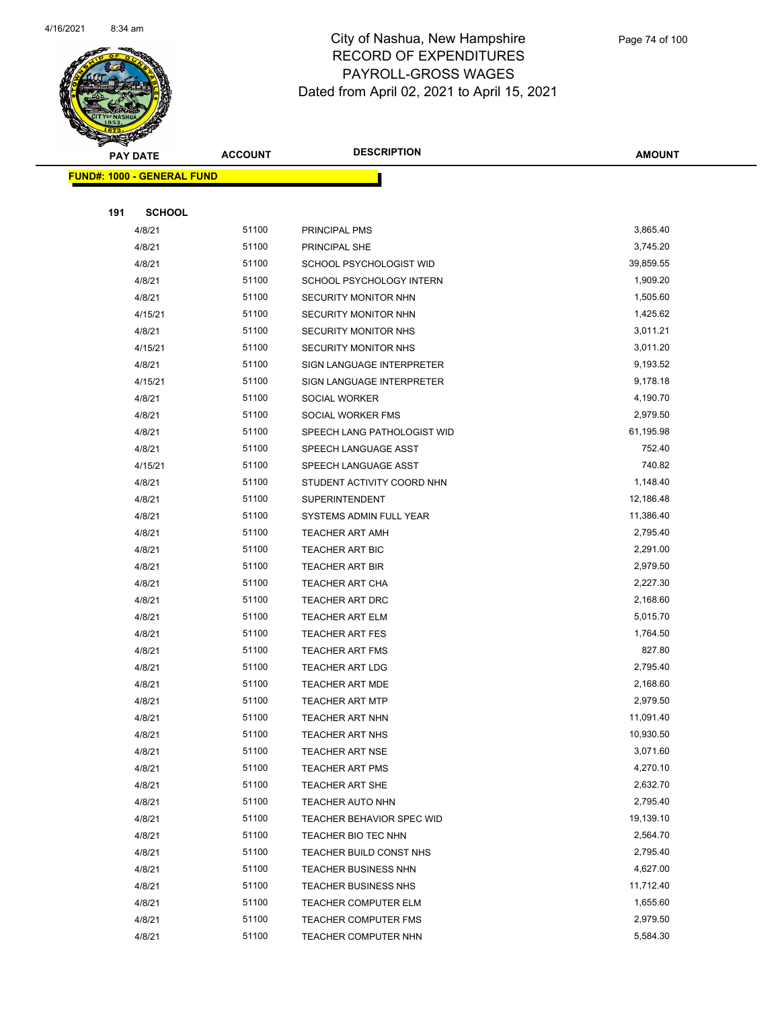

|     | <b>PAY DATE</b>                    | <b>ACCOUNT</b> | <b>DESCRIPTION</b>                                  | <b>AMOUNT</b>         |
|-----|------------------------------------|----------------|-----------------------------------------------------|-----------------------|
|     | <u> FUND#: 1000 - GENERAL FUND</u> |                |                                                     |                       |
|     |                                    |                |                                                     |                       |
| 191 | <b>SCHOOL</b>                      |                |                                                     |                       |
|     | 4/8/21                             | 51100          | PRINCIPAL PMS                                       | 3,865.40              |
|     | 4/8/21                             | 51100          | PRINCIPAL SHE                                       | 3,745.20              |
|     | 4/8/21                             | 51100          | SCHOOL PSYCHOLOGIST WID                             | 39,859.55             |
|     | 4/8/21                             | 51100          | SCHOOL PSYCHOLOGY INTERN                            | 1,909.20              |
|     | 4/8/21                             | 51100          | <b>SECURITY MONITOR NHN</b>                         | 1,505.60              |
|     | 4/15/21                            | 51100          | SECURITY MONITOR NHN                                | 1,425.62              |
|     | 4/8/21                             | 51100          | SECURITY MONITOR NHS                                | 3,011.21              |
|     | 4/15/21                            | 51100          | SECURITY MONITOR NHS                                | 3,011.20              |
|     | 4/8/21                             | 51100          | SIGN LANGUAGE INTERPRETER                           | 9,193.52              |
|     | 4/15/21                            | 51100          | SIGN LANGUAGE INTERPRETER                           | 9,178.18              |
|     | 4/8/21                             | 51100          | SOCIAL WORKER                                       | 4,190.70              |
|     | 4/8/21                             | 51100          | SOCIAL WORKER FMS                                   | 2,979.50              |
|     | 4/8/21                             | 51100          | SPEECH LANG PATHOLOGIST WID                         | 61,195.98             |
|     | 4/8/21                             | 51100          | SPEECH LANGUAGE ASST                                | 752.40                |
|     | 4/15/21                            | 51100          | SPEECH LANGUAGE ASST                                | 740.82                |
|     | 4/8/21                             | 51100          | STUDENT ACTIVITY COORD NHN                          | 1,148.40              |
|     | 4/8/21                             | 51100          | <b>SUPERINTENDENT</b>                               | 12,186.48             |
|     | 4/8/21                             | 51100          | SYSTEMS ADMIN FULL YEAR                             | 11,386.40             |
|     | 4/8/21                             | 51100          | <b>TEACHER ART AMH</b>                              | 2,795.40              |
|     | 4/8/21                             | 51100          | TEACHER ART BIC                                     | 2,291.00              |
|     | 4/8/21                             | 51100          | <b>TEACHER ART BIR</b>                              | 2,979.50              |
|     | 4/8/21                             | 51100          | <b>TEACHER ART CHA</b>                              | 2,227.30              |
|     | 4/8/21                             | 51100          | <b>TEACHER ART DRC</b>                              | 2,168.60              |
|     | 4/8/21                             | 51100          | <b>TEACHER ART ELM</b>                              | 5,015.70              |
|     | 4/8/21                             | 51100          | <b>TEACHER ART FES</b>                              | 1,764.50              |
|     | 4/8/21                             | 51100          | <b>TEACHER ART FMS</b>                              | 827.80                |
|     | 4/8/21                             | 51100          | <b>TEACHER ART LDG</b>                              | 2,795.40              |
|     | 4/8/21                             | 51100          | <b>TEACHER ART MDE</b>                              | 2,168.60              |
|     | 4/8/21                             | 51100          | <b>TEACHER ART MTP</b>                              | 2,979.50              |
|     | 4/8/21                             | 51100          | TEACHER ART NHN                                     | 11,091.40             |
|     | 4/8/21                             | 51100          | TEACHER ART NHS                                     | 10,930.50             |
|     | 4/8/21                             | 51100          | <b>TEACHER ART NSE</b>                              | 3,071.60              |
|     | 4/8/21                             | 51100          | <b>TEACHER ART PMS</b>                              | 4,270.10              |
|     | 4/8/21                             | 51100          | <b>TEACHER ART SHE</b>                              | 2,632.70<br>2,795.40  |
|     | 4/8/21                             | 51100          | TEACHER AUTO NHN                                    |                       |
|     | 4/8/21                             | 51100          | TEACHER BEHAVIOR SPEC WID                           | 19,139.10<br>2,564.70 |
|     | 4/8/21                             | 51100          | TEACHER BIO TEC NHN                                 |                       |
|     | 4/8/21                             | 51100<br>51100 | TEACHER BUILD CONST NHS                             | 2,795.40<br>4,627.00  |
|     | 4/8/21                             | 51100          | <b>TEACHER BUSINESS NHN</b>                         | 11,712.40             |
|     | 4/8/21<br>4/8/21                   | 51100          | <b>TEACHER BUSINESS NHS</b>                         | 1,655.60              |
|     | 4/8/21                             | 51100          | <b>TEACHER COMPUTER ELM</b><br>TEACHER COMPUTER FMS | 2,979.50              |
|     | 4/8/21                             | 51100          | TEACHER COMPUTER NHN                                | 5,584.30              |
|     |                                    |                |                                                     |                       |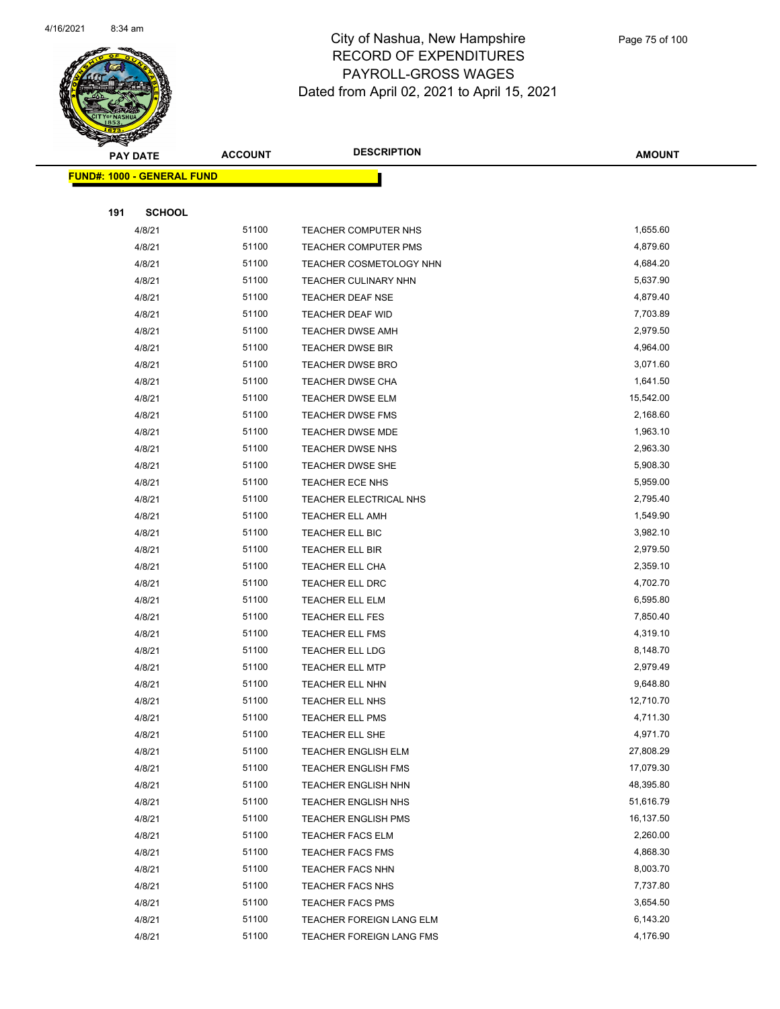

|     | <b>PAY DATE</b>                    | <b>ACCOUNT</b> | <b>DESCRIPTION</b>          | <b>AMOUNT</b> |
|-----|------------------------------------|----------------|-----------------------------|---------------|
|     | <u> FUND#: 1000 - GENERAL FUND</u> |                |                             |               |
|     |                                    |                |                             |               |
| 191 | <b>SCHOOL</b>                      |                |                             |               |
|     | 4/8/21                             | 51100          | TEACHER COMPUTER NHS        | 1,655.60      |
|     | 4/8/21                             | 51100          | TEACHER COMPUTER PMS        | 4,879.60      |
|     | 4/8/21                             | 51100          | TEACHER COSMETOLOGY NHN     | 4,684.20      |
|     | 4/8/21                             | 51100          | <b>TEACHER CULINARY NHN</b> | 5,637.90      |
|     | 4/8/21                             | 51100          | <b>TEACHER DEAF NSE</b>     | 4,879.40      |
|     | 4/8/21                             | 51100          | TEACHER DEAF WID            | 7,703.89      |
|     | 4/8/21                             | 51100          | TEACHER DWSE AMH            | 2,979.50      |
|     | 4/8/21                             | 51100          | <b>TEACHER DWSE BIR</b>     | 4,964.00      |
|     | 4/8/21                             | 51100          | <b>TEACHER DWSE BRO</b>     | 3,071.60      |
|     | 4/8/21                             | 51100          | <b>TEACHER DWSE CHA</b>     | 1,641.50      |
|     | 4/8/21                             | 51100          | TEACHER DWSE ELM            | 15,542.00     |
|     | 4/8/21                             | 51100          | TEACHER DWSE FMS            | 2,168.60      |
|     | 4/8/21                             | 51100          | TEACHER DWSE MDE            | 1,963.10      |
|     | 4/8/21                             | 51100          | TEACHER DWSE NHS            | 2,963.30      |
|     | 4/8/21                             | 51100          | <b>TEACHER DWSE SHE</b>     | 5,908.30      |
|     | 4/8/21                             | 51100          | TEACHER ECE NHS             | 5,959.00      |
|     | 4/8/21                             | 51100          | TEACHER ELECTRICAL NHS      | 2,795.40      |
|     | 4/8/21                             | 51100          | TEACHER ELL AMH             | 1,549.90      |
|     | 4/8/21                             | 51100          | TEACHER ELL BIC             | 3,982.10      |
|     | 4/8/21                             | 51100          | TEACHER ELL BIR             | 2,979.50      |
|     | 4/8/21                             | 51100          | <b>TEACHER ELL CHA</b>      | 2,359.10      |
|     | 4/8/21                             | 51100          | TEACHER ELL DRC             | 4,702.70      |
|     | 4/8/21                             | 51100          | TEACHER ELL ELM             | 6,595.80      |
|     | 4/8/21                             | 51100          | TEACHER ELL FES             | 7,850.40      |
|     | 4/8/21                             | 51100          | <b>TEACHER ELL FMS</b>      | 4,319.10      |
|     | 4/8/21                             | 51100          | TEACHER ELL LDG             | 8,148.70      |
|     | 4/8/21                             | 51100          | <b>TEACHER ELL MTP</b>      | 2,979.49      |
|     | 4/8/21                             | 51100          | TEACHER ELL NHN             | 9,648.80      |
|     | 4/8/21                             | 51100          | TEACHER ELL NHS             | 12,710.70     |
|     | 4/8/21                             | 51100          | TEACHER ELL PMS             | 4,711.30      |
|     | 4/8/21                             | 51100          | TEACHER ELL SHE             | 4,971.70      |
|     | 4/8/21                             | 51100          | TEACHER ENGLISH ELM         | 27,808.29     |
|     | 4/8/21                             | 51100          | TEACHER ENGLISH FMS         | 17,079.30     |
|     | 4/8/21                             | 51100          | TEACHER ENGLISH NHN         | 48,395.80     |
|     | 4/8/21                             | 51100          | TEACHER ENGLISH NHS         | 51,616.79     |
|     | 4/8/21                             | 51100          | TEACHER ENGLISH PMS         | 16,137.50     |
|     | 4/8/21                             | 51100          | <b>TEACHER FACS ELM</b>     | 2,260.00      |
|     | 4/8/21                             | 51100          | <b>TEACHER FACS FMS</b>     | 4,868.30      |
|     | 4/8/21                             | 51100          | <b>TEACHER FACS NHN</b>     | 8,003.70      |
|     | 4/8/21                             | 51100          | <b>TEACHER FACS NHS</b>     | 7,737.80      |
|     | 4/8/21                             | 51100          | <b>TEACHER FACS PMS</b>     | 3,654.50      |
|     | 4/8/21                             | 51100          | TEACHER FOREIGN LANG ELM    | 6,143.20      |
|     | 4/8/21                             | 51100          | TEACHER FOREIGN LANG FMS    | 4,176.90      |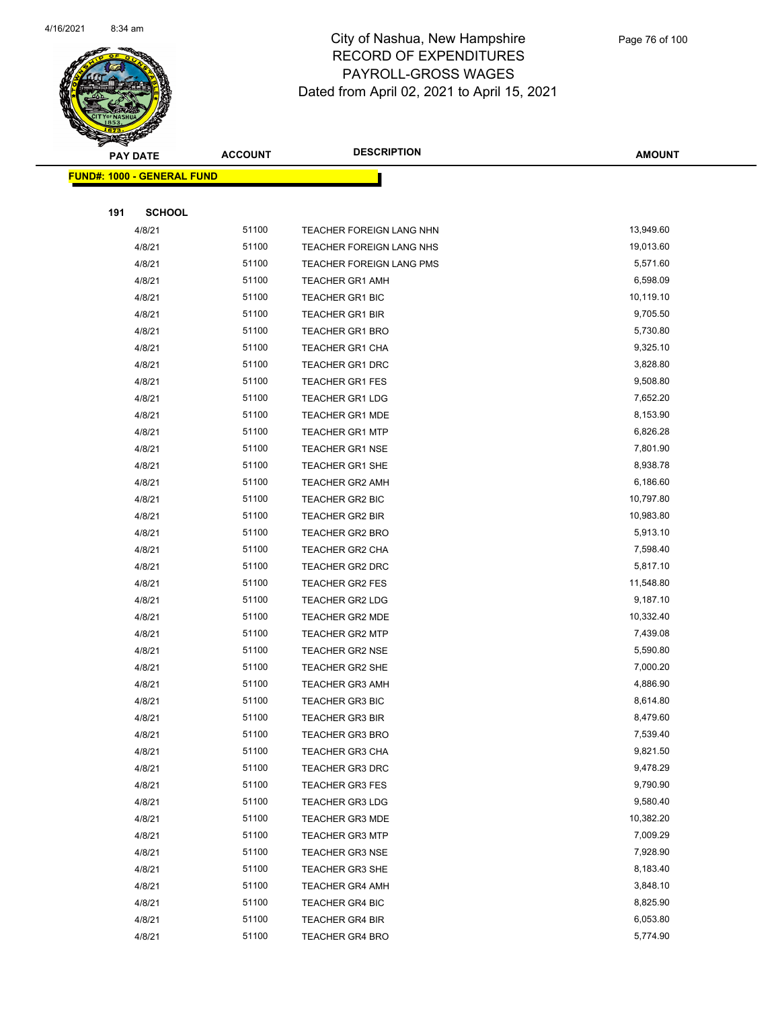

|     | <b>PAY DATE</b>                    | <b>ACCOUNT</b> | <b>DESCRIPTION</b>              | <b>AMOUNT</b> |
|-----|------------------------------------|----------------|---------------------------------|---------------|
|     | <u> FUND#: 1000 - GENERAL FUND</u> |                |                                 |               |
|     |                                    |                |                                 |               |
| 191 | <b>SCHOOL</b>                      |                |                                 |               |
|     | 4/8/21                             | 51100          | <b>TEACHER FOREIGN LANG NHN</b> | 13,949.60     |
|     | 4/8/21                             | 51100          | TEACHER FOREIGN LANG NHS        | 19,013.60     |
|     | 4/8/21                             | 51100          | <b>TEACHER FOREIGN LANG PMS</b> | 5,571.60      |
|     | 4/8/21                             | 51100          | <b>TEACHER GR1 AMH</b>          | 6,598.09      |
|     | 4/8/21                             | 51100          | <b>TEACHER GR1 BIC</b>          | 10,119.10     |
|     | 4/8/21                             | 51100          | <b>TEACHER GR1 BIR</b>          | 9,705.50      |
|     | 4/8/21                             | 51100          | <b>TEACHER GR1 BRO</b>          | 5,730.80      |
|     | 4/8/21                             | 51100          | TEACHER GR1 CHA                 | 9,325.10      |
|     | 4/8/21                             | 51100          | <b>TEACHER GR1 DRC</b>          | 3,828.80      |
|     | 4/8/21                             | 51100          | <b>TEACHER GR1 FES</b>          | 9,508.80      |
|     | 4/8/21                             | 51100          | <b>TEACHER GR1 LDG</b>          | 7,652.20      |
|     | 4/8/21                             | 51100          | <b>TEACHER GR1 MDE</b>          | 8,153.90      |
|     | 4/8/21                             | 51100          | <b>TEACHER GR1 MTP</b>          | 6,826.28      |
|     | 4/8/21                             | 51100          | <b>TEACHER GR1 NSE</b>          | 7,801.90      |
|     | 4/8/21                             | 51100          | <b>TEACHER GR1 SHE</b>          | 8,938.78      |
|     | 4/8/21                             | 51100          | <b>TEACHER GR2 AMH</b>          | 6,186.60      |
|     | 4/8/21                             | 51100          | <b>TEACHER GR2 BIC</b>          | 10,797.80     |
|     | 4/8/21                             | 51100          | <b>TEACHER GR2 BIR</b>          | 10,983.80     |
|     | 4/8/21                             | 51100          | <b>TEACHER GR2 BRO</b>          | 5,913.10      |
|     | 4/8/21                             | 51100          | <b>TEACHER GR2 CHA</b>          | 7,598.40      |
|     | 4/8/21                             | 51100          | TEACHER GR2 DRC                 | 5,817.10      |
|     | 4/8/21                             | 51100          | TEACHER GR2 FES                 | 11,548.80     |
|     | 4/8/21                             | 51100          | <b>TEACHER GR2 LDG</b>          | 9,187.10      |
|     | 4/8/21                             | 51100          | <b>TEACHER GR2 MDE</b>          | 10,332.40     |
|     | 4/8/21                             | 51100          | <b>TEACHER GR2 MTP</b>          | 7,439.08      |
|     | 4/8/21                             | 51100          | <b>TEACHER GR2 NSE</b>          | 5,590.80      |
|     | 4/8/21                             | 51100          | TEACHER GR2 SHE                 | 7,000.20      |
|     | 4/8/21                             | 51100          | <b>TEACHER GR3 AMH</b>          | 4,886.90      |
|     | 4/8/21                             | 51100          | <b>TEACHER GR3 BIC</b>          | 8,614.80      |
|     | 4/8/21                             | 51100          | TEACHER GR3 BIR                 | 8,479.60      |
|     | 4/8/21                             | 51100          | <b>TEACHER GR3 BRO</b>          | 7,539.40      |
|     | 4/8/21                             | 51100          | TEACHER GR3 CHA                 | 9,821.50      |
|     | 4/8/21                             | 51100          | <b>TEACHER GR3 DRC</b>          | 9,478.29      |
|     | 4/8/21                             | 51100          | <b>TEACHER GR3 FES</b>          | 9,790.90      |
|     | 4/8/21                             | 51100          | <b>TEACHER GR3 LDG</b>          | 9,580.40      |
|     | 4/8/21                             | 51100          | <b>TEACHER GR3 MDE</b>          | 10,382.20     |
|     | 4/8/21                             | 51100          | <b>TEACHER GR3 MTP</b>          | 7,009.29      |
|     | 4/8/21                             | 51100          | <b>TEACHER GR3 NSE</b>          | 7,928.90      |
|     | 4/8/21                             | 51100          | TEACHER GR3 SHE                 | 8,183.40      |
|     | 4/8/21                             | 51100          | <b>TEACHER GR4 AMH</b>          | 3,848.10      |
|     | 4/8/21                             | 51100          | <b>TEACHER GR4 BIC</b>          | 8,825.90      |
|     | 4/8/21                             | 51100          | <b>TEACHER GR4 BIR</b>          | 6,053.80      |
|     | 4/8/21                             | 51100          | <b>TEACHER GR4 BRO</b>          | 5,774.90      |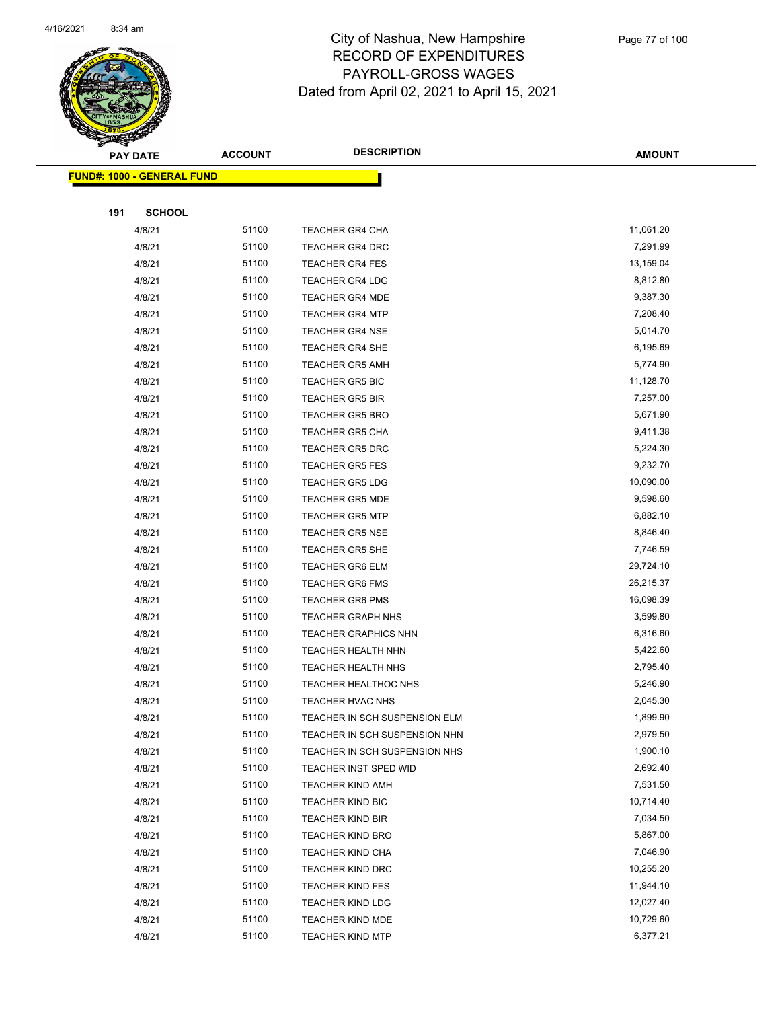

|     | <b>PAY DATE</b>                    | <b>ACCOUNT</b> | <b>DESCRIPTION</b>                                 | <b>AMOUNT</b>         |
|-----|------------------------------------|----------------|----------------------------------------------------|-----------------------|
|     | <u> FUND#: 1000 - GENERAL FUND</u> |                |                                                    |                       |
|     |                                    |                |                                                    |                       |
| 191 | <b>SCHOOL</b>                      |                |                                                    |                       |
|     | 4/8/21                             | 51100          | <b>TEACHER GR4 CHA</b>                             | 11,061.20             |
|     | 4/8/21                             | 51100          | <b>TEACHER GR4 DRC</b>                             | 7,291.99              |
|     | 4/8/21                             | 51100          | <b>TEACHER GR4 FES</b>                             | 13,159.04             |
|     | 4/8/21                             | 51100          | <b>TEACHER GR4 LDG</b>                             | 8,812.80              |
|     | 4/8/21                             | 51100          | <b>TEACHER GR4 MDE</b>                             | 9,387.30              |
|     | 4/8/21                             | 51100          | <b>TEACHER GR4 MTP</b>                             | 7,208.40              |
|     | 4/8/21                             | 51100          | <b>TEACHER GR4 NSE</b>                             | 5,014.70              |
|     | 4/8/21                             | 51100          | <b>TEACHER GR4 SHE</b>                             | 6,195.69              |
|     | 4/8/21                             | 51100          | <b>TEACHER GR5 AMH</b>                             | 5,774.90              |
|     | 4/8/21                             | 51100          | <b>TEACHER GR5 BIC</b>                             | 11,128.70             |
|     | 4/8/21                             | 51100          | <b>TEACHER GR5 BIR</b>                             | 7,257.00              |
|     | 4/8/21                             | 51100          | <b>TEACHER GR5 BRO</b>                             | 5,671.90              |
|     | 4/8/21                             | 51100          | <b>TEACHER GR5 CHA</b>                             | 9,411.38              |
|     | 4/8/21                             | 51100          | <b>TEACHER GR5 DRC</b>                             | 5,224.30              |
|     | 4/8/21                             | 51100          | <b>TEACHER GR5 FES</b>                             | 9,232.70              |
|     | 4/8/21                             | 51100          | <b>TEACHER GR5 LDG</b>                             | 10,090.00             |
|     | 4/8/21                             | 51100          | <b>TEACHER GR5 MDE</b>                             | 9,598.60              |
|     | 4/8/21                             | 51100          | <b>TEACHER GR5 MTP</b>                             | 6,882.10              |
|     | 4/8/21                             | 51100          | <b>TEACHER GR5 NSE</b>                             | 8,846.40              |
|     | 4/8/21                             | 51100          | <b>TEACHER GR5 SHE</b>                             | 7,746.59              |
|     | 4/8/21                             | 51100          | <b>TEACHER GR6 ELM</b>                             | 29,724.10             |
|     | 4/8/21                             | 51100          | <b>TEACHER GR6 FMS</b>                             | 26,215.37             |
|     | 4/8/21                             | 51100          | <b>TEACHER GR6 PMS</b>                             | 16,098.39             |
|     | 4/8/21                             | 51100          | <b>TEACHER GRAPH NHS</b>                           | 3,599.80              |
|     | 4/8/21                             | 51100          | <b>TEACHER GRAPHICS NHN</b>                        | 6,316.60              |
|     | 4/8/21                             | 51100          | <b>TEACHER HEALTH NHN</b>                          | 5,422.60              |
|     | 4/8/21                             | 51100          | TEACHER HEALTH NHS                                 | 2,795.40              |
|     | 4/8/21                             | 51100          | <b>TEACHER HEALTHOC NHS</b>                        | 5,246.90              |
|     | 4/8/21                             | 51100          | TEACHER HVAC NHS                                   | 2,045.30              |
|     | 4/8/21                             | 51100          | TEACHER IN SCH SUSPENSION ELM                      | 1,899.90              |
|     | 4/8/21                             | 51100          | TEACHER IN SCH SUSPENSION NHN                      | 2,979.50              |
|     | 4/8/21                             | 51100          | TEACHER IN SCH SUSPENSION NHS                      | 1,900.10              |
|     | 4/8/21                             | 51100          | TEACHER INST SPED WID                              | 2,692.40              |
|     | 4/8/21                             | 51100          | TEACHER KIND AMH                                   | 7,531.50              |
|     | 4/8/21                             | 51100          | <b>TEACHER KIND BIC</b>                            | 10,714.40<br>7,034.50 |
|     | 4/8/21                             | 51100          | <b>TEACHER KIND BIR</b>                            | 5,867.00              |
|     | 4/8/21<br>4/8/21                   | 51100<br>51100 | <b>TEACHER KIND BRO</b>                            | 7,046.90              |
|     | 4/8/21                             | 51100          | TEACHER KIND CHA<br><b>TEACHER KIND DRC</b>        | 10,255.20             |
|     |                                    | 51100          |                                                    | 11,944.10             |
|     | 4/8/21<br>4/8/21                   | 51100          | <b>TEACHER KIND FES</b><br><b>TEACHER KIND LDG</b> | 12,027.40             |
|     | 4/8/21                             | 51100          | TEACHER KIND MDE                                   | 10,729.60             |
|     | 4/8/21                             | 51100          | <b>TEACHER KIND MTP</b>                            | 6,377.21              |
|     |                                    |                |                                                    |                       |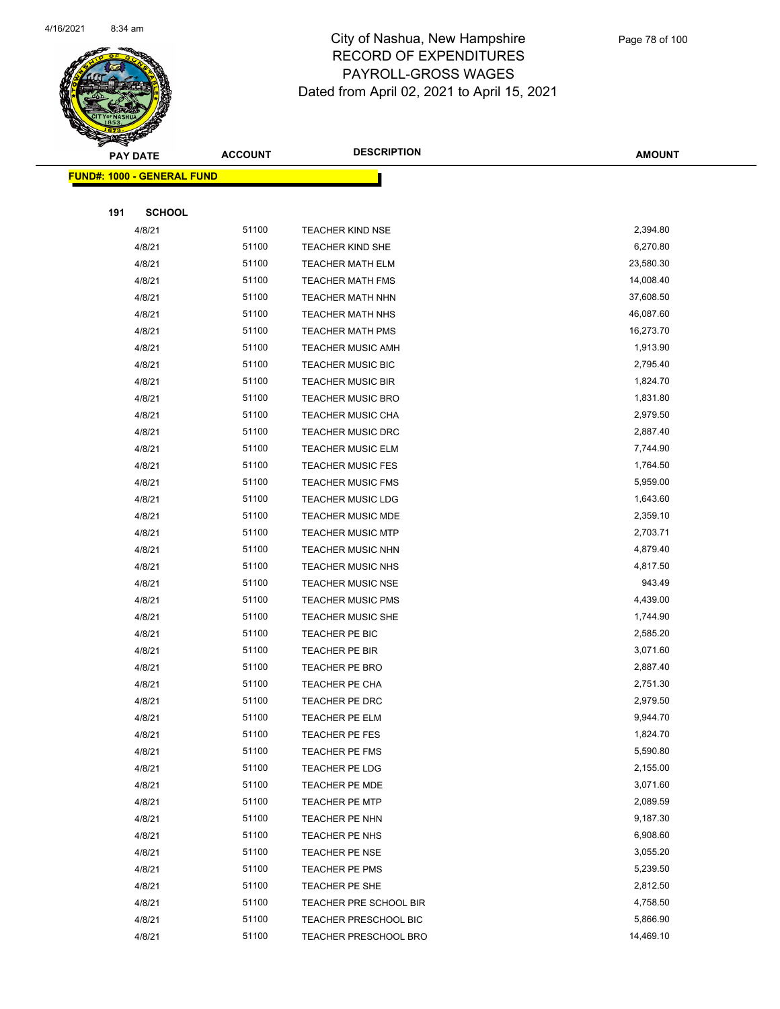

|     | <b>PAY DATE</b>                    | <b>ACCOUNT</b> | <b>DESCRIPTION</b>               | <b>AMOUNT</b>        |
|-----|------------------------------------|----------------|----------------------------------|----------------------|
|     | <u> FUND#: 1000 - GENERAL FUND</u> |                |                                  |                      |
|     |                                    |                |                                  |                      |
| 191 | <b>SCHOOL</b>                      |                |                                  |                      |
|     | 4/8/21                             | 51100          | <b>TEACHER KIND NSE</b>          | 2,394.80             |
|     | 4/8/21                             | 51100          | <b>TEACHER KIND SHE</b>          | 6,270.80             |
|     | 4/8/21                             | 51100          | <b>TEACHER MATH ELM</b>          | 23,580.30            |
|     | 4/8/21                             | 51100          | <b>TEACHER MATH FMS</b>          | 14,008.40            |
|     | 4/8/21                             | 51100          | <b>TEACHER MATH NHN</b>          | 37,608.50            |
|     | 4/8/21                             | 51100          | TEACHER MATH NHS                 | 46,087.60            |
|     | 4/8/21                             | 51100          | <b>TEACHER MATH PMS</b>          | 16,273.70            |
|     | 4/8/21                             | 51100          | <b>TEACHER MUSIC AMH</b>         | 1,913.90             |
|     | 4/8/21                             | 51100          | <b>TEACHER MUSIC BIC</b>         | 2,795.40             |
|     | 4/8/21                             | 51100          | <b>TEACHER MUSIC BIR</b>         | 1,824.70             |
|     | 4/8/21                             | 51100          | <b>TEACHER MUSIC BRO</b>         | 1,831.80             |
|     | 4/8/21                             | 51100          | <b>TEACHER MUSIC CHA</b>         | 2,979.50             |
|     | 4/8/21                             | 51100          | <b>TEACHER MUSIC DRC</b>         | 2,887.40             |
|     | 4/8/21                             | 51100          | <b>TEACHER MUSIC ELM</b>         | 7,744.90             |
|     | 4/8/21                             | 51100          | <b>TEACHER MUSIC FES</b>         | 1,764.50             |
|     | 4/8/21                             | 51100          | <b>TEACHER MUSIC FMS</b>         | 5,959.00             |
|     | 4/8/21                             | 51100          | <b>TEACHER MUSIC LDG</b>         | 1,643.60             |
|     | 4/8/21                             | 51100          | <b>TEACHER MUSIC MDE</b>         | 2,359.10             |
|     | 4/8/21                             | 51100          | <b>TEACHER MUSIC MTP</b>         | 2,703.71             |
|     | 4/8/21                             | 51100          | <b>TEACHER MUSIC NHN</b>         | 4,879.40             |
|     | 4/8/21                             | 51100          | <b>TEACHER MUSIC NHS</b>         | 4,817.50             |
|     | 4/8/21                             | 51100          | <b>TEACHER MUSIC NSE</b>         | 943.49               |
|     | 4/8/21                             | 51100          | <b>TEACHER MUSIC PMS</b>         | 4,439.00             |
|     | 4/8/21                             | 51100          | <b>TEACHER MUSIC SHE</b>         | 1,744.90             |
|     | 4/8/21                             | 51100          | TEACHER PE BIC                   | 2,585.20             |
|     | 4/8/21                             | 51100          | TEACHER PE BIR                   | 3,071.60             |
|     | 4/8/21                             | 51100          | <b>TEACHER PE BRO</b>            | 2,887.40             |
|     | 4/8/21<br>4/8/21                   | 51100<br>51100 | TEACHER PE CHA<br>TEACHER PE DRC | 2,751.30<br>2,979.50 |
|     | 4/8/21                             | 51100          | <b>TEACHER PE ELM</b>            | 9,944.70             |
|     | 4/8/21                             | 51100          | TEACHER PE FES                   | 1,824.70             |
|     | 4/8/21                             | 51100          | TEACHER PE FMS                   | 5,590.80             |
|     | 4/8/21                             | 51100          | TEACHER PE LDG                   | 2,155.00             |
|     | 4/8/21                             | 51100          | TEACHER PE MDE                   | 3,071.60             |
|     | 4/8/21                             | 51100          | <b>TEACHER PE MTP</b>            | 2,089.59             |
|     | 4/8/21                             | 51100          | TEACHER PE NHN                   | 9,187.30             |
|     | 4/8/21                             | 51100          | TEACHER PE NHS                   | 6,908.60             |
|     | 4/8/21                             | 51100          | TEACHER PE NSE                   | 3,055.20             |
|     | 4/8/21                             | 51100          | TEACHER PE PMS                   | 5,239.50             |
|     | 4/8/21                             | 51100          | TEACHER PE SHE                   | 2,812.50             |
|     | 4/8/21                             | 51100          | TEACHER PRE SCHOOL BIR           | 4,758.50             |
|     | 4/8/21                             | 51100          | <b>TEACHER PRESCHOOL BIC</b>     | 5,866.90             |
|     | 4/8/21                             | 51100          | <b>TEACHER PRESCHOOL BRO</b>     | 14,469.10            |
|     |                                    |                |                                  |                      |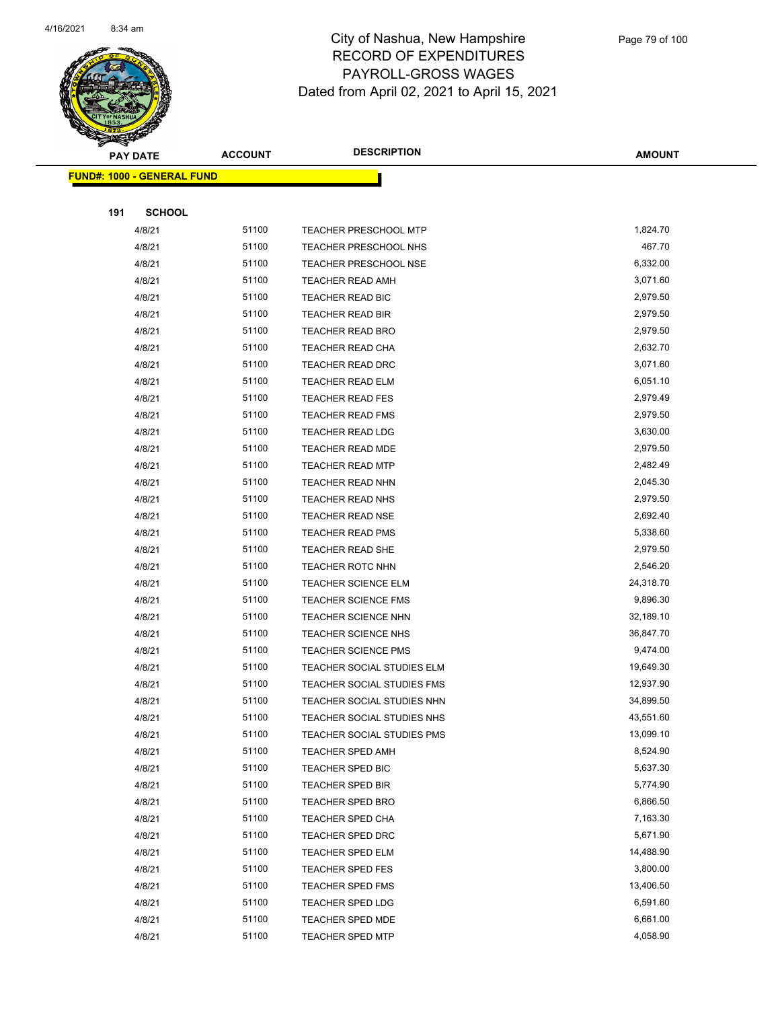

|     | <b>PAY DATE</b>                    | <b>ACCOUNT</b> | <b>DESCRIPTION</b>           | <b>AMOUNT</b> |
|-----|------------------------------------|----------------|------------------------------|---------------|
|     | <u> FUND#: 1000 - GENERAL FUND</u> |                |                              |               |
|     |                                    |                |                              |               |
| 191 | <b>SCHOOL</b>                      |                |                              |               |
|     | 4/8/21                             | 51100          | <b>TEACHER PRESCHOOL MTP</b> | 1,824.70      |
|     | 4/8/21                             | 51100          | TEACHER PRESCHOOL NHS        | 467.70        |
|     | 4/8/21                             | 51100          | <b>TEACHER PRESCHOOL NSE</b> | 6,332.00      |
|     | 4/8/21                             | 51100          | <b>TEACHER READ AMH</b>      | 3,071.60      |
|     | 4/8/21                             | 51100          | <b>TEACHER READ BIC</b>      | 2,979.50      |
|     | 4/8/21                             | 51100          | <b>TEACHER READ BIR</b>      | 2,979.50      |
|     | 4/8/21                             | 51100          | <b>TEACHER READ BRO</b>      | 2,979.50      |
|     | 4/8/21                             | 51100          | TEACHER READ CHA             | 2,632.70      |
|     | 4/8/21                             | 51100          | <b>TEACHER READ DRC</b>      | 3,071.60      |
|     | 4/8/21                             | 51100          | <b>TEACHER READ ELM</b>      | 6,051.10      |
|     | 4/8/21                             | 51100          | <b>TEACHER READ FES</b>      | 2,979.49      |
|     | 4/8/21                             | 51100          | <b>TEACHER READ FMS</b>      | 2,979.50      |
|     | 4/8/21                             | 51100          | <b>TEACHER READ LDG</b>      | 3,630.00      |
|     | 4/8/21                             | 51100          | <b>TEACHER READ MDE</b>      | 2,979.50      |
|     | 4/8/21                             | 51100          | <b>TEACHER READ MTP</b>      | 2,482.49      |
|     | 4/8/21                             | 51100          | <b>TEACHER READ NHN</b>      | 2,045.30      |
|     | 4/8/21                             | 51100          | <b>TEACHER READ NHS</b>      | 2,979.50      |
|     | 4/8/21                             | 51100          | <b>TEACHER READ NSE</b>      | 2,692.40      |
|     | 4/8/21                             | 51100          | <b>TEACHER READ PMS</b>      | 5,338.60      |
|     | 4/8/21                             | 51100          | <b>TEACHER READ SHE</b>      | 2,979.50      |
|     | 4/8/21                             | 51100          | <b>TEACHER ROTC NHN</b>      | 2,546.20      |
|     | 4/8/21                             | 51100          | <b>TEACHER SCIENCE ELM</b>   | 24,318.70     |
|     | 4/8/21                             | 51100          | <b>TEACHER SCIENCE FMS</b>   | 9,896.30      |
|     | 4/8/21                             | 51100          | <b>TEACHER SCIENCE NHN</b>   | 32,189.10     |
|     | 4/8/21                             | 51100          | <b>TEACHER SCIENCE NHS</b>   | 36,847.70     |
|     | 4/8/21                             | 51100          | <b>TEACHER SCIENCE PMS</b>   | 9,474.00      |
|     | 4/8/21                             | 51100          | TEACHER SOCIAL STUDIES ELM   | 19,649.30     |
|     | 4/8/21                             | 51100          | TEACHER SOCIAL STUDIES FMS   | 12,937.90     |
|     | 4/8/21                             | 51100          | TEACHER SOCIAL STUDIES NHN   | 34,899.50     |
|     | 4/8/21                             | 51100          | TEACHER SOCIAL STUDIES NHS   | 43,551.60     |
|     | 4/8/21                             | 51100          | TEACHER SOCIAL STUDIES PMS   | 13,099.10     |
|     | 4/8/21                             | 51100          | <b>TEACHER SPED AMH</b>      | 8,524.90      |
|     | 4/8/21                             | 51100          | <b>TEACHER SPED BIC</b>      | 5,637.30      |
|     | 4/8/21                             | 51100          | <b>TEACHER SPED BIR</b>      | 5,774.90      |
|     | 4/8/21                             | 51100          | <b>TEACHER SPED BRO</b>      | 6,866.50      |
|     | 4/8/21                             | 51100          | TEACHER SPED CHA             | 7,163.30      |
|     | 4/8/21                             | 51100          | TEACHER SPED DRC             | 5,671.90      |
|     | 4/8/21                             | 51100          | TEACHER SPED ELM             | 14,488.90     |
|     | 4/8/21                             | 51100          | <b>TEACHER SPED FES</b>      | 3,800.00      |
|     | 4/8/21                             | 51100          | <b>TEACHER SPED FMS</b>      | 13,406.50     |
|     | 4/8/21                             | 51100          | TEACHER SPED LDG             | 6,591.60      |
|     | 4/8/21                             | 51100          | <b>TEACHER SPED MDE</b>      | 6,661.00      |
|     | 4/8/21                             | 51100          | <b>TEACHER SPED MTP</b>      | 4,058.90      |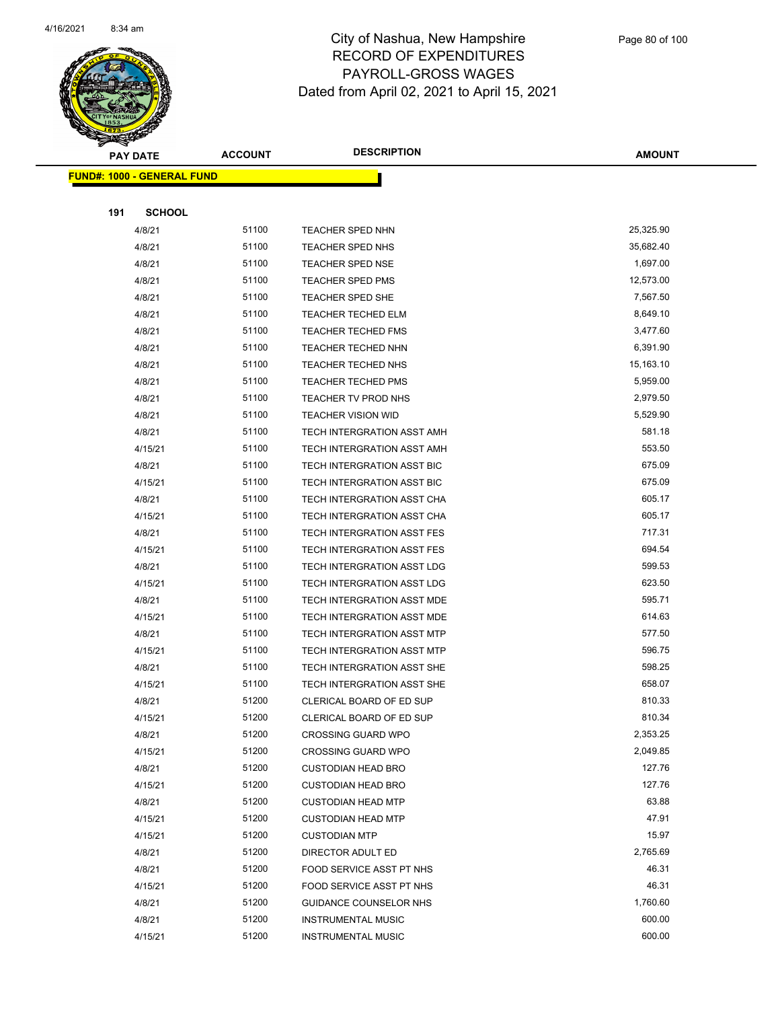

|     | <b>PAY DATE</b>                    | <b>ACCOUNT</b> | <b>DESCRIPTION</b>         | <b>AMOUNT</b> |
|-----|------------------------------------|----------------|----------------------------|---------------|
|     | <u> FUND#: 1000 - GENERAL FUND</u> |                |                            |               |
|     |                                    |                |                            |               |
| 191 | <b>SCHOOL</b>                      |                |                            |               |
|     | 4/8/21                             | 51100          | TEACHER SPED NHN           | 25,325.90     |
|     | 4/8/21                             | 51100          | TEACHER SPED NHS           | 35,682.40     |
|     | 4/8/21                             | 51100          | <b>TEACHER SPED NSE</b>    | 1,697.00      |
|     | 4/8/21                             | 51100          | <b>TEACHER SPED PMS</b>    | 12,573.00     |
|     | 4/8/21                             | 51100          | TEACHER SPED SHE           | 7,567.50      |
|     | 4/8/21                             | 51100          | <b>TEACHER TECHED ELM</b>  | 8,649.10      |
|     | 4/8/21                             | 51100          | <b>TEACHER TECHED FMS</b>  | 3,477.60      |
|     | 4/8/21                             | 51100          | TEACHER TECHED NHN         | 6,391.90      |
|     | 4/8/21                             | 51100          | TEACHER TECHED NHS         | 15,163.10     |
|     | 4/8/21                             | 51100          | <b>TEACHER TECHED PMS</b>  | 5,959.00      |
|     | 4/8/21                             | 51100          | TEACHER TV PROD NHS        | 2,979.50      |
|     | 4/8/21                             | 51100          | <b>TEACHER VISION WID</b>  | 5,529.90      |
|     | 4/8/21                             | 51100          | TECH INTERGRATION ASST AMH | 581.18        |
|     | 4/15/21                            | 51100          | TECH INTERGRATION ASST AMH | 553.50        |
|     | 4/8/21                             | 51100          | TECH INTERGRATION ASST BIC | 675.09        |
|     | 4/15/21                            | 51100          | TECH INTERGRATION ASST BIC | 675.09        |
|     | 4/8/21                             | 51100          | TECH INTERGRATION ASST CHA | 605.17        |
|     | 4/15/21                            | 51100          | TECH INTERGRATION ASST CHA | 605.17        |
|     | 4/8/21                             | 51100          | TECH INTERGRATION ASST FES | 717.31        |
|     | 4/15/21                            | 51100          | TECH INTERGRATION ASST FES | 694.54        |
|     | 4/8/21                             | 51100          | TECH INTERGRATION ASST LDG | 599.53        |
|     | 4/15/21                            | 51100          | TECH INTERGRATION ASST LDG | 623.50        |
|     | 4/8/21                             | 51100          | TECH INTERGRATION ASST MDE | 595.71        |
|     | 4/15/21                            | 51100          | TECH INTERGRATION ASST MDE | 614.63        |
|     | 4/8/21                             | 51100          | TECH INTERGRATION ASST MTP | 577.50        |
|     | 4/15/21                            | 51100          | TECH INTERGRATION ASST MTP | 596.75        |
|     | 4/8/21                             | 51100          | TECH INTERGRATION ASST SHE | 598.25        |
|     | 4/15/21                            | 51100          | TECH INTERGRATION ASST SHE | 658.07        |
|     | 4/8/21                             | 51200          | CLERICAL BOARD OF ED SUP   | 810.33        |
|     | 4/15/21                            | 51200          | CLERICAL BOARD OF ED SUP   | 810.34        |
|     | 4/8/21                             | 51200          | <b>CROSSING GUARD WPO</b>  | 2,353.25      |
|     | 4/15/21                            | 51200          | <b>CROSSING GUARD WPO</b>  | 2,049.85      |
|     | 4/8/21                             | 51200          | <b>CUSTODIAN HEAD BRO</b>  | 127.76        |
|     | 4/15/21                            | 51200          | <b>CUSTODIAN HEAD BRO</b>  | 127.76        |
|     | 4/8/21                             | 51200          | <b>CUSTODIAN HEAD MTP</b>  | 63.88         |
|     | 4/15/21                            | 51200          | <b>CUSTODIAN HEAD MTP</b>  | 47.91         |
|     | 4/15/21                            | 51200          | <b>CUSTODIAN MTP</b>       | 15.97         |
|     | 4/8/21                             | 51200          | DIRECTOR ADULT ED          | 2,765.69      |
|     | 4/8/21                             | 51200          | FOOD SERVICE ASST PT NHS   | 46.31         |
|     | 4/15/21                            | 51200          | FOOD SERVICE ASST PT NHS   | 46.31         |
|     | 4/8/21                             | 51200          | GUIDANCE COUNSELOR NHS     | 1,760.60      |
|     | 4/8/21                             | 51200          | <b>INSTRUMENTAL MUSIC</b>  | 600.00        |
|     | 4/15/21                            | 51200          | <b>INSTRUMENTAL MUSIC</b>  | 600.00        |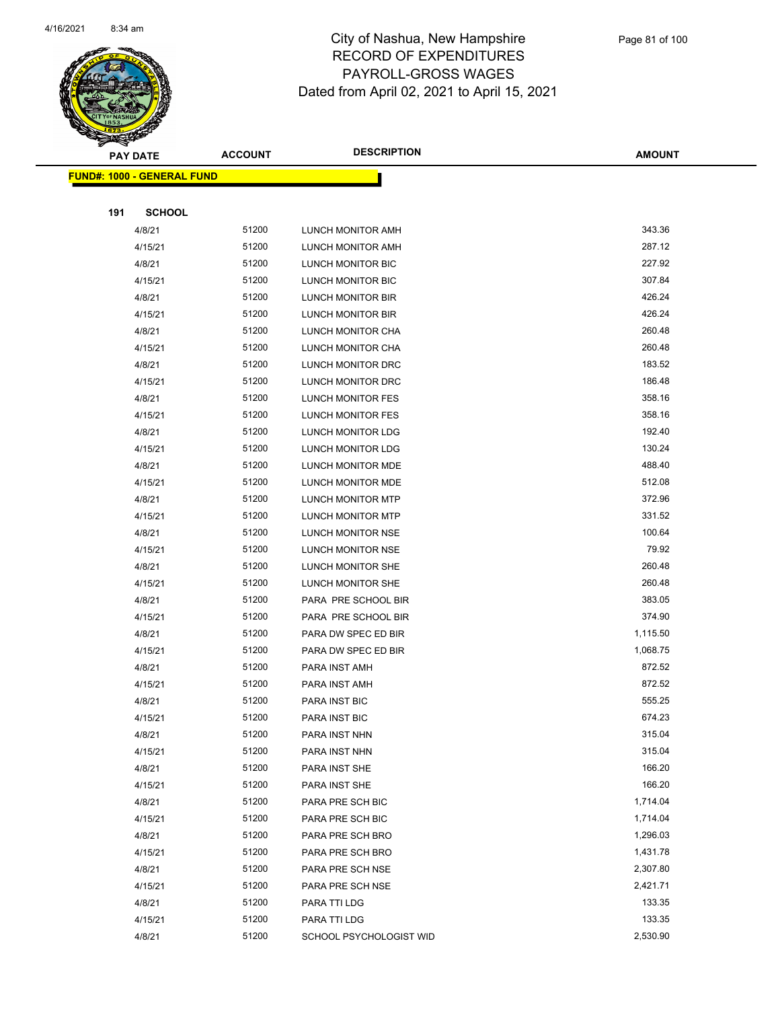

|     | <b>PAY DATE</b>                    | <b>ACCOUNT</b> | <b>DESCRIPTION</b>       | <b>AMOUNT</b> |
|-----|------------------------------------|----------------|--------------------------|---------------|
|     | <u> FUND#: 1000 - GENERAL FUND</u> |                |                          |               |
|     |                                    |                |                          |               |
| 191 | <b>SCHOOL</b>                      |                |                          |               |
|     | 4/8/21                             | 51200          | LUNCH MONITOR AMH        | 343.36        |
|     | 4/15/21                            | 51200          | LUNCH MONITOR AMH        | 287.12        |
|     | 4/8/21                             | 51200          | LUNCH MONITOR BIC        | 227.92        |
|     | 4/15/21                            | 51200          | LUNCH MONITOR BIC        | 307.84        |
|     | 4/8/21                             | 51200          | LUNCH MONITOR BIR        | 426.24        |
|     | 4/15/21                            | 51200          | LUNCH MONITOR BIR        | 426.24        |
|     | 4/8/21                             | 51200          | LUNCH MONITOR CHA        | 260.48        |
|     | 4/15/21                            | 51200          | LUNCH MONITOR CHA        | 260.48        |
|     | 4/8/21                             | 51200          | LUNCH MONITOR DRC        | 183.52        |
|     | 4/15/21                            | 51200          | LUNCH MONITOR DRC        | 186.48        |
|     | 4/8/21                             | 51200          | LUNCH MONITOR FES        | 358.16        |
|     | 4/15/21                            | 51200          | LUNCH MONITOR FES        | 358.16        |
|     | 4/8/21                             | 51200          | LUNCH MONITOR LDG        | 192.40        |
|     | 4/15/21                            | 51200          | <b>LUNCH MONITOR LDG</b> | 130.24        |
|     | 4/8/21                             | 51200          | LUNCH MONITOR MDE        | 488.40        |
|     | 4/15/21                            | 51200          | LUNCH MONITOR MDE        | 512.08        |
|     | 4/8/21                             | 51200          | LUNCH MONITOR MTP        | 372.96        |
|     | 4/15/21                            | 51200          | LUNCH MONITOR MTP        | 331.52        |
|     | 4/8/21                             | 51200          | LUNCH MONITOR NSE        | 100.64        |
|     | 4/15/21                            | 51200          | LUNCH MONITOR NSE        | 79.92         |
|     | 4/8/21                             | 51200          | LUNCH MONITOR SHE        | 260.48        |
|     | 4/15/21                            | 51200          | LUNCH MONITOR SHE        | 260.48        |
|     | 4/8/21                             | 51200          | PARA PRE SCHOOL BIR      | 383.05        |
|     | 4/15/21                            | 51200          | PARA PRE SCHOOL BIR      | 374.90        |
|     | 4/8/21                             | 51200          | PARA DW SPEC ED BIR      | 1,115.50      |
|     | 4/15/21                            | 51200          | PARA DW SPEC ED BIR      | 1,068.75      |
|     | 4/8/21                             | 51200          | PARA INST AMH            | 872.52        |
|     | 4/15/21                            | 51200          | PARA INST AMH            | 872.52        |
|     | 4/8/21                             | 51200          | PARA INST BIC            | 555.25        |
|     | 4/15/21                            | 51200          | <b>PARA INST BIC</b>     | 674.23        |
|     | 4/8/21                             | 51200          | PARA INST NHN            | 315.04        |
|     | 4/15/21                            | 51200          | PARA INST NHN            | 315.04        |
|     | 4/8/21                             | 51200          | PARA INST SHE            | 166.20        |
|     | 4/15/21                            | 51200          | PARA INST SHE            | 166.20        |
|     | 4/8/21                             | 51200          | PARA PRE SCH BIC         | 1,714.04      |
|     | 4/15/21                            | 51200          | PARA PRE SCH BIC         | 1,714.04      |
|     | 4/8/21                             | 51200          | PARA PRE SCH BRO         | 1,296.03      |
|     | 4/15/21                            | 51200          | PARA PRE SCH BRO         | 1,431.78      |
|     | 4/8/21                             | 51200          | PARA PRE SCH NSE         | 2,307.80      |
|     | 4/15/21                            | 51200          | PARA PRE SCH NSE         | 2,421.71      |
|     | 4/8/21                             | 51200          | PARA TTI LDG             | 133.35        |
|     | 4/15/21                            | 51200          | PARA TTI LDG             | 133.35        |
|     | 4/8/21                             | 51200          | SCHOOL PSYCHOLOGIST WID  | 2,530.90      |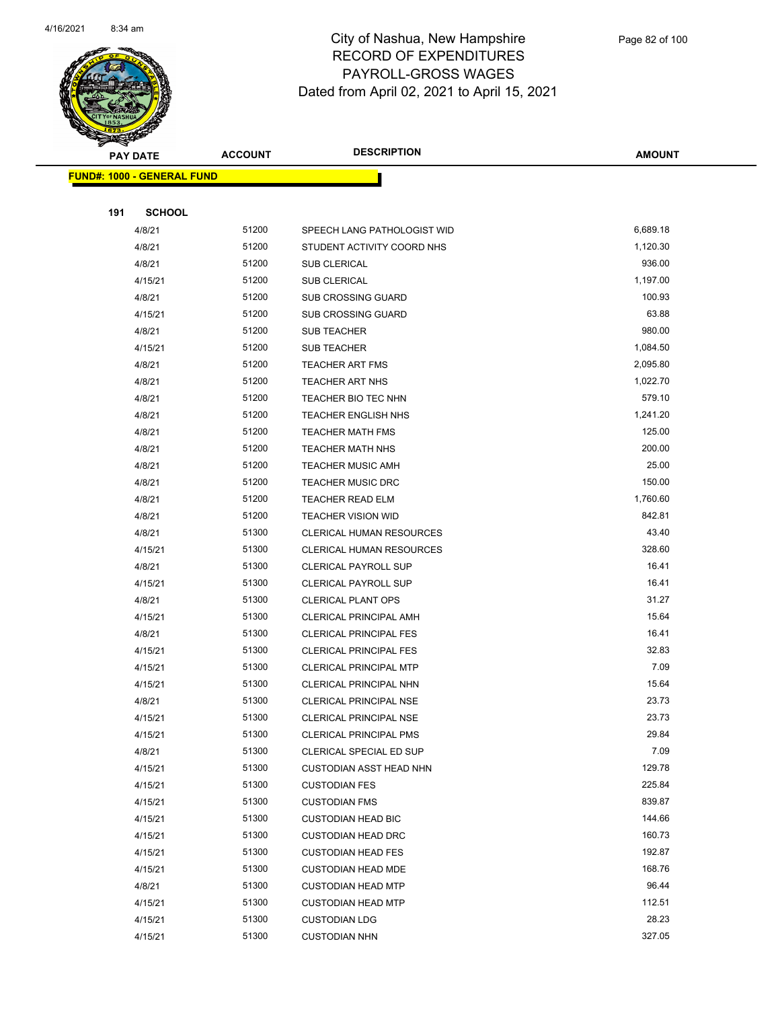

|     | <b>PAY DATE</b>                    | <b>ACCOUNT</b> | <b>DESCRIPTION</b>             | <b>AMOUNT</b> |
|-----|------------------------------------|----------------|--------------------------------|---------------|
|     | <u> FUND#: 1000 - GENERAL FUND</u> |                |                                |               |
|     |                                    |                |                                |               |
| 191 | <b>SCHOOL</b>                      |                |                                |               |
|     | 4/8/21                             | 51200          | SPEECH LANG PATHOLOGIST WID    | 6,689.18      |
|     | 4/8/21                             | 51200          | STUDENT ACTIVITY COORD NHS     | 1,120.30      |
|     | 4/8/21                             | 51200          | <b>SUB CLERICAL</b>            | 936.00        |
|     | 4/15/21                            | 51200          | SUB CLERICAL                   | 1,197.00      |
|     | 4/8/21                             | 51200          | <b>SUB CROSSING GUARD</b>      | 100.93        |
|     | 4/15/21                            | 51200          | SUB CROSSING GUARD             | 63.88         |
|     | 4/8/21                             | 51200          | <b>SUB TEACHER</b>             | 980.00        |
|     | 4/15/21                            | 51200          | <b>SUB TEACHER</b>             | 1,084.50      |
|     | 4/8/21                             | 51200          | <b>TEACHER ART FMS</b>         | 2,095.80      |
|     | 4/8/21                             | 51200          | <b>TEACHER ART NHS</b>         | 1,022.70      |
|     | 4/8/21                             | 51200          | TEACHER BIO TEC NHN            | 579.10        |
|     | 4/8/21                             | 51200          | <b>TEACHER ENGLISH NHS</b>     | 1,241.20      |
|     | 4/8/21                             | 51200          | <b>TEACHER MATH FMS</b>        | 125.00        |
|     | 4/8/21                             | 51200          | <b>TEACHER MATH NHS</b>        | 200.00        |
|     | 4/8/21                             | 51200          | <b>TEACHER MUSIC AMH</b>       | 25.00         |
|     | 4/8/21                             | 51200          | <b>TEACHER MUSIC DRC</b>       | 150.00        |
|     | 4/8/21                             | 51200          | <b>TEACHER READ ELM</b>        | 1,760.60      |
|     | 4/8/21                             | 51200          | <b>TEACHER VISION WID</b>      | 842.81        |
|     | 4/8/21                             | 51300          | CLERICAL HUMAN RESOURCES       | 43.40         |
|     | 4/15/21                            | 51300          | CLERICAL HUMAN RESOURCES       | 328.60        |
|     | 4/8/21                             | 51300          | <b>CLERICAL PAYROLL SUP</b>    | 16.41         |
|     | 4/15/21                            | 51300          | <b>CLERICAL PAYROLL SUP</b>    | 16.41         |
|     | 4/8/21                             | 51300          | <b>CLERICAL PLANT OPS</b>      | 31.27         |
|     | 4/15/21                            | 51300          | CLERICAL PRINCIPAL AMH         | 15.64         |
|     | 4/8/21                             | 51300          | <b>CLERICAL PRINCIPAL FES</b>  | 16.41         |
|     | 4/15/21                            | 51300          | <b>CLERICAL PRINCIPAL FES</b>  | 32.83         |
|     | 4/15/21                            | 51300          | <b>CLERICAL PRINCIPAL MTP</b>  | 7.09          |
|     | 4/15/21                            | 51300          | CLERICAL PRINCIPAL NHN         | 15.64         |
|     | 4/8/21                             | 51300          | <b>CLERICAL PRINCIPAL NSE</b>  | 23.73         |
|     | 4/15/21                            | 51300          | CLERICAL PRINCIPAL NSE         | 23.73         |
|     | 4/15/21                            | 51300          | <b>CLERICAL PRINCIPAL PMS</b>  | 29.84         |
|     | 4/8/21                             | 51300          | CLERICAL SPECIAL ED SUP        | 7.09          |
|     | 4/15/21                            | 51300          | <b>CUSTODIAN ASST HEAD NHN</b> | 129.78        |
|     | 4/15/21                            | 51300          | <b>CUSTODIAN FES</b>           | 225.84        |
|     | 4/15/21                            | 51300          | <b>CUSTODIAN FMS</b>           | 839.87        |
|     | 4/15/21                            | 51300          | <b>CUSTODIAN HEAD BIC</b>      | 144.66        |
|     | 4/15/21                            | 51300          | <b>CUSTODIAN HEAD DRC</b>      | 160.73        |
|     | 4/15/21                            | 51300          | <b>CUSTODIAN HEAD FES</b>      | 192.87        |
|     | 4/15/21                            | 51300          | <b>CUSTODIAN HEAD MDE</b>      | 168.76        |
|     | 4/8/21                             | 51300          | <b>CUSTODIAN HEAD MTP</b>      | 96.44         |
|     | 4/15/21                            | 51300          | <b>CUSTODIAN HEAD MTP</b>      | 112.51        |
|     | 4/15/21                            | 51300          | <b>CUSTODIAN LDG</b>           | 28.23         |
|     | 4/15/21                            | 51300          | <b>CUSTODIAN NHN</b>           | 327.05        |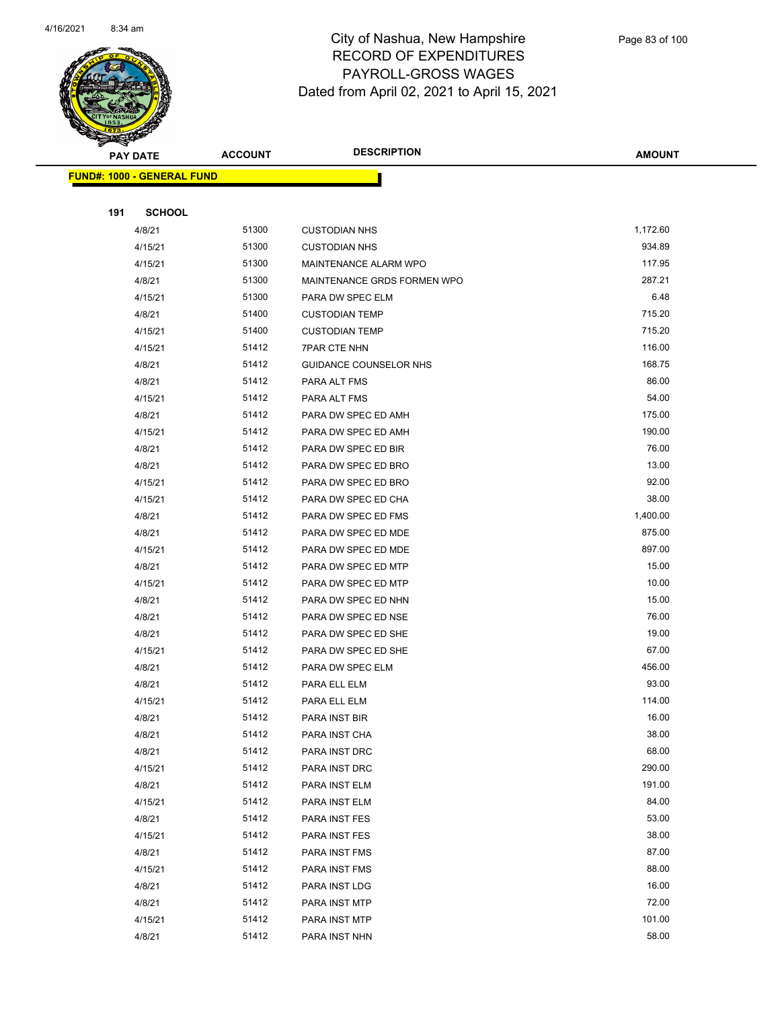

| <b>PAY DATE</b> |                                   | <b>ACCOUNT</b> | <b>DESCRIPTION</b>          | <b>AMOUNT</b> |
|-----------------|-----------------------------------|----------------|-----------------------------|---------------|
|                 | <b>FUND#: 1000 - GENERAL FUND</b> |                |                             |               |
|                 |                                   |                |                             |               |
| 191             | <b>SCHOOL</b>                     |                |                             |               |
|                 | 4/8/21                            | 51300          | <b>CUSTODIAN NHS</b>        | 1,172.60      |
|                 | 4/15/21                           | 51300          | <b>CUSTODIAN NHS</b>        | 934.89        |
|                 | 4/15/21                           | 51300          | MAINTENANCE ALARM WPO       | 117.95        |
|                 | 4/8/21                            | 51300          | MAINTENANCE GRDS FORMEN WPO | 287.21        |
|                 | 4/15/21                           | 51300          | PARA DW SPEC ELM            | 6.48          |
|                 | 4/8/21                            | 51400          | <b>CUSTODIAN TEMP</b>       | 715.20        |
|                 | 4/15/21                           | 51400          | <b>CUSTODIAN TEMP</b>       | 715.20        |
|                 | 4/15/21                           | 51412          | <b>7PAR CTE NHN</b>         | 116.00        |
|                 | 4/8/21                            | 51412          | GUIDANCE COUNSELOR NHS      | 168.75        |
|                 | 4/8/21                            | 51412          | PARA ALT FMS                | 86.00         |
|                 | 4/15/21                           | 51412          | PARA ALT FMS                | 54.00         |
|                 | 4/8/21                            | 51412          | PARA DW SPEC ED AMH         | 175.00        |
|                 | 4/15/21                           | 51412          | PARA DW SPEC ED AMH         | 190.00        |
|                 | 4/8/21                            | 51412          | PARA DW SPEC ED BIR         | 76.00         |
|                 | 4/8/21                            | 51412          | PARA DW SPEC ED BRO         | 13.00         |
|                 | 4/15/21                           | 51412          | PARA DW SPEC ED BRO         | 92.00         |
|                 | 4/15/21                           | 51412          | PARA DW SPEC ED CHA         | 38.00         |
|                 | 4/8/21                            | 51412          | PARA DW SPEC ED FMS         | 1,400.00      |
|                 | 4/8/21                            | 51412          | PARA DW SPEC ED MDE         | 875.00        |
|                 | 4/15/21                           | 51412          | PARA DW SPEC ED MDE         | 897.00        |
|                 | 4/8/21                            | 51412          | PARA DW SPEC ED MTP         | 15.00         |
|                 | 4/15/21                           | 51412          | PARA DW SPEC ED MTP         | 10.00         |
|                 | 4/8/21                            | 51412          | PARA DW SPEC ED NHN         | 15.00         |
|                 | 4/8/21                            | 51412          | PARA DW SPEC ED NSE         | 76.00         |
|                 | 4/8/21                            | 51412          | PARA DW SPEC ED SHE         | 19.00         |
|                 | 4/15/21                           | 51412          | PARA DW SPEC ED SHE         | 67.00         |
|                 | 4/8/21                            | 51412          | PARA DW SPEC ELM            | 456.00        |
|                 | 4/8/21                            | 51412          | PARA ELL ELM                | 93.00         |
|                 | 4/15/21                           | 51412          | PARA ELL ELM                | 114.00        |
|                 | 4/8/21                            | 51412          | PARA INST BIR               | 16.00         |
|                 | 4/8/21                            | 51412          | PARA INST CHA               | 38.00         |
|                 | 4/8/21                            | 51412          | PARA INST DRC               | 68.00         |
|                 | 4/15/21                           | 51412          | PARA INST DRC               | 290.00        |
|                 | 4/8/21                            | 51412          | PARA INST ELM               | 191.00        |
|                 | 4/15/21                           | 51412          | PARA INST ELM               | 84.00         |
|                 | 4/8/21                            | 51412          | PARA INST FES               | 53.00         |
|                 | 4/15/21                           | 51412          | PARA INST FES               | 38.00         |
|                 | 4/8/21                            | 51412          | PARA INST FMS               | 87.00         |
|                 | 4/15/21                           | 51412          | PARA INST FMS               | 88.00         |
|                 | 4/8/21                            | 51412          | PARA INST LDG               | 16.00         |
|                 | 4/8/21                            | 51412          | PARA INST MTP               | 72.00         |
|                 | 4/15/21                           | 51412          | PARA INST MTP               | 101.00        |
|                 | 4/8/21                            | 51412          | PARA INST NHN               | 58.00         |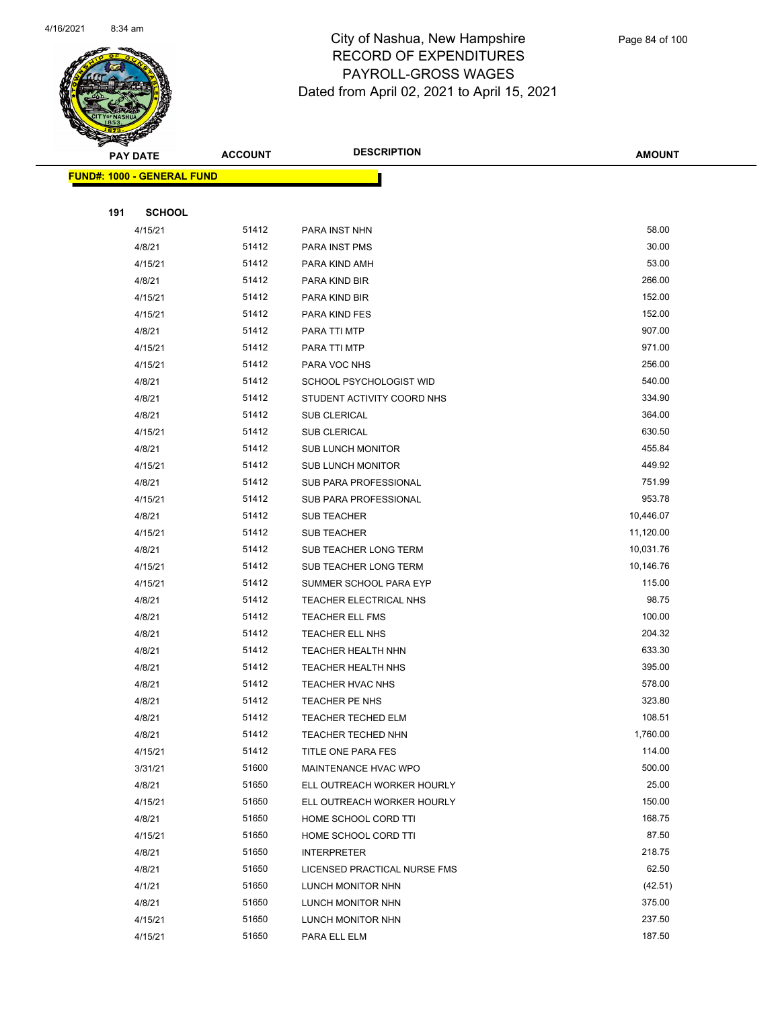

|     | <b>PAY DATE</b>                    | <b>ACCOUNT</b> | <b>DESCRIPTION</b>           | AMOUNT    |
|-----|------------------------------------|----------------|------------------------------|-----------|
|     | <u> FUND#: 1000 - GENERAL FUND</u> |                |                              |           |
|     |                                    |                |                              |           |
| 191 | <b>SCHOOL</b>                      |                |                              |           |
|     | 4/15/21                            | 51412          | PARA INST NHN                | 58.00     |
|     | 4/8/21                             | 51412          | PARA INST PMS                | 30.00     |
|     | 4/15/21                            | 51412          | PARA KIND AMH                | 53.00     |
|     | 4/8/21                             | 51412          | PARA KIND BIR                | 266.00    |
|     | 4/15/21                            | 51412          | PARA KIND BIR                | 152.00    |
|     | 4/15/21                            | 51412          | PARA KIND FES                | 152.00    |
|     | 4/8/21                             | 51412          | PARA TTI MTP                 | 907.00    |
|     | 4/15/21                            | 51412          | PARA TTI MTP                 | 971.00    |
|     | 4/15/21                            | 51412          | PARA VOC NHS                 | 256.00    |
|     | 4/8/21                             | 51412          | SCHOOL PSYCHOLOGIST WID      | 540.00    |
|     | 4/8/21                             | 51412          | STUDENT ACTIVITY COORD NHS   | 334.90    |
|     | 4/8/21                             | 51412          | SUB CLERICAL                 | 364.00    |
|     | 4/15/21                            | 51412          | SUB CLERICAL                 | 630.50    |
|     | 4/8/21                             | 51412          | <b>SUB LUNCH MONITOR</b>     | 455.84    |
|     | 4/15/21                            | 51412          | <b>SUB LUNCH MONITOR</b>     | 449.92    |
|     | 4/8/21                             | 51412          | SUB PARA PROFESSIONAL        | 751.99    |
|     | 4/15/21                            | 51412          | SUB PARA PROFESSIONAL        | 953.78    |
|     | 4/8/21                             | 51412          | <b>SUB TEACHER</b>           | 10,446.07 |
|     | 4/15/21                            | 51412          | <b>SUB TEACHER</b>           | 11,120.00 |
|     | 4/8/21                             | 51412          | SUB TEACHER LONG TERM        | 10,031.76 |
|     | 4/15/21                            | 51412          | SUB TEACHER LONG TERM        | 10,146.76 |
|     | 4/15/21                            | 51412          | SUMMER SCHOOL PARA EYP       | 115.00    |
|     | 4/8/21                             | 51412          | TEACHER ELECTRICAL NHS       | 98.75     |
|     | 4/8/21                             | 51412          | <b>TEACHER ELL FMS</b>       | 100.00    |
|     | 4/8/21                             | 51412          | <b>TEACHER ELL NHS</b>       | 204.32    |
|     | 4/8/21                             | 51412          | <b>TEACHER HEALTH NHN</b>    | 633.30    |
|     | 4/8/21                             | 51412          | <b>TEACHER HEALTH NHS</b>    | 395.00    |
|     | 4/8/21                             | 51412          | TEACHER HVAC NHS             | 578.00    |
|     | 4/8/21                             | 51412          | TEACHER PE NHS               | 323.80    |
|     | 4/8/21                             | 51412          | TEACHER TECHED ELM           | 108.51    |
|     | 4/8/21                             | 51412          | TEACHER TECHED NHN           | 1,760.00  |
|     | 4/15/21                            | 51412          | TITLE ONE PARA FES           | 114.00    |
|     | 3/31/21                            | 51600          | MAINTENANCE HVAC WPO         | 500.00    |
|     | 4/8/21                             | 51650          | ELL OUTREACH WORKER HOURLY   | 25.00     |
|     | 4/15/21                            | 51650          | ELL OUTREACH WORKER HOURLY   | 150.00    |
|     | 4/8/21                             | 51650          | HOME SCHOOL CORD TTI         | 168.75    |
|     | 4/15/21                            | 51650          | HOME SCHOOL CORD TTI         | 87.50     |
|     | 4/8/21                             | 51650          | <b>INTERPRETER</b>           | 218.75    |
|     | 4/8/21                             | 51650          | LICENSED PRACTICAL NURSE FMS | 62.50     |
|     | 4/1/21                             | 51650          | LUNCH MONITOR NHN            | (42.51)   |
|     | 4/8/21                             | 51650          | LUNCH MONITOR NHN            | 375.00    |
|     | 4/15/21                            | 51650          | LUNCH MONITOR NHN            | 237.50    |
|     | 4/15/21                            | 51650          | PARA ELL ELM                 | 187.50    |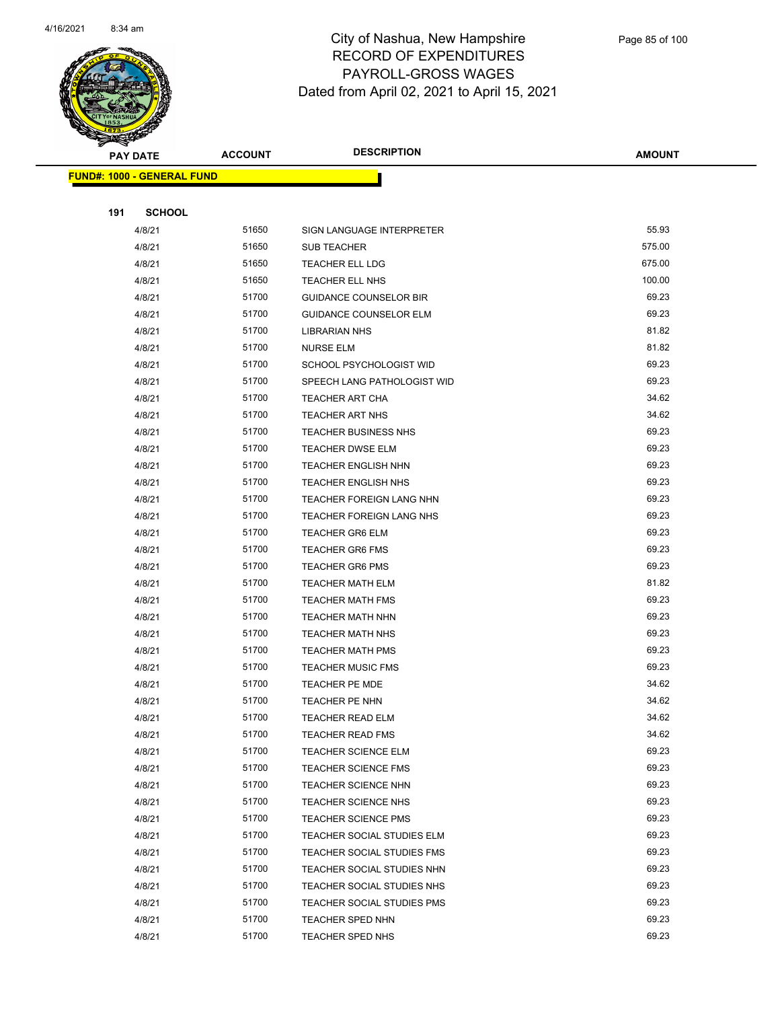

|     | <b>PAY DATE</b>                   | <b>ACCOUNT</b> | <b>DESCRIPTION</b>            | <b>AMOUNT</b> |
|-----|-----------------------------------|----------------|-------------------------------|---------------|
|     | <b>FUND#: 1000 - GENERAL FUND</b> |                |                               |               |
|     |                                   |                |                               |               |
| 191 | <b>SCHOOL</b>                     |                |                               |               |
|     | 4/8/21                            | 51650          | SIGN LANGUAGE INTERPRETER     | 55.93         |
|     | 4/8/21                            | 51650          | <b>SUB TEACHER</b>            | 575.00        |
|     | 4/8/21                            | 51650          | <b>TEACHER ELL LDG</b>        | 675.00        |
|     | 4/8/21                            | 51650          | TEACHER ELL NHS               | 100.00        |
|     | 4/8/21                            | 51700          | <b>GUIDANCE COUNSELOR BIR</b> | 69.23         |
|     | 4/8/21                            | 51700          | <b>GUIDANCE COUNSELOR ELM</b> | 69.23         |
|     | 4/8/21                            | 51700          | <b>LIBRARIAN NHS</b>          | 81.82         |
|     | 4/8/21                            | 51700          | <b>NURSE ELM</b>              | 81.82         |
|     | 4/8/21                            | 51700          | SCHOOL PSYCHOLOGIST WID       | 69.23         |
|     | 4/8/21                            | 51700          | SPEECH LANG PATHOLOGIST WID   | 69.23         |
|     | 4/8/21                            | 51700          | <b>TEACHER ART CHA</b>        | 34.62         |
|     | 4/8/21                            | 51700          | <b>TEACHER ART NHS</b>        | 34.62         |
|     | 4/8/21                            | 51700          | <b>TEACHER BUSINESS NHS</b>   | 69.23         |
|     | 4/8/21                            | 51700          | <b>TEACHER DWSE ELM</b>       | 69.23         |
|     | 4/8/21                            | 51700          | <b>TEACHER ENGLISH NHN</b>    | 69.23         |
|     | 4/8/21                            | 51700          | <b>TEACHER ENGLISH NHS</b>    | 69.23         |
|     | 4/8/21                            | 51700          | TEACHER FOREIGN LANG NHN      | 69.23         |
|     | 4/8/21                            | 51700          | TEACHER FOREIGN LANG NHS      | 69.23         |
|     | 4/8/21                            | 51700          | <b>TEACHER GR6 ELM</b>        | 69.23         |
|     | 4/8/21                            | 51700          | <b>TEACHER GR6 FMS</b>        | 69.23         |
|     | 4/8/21                            | 51700          | <b>TEACHER GR6 PMS</b>        | 69.23         |
|     | 4/8/21                            | 51700          | <b>TEACHER MATH ELM</b>       | 81.82         |
|     | 4/8/21                            | 51700          | <b>TEACHER MATH FMS</b>       | 69.23         |
|     | 4/8/21                            | 51700          | TEACHER MATH NHN              | 69.23         |
|     | 4/8/21                            | 51700          | <b>TEACHER MATH NHS</b>       | 69.23         |
|     | 4/8/21                            | 51700          | <b>TEACHER MATH PMS</b>       | 69.23         |
|     | 4/8/21                            | 51700          | <b>TEACHER MUSIC FMS</b>      | 69.23         |
|     | 4/8/21                            | 51700          | <b>TEACHER PE MDE</b>         | 34.62         |
|     | 4/8/21                            | 51700          | TEACHER PE NHN                | 34.62         |
|     | 4/8/21                            | 51700          | TEACHER READ ELM              | 34.62         |
|     | 4/8/21                            | 51700          | <b>TEACHER READ FMS</b>       | 34.62         |
|     | 4/8/21                            | 51700          | TEACHER SCIENCE ELM           | 69.23         |
|     | 4/8/21                            | 51700          | <b>TEACHER SCIENCE FMS</b>    | 69.23         |
|     | 4/8/21                            | 51700          | <b>TEACHER SCIENCE NHN</b>    | 69.23         |
|     | 4/8/21                            | 51700          | <b>TEACHER SCIENCE NHS</b>    | 69.23         |
|     | 4/8/21                            | 51700          | <b>TEACHER SCIENCE PMS</b>    | 69.23         |
|     | 4/8/21                            | 51700          | TEACHER SOCIAL STUDIES ELM    | 69.23         |
|     | 4/8/21                            | 51700          | TEACHER SOCIAL STUDIES FMS    | 69.23         |
|     | 4/8/21                            | 51700          | TEACHER SOCIAL STUDIES NHN    | 69.23         |
|     | 4/8/21                            | 51700          | TEACHER SOCIAL STUDIES NHS    | 69.23         |
|     | 4/8/21                            | 51700          | TEACHER SOCIAL STUDIES PMS    | 69.23         |
|     | 4/8/21                            | 51700          | TEACHER SPED NHN              | 69.23         |
|     | 4/8/21                            | 51700          | TEACHER SPED NHS              | 69.23         |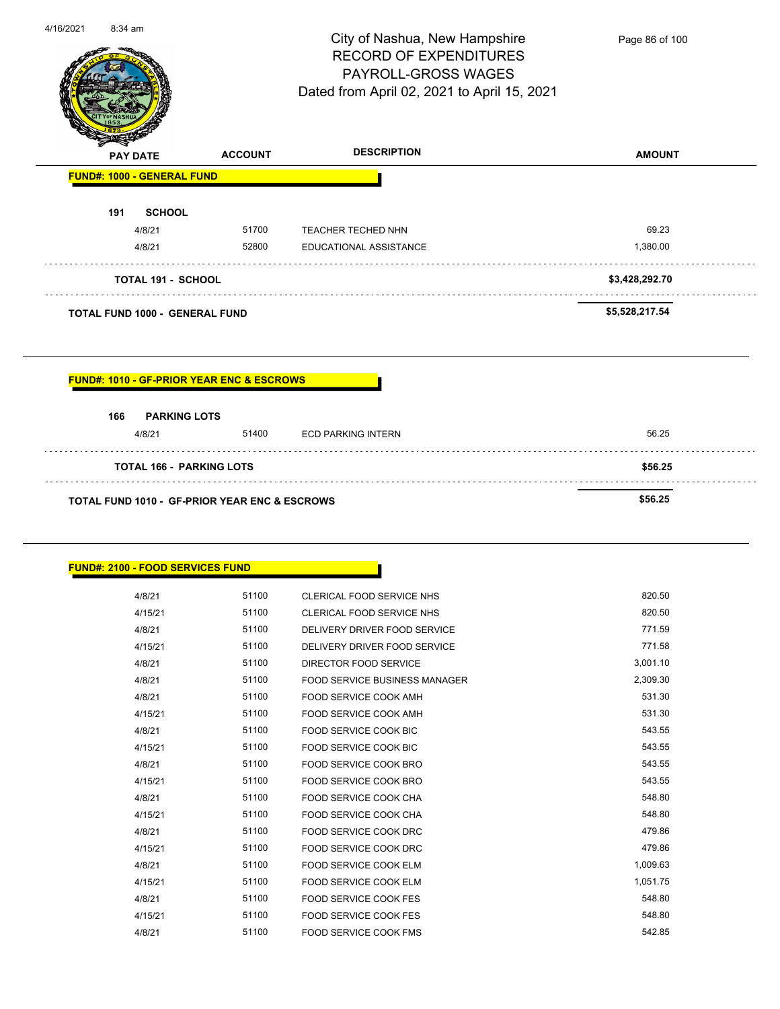|                                   | <b>TOTAL FUND 1000 - GENERAL FUND</b> |                                                                                       | \$5,528,217.54 |
|-----------------------------------|---------------------------------------|---------------------------------------------------------------------------------------|----------------|
| TOTAL 191 - SCHOOL                |                                       |                                                                                       | \$3,428,292.70 |
| 4/8/21                            | 52800                                 | <b>EDUCATIONAL ASSISTANCE</b>                                                         | 1,380.00       |
| 4/8/21                            | 51700                                 | <b>TEACHER TECHED NHN</b>                                                             | 69.23          |
| <b>SCHOOL</b><br>191              |                                       |                                                                                       |                |
| <b>FUND#: 1000 - GENERAL FUND</b> |                                       |                                                                                       |                |
| <b>PAY DATE</b>                   | <b>ACCOUNT</b>                        | Dated from April 02, 2021 to April 15, 2021<br><b>DESCRIPTION</b>                     | <b>AMOUNT</b>  |
|                                   |                                       | City of Nashua, New Hampshire<br><b>RECORD OF EXPENDITURES</b><br>PAYROLL-GROSS WAGES |                |

| <b>FUND#: 1010 - GF-PRIOR YEAR ENC &amp; ESCROWS</b> |  |
|------------------------------------------------------|--|
|                                                      |  |

| 166<br><b>PARKING LOTS</b>                               |       |                    |         |
|----------------------------------------------------------|-------|--------------------|---------|
| 4/8/21                                                   | 51400 | ECD PARKING INTERN | 56.25   |
| <b>TOTAL 166 - PARKING LOTS</b>                          |       |                    | \$56.25 |
| <b>TOTAL FUND 1010 - GF-PRIOR YEAR ENC &amp; ESCROWS</b> |       |                    | \$56.25 |

| <b>FUND#: 2100 - FOOD SERVICES FUND</b> |
|-----------------------------------------|
|-----------------------------------------|

| 4/8/21  | 51100 | CLERICAL FOOD SERVICE NHS            | 820.50   |
|---------|-------|--------------------------------------|----------|
| 4/15/21 | 51100 | CLERICAL FOOD SERVICE NHS            | 820.50   |
| 4/8/21  | 51100 | DELIVERY DRIVER FOOD SERVICE         | 771.59   |
| 4/15/21 | 51100 | DELIVERY DRIVER FOOD SERVICE         | 771.58   |
| 4/8/21  | 51100 | DIRECTOR FOOD SERVICE                | 3,001.10 |
| 4/8/21  | 51100 | <b>FOOD SERVICE BUSINESS MANAGER</b> | 2,309.30 |
| 4/8/21  | 51100 | FOOD SERVICE COOK AMH                | 531.30   |
| 4/15/21 | 51100 | <b>FOOD SERVICE COOK AMH</b>         | 531.30   |
| 4/8/21  | 51100 | <b>FOOD SERVICE COOK BIC</b>         | 543.55   |
| 4/15/21 | 51100 | <b>FOOD SERVICE COOK BIC</b>         | 543.55   |
| 4/8/21  | 51100 | FOOD SERVICE COOK BRO                | 543.55   |
| 4/15/21 | 51100 | FOOD SERVICE COOK BRO                | 543.55   |
| 4/8/21  | 51100 | <b>FOOD SERVICE COOK CHA</b>         | 548.80   |
| 4/15/21 | 51100 | <b>FOOD SERVICE COOK CHA</b>         | 548.80   |
| 4/8/21  | 51100 | <b>FOOD SERVICE COOK DRC</b>         | 479.86   |
| 4/15/21 | 51100 | <b>FOOD SERVICE COOK DRC</b>         | 479.86   |
| 4/8/21  | 51100 | <b>FOOD SERVICE COOK ELM</b>         | 1,009.63 |
| 4/15/21 | 51100 | <b>FOOD SERVICE COOK ELM</b>         | 1,051.75 |
| 4/8/21  | 51100 | FOOD SERVICE COOK FES                | 548.80   |
| 4/15/21 | 51100 | FOOD SERVICE COOK FES                | 548.80   |
| 4/8/21  | 51100 | <b>FOOD SERVICE COOK FMS</b>         | 542.85   |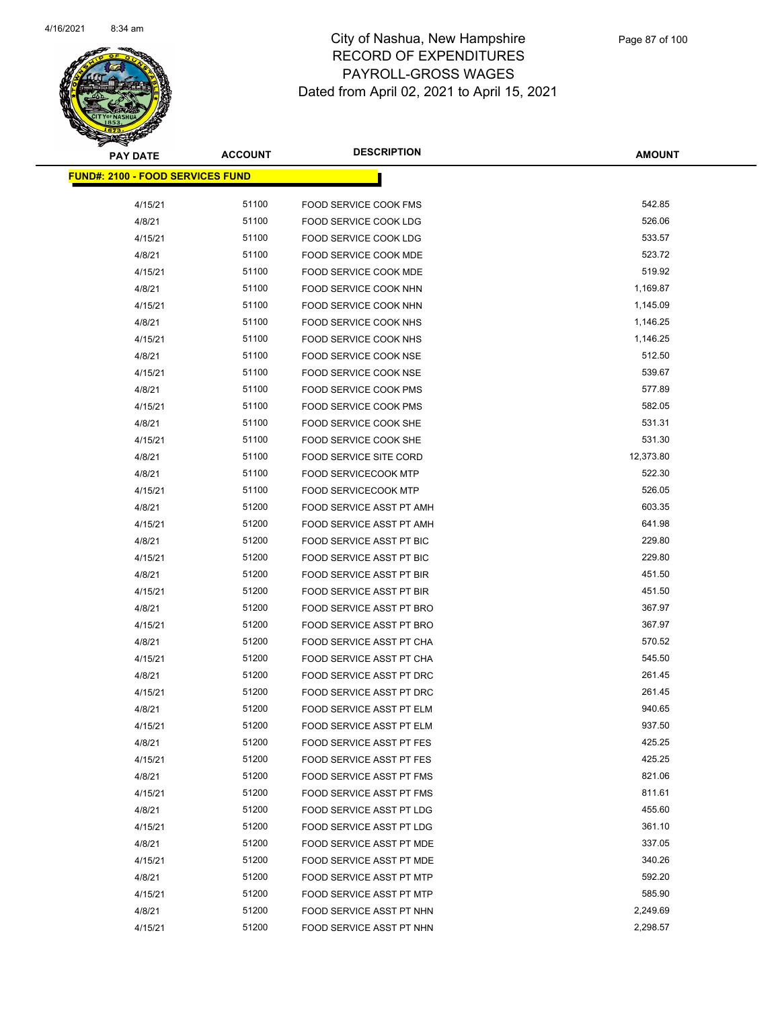

| <b>PAY DATE</b>                         | <b>ACCOUNT</b> | <b>DESCRIPTION</b>              | <b>AMOUNT</b> |
|-----------------------------------------|----------------|---------------------------------|---------------|
| <b>FUND#: 2100 - FOOD SERVICES FUND</b> |                |                                 |               |
| 4/15/21                                 | 51100          | <b>FOOD SERVICE COOK FMS</b>    | 542.85        |
| 4/8/21                                  | 51100          | FOOD SERVICE COOK LDG           | 526.06        |
| 4/15/21                                 | 51100          | FOOD SERVICE COOK LDG           | 533.57        |
| 4/8/21                                  | 51100          | FOOD SERVICE COOK MDE           | 523.72        |
| 4/15/21                                 | 51100          | FOOD SERVICE COOK MDE           | 519.92        |
| 4/8/21                                  | 51100          | FOOD SERVICE COOK NHN           | 1,169.87      |
| 4/15/21                                 | 51100          | FOOD SERVICE COOK NHN           | 1,145.09      |
| 4/8/21                                  | 51100          | <b>FOOD SERVICE COOK NHS</b>    | 1,146.25      |
| 4/15/21                                 | 51100          | FOOD SERVICE COOK NHS           | 1,146.25      |
| 4/8/21                                  | 51100          | FOOD SERVICE COOK NSE           | 512.50        |
| 4/15/21                                 | 51100          | FOOD SERVICE COOK NSE           | 539.67        |
| 4/8/21                                  | 51100          | FOOD SERVICE COOK PMS           | 577.89        |
| 4/15/21                                 | 51100          | FOOD SERVICE COOK PMS           | 582.05        |
| 4/8/21                                  | 51100          | FOOD SERVICE COOK SHE           | 531.31        |
| 4/15/21                                 | 51100          | <b>FOOD SERVICE COOK SHE</b>    | 531.30        |
| 4/8/21                                  | 51100          | <b>FOOD SERVICE SITE CORD</b>   | 12,373.80     |
| 4/8/21                                  | 51100          | <b>FOOD SERVICECOOK MTP</b>     | 522.30        |
| 4/15/21                                 | 51100          | <b>FOOD SERVICECOOK MTP</b>     | 526.05        |
| 4/8/21                                  | 51200          | FOOD SERVICE ASST PT AMH        | 603.35        |
| 4/15/21                                 | 51200          | FOOD SERVICE ASST PT AMH        | 641.98        |
| 4/8/21                                  | 51200          | FOOD SERVICE ASST PT BIC        | 229.80        |
| 4/15/21                                 | 51200          | FOOD SERVICE ASST PT BIC        | 229.80        |
| 4/8/21                                  | 51200          | <b>FOOD SERVICE ASST PT BIR</b> | 451.50        |
| 4/15/21                                 | 51200          | FOOD SERVICE ASST PT BIR        | 451.50        |
| 4/8/21                                  | 51200          | FOOD SERVICE ASST PT BRO        | 367.97        |
| 4/15/21                                 | 51200          | FOOD SERVICE ASST PT BRO        | 367.97        |
| 4/8/21                                  | 51200          | FOOD SERVICE ASST PT CHA        | 570.52        |
| 4/15/21                                 | 51200          | FOOD SERVICE ASST PT CHA        | 545.50        |
| 4/8/21                                  | 51200          | FOOD SERVICE ASST PT DRC        | 261.45        |
| 4/15/21                                 | 51200          | FOOD SERVICE ASST PT DRC        | 261.45        |
| 4/8/21                                  | 51200          | FOOD SERVICE ASST PT ELM        | 940.65        |
| 4/15/21                                 | 51200          | FOOD SERVICE ASST PT ELM        | 937.50        |
| 4/8/21                                  | 51200          | FOOD SERVICE ASST PT FES        | 425.25        |
| 4/15/21                                 | 51200          | <b>FOOD SERVICE ASST PT FES</b> | 425.25        |
| 4/8/21                                  | 51200          | FOOD SERVICE ASST PT FMS        | 821.06        |
| 4/15/21                                 | 51200          | FOOD SERVICE ASST PT FMS        | 811.61        |
| 4/8/21                                  | 51200          | FOOD SERVICE ASST PT LDG        | 455.60        |
| 4/15/21                                 | 51200          | FOOD SERVICE ASST PT LDG        | 361.10        |
| 4/8/21                                  | 51200          | FOOD SERVICE ASST PT MDE        | 337.05        |
| 4/15/21                                 | 51200          | FOOD SERVICE ASST PT MDE        | 340.26        |
| 4/8/21                                  | 51200          | FOOD SERVICE ASST PT MTP        | 592.20        |
| 4/15/21                                 | 51200          | FOOD SERVICE ASST PT MTP        | 585.90        |
| 4/8/21                                  | 51200          | FOOD SERVICE ASST PT NHN        | 2,249.69      |
| 4/15/21                                 | 51200          | FOOD SERVICE ASST PT NHN        | 2,298.57      |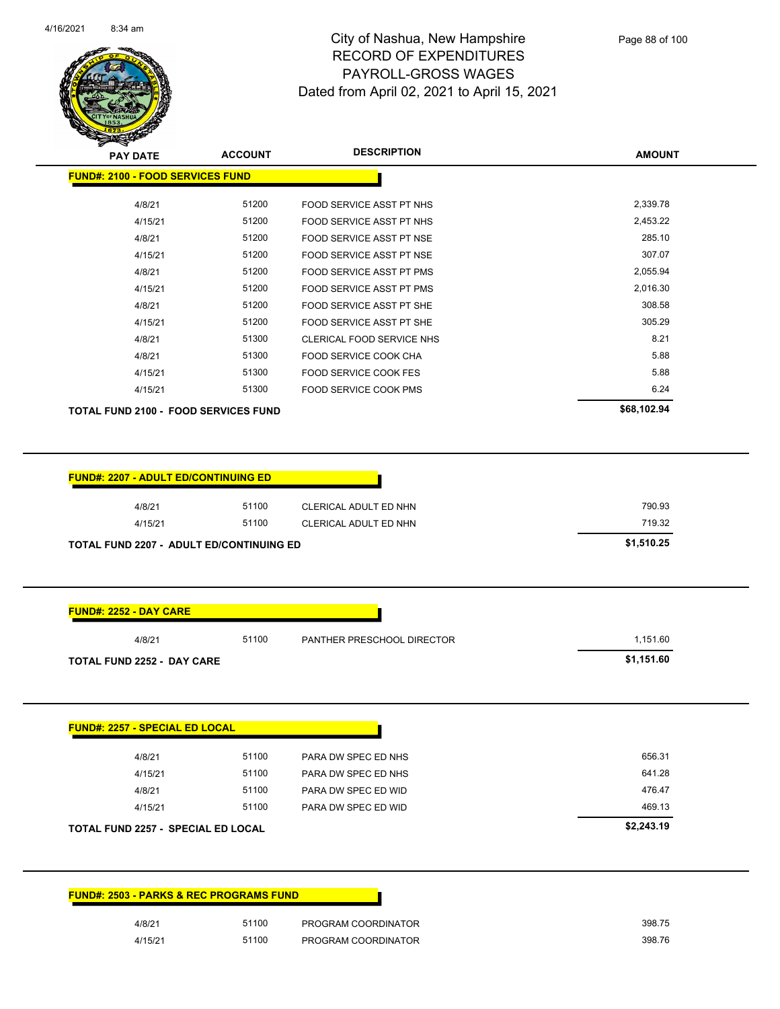

| <b>PAY DATE</b>                             | <b>ACCOUNT</b> | <b>DESCRIPTION</b>              | <b>AMOUNT</b> |
|---------------------------------------------|----------------|---------------------------------|---------------|
| <b>FUND#: 2100 - FOOD SERVICES FUND</b>     |                |                                 |               |
| 4/8/21                                      | 51200          | <b>FOOD SERVICE ASST PT NHS</b> | 2,339.78      |
| 4/15/21                                     | 51200          | <b>FOOD SERVICE ASST PT NHS</b> | 2,453.22      |
| 4/8/21                                      | 51200          | FOOD SERVICE ASST PT NSE        | 285.10        |
| 4/15/21                                     | 51200          | FOOD SERVICE ASST PT NSE        | 307.07        |
| 4/8/21                                      | 51200          | <b>FOOD SERVICE ASST PT PMS</b> | 2,055.94      |
| 4/15/21                                     | 51200          | <b>FOOD SERVICE ASST PT PMS</b> | 2,016.30      |
| 4/8/21                                      | 51200          | FOOD SERVICE ASST PT SHE        | 308.58        |
| 4/15/21                                     | 51200          | FOOD SERVICE ASST PT SHE        | 305.29        |
| 4/8/21                                      | 51300          | CLERICAL FOOD SERVICE NHS       | 8.21          |
| 4/8/21                                      | 51300          | FOOD SERVICE COOK CHA           | 5.88          |
| 4/15/21                                     | 51300          | <b>FOOD SERVICE COOK FES</b>    | 5.88          |
| 4/15/21                                     | 51300          | <b>FOOD SERVICE COOK PMS</b>    | 6.24          |
| <b>TOTAL FUND 2100 - FOOD SERVICES FUND</b> |                |                                 | \$68,102.94   |

| 4/8/21  | 51100 | CLERICAL ADULT ED NHN | 790.93 |
|---------|-------|-----------------------|--------|
| 4/15/21 | 51100 | CLERICAL ADULT ED NHN | 719.32 |

| 4/8/21                                           | 51100 | PANTHER PRESCHOOL DIRECTOR | 1,151.60   |
|--------------------------------------------------|-------|----------------------------|------------|
| <b>TOTAL FUND 2252 - DAY CARE</b>                |       |                            | \$1,151.60 |
|                                                  |       |                            |            |
|                                                  |       |                            |            |
|                                                  |       |                            |            |
|                                                  |       |                            |            |
|                                                  |       |                            |            |
|                                                  |       |                            |            |
| 4/8/21                                           | 51100 | PARA DW SPEC ED NHS        | 656.31     |
| <b>FUND#: 2257 - SPECIAL ED LOCAL</b><br>4/15/21 | 51100 | PARA DW SPEC ED NHS        | 641.28     |

| 4/15/21                                   | 51100 | PARA DW SPEC ED WID | 469.13     |
|-------------------------------------------|-------|---------------------|------------|
| <b>TOTAL FUND 2257 - SPECIAL ED LOCAL</b> |       |                     | \$2,243.19 |
|                                           |       |                     |            |
|                                           |       |                     |            |
|                                           |       |                     |            |

| <b>FUND#: 2503 - PARKS &amp; REC PROGRAMS FUND</b> |       |                     |  |
|----------------------------------------------------|-------|---------------------|--|
| 4/8/21                                             | 51100 | PROGRAM COORDINATOR |  |
| 4/15/21                                            | 51100 | PROGRAM COORDINATOR |  |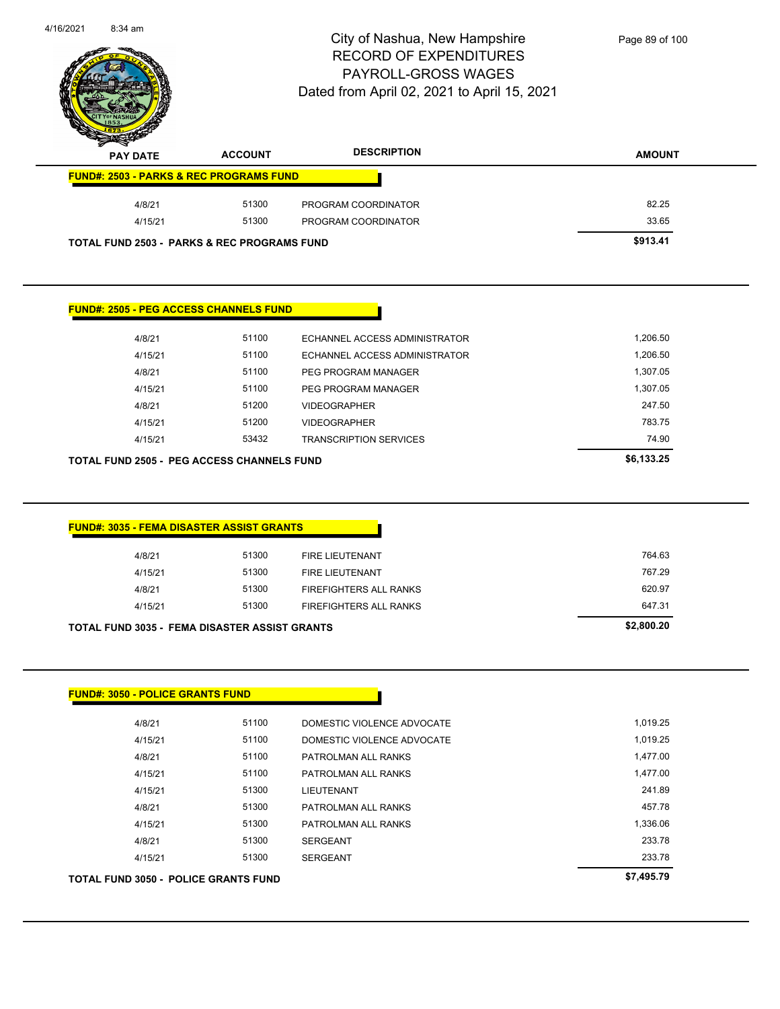| TOTAL FUND 3050 - POLICE GRANTS FUND |       |                            | \$7,495.79 |
|--------------------------------------|-------|----------------------------|------------|
| 4/15/21                              | 51300 | <b>SERGEANT</b>            | 233.78     |
| 4/8/21                               | 51300 | <b>SERGEANT</b>            | 233.78     |
| 4/15/21                              | 51300 | PATROLMAN ALL RANKS        | 1,336.06   |
| 4/8/21                               | 51300 | PATROLMAN ALL RANKS        | 457.78     |
| 4/15/21                              | 51300 | <b>LIEUTENANT</b>          | 241.89     |
| 4/15/21                              | 51100 | PATROLMAN ALL RANKS        | 1,477.00   |
| 4/8/21                               | 51100 | PATROLMAN ALL RANKS        | 1,477.00   |
| 4/15/21                              | 51100 | DOMESTIC VIOLENCE ADVOCATE | 1,019.25   |
| 4/8/21                               | 51100 | DOMESTIC VIOLENCE ADVOCATE | 1,019.25   |

h

**FUND#: 3050 - POLICE GRANTS FUND**

| <b>FUND#: 3035 - FEMA DISASTER ASSIST GRANTS</b>     |            |                               |        |
|------------------------------------------------------|------------|-------------------------------|--------|
| 4/8/21                                               | 51300      | <b>FIRE LIEUTENANT</b>        | 764.63 |
| 4/15/21                                              | 51300      | <b>FIRE LIEUTENANT</b>        | 767.29 |
| 4/8/21                                               | 51300      | <b>FIREFIGHTERS ALL RANKS</b> | 620.97 |
| 4/15/21                                              | 51300      | <b>FIREFIGHTERS ALL RANKS</b> | 647.31 |
| <b>TOTAL FUND 3035 - FEMA DISASTER ASSIST GRANTS</b> | \$2,800.20 |                               |        |

|                                                   | <b>FUND#: 2505 - PEG ACCESS CHANNELS FUND</b> |       |                               |            |
|---------------------------------------------------|-----------------------------------------------|-------|-------------------------------|------------|
|                                                   | 4/8/21                                        | 51100 | ECHANNEL ACCESS ADMINISTRATOR | 1.206.50   |
|                                                   | 4/15/21                                       | 51100 | ECHANNEL ACCESS ADMINISTRATOR | 1,206.50   |
|                                                   | 4/8/21                                        | 51100 | PEG PROGRAM MANAGER           | 1,307.05   |
|                                                   | 4/15/21                                       | 51100 | PEG PROGRAM MANAGER           | 1,307.05   |
|                                                   | 4/8/21                                        | 51200 | <b>VIDEOGRAPHER</b>           | 247.50     |
|                                                   | 4/15/21                                       | 51200 | <b>VIDEOGRAPHER</b>           | 783.75     |
|                                                   | 4/15/21                                       | 53432 | <b>TRANSCRIPTION SERVICES</b> | 74.90      |
| <b>TOTAL FUND 2505 - PEG ACCESS CHANNELS FUND</b> |                                               |       |                               | \$6,133.25 |

| <b>PAY DATE</b>                                        | <b>ACCOUNT</b> | <b>DESCRIPTION</b>  | <b>AMOUNT</b> |
|--------------------------------------------------------|----------------|---------------------|---------------|
| <b>FUND#: 2503 - PARKS &amp; REC PROGRAMS FUND</b>     |                |                     |               |
| 4/8/21                                                 | 51300          | PROGRAM COORDINATOR | 82.25         |
| 4/15/21                                                | 51300          | PROGRAM COORDINATOR | 33.65         |
| <b>TOTAL FUND 2503 - PARKS &amp; REC PROGRAMS FUND</b> |                | \$913.41            |               |

| N)                                                 |                | $D$ at $D$ and $D$ in $D$ is $D$ and $D$ is $D$ is $D$ is $D$ is $D$ is $D$ is $D$ is $D$ is $D$ is $D$ is $D$ is $D$ is $D$ is $D$ is $D$ is $D$ is $D$ is $D$ is $D$ is $D$ is $D$ is $D$ is $D$ is $D$ is $D$ is $D$ is $D$ |               |
|----------------------------------------------------|----------------|--------------------------------------------------------------------------------------------------------------------------------------------------------------------------------------------------------------------------------|---------------|
| <b>PAY DATE</b>                                    | <b>ACCOUNT</b> | <b>DESCRIPTION</b>                                                                                                                                                                                                             | <b>AMOUNT</b> |
| <b>FUND#: 2503 - PARKS &amp; REC PROGRAMS FUND</b> |                |                                                                                                                                                                                                                                |               |
| 4/8/21                                             | 51300          | PROGRAM COORDINATOR                                                                                                                                                                                                            | 82.25         |
| 4/15/21                                            | 51300          | PROGRAM COORDINATOR                                                                                                                                                                                                            | 33.65         |
|                                                    |                |                                                                                                                                                                                                                                |               |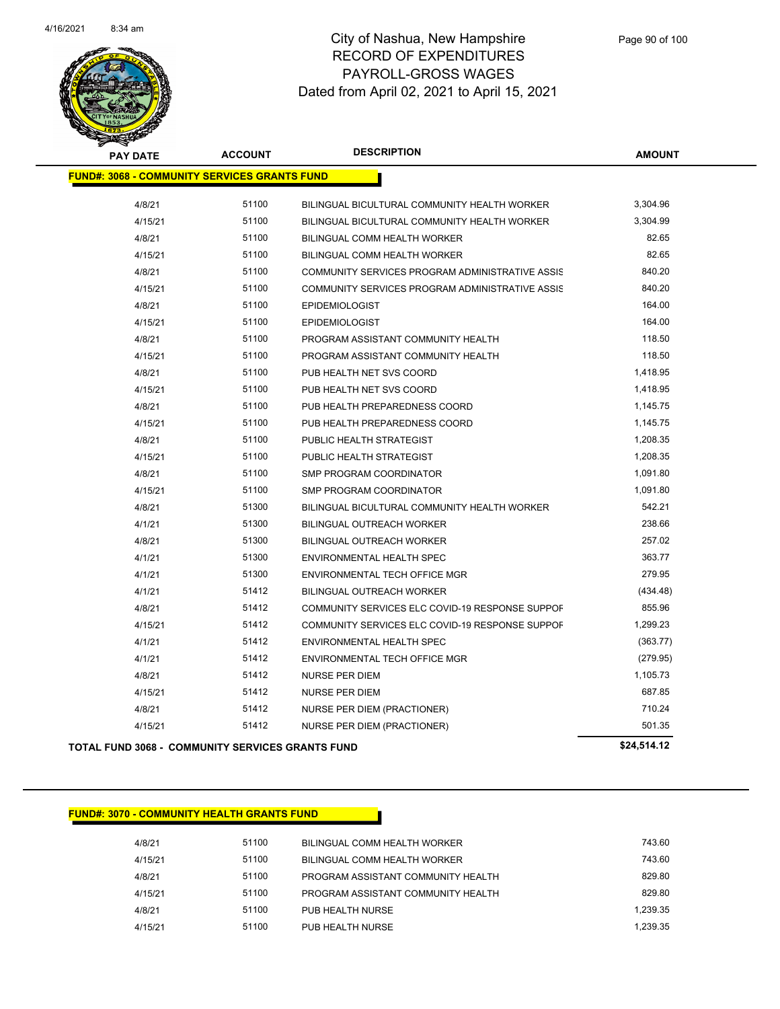

| <b>PAY DATE</b>                                         | <b>ACCOUNT</b> | <b>DESCRIPTION</b>                              | <b>AMOUNT</b> |
|---------------------------------------------------------|----------------|-------------------------------------------------|---------------|
| <b>FUND#: 3068 - COMMUNITY SERVICES GRANTS FUND</b>     |                |                                                 |               |
| 4/8/21                                                  | 51100          | BILINGUAL BICULTURAL COMMUNITY HEALTH WORKER    | 3,304.96      |
| 4/15/21                                                 | 51100          | BILINGUAL BICULTURAL COMMUNITY HEALTH WORKER    | 3,304.99      |
| 4/8/21                                                  | 51100          | BILINGUAL COMM HEALTH WORKER                    | 82.65         |
| 4/15/21                                                 | 51100          | BILINGUAL COMM HEALTH WORKER                    | 82.65         |
| 4/8/21                                                  | 51100          | COMMUNITY SERVICES PROGRAM ADMINISTRATIVE ASSIS | 840.20        |
| 4/15/21                                                 | 51100          | COMMUNITY SERVICES PROGRAM ADMINISTRATIVE ASSIS | 840.20        |
| 4/8/21                                                  | 51100          | <b>EPIDEMIOLOGIST</b>                           | 164.00        |
| 4/15/21                                                 | 51100          | <b>EPIDEMIOLOGIST</b>                           | 164.00        |
| 4/8/21                                                  | 51100          | PROGRAM ASSISTANT COMMUNITY HEALTH              | 118.50        |
| 4/15/21                                                 | 51100          | PROGRAM ASSISTANT COMMUNITY HEALTH              | 118.50        |
| 4/8/21                                                  | 51100          | PUB HEALTH NET SVS COORD                        | 1,418.95      |
| 4/15/21                                                 | 51100          | PUB HEALTH NET SVS COORD                        | 1,418.95      |
| 4/8/21                                                  | 51100          | PUB HEALTH PREPAREDNESS COORD                   | 1,145.75      |
| 4/15/21                                                 | 51100          | PUB HEALTH PREPAREDNESS COORD                   | 1,145.75      |
| 4/8/21                                                  | 51100          | PUBLIC HEALTH STRATEGIST                        | 1,208.35      |
| 4/15/21                                                 | 51100          | PUBLIC HEALTH STRATEGIST                        | 1,208.35      |
| 4/8/21                                                  | 51100          | SMP PROGRAM COORDINATOR                         | 1,091.80      |
| 4/15/21                                                 | 51100          | <b>SMP PROGRAM COORDINATOR</b>                  | 1,091.80      |
| 4/8/21                                                  | 51300          | BILINGUAL BICULTURAL COMMUNITY HEALTH WORKER    | 542.21        |
| 4/1/21                                                  | 51300          | BILINGUAL OUTREACH WORKER                       | 238.66        |
| 4/8/21                                                  | 51300          | <b>BILINGUAL OUTREACH WORKER</b>                | 257.02        |
| 4/1/21                                                  | 51300          | ENVIRONMENTAL HEALTH SPEC                       | 363.77        |
| 4/1/21                                                  | 51300          | ENVIRONMENTAL TECH OFFICE MGR                   | 279.95        |
| 4/1/21                                                  | 51412          | <b>BILINGUAL OUTREACH WORKER</b>                | (434.48)      |
| 4/8/21                                                  | 51412          | COMMUNITY SERVICES ELC COVID-19 RESPONSE SUPPOF | 855.96        |
| 4/15/21                                                 | 51412          | COMMUNITY SERVICES ELC COVID-19 RESPONSE SUPPOF | 1,299.23      |
| 4/1/21                                                  | 51412          | ENVIRONMENTAL HEALTH SPEC                       | (363.77)      |
| 4/1/21                                                  | 51412          | ENVIRONMENTAL TECH OFFICE MGR                   | (279.95)      |
| 4/8/21                                                  | 51412          | <b>NURSE PER DIEM</b>                           | 1,105.73      |
| 4/15/21                                                 | 51412          | <b>NURSE PER DIEM</b>                           | 687.85        |
| 4/8/21                                                  | 51412          | NURSE PER DIEM (PRACTIONER)                     | 710.24        |
| 4/15/21                                                 | 51412          | NURSE PER DIEM (PRACTIONER)                     | 501.35        |
| <b>TOTAL FUND 3068 - COMMUNITY SERVICES GRANTS FUND</b> |                |                                                 | \$24.514.12   |

#### **FUND#: 3070 - COMMUNITY HEALTH GRANTS FUND**

4/8/21 51100 BILINGUAL COMM HEALTH WORKER 743.60 4/15/21 51100 BILINGUAL COMM HEALTH WORKER 743.60 4/8/21 51100 PROGRAM ASSISTANT COMMUNITY HEALTH 4/15/21 51100 PROGRAM ASSISTANT COMMUNITY HEALTH 829.80 4/8/21 51100 PUB HEALTH NURSE 1,239.35 4/15/21 51100 PUB HEALTH NURSE 1,239.35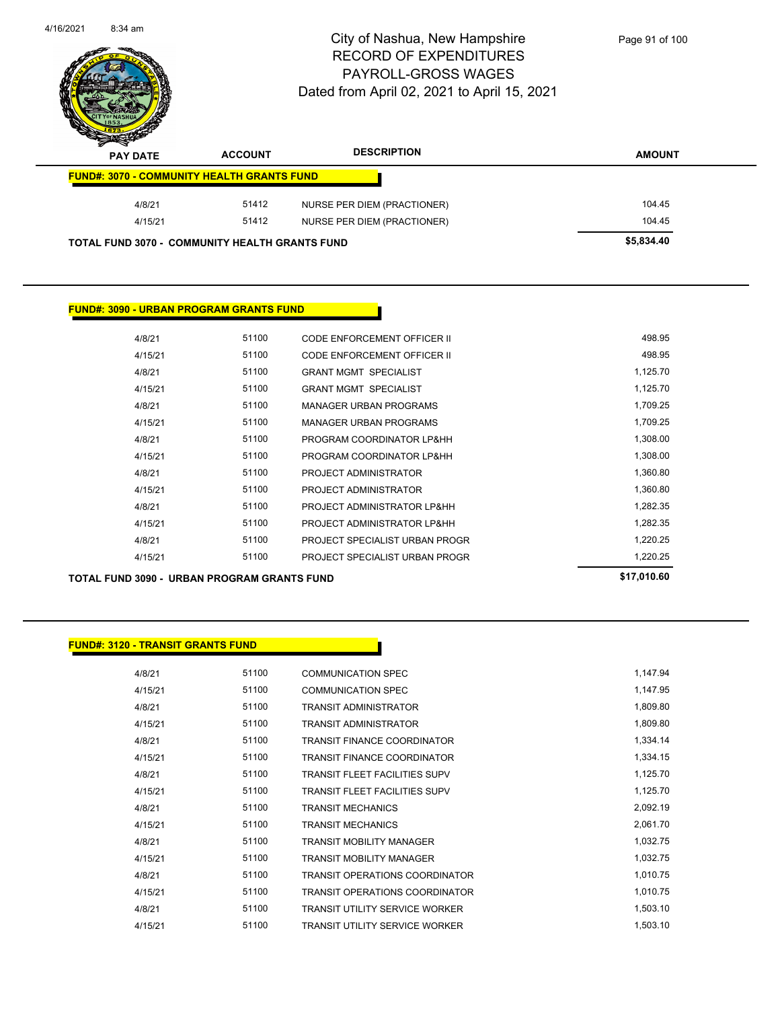| 4/16/2021 | $8:34$ am       |                                                       | City of Nashua, New Hampshire<br>RECORD OF EXPENDITURES<br>PAYROLL-GROSS WAGES<br>Dated from April 02, 2021 to April 15, 2021 | Page 91 of 100 |
|-----------|-----------------|-------------------------------------------------------|-------------------------------------------------------------------------------------------------------------------------------|----------------|
|           | <b>PAY DATE</b> | <b>ACCOUNT</b>                                        | <b>DESCRIPTION</b>                                                                                                            | <b>AMOUNT</b>  |
|           |                 | <b>FUND#: 3070 - COMMUNITY HEALTH GRANTS FUND</b>     |                                                                                                                               |                |
|           | 4/8/21          | 51412                                                 | NURSE PER DIEM (PRACTIONER)                                                                                                   | 104.45         |
|           | 4/15/21         | 51412                                                 | NURSE PER DIEM (PRACTIONER)                                                                                                   | 104.45         |
|           |                 | <b>TOTAL FUND 3070 - COMMUNITY HEALTH GRANTS FUND</b> |                                                                                                                               | \$5,834.40     |

#### **FUND#: 3090 - URBAN PROGRAM GRANTS FUND**

| TOTAL FUND 3090 - URBAN PROGRAM GRANTS FUND |         | \$17,010.60 |                                    |          |
|---------------------------------------------|---------|-------------|------------------------------------|----------|
|                                             | 4/15/21 | 51100       | PROJECT SPECIALIST URBAN PROGR     | 1,220.25 |
|                                             | 4/8/21  | 51100       | PROJECT SPECIALIST URBAN PROGR     | 1,220.25 |
|                                             | 4/15/21 | 51100       | PROJECT ADMINISTRATOR LP&HH        | 1,282.35 |
|                                             | 4/8/21  | 51100       | PROJECT ADMINISTRATOR LP&HH        | 1,282.35 |
|                                             | 4/15/21 | 51100       | <b>PROJECT ADMINISTRATOR</b>       | 1,360.80 |
|                                             | 4/8/21  | 51100       | PROJECT ADMINISTRATOR              | 1,360.80 |
|                                             | 4/15/21 | 51100       | PROGRAM COORDINATOR LP&HH          | 1,308.00 |
|                                             | 4/8/21  | 51100       | PROGRAM COORDINATOR LP&HH          | 1,308.00 |
|                                             | 4/15/21 | 51100       | <b>MANAGER URBAN PROGRAMS</b>      | 1,709.25 |
|                                             | 4/8/21  | 51100       | <b>MANAGER URBAN PROGRAMS</b>      | 1,709.25 |
|                                             | 4/15/21 | 51100       | <b>GRANT MGMT SPECIALIST</b>       | 1,125.70 |
|                                             | 4/8/21  | 51100       | <b>GRANT MGMT SPECIALIST</b>       | 1,125.70 |
|                                             | 4/15/21 | 51100       | <b>CODE ENFORCEMENT OFFICER II</b> | 498.95   |
|                                             | 4/8/21  | 51100       | CODE ENFORCEMENT OFFICER II        | 498.95   |
|                                             |         |             |                                    |          |

#### **FUND#: 3120 - TRANSIT GRANTS FUND**

| 4/8/21  | 51100 | <b>COMMUNICATION SPEC</b>             | 1,147.94 |
|---------|-------|---------------------------------------|----------|
| 4/15/21 | 51100 | <b>COMMUNICATION SPEC</b>             | 1,147.95 |
| 4/8/21  | 51100 | <b>TRANSIT ADMINISTRATOR</b>          | 1,809.80 |
| 4/15/21 | 51100 | <b>TRANSIT ADMINISTRATOR</b>          | 1,809.80 |
| 4/8/21  | 51100 | <b>TRANSIT FINANCE COORDINATOR</b>    | 1,334.14 |
| 4/15/21 | 51100 | <b>TRANSIT FINANCE COORDINATOR</b>    | 1,334.15 |
| 4/8/21  | 51100 | <b>TRANSIT FLEET FACILITIES SUPV</b>  | 1,125.70 |
| 4/15/21 | 51100 | <b>TRANSIT FLEET FACILITIES SUPV</b>  | 1,125.70 |
| 4/8/21  | 51100 | <b>TRANSIT MECHANICS</b>              | 2,092.19 |
| 4/15/21 | 51100 | <b>TRANSIT MECHANICS</b>              | 2,061.70 |
| 4/8/21  | 51100 | <b>TRANSIT MOBILITY MANAGER</b>       | 1,032.75 |
| 4/15/21 | 51100 | <b>TRANSIT MOBILITY MANAGER</b>       | 1,032.75 |
| 4/8/21  | 51100 | TRANSIT OPERATIONS COORDINATOR        | 1,010.75 |
| 4/15/21 | 51100 | <b>TRANSIT OPERATIONS COORDINATOR</b> | 1,010.75 |
| 4/8/21  | 51100 | <b>TRANSIT UTILITY SERVICE WORKER</b> | 1,503.10 |
| 4/15/21 | 51100 | TRANSIT UTILITY SERVICE WORKER        | 1,503.10 |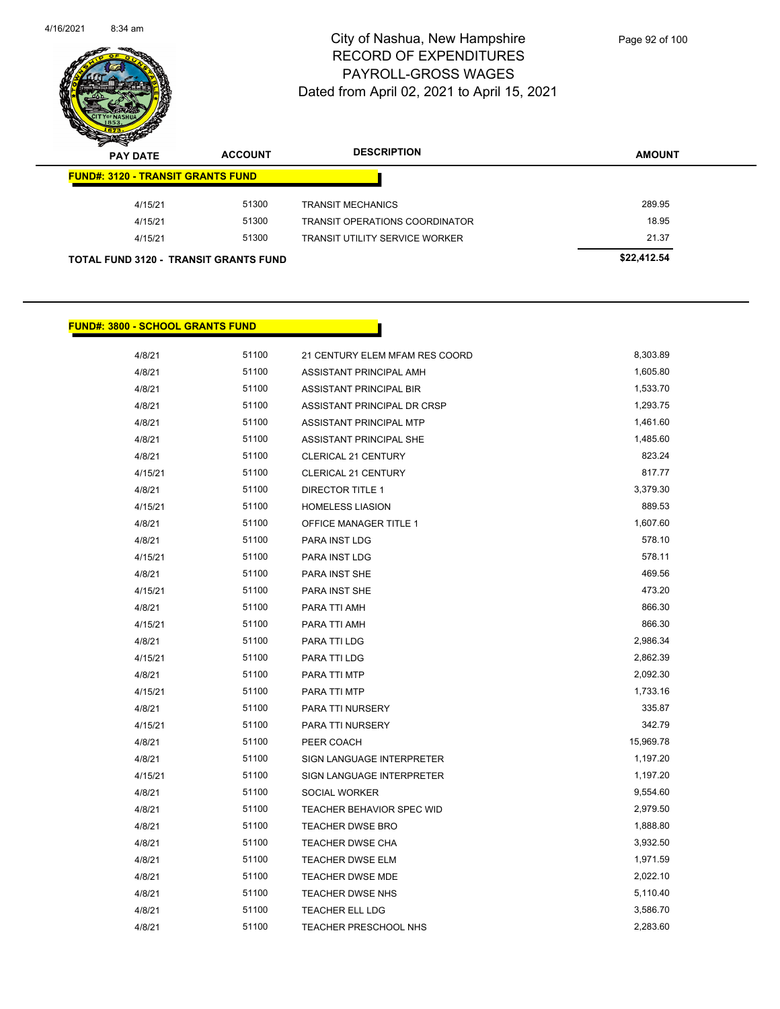

| s<br>$\tilde{\phantom{a}}$<br><b>PAY DATE</b> | <b>ACCOUNT</b> | <b>DESCRIPTION</b>                    | <b>AMOUNT</b> |
|-----------------------------------------------|----------------|---------------------------------------|---------------|
| <b>FUND#: 3120 - TRANSIT GRANTS FUND</b>      |                |                                       |               |
| 4/15/21                                       | 51300          | <b>TRANSIT MECHANICS</b>              | 289.95        |
| 4/15/21                                       | 51300          | TRANSIT OPERATIONS COORDINATOR        | 18.95         |
| 4/15/21                                       | 51300          | <b>TRANSIT UTILITY SERVICE WORKER</b> | 21.37         |
| <b>TOTAL FUND 3120 - TRANSIT GRANTS FUND</b>  |                |                                       | \$22,412.54   |

#### **FUND#: 3800 - SCHOOL GRANTS FUND**

| 4/8/21  | 51100 | 21 CENTURY ELEM MFAM RES COORD   | 8,303.89  |
|---------|-------|----------------------------------|-----------|
| 4/8/21  | 51100 | ASSISTANT PRINCIPAL AMH          | 1,605.80  |
| 4/8/21  | 51100 | ASSISTANT PRINCIPAL BIR          | 1,533.70  |
| 4/8/21  | 51100 | ASSISTANT PRINCIPAL DR CRSP      | 1,293.75  |
| 4/8/21  | 51100 | ASSISTANT PRINCIPAL MTP          | 1,461.60  |
| 4/8/21  | 51100 | <b>ASSISTANT PRINCIPAL SHE</b>   | 1,485.60  |
| 4/8/21  | 51100 | CLERICAL 21 CENTURY              | 823.24    |
| 4/15/21 | 51100 | <b>CLERICAL 21 CENTURY</b>       | 817.77    |
| 4/8/21  | 51100 | <b>DIRECTOR TITLE 1</b>          | 3,379.30  |
| 4/15/21 | 51100 | <b>HOMELESS LIASION</b>          | 889.53    |
| 4/8/21  | 51100 | <b>OFFICE MANAGER TITLE 1</b>    | 1,607.60  |
| 4/8/21  | 51100 | PARA INST LDG                    | 578.10    |
| 4/15/21 | 51100 | <b>PARA INST LDG</b>             | 578.11    |
| 4/8/21  | 51100 | PARA INST SHE                    | 469.56    |
| 4/15/21 | 51100 | <b>PARA INST SHE</b>             | 473.20    |
| 4/8/21  | 51100 | PARA TTI AMH                     | 866.30    |
| 4/15/21 | 51100 | PARA TTI AMH                     | 866.30    |
| 4/8/21  | 51100 | PARA TTI LDG                     | 2,986.34  |
| 4/15/21 | 51100 | PARA TTI LDG                     | 2,862.39  |
| 4/8/21  | 51100 | PARA TTI MTP                     | 2,092.30  |
| 4/15/21 | 51100 | PARA TTI MTP                     | 1,733.16  |
| 4/8/21  | 51100 | PARA TTI NURSERY                 | 335.87    |
| 4/15/21 | 51100 | PARA TTI NURSERY                 | 342.79    |
| 4/8/21  | 51100 | PEER COACH                       | 15,969.78 |
| 4/8/21  | 51100 | SIGN LANGUAGE INTERPRETER        | 1,197.20  |
| 4/15/21 | 51100 | SIGN LANGUAGE INTERPRETER        | 1,197.20  |
| 4/8/21  | 51100 | SOCIAL WORKER                    | 9,554.60  |
| 4/8/21  | 51100 | <b>TEACHER BEHAVIOR SPEC WID</b> | 2,979.50  |
| 4/8/21  | 51100 | <b>TEACHER DWSE BRO</b>          | 1,888.80  |
| 4/8/21  | 51100 | TEACHER DWSE CHA                 | 3,932.50  |
| 4/8/21  | 51100 | TEACHER DWSE ELM                 | 1,971.59  |
| 4/8/21  | 51100 | <b>TEACHER DWSE MDE</b>          | 2,022.10  |
| 4/8/21  | 51100 | <b>TEACHER DWSE NHS</b>          | 5,110.40  |
| 4/8/21  | 51100 | <b>TEACHER ELL LDG</b>           | 3,586.70  |
| 4/8/21  | 51100 | <b>TEACHER PRESCHOOL NHS</b>     | 2,283.60  |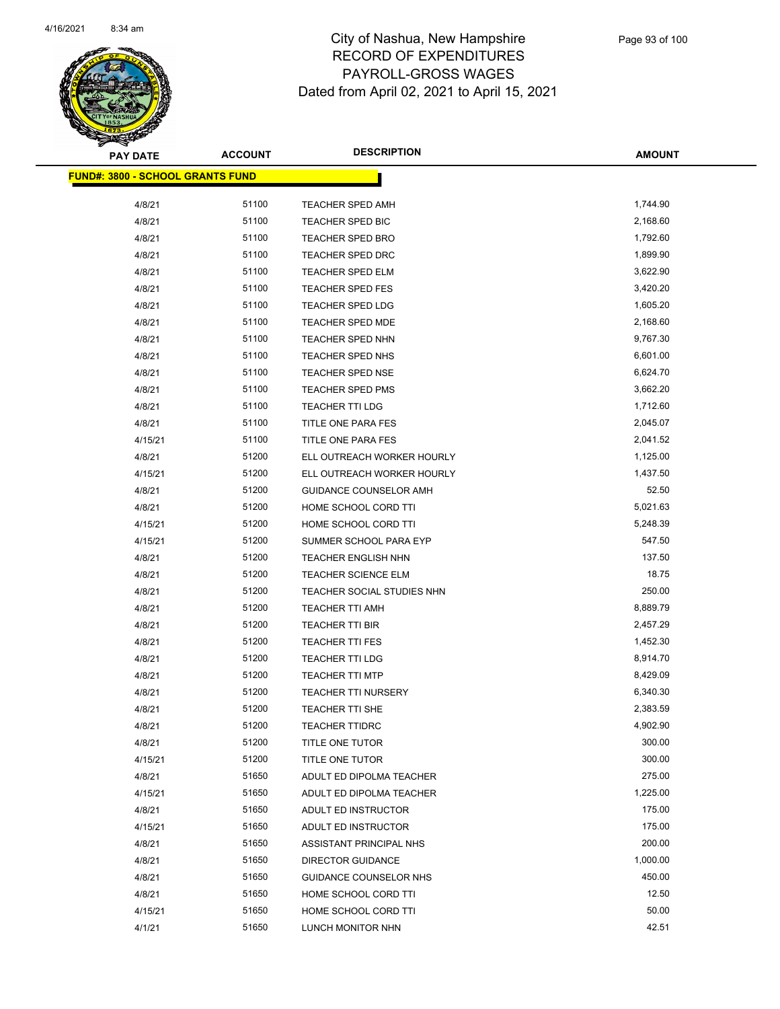

| <b>PAY DATE</b>                          | <b>ACCOUNT</b> | <b>DESCRIPTION</b>         | <b>AMOUNT</b> |
|------------------------------------------|----------------|----------------------------|---------------|
| <u> FUND#: 3800 - SCHOOL GRANTS FUND</u> |                |                            |               |
| 4/8/21                                   | 51100          | <b>TEACHER SPED AMH</b>    | 1,744.90      |
| 4/8/21                                   | 51100          | TEACHER SPED BIC           | 2,168.60      |
| 4/8/21                                   | 51100          | TEACHER SPED BRO           | 1,792.60      |
| 4/8/21                                   | 51100          | <b>TEACHER SPED DRC</b>    | 1,899.90      |
| 4/8/21                                   | 51100          | TEACHER SPED ELM           | 3,622.90      |
| 4/8/21                                   | 51100          | <b>TEACHER SPED FES</b>    | 3,420.20      |
| 4/8/21                                   | 51100          | <b>TEACHER SPED LDG</b>    | 1,605.20      |
| 4/8/21                                   | 51100          | TEACHER SPED MDE           | 2,168.60      |
| 4/8/21                                   | 51100          | TEACHER SPED NHN           | 9,767.30      |
| 4/8/21                                   | 51100          | TEACHER SPED NHS           | 6,601.00      |
| 4/8/21                                   | 51100          | <b>TEACHER SPED NSE</b>    | 6,624.70      |
| 4/8/21                                   | 51100          | <b>TEACHER SPED PMS</b>    | 3,662.20      |
| 4/8/21                                   | 51100          | <b>TEACHER TTI LDG</b>     | 1,712.60      |
| 4/8/21                                   | 51100          | TITLE ONE PARA FES         | 2,045.07      |
| 4/15/21                                  | 51100          | TITLE ONE PARA FES         | 2,041.52      |
| 4/8/21                                   | 51200          | ELL OUTREACH WORKER HOURLY | 1,125.00      |
| 4/15/21                                  | 51200          | ELL OUTREACH WORKER HOURLY | 1,437.50      |
| 4/8/21                                   | 51200          | GUIDANCE COUNSELOR AMH     | 52.50         |
| 4/8/21                                   | 51200          | HOME SCHOOL CORD TTI       | 5,021.63      |
| 4/15/21                                  | 51200          | HOME SCHOOL CORD TTI       | 5,248.39      |
| 4/15/21                                  | 51200          | SUMMER SCHOOL PARA EYP     | 547.50        |
| 4/8/21                                   | 51200          | <b>TEACHER ENGLISH NHN</b> | 137.50        |
| 4/8/21                                   | 51200          | <b>TEACHER SCIENCE ELM</b> | 18.75         |
| 4/8/21                                   | 51200          | TEACHER SOCIAL STUDIES NHN | 250.00        |
| 4/8/21                                   | 51200          | <b>TEACHER TTI AMH</b>     | 8,889.79      |
| 4/8/21                                   | 51200          | TEACHER TTI BIR            | 2,457.29      |
| 4/8/21                                   | 51200          | <b>TEACHER TTI FES</b>     | 1,452.30      |
| 4/8/21                                   | 51200          | <b>TEACHER TTI LDG</b>     | 8,914.70      |
| 4/8/21                                   | 51200          | <b>TEACHER TTI MTP</b>     | 8,429.09      |
| 4/8/21                                   | 51200          | <b>TEACHER TTI NURSERY</b> | 6,340.30      |
| 4/8/21                                   | 51200          | <b>TEACHER TTI SHE</b>     | 2,383.59      |
| 4/8/21                                   | 51200          | <b>TEACHER TTIDRC</b>      | 4,902.90      |
| 4/8/21                                   | 51200          | TITLE ONE TUTOR            | 300.00        |
| 4/15/21                                  | 51200          | TITLE ONE TUTOR            | 300.00        |
| 4/8/21                                   | 51650          | ADULT ED DIPOLMA TEACHER   | 275.00        |
| 4/15/21                                  | 51650          | ADULT ED DIPOLMA TEACHER   | 1,225.00      |
| 4/8/21                                   | 51650          | ADULT ED INSTRUCTOR        | 175.00        |
| 4/15/21                                  | 51650          | ADULT ED INSTRUCTOR        | 175.00        |
| 4/8/21                                   | 51650          | ASSISTANT PRINCIPAL NHS    | 200.00        |
| 4/8/21                                   | 51650          | <b>DIRECTOR GUIDANCE</b>   | 1,000.00      |
| 4/8/21                                   | 51650          | GUIDANCE COUNSELOR NHS     | 450.00        |
| 4/8/21                                   | 51650          | HOME SCHOOL CORD TTI       | 12.50         |
| 4/15/21                                  | 51650          | HOME SCHOOL CORD TTI       | 50.00         |
| 4/1/21                                   | 51650          | LUNCH MONITOR NHN          | 42.51         |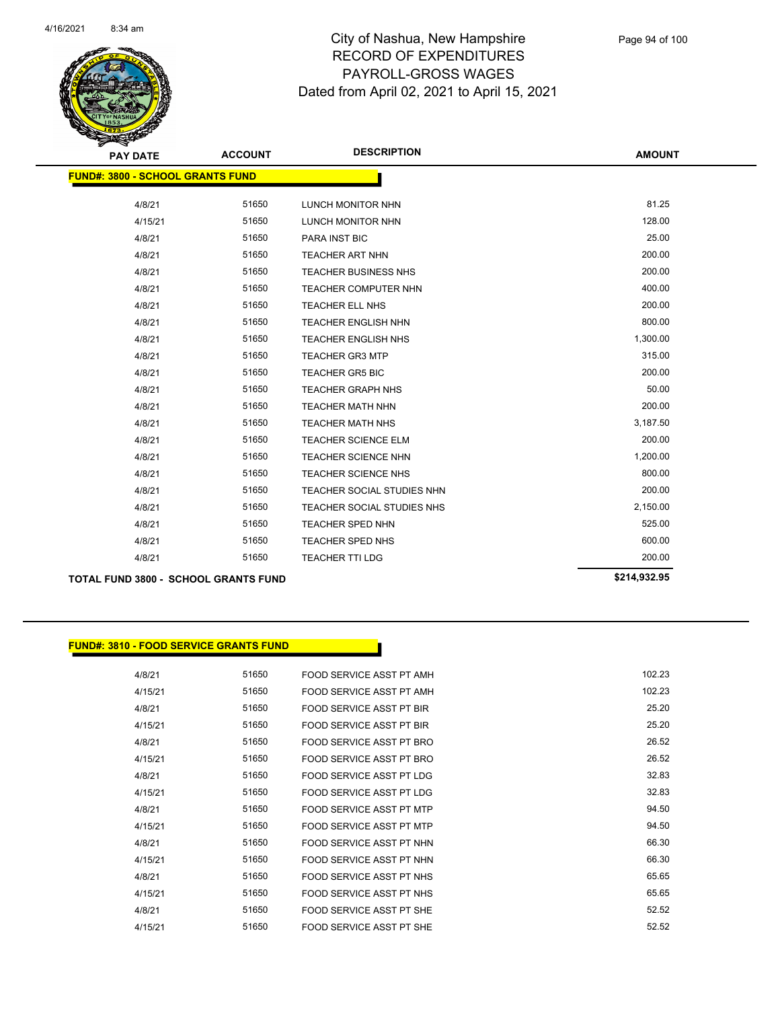

| <b>PAY DATE</b>                             | <b>ACCOUNT</b> | <b>DESCRIPTION</b>          | <b>AMOUNT</b> |
|---------------------------------------------|----------------|-----------------------------|---------------|
| <b>FUND#: 3800 - SCHOOL GRANTS FUND</b>     |                |                             |               |
| 4/8/21                                      | 51650          | LUNCH MONITOR NHN           | 81.25         |
| 4/15/21                                     | 51650          | LUNCH MONITOR NHN           | 128.00        |
| 4/8/21                                      | 51650          | PARA INST BIC               | 25.00         |
| 4/8/21                                      | 51650          | <b>TEACHER ART NHN</b>      | 200.00        |
| 4/8/21                                      | 51650          | <b>TEACHER BUSINESS NHS</b> | 200.00        |
| 4/8/21                                      | 51650          | TEACHER COMPUTER NHN        | 400.00        |
| 4/8/21                                      | 51650          | TEACHER ELL NHS             | 200.00        |
| 4/8/21                                      | 51650          | <b>TEACHER ENGLISH NHN</b>  | 800.00        |
| 4/8/21                                      | 51650          | <b>TEACHER ENGLISH NHS</b>  | 1,300.00      |
| 4/8/21                                      | 51650          | <b>TEACHER GR3 MTP</b>      | 315.00        |
| 4/8/21                                      | 51650          | <b>TEACHER GR5 BIC</b>      | 200.00        |
| 4/8/21                                      | 51650          | <b>TEACHER GRAPH NHS</b>    | 50.00         |
| 4/8/21                                      | 51650          | <b>TEACHER MATH NHN</b>     | 200.00        |
| 4/8/21                                      | 51650          | <b>TEACHER MATH NHS</b>     | 3,187.50      |
| 4/8/21                                      | 51650          | <b>TEACHER SCIENCE ELM</b>  | 200.00        |
| 4/8/21                                      | 51650          | <b>TEACHER SCIENCE NHN</b>  | 1,200.00      |
| 4/8/21                                      | 51650          | <b>TEACHER SCIENCE NHS</b>  | 800.00        |
| 4/8/21                                      | 51650          | TEACHER SOCIAL STUDIES NHN  | 200.00        |
| 4/8/21                                      | 51650          | TEACHER SOCIAL STUDIES NHS  | 2,150.00      |
| 4/8/21                                      | 51650          | TEACHER SPED NHN            | 525.00        |
| 4/8/21                                      | 51650          | <b>TEACHER SPED NHS</b>     | 600.00        |
| 4/8/21                                      | 51650          | <b>TEACHER TTI LDG</b>      | 200.00        |
| <b>TOTAL FUND 3800 - SCHOOL GRANTS FUND</b> |                |                             | \$214,932.95  |

# **FUND#: 3810 - FOOD SERVICE GRANTS FUND**

| 4/8/21  | 51650 | FOOD SERVICE ASST PT AMH        | 102.23 |
|---------|-------|---------------------------------|--------|
| 4/15/21 | 51650 | FOOD SERVICE ASST PT AMH        | 102.23 |
| 4/8/21  | 51650 | FOOD SERVICE ASST PT BIR        | 25.20  |
| 4/15/21 | 51650 | FOOD SERVICE ASST PT BIR        | 25.20  |
| 4/8/21  | 51650 | FOOD SERVICE ASST PT BRO        | 26.52  |
| 4/15/21 | 51650 | FOOD SERVICE ASST PT BRO        | 26.52  |
| 4/8/21  | 51650 | FOOD SERVICE ASST PT LDG        | 32.83  |
| 4/15/21 | 51650 | <b>FOOD SERVICE ASST PT LDG</b> | 32.83  |
| 4/8/21  | 51650 | FOOD SERVICE ASST PT MTP        | 94.50  |
| 4/15/21 | 51650 | FOOD SERVICE ASST PT MTP        | 94.50  |
| 4/8/21  | 51650 | FOOD SERVICE ASST PT NHN        | 66.30  |
| 4/15/21 | 51650 | FOOD SERVICE ASST PT NHN        | 66.30  |
| 4/8/21  | 51650 | FOOD SERVICE ASST PT NHS        | 65.65  |
| 4/15/21 | 51650 | FOOD SERVICE ASST PT NHS        | 65.65  |
| 4/8/21  | 51650 | FOOD SERVICE ASST PT SHE        | 52.52  |
| 4/15/21 | 51650 | FOOD SERVICE ASST PT SHE        | 52.52  |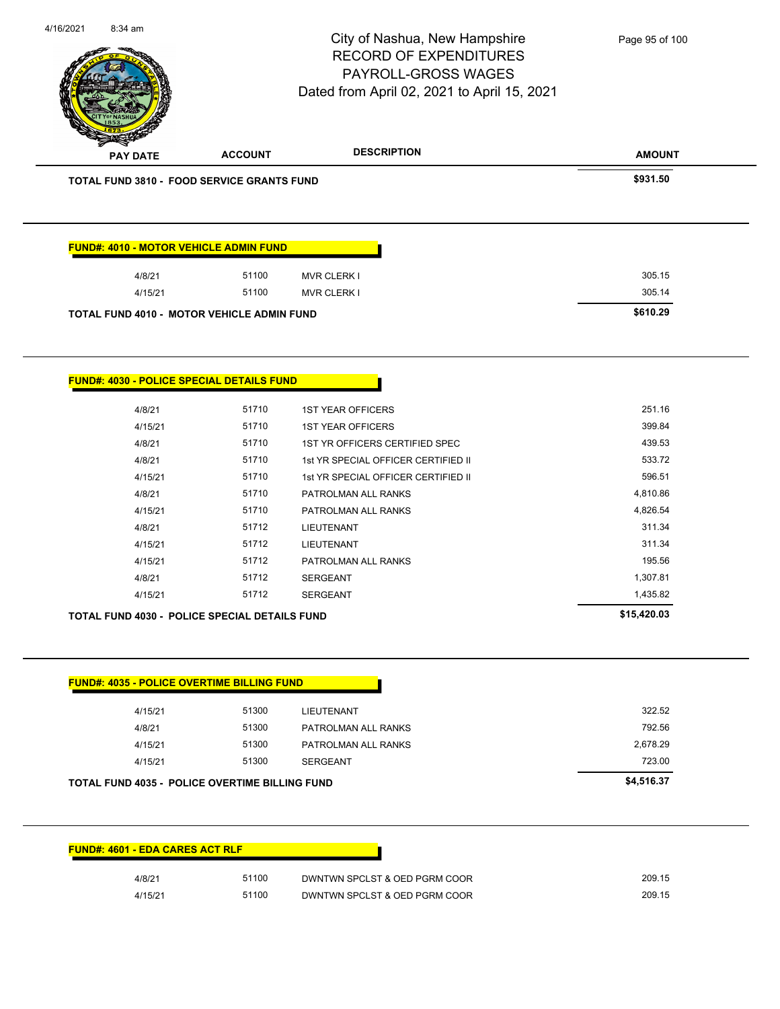| 8:34 am                                               |                | City of Nashua, New Hampshire<br><b>RECORD OF EXPENDITURES</b><br>PAYROLL-GROSS WAGES<br>Dated from April 02, 2021 to April 15, 2021 | Page 95 of 100     |
|-------------------------------------------------------|----------------|--------------------------------------------------------------------------------------------------------------------------------------|--------------------|
| <b>PAY DATE</b>                                       | <b>ACCOUNT</b> | <b>DESCRIPTION</b>                                                                                                                   | <b>AMOUNT</b>      |
| <b>TOTAL FUND 3810 - FOOD SERVICE GRANTS FUND</b>     |                |                                                                                                                                      | \$931.50           |
| FUND#: 4010 - MOTOR VEHICLE ADMIN FUND                |                |                                                                                                                                      |                    |
| 4/8/21                                                | 51100          | <b>MVR CLERK I</b>                                                                                                                   | 305.15             |
| 4/15/21                                               | 51100          | <b>MVR CLERK I</b>                                                                                                                   | 305.14             |
| TOTAL FUND 4010 - MOTOR VEHICLE ADMIN FUND            |                |                                                                                                                                      | \$610.29           |
|                                                       |                |                                                                                                                                      |                    |
| <u> FUND#: 4030 - POLICE SPECIAL DETAILS FUND</u>     |                |                                                                                                                                      |                    |
| 4/8/21                                                | 51710          | <b>1ST YEAR OFFICERS</b>                                                                                                             | 251.16             |
| 4/15/21                                               | 51710          | <b>1ST YEAR OFFICERS</b>                                                                                                             | 399.84             |
| 4/8/21                                                | 51710          | 1ST YR OFFICERS CERTIFIED SPEC                                                                                                       | 439.53             |
| 4/8/21                                                | 51710          | 1st YR SPECIAL OFFICER CERTIFIED II                                                                                                  | 533.72             |
| 4/15/21                                               | 51710          | 1st YR SPECIAL OFFICER CERTIFIED II                                                                                                  | 596.51             |
| 4/8/21                                                | 51710          | PATROLMAN ALL RANKS                                                                                                                  | 4,810.86           |
| 4/15/21                                               | 51710          | PATROLMAN ALL RANKS                                                                                                                  | 4,826.54           |
| 4/8/21                                                | 51712          | <b>LIEUTENANT</b>                                                                                                                    | 311.34             |
| 4/15/21                                               | 51712          | <b>LIEUTENANT</b>                                                                                                                    | 311.34             |
| 4/15/21                                               | 51712          | PATROLMAN ALL RANKS                                                                                                                  | 195.56             |
| 4/8/21                                                | 51712          | <b>SERGEANT</b>                                                                                                                      | 1,307.81           |
| 4/15/21                                               | 51712          | <b>SERGEANT</b>                                                                                                                      | 1,435.82           |
| TOTAL FUND 4030 - POLICE SPECIAL DETAILS FUND         |                |                                                                                                                                      | \$15,420.03        |
|                                                       |                |                                                                                                                                      |                    |
| <b>FUND#: 4035 - POLICE OVERTIME BILLING FUND</b>     |                |                                                                                                                                      |                    |
| 4/15/21                                               | 51300          | <b>LIEUTENANT</b>                                                                                                                    | 322.52             |
| 4/8/21                                                | 51300          | PATROLMAN ALL RANKS                                                                                                                  | 792.56             |
| 4/15/21                                               | 51300          | PATROLMAN ALL RANKS                                                                                                                  | 2,678.29<br>723.00 |
| 4/15/21                                               | 51300          | <b>SERGEANT</b>                                                                                                                      |                    |
| <b>TOTAL FUND 4035 - POLICE OVERTIME BILLING FUND</b> |                |                                                                                                                                      | \$4,516.37         |
| FUND#: 4601 - EDA CARES ACT RLF                       |                |                                                                                                                                      |                    |
| 4/8/21                                                | 51100          | DWNTWN SPCLST & OED PGRM COOR                                                                                                        | 209.15             |
|                                                       |                |                                                                                                                                      |                    |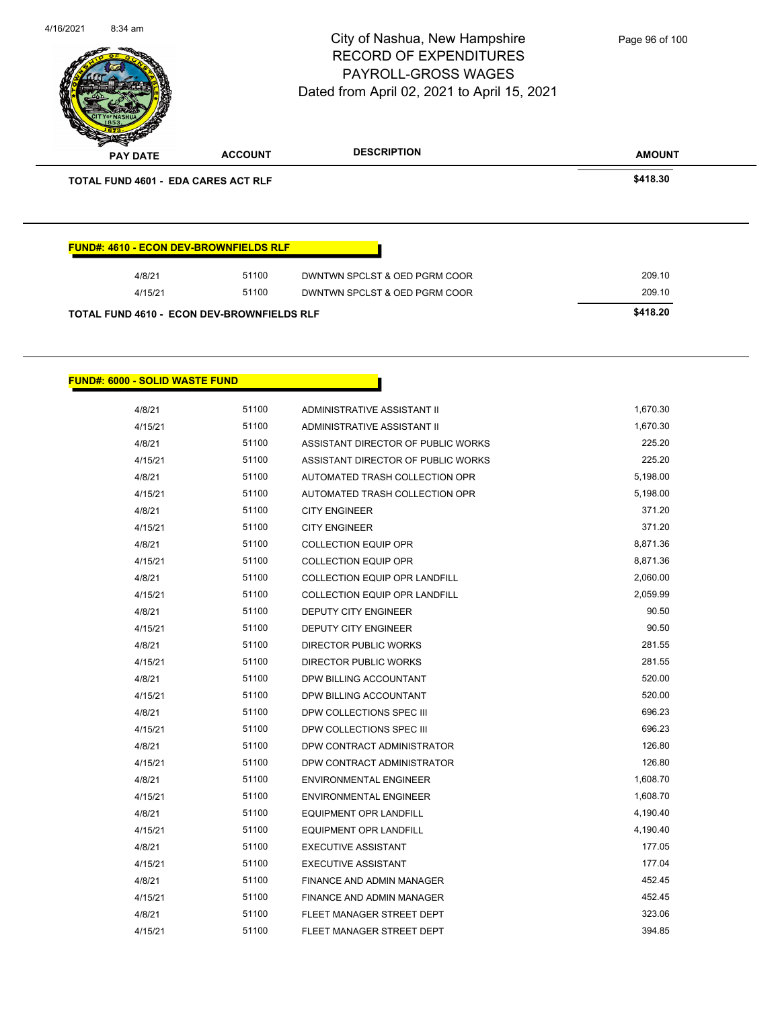|                                            |                                               | City of Nashua, New Hampshire<br><b>RECORD OF EXPENDITURES</b><br>PAYROLL-GROSS WAGES<br>Dated from April 02, 2021 to April 15, 2021 | Page 96 of 100 |
|--------------------------------------------|-----------------------------------------------|--------------------------------------------------------------------------------------------------------------------------------------|----------------|
| <b>PAY DATE</b>                            | <b>ACCOUNT</b>                                | <b>DESCRIPTION</b>                                                                                                                   | <b>AMOUNT</b>  |
| <b>TOTAL FUND 4601 - EDA CARES ACT RLF</b> |                                               |                                                                                                                                      | \$418.30       |
|                                            | <b>FUND#: 4610 - ECON DEV-BROWNFIELDS RLF</b> |                                                                                                                                      |                |
|                                            |                                               |                                                                                                                                      |                |
| 4/8/21                                     | 51100                                         | DWNTWN SPCLST & OED PGRM COOR                                                                                                        | 209.10         |
| 4/15/21                                    | 51100                                         | DWNTWN SPCLST & OED PGRM COOR                                                                                                        | 209.10         |

4/16/2021 8:34 am

**FUND#: 6000 - SOLID WASTE FUND**

| 4/8/21  | 51100 | ADMINISTRATIVE ASSISTANT II          | 1,670.30 |
|---------|-------|--------------------------------------|----------|
| 4/15/21 | 51100 | <b>ADMINISTRATIVE ASSISTANT II</b>   | 1,670.30 |
| 4/8/21  | 51100 | ASSISTANT DIRECTOR OF PUBLIC WORKS   | 225.20   |
| 4/15/21 | 51100 | ASSISTANT DIRECTOR OF PUBLIC WORKS   | 225.20   |
| 4/8/21  | 51100 | AUTOMATED TRASH COLLECTION OPR       | 5,198.00 |
| 4/15/21 | 51100 | AUTOMATED TRASH COLLECTION OPR       | 5,198.00 |
| 4/8/21  | 51100 | <b>CITY ENGINEER</b>                 | 371.20   |
| 4/15/21 | 51100 | <b>CITY ENGINEER</b>                 | 371.20   |
| 4/8/21  | 51100 | <b>COLLECTION EQUIP OPR</b>          | 8,871.36 |
| 4/15/21 | 51100 | <b>COLLECTION EQUIP OPR</b>          | 8,871.36 |
| 4/8/21  | 51100 | <b>COLLECTION EQUIP OPR LANDFILL</b> | 2,060.00 |
| 4/15/21 | 51100 | <b>COLLECTION EQUIP OPR LANDFILL</b> | 2,059.99 |
| 4/8/21  | 51100 | <b>DEPUTY CITY ENGINEER</b>          | 90.50    |
| 4/15/21 | 51100 | <b>DEPUTY CITY ENGINEER</b>          | 90.50    |
| 4/8/21  | 51100 | <b>DIRECTOR PUBLIC WORKS</b>         | 281.55   |
| 4/15/21 | 51100 | DIRECTOR PUBLIC WORKS                | 281.55   |
| 4/8/21  | 51100 | DPW BILLING ACCOUNTANT               | 520.00   |
| 4/15/21 | 51100 | DPW BILLING ACCOUNTANT               | 520.00   |
| 4/8/21  | 51100 | DPW COLLECTIONS SPEC III             | 696.23   |
| 4/15/21 | 51100 | DPW COLLECTIONS SPEC III             | 696.23   |
| 4/8/21  | 51100 | DPW CONTRACT ADMINISTRATOR           | 126.80   |
| 4/15/21 | 51100 | DPW CONTRACT ADMINISTRATOR           | 126.80   |
| 4/8/21  | 51100 | <b>ENVIRONMENTAL ENGINEER</b>        | 1,608.70 |
| 4/15/21 | 51100 | <b>ENVIRONMENTAL ENGINEER</b>        | 1,608.70 |
| 4/8/21  | 51100 | <b>EQUIPMENT OPR LANDFILL</b>        | 4,190.40 |
| 4/15/21 | 51100 | <b>EQUIPMENT OPR LANDFILL</b>        | 4,190.40 |
| 4/8/21  | 51100 | <b>EXECUTIVE ASSISTANT</b>           | 177.05   |
| 4/15/21 | 51100 | <b>EXECUTIVE ASSISTANT</b>           | 177.04   |
| 4/8/21  | 51100 | FINANCE AND ADMIN MANAGER            | 452.45   |
| 4/15/21 | 51100 | <b>FINANCE AND ADMIN MANAGER</b>     | 452.45   |
| 4/8/21  | 51100 | FLEET MANAGER STREET DEPT            | 323.06   |
| 4/15/21 | 51100 | FLEET MANAGER STREET DEPT            | 394.85   |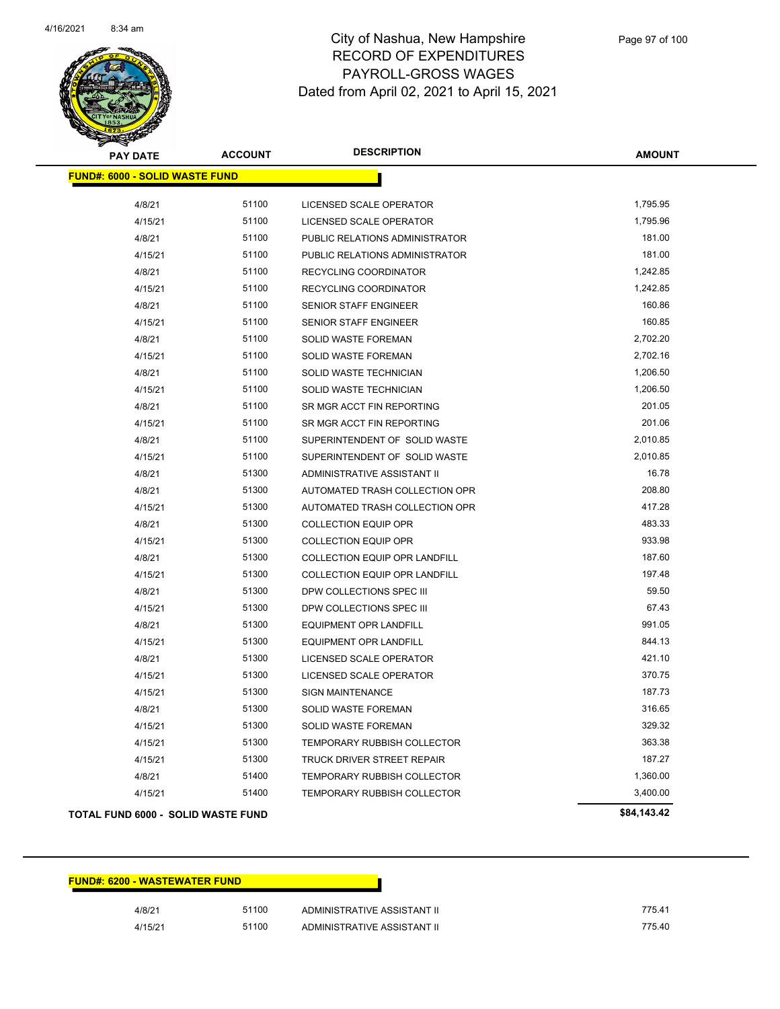

| <b>PAY DATE</b>                       | <b>ACCOUNT</b> | <b>DESCRIPTION</b>                   | <b>AMOUNT</b> |
|---------------------------------------|----------------|--------------------------------------|---------------|
| <b>FUND#: 6000 - SOLID WASTE FUND</b> |                |                                      |               |
| 4/8/21                                | 51100          | LICENSED SCALE OPERATOR              | 1,795.95      |
| 4/15/21                               | 51100          | LICENSED SCALE OPERATOR              | 1,795.96      |
| 4/8/21                                | 51100          | PUBLIC RELATIONS ADMINISTRATOR       | 181.00        |
| 4/15/21                               | 51100          | PUBLIC RELATIONS ADMINISTRATOR       | 181.00        |
| 4/8/21                                | 51100          | RECYCLING COORDINATOR                | 1,242.85      |
| 4/15/21                               | 51100          | RECYCLING COORDINATOR                | 1,242.85      |
| 4/8/21                                | 51100          | <b>SENIOR STAFF ENGINEER</b>         | 160.86        |
| 4/15/21                               | 51100          | SENIOR STAFF ENGINEER                | 160.85        |
| 4/8/21                                | 51100          | SOLID WASTE FOREMAN                  | 2,702.20      |
| 4/15/21                               | 51100          | SOLID WASTE FOREMAN                  | 2,702.16      |
| 4/8/21                                | 51100          | SOLID WASTE TECHNICIAN               | 1,206.50      |
| 4/15/21                               | 51100          | SOLID WASTE TECHNICIAN               | 1,206.50      |
| 4/8/21                                | 51100          | SR MGR ACCT FIN REPORTING            | 201.05        |
| 4/15/21                               | 51100          | SR MGR ACCT FIN REPORTING            | 201.06        |
| 4/8/21                                | 51100          | SUPERINTENDENT OF SOLID WASTE        | 2,010.85      |
| 4/15/21                               | 51100          | SUPERINTENDENT OF SOLID WASTE        | 2,010.85      |
| 4/8/21                                | 51300          | ADMINISTRATIVE ASSISTANT II          | 16.78         |
| 4/8/21                                | 51300          | AUTOMATED TRASH COLLECTION OPR       | 208.80        |
| 4/15/21                               | 51300          | AUTOMATED TRASH COLLECTION OPR       | 417.28        |
| 4/8/21                                | 51300          | <b>COLLECTION EQUIP OPR</b>          | 483.33        |
| 4/15/21                               | 51300          | <b>COLLECTION EQUIP OPR</b>          | 933.98        |
| 4/8/21                                | 51300          | <b>COLLECTION EQUIP OPR LANDFILL</b> | 187.60        |
| 4/15/21                               | 51300          | <b>COLLECTION EQUIP OPR LANDFILL</b> | 197.48        |
| 4/8/21                                | 51300          | DPW COLLECTIONS SPEC III             | 59.50         |
| 4/15/21                               | 51300          | DPW COLLECTIONS SPEC III             | 67.43         |
| 4/8/21                                | 51300          | EQUIPMENT OPR LANDFILL               | 991.05        |
| 4/15/21                               | 51300          | EQUIPMENT OPR LANDFILL               | 844.13        |
| 4/8/21                                | 51300          | LICENSED SCALE OPERATOR              | 421.10        |
| 4/15/21                               | 51300          | LICENSED SCALE OPERATOR              | 370.75        |
| 4/15/21                               | 51300          | <b>SIGN MAINTENANCE</b>              | 187.73        |
| 4/8/21                                | 51300          | SOLID WASTE FOREMAN                  | 316.65        |
| 4/15/21                               | 51300          | SOLID WASTE FOREMAN                  | 329.32        |
| 4/15/21                               | 51300          | TEMPORARY RUBBISH COLLECTOR          | 363.38        |
| 4/15/21                               | 51300          | TRUCK DRIVER STREET REPAIR           | 187.27        |
| 4/8/21                                | 51400          | <b>TEMPORARY RUBBISH COLLECTOR</b>   | 1,360.00      |
| 4/15/21                               | 51400          | <b>TEMPORARY RUBBISH COLLECTOR</b>   | 3,400.00      |
| TOTAL FUND 6000 - SOLID WASTE FUND    |                |                                      | \$84,143.42   |

| <b>FUND#: 6200 - WASTEWATER FUND</b> |       |                             |        |
|--------------------------------------|-------|-----------------------------|--------|
| 4/8/21                               | 51100 | ADMINISTRATIVE ASSISTANT II | 775.41 |
| 4/15/21                              | 51100 | ADMINISTRATIVE ASSISTANT II | 775.40 |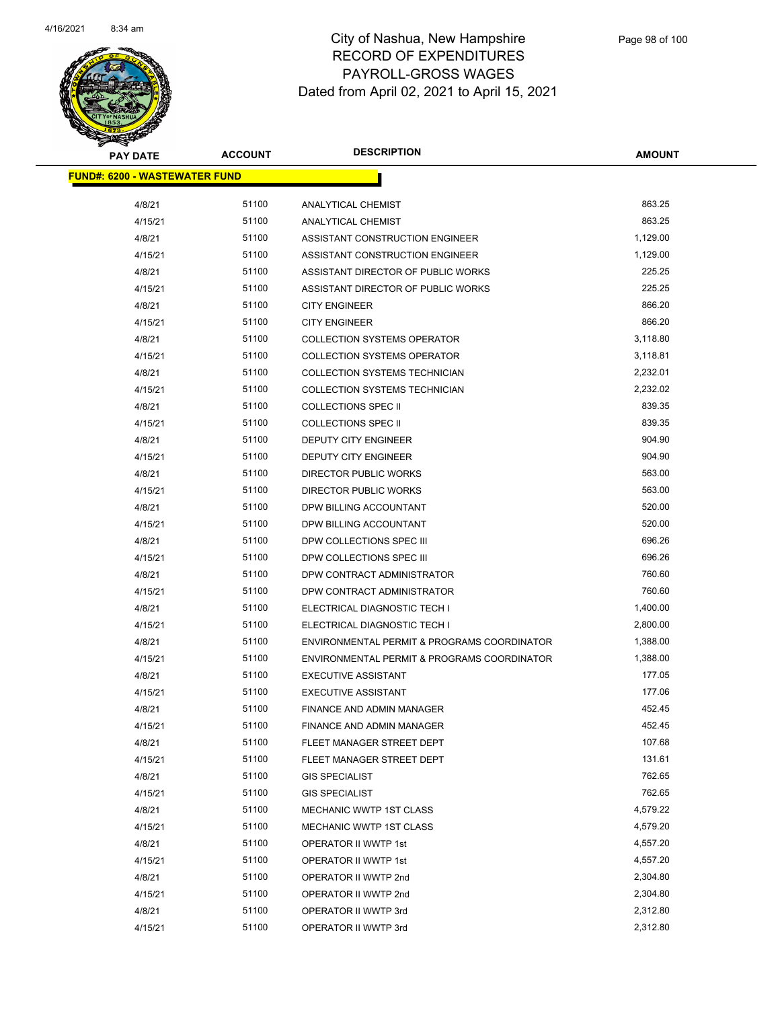

| <b>PAY DATE</b>                       | <b>ACCOUNT</b> | <b>DESCRIPTION</b>                          | <b>AMOUNT</b> |  |
|---------------------------------------|----------------|---------------------------------------------|---------------|--|
| <u> FUND#: 6200 - WASTEWATER FUND</u> |                |                                             |               |  |
| 4/8/21                                | 51100          | ANALYTICAL CHEMIST                          | 863.25        |  |
| 4/15/21                               | 51100          | ANALYTICAL CHEMIST                          | 863.25        |  |
| 4/8/21                                | 51100          | ASSISTANT CONSTRUCTION ENGINEER             | 1,129.00      |  |
| 4/15/21                               | 51100          | ASSISTANT CONSTRUCTION ENGINEER             | 1,129.00      |  |
| 4/8/21                                | 51100          | ASSISTANT DIRECTOR OF PUBLIC WORKS          | 225.25        |  |
| 4/15/21                               | 51100          | ASSISTANT DIRECTOR OF PUBLIC WORKS          | 225.25        |  |
| 4/8/21                                | 51100          | <b>CITY ENGINEER</b>                        | 866.20        |  |
| 4/15/21                               | 51100          | <b>CITY ENGINEER</b>                        | 866.20        |  |
| 4/8/21                                | 51100          | <b>COLLECTION SYSTEMS OPERATOR</b>          | 3,118.80      |  |
| 4/15/21                               | 51100          | <b>COLLECTION SYSTEMS OPERATOR</b>          | 3,118.81      |  |
| 4/8/21                                | 51100          | COLLECTION SYSTEMS TECHNICIAN               | 2,232.01      |  |
| 4/15/21                               | 51100          | COLLECTION SYSTEMS TECHNICIAN               | 2,232.02      |  |
| 4/8/21                                | 51100          | <b>COLLECTIONS SPEC II</b>                  | 839.35        |  |
| 4/15/21                               | 51100          | <b>COLLECTIONS SPEC II</b>                  | 839.35        |  |
| 4/8/21                                | 51100          | <b>DEPUTY CITY ENGINEER</b>                 | 904.90        |  |
| 4/15/21                               | 51100          | <b>DEPUTY CITY ENGINEER</b>                 | 904.90        |  |
| 4/8/21                                | 51100          | <b>DIRECTOR PUBLIC WORKS</b>                | 563.00        |  |
| 4/15/21                               | 51100          | <b>DIRECTOR PUBLIC WORKS</b>                | 563.00        |  |
| 4/8/21                                | 51100          | DPW BILLING ACCOUNTANT                      | 520.00        |  |
| 4/15/21                               | 51100          | DPW BILLING ACCOUNTANT                      | 520.00        |  |
| 4/8/21                                | 51100          | DPW COLLECTIONS SPEC III                    | 696.26        |  |
| 4/15/21                               | 51100          | DPW COLLECTIONS SPEC III                    | 696.26        |  |
| 4/8/21                                | 51100          | DPW CONTRACT ADMINISTRATOR                  | 760.60        |  |
| 4/15/21                               | 51100          | DPW CONTRACT ADMINISTRATOR                  | 760.60        |  |
| 4/8/21                                | 51100          | ELECTRICAL DIAGNOSTIC TECH I                | 1,400.00      |  |
| 4/15/21                               | 51100          | ELECTRICAL DIAGNOSTIC TECH I                | 2,800.00      |  |
| 4/8/21                                | 51100          | ENVIRONMENTAL PERMIT & PROGRAMS COORDINATOR | 1,388.00      |  |
| 4/15/21                               | 51100          | ENVIRONMENTAL PERMIT & PROGRAMS COORDINATOR | 1,388.00      |  |
| 4/8/21                                | 51100          | <b>EXECUTIVE ASSISTANT</b>                  | 177.05        |  |
| 4/15/21                               | 51100          | <b>EXECUTIVE ASSISTANT</b>                  | 177.06        |  |
| 4/8/21                                | 51100          | <b>FINANCE AND ADMIN MANAGER</b>            | 452.45        |  |
| 4/15/21                               | 51100          | FINANCE AND ADMIN MANAGER                   | 452.45        |  |
| 4/8/21                                | 51100          | FLEET MANAGER STREET DEPT                   | 107.68        |  |
| 4/15/21                               | 51100          | FLEET MANAGER STREET DEPT                   | 131.61        |  |
| 4/8/21                                | 51100          | <b>GIS SPECIALIST</b>                       | 762.65        |  |
| 4/15/21                               | 51100          | <b>GIS SPECIALIST</b>                       | 762.65        |  |
| 4/8/21                                | 51100          | MECHANIC WWTP 1ST CLASS                     | 4,579.22      |  |
| 4/15/21                               | 51100          | MECHANIC WWTP 1ST CLASS                     | 4,579.20      |  |
| 4/8/21                                | 51100          | OPERATOR II WWTP 1st                        | 4,557.20      |  |
| 4/15/21                               | 51100          | OPERATOR II WWTP 1st                        | 4,557.20      |  |
| 4/8/21                                | 51100          | OPERATOR II WWTP 2nd                        | 2,304.80      |  |
| 4/15/21                               | 51100          | OPERATOR II WWTP 2nd                        | 2,304.80      |  |
| 4/8/21                                | 51100          | OPERATOR II WWTP 3rd                        | 2,312.80      |  |
| 4/15/21                               | 51100          | OPERATOR II WWTP 3rd                        | 2,312.80      |  |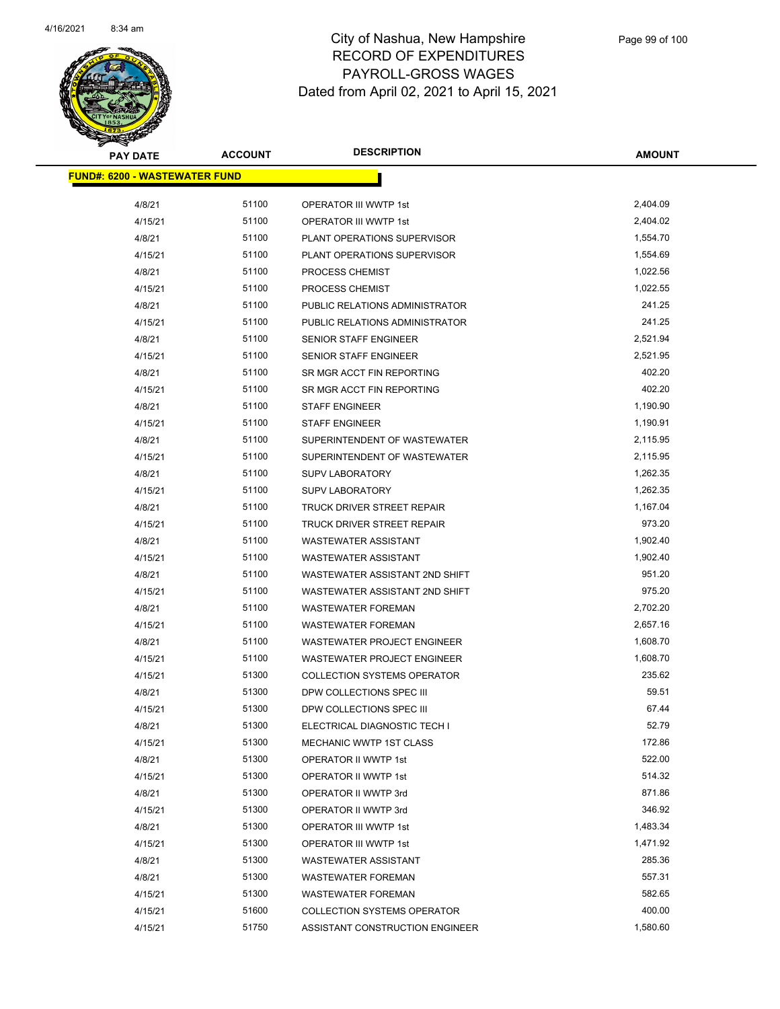

| <b>PAY DATE</b>                       | <b>ACCOUNT</b> | <b>DESCRIPTION</b>                 | <b>AMOUNT</b> |
|---------------------------------------|----------------|------------------------------------|---------------|
| <u> FUND#: 6200 - WASTEWATER FUND</u> |                |                                    |               |
| 4/8/21                                | 51100          | OPERATOR III WWTP 1st              | 2,404.09      |
| 4/15/21                               | 51100          | OPERATOR III WWTP 1st              | 2,404.02      |
| 4/8/21                                | 51100          | PLANT OPERATIONS SUPERVISOR        | 1,554.70      |
| 4/15/21                               | 51100          | PLANT OPERATIONS SUPERVISOR        | 1,554.69      |
| 4/8/21                                | 51100          | PROCESS CHEMIST                    | 1,022.56      |
| 4/15/21                               | 51100          | <b>PROCESS CHEMIST</b>             | 1,022.55      |
| 4/8/21                                | 51100          | PUBLIC RELATIONS ADMINISTRATOR     | 241.25        |
| 4/15/21                               | 51100          | PUBLIC RELATIONS ADMINISTRATOR     | 241.25        |
| 4/8/21                                | 51100          | SENIOR STAFF ENGINEER              | 2,521.94      |
| 4/15/21                               | 51100          | SENIOR STAFF ENGINEER              | 2,521.95      |
| 4/8/21                                | 51100          | SR MGR ACCT FIN REPORTING          | 402.20        |
| 4/15/21                               | 51100          | SR MGR ACCT FIN REPORTING          | 402.20        |
| 4/8/21                                | 51100          | <b>STAFF ENGINEER</b>              | 1,190.90      |
| 4/15/21                               | 51100          | <b>STAFF ENGINEER</b>              | 1,190.91      |
| 4/8/21                                | 51100          | SUPERINTENDENT OF WASTEWATER       | 2,115.95      |
| 4/15/21                               | 51100          | SUPERINTENDENT OF WASTEWATER       | 2,115.95      |
| 4/8/21                                | 51100          | <b>SUPV LABORATORY</b>             | 1,262.35      |
| 4/15/21                               | 51100          | <b>SUPV LABORATORY</b>             | 1,262.35      |
| 4/8/21                                | 51100          | TRUCK DRIVER STREET REPAIR         | 1,167.04      |
| 4/15/21                               | 51100          | TRUCK DRIVER STREET REPAIR         | 973.20        |
| 4/8/21                                | 51100          | <b>WASTEWATER ASSISTANT</b>        | 1,902.40      |
| 4/15/21                               | 51100          | <b>WASTEWATER ASSISTANT</b>        | 1,902.40      |
| 4/8/21                                | 51100          | WASTEWATER ASSISTANT 2ND SHIFT     | 951.20        |
| 4/15/21                               | 51100          | WASTEWATER ASSISTANT 2ND SHIFT     | 975.20        |
| 4/8/21                                | 51100          | <b>WASTEWATER FOREMAN</b>          | 2,702.20      |
| 4/15/21                               | 51100          | <b>WASTEWATER FOREMAN</b>          | 2,657.16      |
| 4/8/21                                | 51100          | <b>WASTEWATER PROJECT ENGINEER</b> | 1,608.70      |
| 4/15/21                               | 51100          | WASTEWATER PROJECT ENGINEER        | 1,608.70      |
| 4/15/21                               | 51300          | <b>COLLECTION SYSTEMS OPERATOR</b> | 235.62        |
| 4/8/21                                | 51300          | DPW COLLECTIONS SPEC III           | 59.51         |
| 4/15/21                               | 51300          | DPW COLLECTIONS SPEC III           | 67.44         |
| 4/8/21                                | 51300          | ELECTRICAL DIAGNOSTIC TECH I       | 52.79         |
| 4/15/21                               | 51300          | MECHANIC WWTP 1ST CLASS            | 172.86        |
| 4/8/21                                | 51300          | <b>OPERATOR II WWTP 1st</b>        | 522.00        |
| 4/15/21                               | 51300          | OPERATOR II WWTP 1st               | 514.32        |
| 4/8/21                                | 51300          | OPERATOR II WWTP 3rd               | 871.86        |
| 4/15/21                               | 51300          | OPERATOR II WWTP 3rd               | 346.92        |
| 4/8/21                                | 51300          | OPERATOR III WWTP 1st              | 1,483.34      |
| 4/15/21                               | 51300          | OPERATOR III WWTP 1st              | 1,471.92      |
| 4/8/21                                | 51300          | <b>WASTEWATER ASSISTANT</b>        | 285.36        |
| 4/8/21                                | 51300          | <b>WASTEWATER FOREMAN</b>          | 557.31        |
| 4/15/21                               | 51300          | <b>WASTEWATER FOREMAN</b>          | 582.65        |
| 4/15/21                               | 51600          | <b>COLLECTION SYSTEMS OPERATOR</b> | 400.00        |
| 4/15/21                               | 51750          | ASSISTANT CONSTRUCTION ENGINEER    | 1,580.60      |